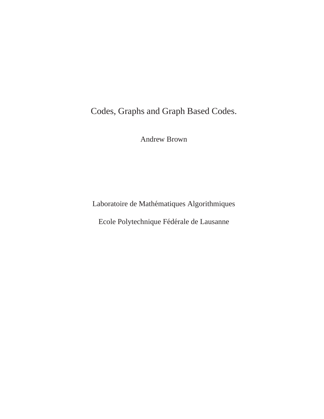Codes, Graphs and Graph Based Codes.

Andrew Brown

Laboratoire de Mathématiques Algorithmiques

Ecole Polytechnique Fédérale de Lausanne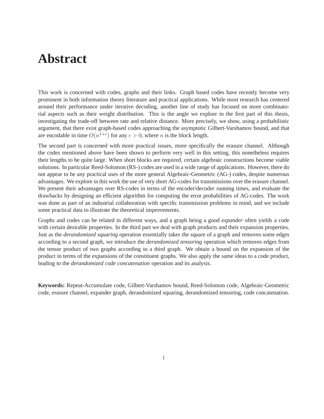## **Abstract**

This work is concerned with codes, graphs and their links. Graph based codes have recently become very prominent in both information theory literature and practical applications. While most research has centered around their performance under iterative decoding, another line of study has focused on more combinatorial aspects such as their weight distribution. This is the angle we explore in the first part of this thesis, investigating the trade-off between rate and relative distance. More precisely, we show, using a probabilistic argument, that there exist graph-based codes approaching the asymptotic Gilbert-Varshamov bound, and that are encodable in time  $O(n^{1+\epsilon})$  for any  $\epsilon > 0$ , where *n* is the block length.

The second part is concerned with more practical issues, more specifically the erasure channel. Although the codes mentioned above have been shown to perform very well in this setting, this nonetheless requires their lengths to be quite large. When short blocks are required, certain algebraic constructions become viable solutions. In particular Reed-Solomon (RS-) codes are used in a wide range of applications. However, there do not appear to be any practical uses of the more general Algebraic-Geometric (AG-) codes, despite numerous advantages. We explore in this work the use of very short AG-codes for transmissions over the erasure channel. We present their advantages over RS-codes in terms of the encoder/decoder running times, and evaluate the drawbacks by designing an efficient algorithm for computing the error probabilities of AG-codes. The work was done as part of an industrial collaboration with specific transmission problems in mind, and we include some practical data to illustrate the theoretical improvements.

Graphs and codes can be related in different ways, and a graph being a good *expander* often yields a code with certain desirable properties. In the third part we deal with graph products and their expansion properties. Just as the *derandomized squaring* operation essentially takes the square of a graph and removes some edges according to a second graph, we introduce the *derandomized tensoring* operation which removes edges from the tensor product of two graphs according to a third graph. We obtain a bound on the expansion of the product in terms of the expansions of the constituent graphs. We also apply the same ideas to a code product, leading to the *derandomized code concatenation* operation and its analysis.

**Keywords:** Repeat-Accumulate code, Gilbert-Varshamov bound, Reed-Solomon code, Algebraic-Geometric code, erasure channel, expander graph, derandomized squaring, derandomized tensoring, code concatenation.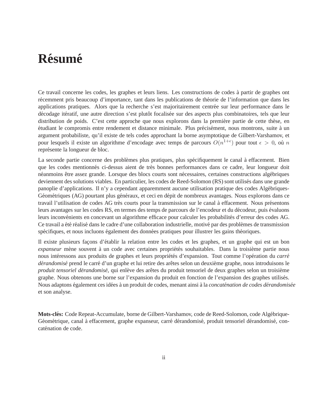# **Resum ´ e ´**

Ce travail concerne les codes, les graphes et leurs liens. Les constructions de codes à partir de graphes ont récemment pris beaucoup d'importance, tant dans les publications de théorie de l'information que dans les applications pratiques. Alors que la recherche s'est majoritairement centrée sur leur performance dans le décodage itératif, une autre direction s'est plutôt focalisée sur des aspects plus combinatoires, tels que leur distribution de poids. C'est cette approche que nous explorons dans la première partie de cette thèse, en étudiant le compromis entre rendement et distance minimale. Plus précisément, nous montrons, suite à un argument probabiliste, qu'il existe de tels codes approchant la borne asymptotique de Gilbert-Varshamov, et pour lesquels il existe un algorithme d'encodage avec temps de parcours  $O(n^{1+\epsilon})$  pour tout  $\epsilon > 0$ , où n représente la longueur de bloc.

La seconde partie concerne des problèmes plus pratiques, plus spécifiquement le canal à effacement. Bien que les codes mentionnés ci-dessus aient de très bonnes performances dans ce cadre, leur longueur doit néanmoins être assez grande. Lorsque des blocs courts sont nécessaires, certaines constructions algébriques deviennent des solutions viables. En particulier, les codes de Reed-Solomon (RS) sont utilisés dans une grande panoplie d'applications. Il n'y a cependant apparemment aucune utilisation pratique des codes Algébriques-Géométriques (AG) pourtant plus généraux, et ceci en dépit de nombreux avantages. Nous explorons dans ce travail l'utilisation de codes AG très courts pour la transmission sur le canal à effacement. Nous présentons leurs avantages sur les codes RS, en termes des temps de parcours de l'encodeur et du décodeur, puis évaluons leurs inconvénients en concevant un algorithme efficace pour calculer les probabilités d'erreur des codes AG. Ce travail a été réalisé dans le cadre d'une collaboration industrielle, motivé par des problèmes de transmission spécifiques, et nous incluons également des données pratiques pour illustrer les gains théoriques.

Il existe plusieurs façons d'établir la relation entre les codes et les graphes, et un graphe qui est un bon *expanseur* mène souvent à un code avec certaines propriétés souhaitables. Dans la troisième partie nous nous intéressons aux produits de graphes et leurs propriétés d'expansion. Tout comme l'opération du *carré dérandomisé* prend le carré d'un graphe et lui retire des arêtes selon un deuxième graphe, nous introduisons le *produit tensoriel dérandomisé*, qui enlève des arêtes du produit tensoriel de deux graphes selon un troisième graphe. Nous obtenons une borne sur l'expansion du produit en fonction de l'expansion des graphes utilisés. Nous adaptons également ces idées à un produit de codes, menant ainsi à la *concaténation de codes dérandomisée* et son analyse.

**Mots-clés:** Code Repeat-Accumulate, borne de Gilbert-Varshamov, code de Reed-Solomon, code Algébrique-Géométrique, canal à effacement, graphe expanseur, carré dérandomisé, produit tensoriel dérandomisé, concaténation de code.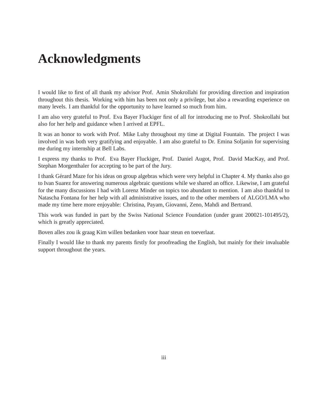## **Acknowledgments**

I would like to first of all thank my advisor Prof. Amin Shokrollahi for providing direction and inspiration throughout this thesis. Working with him has been not only a privilege, but also a rewarding experience on many levels. I am thankful for the opportunity to have learned so much from him.

I am also very grateful to Prof. Eva Bayer Fluckiger first of all for introducing me to Prof. Shokrollahi but also for her help and guidance when I arrived at EPFL.

It was an honor to work with Prof. Mike Luby throughout my time at Digital Fountain. The project I was involved in was both very gratifying and enjoyable. I am also grateful to Dr. Emina Soljanin for supervising me during my internship at Bell Labs.

I express my thanks to Prof. Eva Bayer Fluckiger, Prof. Daniel Augot, Prof. David MacKay, and Prof. Stephan Morgenthaler for accepting to be part of the Jury.

I thank Gérard Maze for his ideas on group algebras which were very helpful in Chapter 4. My thanks also go to Ivan Suarez for answering numerous algebraic questions while we shared an office. Likewise, I am grateful for the many discussions I had with Lorenz Minder on topics too abundant to mention. I am also thankful to Natascha Fontana for her help with all administrative issues, and to the other members of ALGO/LMA who made my time here more enjoyable: Christina, Payam, Giovanni, Zeno, Mahdi and Bertrand.

This work was funded in part by the Swiss National Science Foundation (under grant 200021-101495/2), which is greatly appreciated.

Boven alles zou ik graag Kim willen bedanken voor haar steun en toeverlaat.

Finally I would like to thank my parents firstly for proofreading the English, but mainly for their invaluable support throughout the years.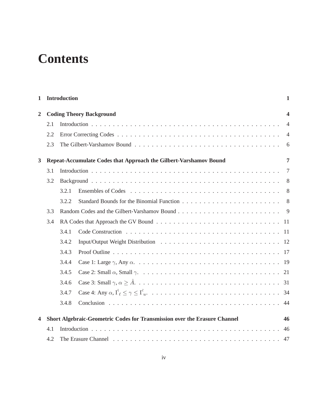# **Contents**

| $\mathbf{1}$   | <b>Introduction</b>                                                                 |                                 |  |                |  |  |  |  |  |
|----------------|-------------------------------------------------------------------------------------|---------------------------------|--|----------------|--|--|--|--|--|
| $\overline{2}$ |                                                                                     | <b>Coding Theory Background</b> |  |                |  |  |  |  |  |
|                | 2.1                                                                                 |                                 |  | $\overline{4}$ |  |  |  |  |  |
|                | 2.2                                                                                 |                                 |  | $\overline{4}$ |  |  |  |  |  |
|                | 2.3                                                                                 |                                 |  |                |  |  |  |  |  |
| 3              | $\overline{7}$<br>Repeat-Accumulate Codes that Approach the Gilbert-Varshamov Bound |                                 |  |                |  |  |  |  |  |
|                | 3.1                                                                                 |                                 |  | $\overline{7}$ |  |  |  |  |  |
|                | 3.2                                                                                 |                                 |  | 8              |  |  |  |  |  |
|                |                                                                                     | 3.2.1                           |  |                |  |  |  |  |  |
|                |                                                                                     | 3.2.2                           |  |                |  |  |  |  |  |
|                | 3.3                                                                                 |                                 |  |                |  |  |  |  |  |
|                | 3.4                                                                                 |                                 |  |                |  |  |  |  |  |
|                |                                                                                     | 3.4.1                           |  |                |  |  |  |  |  |
|                |                                                                                     | 3.4.2                           |  |                |  |  |  |  |  |
|                |                                                                                     | 3.4.3                           |  |                |  |  |  |  |  |
|                |                                                                                     | 3.4.4                           |  |                |  |  |  |  |  |
|                |                                                                                     | 3.4.5                           |  |                |  |  |  |  |  |
|                |                                                                                     | 3.4.6                           |  |                |  |  |  |  |  |
|                |                                                                                     | 3.4.7                           |  |                |  |  |  |  |  |
|                |                                                                                     | 3.4.8                           |  |                |  |  |  |  |  |
| 4              | Short Algebraic-Geometric Codes for Transmission over the Erasure Channel<br>46     |                                 |  |                |  |  |  |  |  |
|                | 4.1                                                                                 |                                 |  | 46             |  |  |  |  |  |
|                | 4.2                                                                                 |                                 |  |                |  |  |  |  |  |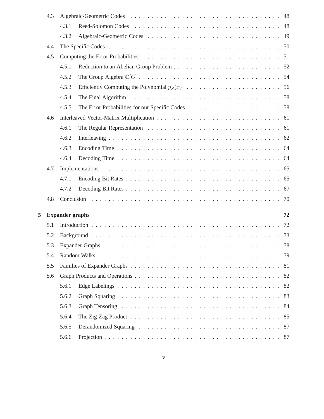|   | 4.3 |                        |                                                                                                                  |     |
|---|-----|------------------------|------------------------------------------------------------------------------------------------------------------|-----|
|   |     | 4.3.1                  |                                                                                                                  |     |
|   |     | 4.3.2                  |                                                                                                                  |     |
|   | 4.4 |                        |                                                                                                                  |     |
|   | 4.5 |                        |                                                                                                                  |     |
|   |     | 4.5.1                  |                                                                                                                  |     |
|   |     | 4.5.2                  |                                                                                                                  |     |
|   |     | 4.5.3                  |                                                                                                                  |     |
|   |     | 4.5.4                  | The Final Algorithm $\ldots \ldots \ldots \ldots \ldots \ldots \ldots \ldots \ldots \ldots \ldots \ldots \ldots$ |     |
|   |     | 4.5.5                  |                                                                                                                  |     |
|   | 4.6 |                        |                                                                                                                  |     |
|   |     | 4.6.1                  |                                                                                                                  |     |
|   |     | 4.6.2                  |                                                                                                                  |     |
|   |     | 4.6.3                  |                                                                                                                  |     |
|   |     | 4.6.4                  |                                                                                                                  |     |
|   | 4.7 |                        |                                                                                                                  |     |
|   |     | 4.7.1                  |                                                                                                                  |     |
|   |     | 4.7.2                  |                                                                                                                  |     |
|   | 4.8 |                        |                                                                                                                  |     |
|   |     |                        |                                                                                                                  |     |
| 5 |     | <b>Expander graphs</b> |                                                                                                                  | 72  |
|   | 5.1 |                        |                                                                                                                  |     |
|   | 5.2 |                        |                                                                                                                  |     |
|   | 5.3 |                        |                                                                                                                  |     |
|   | 5.4 |                        |                                                                                                                  |     |
|   | 5.5 |                        |                                                                                                                  |     |
|   | 5.6 |                        |                                                                                                                  |     |
|   |     | 5.6.1                  |                                                                                                                  | 82  |
|   |     | 5.6.2                  |                                                                                                                  | 83  |
|   |     | 5.6.3                  |                                                                                                                  | -84 |
|   |     | 5.6.4                  |                                                                                                                  |     |
|   |     | 5.6.5                  |                                                                                                                  |     |
|   |     | 5.6.6                  |                                                                                                                  | 87  |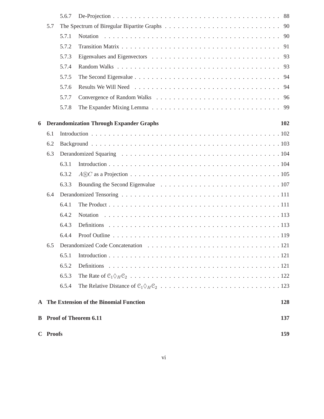|   | C Proofs                                 |       |                                                | 159 |  |  |  |
|---|------------------------------------------|-------|------------------------------------------------|-----|--|--|--|
|   |                                          |       | <b>B</b> Proof of Theorem 6.11                 | 137 |  |  |  |
|   | A The Extension of the Binomial Function |       |                                                |     |  |  |  |
|   |                                          | 6.5.4 |                                                |     |  |  |  |
|   |                                          | 6.5.3 |                                                |     |  |  |  |
|   |                                          | 6.5.2 |                                                |     |  |  |  |
|   |                                          | 6.5.1 |                                                |     |  |  |  |
|   | 6.5                                      |       |                                                |     |  |  |  |
|   |                                          | 6.4.4 |                                                |     |  |  |  |
|   |                                          | 6.4.3 |                                                |     |  |  |  |
|   |                                          | 6.4.2 |                                                |     |  |  |  |
|   |                                          | 6.4.1 |                                                |     |  |  |  |
|   | 6.4                                      |       |                                                |     |  |  |  |
|   |                                          | 6.3.3 |                                                |     |  |  |  |
|   |                                          | 6.3.2 |                                                |     |  |  |  |
|   |                                          | 6.3.1 |                                                |     |  |  |  |
|   | 6.3                                      |       |                                                |     |  |  |  |
|   | 6.1<br>6.2                               |       |                                                |     |  |  |  |
| 6 |                                          |       | <b>Derandomization Through Expander Graphs</b> | 102 |  |  |  |
|   |                                          |       |                                                |     |  |  |  |
|   |                                          | 5.7.8 |                                                |     |  |  |  |
|   |                                          | 5.7.7 |                                                |     |  |  |  |
|   |                                          | 5.7.6 |                                                |     |  |  |  |
|   |                                          | 5.7.5 |                                                | 94  |  |  |  |
|   |                                          | 5.7.4 |                                                |     |  |  |  |
|   |                                          | 5.7.3 |                                                |     |  |  |  |
|   |                                          | 5.7.2 |                                                |     |  |  |  |
|   | 5.7                                      | 5.7.1 |                                                |     |  |  |  |
|   |                                          | 5.6.7 |                                                |     |  |  |  |
|   |                                          |       |                                                |     |  |  |  |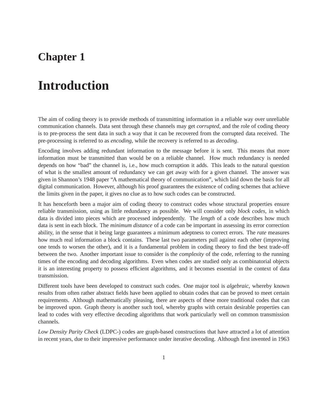## **Chapter 1**

## **Introduction**

The aim of coding theory is to provide methods of transmitting information in a reliable way over unreliable communication channels. Data sent through these channels may get *corrupted*, and the role of coding theory is to pre-process the sent data in such a way that it can be recovered from the corrupted data received. The pre-processing is referred to as *encoding*, while the recovery is referred to as *decoding*.

Encoding involves adding redundant information to the message before it is sent. This means that more information must be transmitted than would be on a reliable channel. How much redundancy is needed depends on how "bad" the channel is, i.e., how much corruption it adds. This leads to the natural question of what is the smallest amount of redundancy we can get away with for a given channel. The answer was given in Shannon's 1948 paper "A mathematical theory of communication", which laid down the basis for all digital communication. However, although his proof guarantees the existence of coding schemes that achieve the limits given in the paper, it gives no clue as to how such codes can be constructed.

It has henceforth been a major aim of coding theory to construct codes whose structural properties ensure reliable transmission, using as little redundancy as possible. We will consider only *block codes*, in which data is divided into pieces which are processed independently. The *length* of a code describes how much data is sent in each block. The *minimum distance* of a code can be important in assessing its error correction ability, in the sense that it being large guarantees a minimum adeptness to correct errors. The *rate* measures how much real information a block contains. These last two parameters pull against each other (improving one tends to worsen the other), and it is a fundamental problem in coding theory to find the best trade-off between the two. Another important issue to consider is the *complexity* of the code, referring to the running times of the encoding and decoding algorithms. Even when codes are studied only as combinatorial objects it is an interesting property to possess efficient algorithms, and it becomes essential in the context of data transmission.

Different tools have been developed to construct such codes. One major tool is *algebraic*, whereby known results from often rather abstract fields have been applied to obtain codes that can be proved to meet certain requirements. Although mathematically pleasing, there are aspects of these more traditional codes that can be improved upon. Graph theory is another such tool, whereby graphs with certain desirable properties can lead to codes with very effective decoding algorithms that work particularly well on common transmission channels.

*Low Density Parity Check* (LDPC-) codes are graph-based constructions that have attracted a lot of attention in recent years, due to their impressive performance under iterative decoding. Although first invented in 1963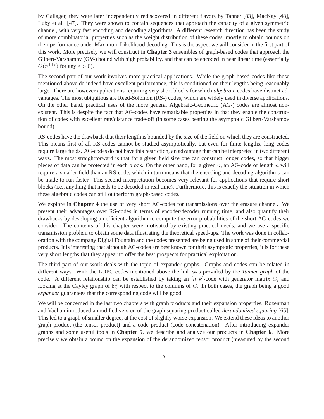by Gallager, they were later independently rediscovered in different flavors by Tanner [83], MacKay [48], Luby et al. [47]. They were shown to contain sequences that approach the capacity of a given symmetric channel, with very fast encoding and decoding algorithms. A different research direction has been the study of more combinatorial properties such as the weight distribution of these codes, mostly to obtain bounds on their performance under Maximum Likelihood decoding. This is the aspect we will consider in the first part of this work. More precisely we will construct in **Chapter 3** ensembles of graph-based codes that approach the Gilbert-Varshamov (GV-) bound with high probability, and that can be encoded in near linear time (essentially  $O(n^{1+\epsilon})$  for any  $\epsilon > 0$ ).

The second part of our work involves more practical applications. While the graph-based codes like those mentioned above do indeed have excellent performance, this is conditioned on their lengths being reasonably large. There are however applications requiring very short blocks for which *algebraic* codes have distinct advantages. The most ubiquitous are Reed-Solomon (RS-) codes, which are widely used in diverse applications. On the other hand, practical uses of the more general Algebraic-Geometric (AG-) codes are almost nonexistent. This is despite the fact that AG-codes have remarkable properties in that they enable the construction of codes with excellent rate/distance trade-off (in some cases beating the asymptotic Gilbert-Varshamov bound).

RS-codes have the drawback that their length is bounded by the size of the field on which they are constructed. This means first of all RS-codes cannot be studied asymptotically, but even for finite lengths, long codes require large fields. AG-codes do not have this restriction, an advantage that can be interpreted in two different ways. The most straightforward is that for a given field size one can construct longer codes, so that bigger pieces of data can be protected in each block. On the other hand, for a given  $n$ , an AG-code of length  $n$  will require a smaller field than an RS-code, which in turn means that the encoding and decoding algorithms can be made to run faster. This second interpretation becomes very relevant for applications that require short blocks (i.e., anything that needs to be decoded in real time). Furthermore, this is exactly the situation in which these algebraic codes can still outperform graph-based codes.

We explore in **Chapter 4** the use of very short AG-codes for transmissions over the erasure channel. We present their advantages over RS-codes in terms of encoder/decoder running time, and also quantify their drawbacks by developing an efficient algorithm to compute the error probabilities of the short AG-codes we consider. The contents of this chapter were motivated by existing practical needs, and we use a specific transmission problem to obtain some data illustrating the theoretical speed-ups. The work was done in collaboration with the company Digital Fountain and the codes presented are being used in some of their commercial products. It is interesting that although AG-codes are best known for their asymptotic properties, it is for these very short lengths that they appear to offer the best prospects for practical exploitation.

The third part of our work deals with the topic of expander graphs. Graphs and codes can be related in different ways. With the LDPC codes mentioned above the link was provided by the *Tanner graph* of the code. A different relationship can be established by taking an  $[n, k]$ -code with generator matrix  $G$ , and looking at the Cayley graph of  $\mathbb{F}_2^k$  with respect to the columns of G. In both cases, the graph being a good *expander* guarantees that the corresponding code will be good.

We will be concerned in the last two chapters with graph products and their expansion properties. Rozenman and Vadhan introduced a modified version of the graph squaring product called *derandomized squaring* [65]. This led to a graph of smaller degree, at the cost of slightly worse expansion. We extend these ideas to another graph product (the tensor product) and a code product (code concatenation). After introducing expander graphs and some useful tools in **Chapter 5**, we describe and analyze our products in **Chapter 6**. More precisely we obtain a bound on the expansion of the derandomized tensor product (measured by the second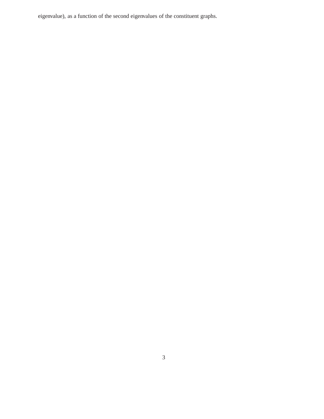eigenvalue), as a function of the second eigenvalues of the constituent graphs.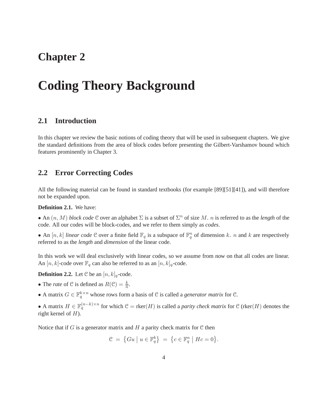## **Chapter 2**

## **Coding Theory Background**

## **2.1 Introduction**

In this chapter we review the basic notions of coding theory that will be used in subsequent chapters. We give the standard definitions from the area of block codes before presenting the Gilbert-Varshamov bound which features prominently in Chapter 3.

## **2.2 Error Correcting Codes**

All the following material can be found in standard textbooks (for example [89][51][41]), and will therefore not be expanded upon.

#### **Definition 2.1.** We have:

• An  $(n, M)$  *block code*  $C$  over an alphabet  $\Sigma$  is a subset of  $\Sigma<sup>n</sup>$  of size M. n is referred to as the *length* of the code. All our codes will be block-codes, and we refer to them simply as *codes*.

• An  $[n, k]$  *linear code*  $C$  over a finite field  $\mathbb{F}_q$  is a subspace of  $\mathbb{F}_q^n$  of dimension k. n and k are respectively referred to as the *length* and *dimension* of the linear code.

In this work we will deal exclusively with linear codes, so we assume from now on that all codes are linear. An [n, k]-code over  $\mathbb{F}_q$  can also be referred to as an [n, k]<sub>q</sub>-code.

**Definition 2.2.** Let C be an  $[n, k]_q$ -code.

- The *rate* of C is defined as  $R(\mathcal{C}) = \frac{k}{n}$ .
- A matrix  $G \in \mathbb{F}_q^{k \times n}$  whose rows form a basis of C is called a *generator matrix* for C.

• A matrix  $H \in \mathbb{F}_q^{(n-k)\times n}$  for which  $\mathcal{C} = \text{rker}(H)$  is called a *parity check matrix* for  $\mathcal{C}$  (rker(*H*) denotes the right kernel of  $H$ ).

Notice that if  $G$  is a generator matrix and  $H$  a parity check matrix for  $C$  then

$$
\mathcal{C} = \{Gu \mid u \in \mathbb{F}_q^k \} = \{ c \in \mathbb{F}_q^n \mid Hc = 0 \}.
$$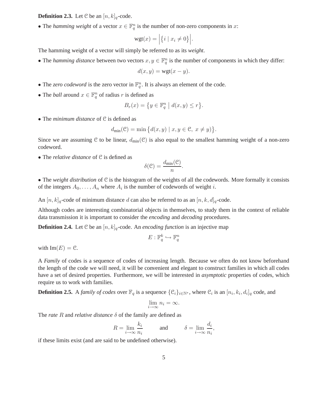#### **Definition 2.3.** Let C be an  $[n, k]_q$ -code.

• The *hamming weight* of a vector  $x \in \mathbb{F}_q^n$  is the number of non-zero components in x:

$$
wgt(x) = \Big|\{i \mid x_i \neq 0\}\Big|.
$$

The hamming weight of a vector will simply be referred to as its *weight*.

• The *hamming distance* between two vectors  $x, y \in \mathbb{F}_q^n$  is the number of components in which they differ:

$$
d(x, y) = \mathsf{wgt}(x - y).
$$

- The *zero codeword* is the zero vector in  $\mathbb{F}_q^n$ . It is always an element of the code.
- The *ball* around  $x \in \mathbb{F}_q^n$  of radius r is defined as

$$
B_r(x) = \{ y \in \mathbb{F}_q^n \mid d(x, y) \le r \}.
$$

• The *minimum distance* of <sup>C</sup> is defined as

$$
d_{\min}(\mathcal{C}) = \min\big\{d(x,y)\mid x,y\in\mathcal{C},\; x\neq y)\big\}.
$$

Since we are assuming C to be linear,  $d_{\text{min}}(\mathcal{C})$  is also equal to the smallest hamming weight of a non-zero codeword.

• The *relative distance* of <sup>C</sup> is defined as

$$
\delta(\mathcal{C}) = \frac{d_{\min}(\mathcal{C})}{n}.
$$

• The *weight distribution* of <sup>C</sup> is the histogram of the weights of all the codewords. More formally it consists of the integers  $A_0, \ldots, A_n$  where  $A_i$  is the number of codewords of weight *i*.

An  $[n, k]_q$ -code of minimum distance d can also be referred to as an  $[n, k, d]_q$ -code.

Although codes are interesting combinatorial objects in themselves, to study them in the context of reliable data transmission it is important to consider the *encoding* and *decoding* procedures.

**Definition 2.4.** Let C be an  $[n, k]_q$ -code. An *encoding function* is an injective map

$$
E: \mathbb{F}_q^k \hookrightarrow \mathbb{F}_q^n
$$

with  $\text{Im}(E) = \mathcal{C}$ .

A *Family* of codes is a sequence of codes of increasing length. Because we often do not know beforehand the length of the code we will need, it will be convenient and elegant to construct families in which all codes have a set of desired properties. Furthermore, we will be interested in *asymptotic* properties of codes, which require us to work with families.

**Definition 2.5.** A *family of codes* over  $\mathbb{F}_q$  is a sequence  $\{\mathcal{C}_i\}_{i\in\mathbb{N}^*}$ , where  $\mathcal{C}_i$  is an  $[n_i, k_i, d_i]_q$  code, and

$$
\lim_{i \to \infty} n_i = \infty.
$$

The *rate*  $R$  and *relative distance*  $\delta$  of the family are defined as

$$
R = \lim_{i \to \infty} \frac{k_i}{n_i}
$$
 and 
$$
\delta = \lim_{i \to \infty} \frac{d_i}{n_i}
$$
,

if these limits exist (and are said to be undefined otherwise).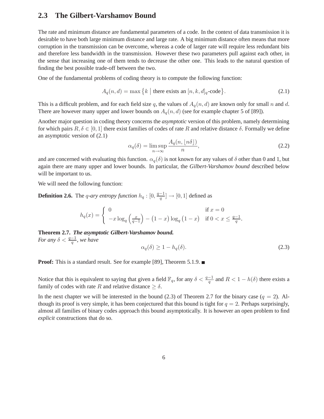## **2.3 The Gilbert-Varshamov Bound**

The rate and minimum distance are fundamental parameters of a code. In the context of data transmission it is desirable to have both large minimum distance and large rate. A big minimum distance often means that more corruption in the transmission can be overcome, whereas a code of larger rate will require less redundant bits and therefore less bandwidth in the transmission. However these two parameters pull against each other, in the sense that increasing one of them tends to decrease the other one. This leads to the natural question of finding the best possible trade-off between the two.

One of the fundamental problems of coding theory is to compute the following function:

$$
A_q(n,d) = \max\left\{k \mid \text{there exists an } [n,k,d]_q\text{-code}\right\}.
$$
 (2.1)

This is a difficult problem, and for each field size q, the values of  $A_q(n, d)$  are known only for small n and d. There are however many upper and lower bounds on  $A_q(n, d)$  (see for example chapter 5 of [89]).

Another major question in coding theory concerns the *asymptotic* version of this problem, namely determining for which pairs  $R, \delta \in [0, 1]$  there exist families of codes of rate R and relative distance  $\delta$ . Formally we define an asymptotic version of (2.1)

$$
\alpha_q(\delta) = \limsup_{n \to \infty} \frac{A_q(n, \lfloor n\delta \rfloor)}{n},\tag{2.2}
$$

and are concerned with evaluating this function.  $\alpha_q(\delta)$  is not known for any values of  $\delta$  other than 0 and 1, but again there are many upper and lower bounds. In particular, the *Gilbert-Varshamov bound* described below will be important to us.

We will need the following function:

**Definition 2.6.** The *q-ary entropy function*  $h_q : [0, \frac{q-1}{q}] \rightarrow [0, 1]$  defined as

$$
h_q(x) = \begin{cases} 0 & \text{if } x = 0\\ -x \log_q \left(\frac{x}{q-1}\right) - (1-x) \log_q (1-x) & \text{if } 0 < x \le \frac{q-1}{q}.\end{cases}
$$

**Theorem 2.7.** *The asymptotic Gilbert-Varshamov bound. For any*  $\delta < \frac{q-1}{q}$ , we have

$$
\alpha_q(\delta) \ge 1 - h_q(\delta). \tag{2.3}
$$

**Proof:** This is a standard result. See for example [89], Theorem 5.1.9.

Notice that this is equivalent to saying that given a field  $\mathbb{F}_q$ , for any  $\delta < \frac{q-1}{q}$  and  $R < 1 - h(\delta)$  there exists a family of codes with rate R and relative distance  $\geq \delta$ .

In the next chapter we will be interested in the bound (2.3) of Theorem 2.7 for the binary case  $(q = 2)$ . Although its proof is very simple, it has been conjectured that this bound is tight for  $q = 2$ . Perhaps surprisingly, almost all families of binary codes approach this bound asymptotically. It is however an open problem to find *explicit* constructions that do so.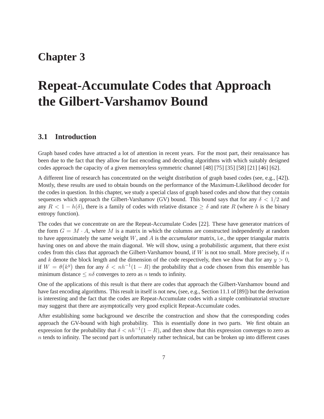## **Chapter 3**

# **Repeat-Accumulate Codes that Approach the Gilbert-Varshamov Bound**

## **3.1 Introduction**

Graph based codes have attracted a lot of attention in recent years. For the most part, their renaissance has been due to the fact that they allow for fast encoding and decoding algorithms with which suitably designed codes approach the capacity of a given memoryless symmetric channel [48] [75] [35] [58] [21] [46] [62].

A different line of research has concentrated on the weight distribution of graph based codes (see, e.g., [42]). Mostly, these results are used to obtain bounds on the performance of the Maximum-Likelihood decoder for the codes in question. In this chapter, we study a special class of graph based codes and show that they contain sequences which approach the Gilbert-Varshamov (GV) bound. This bound says that for any  $\delta < 1/2$  and any  $R < 1 - h(\delta)$ , there is a family of codes with relative distance  $\geq \delta$  and rate R (where h is the binary entropy function).

The codes that we concentrate on are the Repeat-Accumulate Codes [22]. These have generator matrices of the form  $G = M \cdot A$ , where M is a matrix in which the columns are constructed independently at random to have approximately the same weight W, and A is the *accumulator* matrix, i.e., the upper triangular matrix having ones on and above the main diagonal. We will show, using a probabilistic argument, that there exist codes from this class that approach the Gilbert-Varshamov bound, if  $W$  is not too small. More precisely, if  $n$ and k denote the block length and the dimension of the code respectively, then we show that for any  $y > 0$ , if  $W = \theta(k^y)$  then for any  $\delta < nh^{-1}(1 - R)$  the probability that a code chosen from this ensemble has minimum distance  $\leq n\delta$  converges to zero as n tends to infinity.

One of the applications of this result is that there are codes that approach the Gilbert-Varshamov bound and have fast encoding algorithms. This result in itself is not new, (see, e.g., Section 11.1 of [89]) but the derivation is interesting and the fact that the codes are Repeat-Accumulate codes with a simple combinatorial structure may suggest that there are asymptotically very good explicit Repeat-Accumulate codes.

After establishing some background we describe the construction and show that the corresponding codes approach the GV-bound with high probability. This is essentially done in two parts. We first obtain an expression for the probability that  $\delta < nh^{-1}(1 - R)$ , and then show that this expression converges to zero as  $n$  tends to infinity. The second part is unfortunately rather technical, but can be broken up into different cases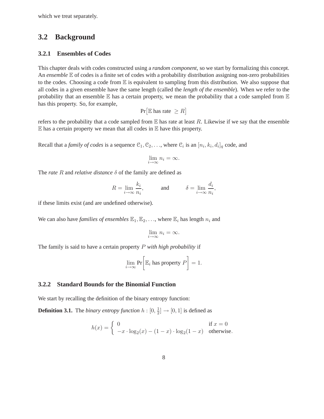which we treat separately.

### **3.2 Background**

### **3.2.1 Ensembles of Codes**

This chapter deals with codes constructed using a *random component*, so we start by formalizing this concept. An *ensemble* E of codes is a finite set of codes with a probability distribution assigning non-zero probabilities to the codes. Choosing a code from  $E$  is equivalent to sampling from this distribution. We also suppose that all codes in a given ensemble have the same length (called the *length of the ensemble*). When we refer to the probability that an ensemble  $\mathbb E$  has a certain property, we mean the probability that a code sampled from  $\mathbb E$ has this property. So, for example,

$$
\Pr[\mathbb{E} \text{ has rate } \geq R]
$$

refers to the probability that a code sampled from  $E$  has rate at least R. Likewise if we say that the ensemble  $E$  has a certain property we mean that all codes in  $E$  have this property.

Recall that a *family of codes* is a sequence  $\mathcal{C}_1, \mathcal{C}_2, \ldots$ , where  $\mathcal{C}_i$  is an  $[n_i, k_i, d_i]_q$  code, and

$$
\lim_{i \to \infty} n_i = \infty.
$$

The *rate* R and *relative distance* δ of the family are defined as

$$
R = \lim_{i \to \infty} \frac{k_i}{n_i}, \quad \text{and} \quad \delta = \lim_{i \to \infty} \frac{d_i}{n_i},
$$

if these limits exist (and are undefined otherwise).

We can also have *families of ensembles*  $\mathbb{E}_1, \mathbb{E}_2, \ldots$ , where  $\mathbb{E}_i$  has length  $n_i$  and

$$
\lim_{i \to \infty} n_i = \infty.
$$

The family is said to have a certain property P *with high probability* if

$$
\lim_{i \to \infty} \Pr \bigg[ \mathbb{E}_i \text{ has property } P \bigg] = 1.
$$

### **3.2.2 Standard Bounds for the Binomial Function**

We start by recalling the definition of the binary entropy function:

**Definition 3.1.** The *binary entropy function*  $h: [0, \frac{1}{2}]$  $\frac{1}{2}$   $\rightarrow$  [0, 1] is defined as

$$
h(x) = \begin{cases} 0 & \text{if } x = 0\\ -x \cdot \log_2(x) - (1 - x) \cdot \log_2(1 - x) & \text{otherwise.} \end{cases}
$$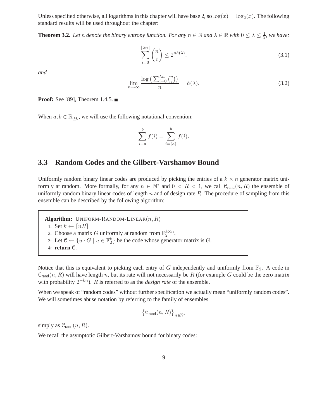Unless specified otherwise, all logarithms in this chapter will have base 2, so  $\log(x) = \log_2(x)$ . The following standard results will be used throughout the chapter:

**Theorem 3.2.** Let h denote the binary entropy function. For any  $n \in \mathbb{N}$  and  $\lambda \in \mathbb{R}$  with  $0 \le \lambda \le \frac{1}{2}$  $\frac{1}{2}$ , we have:

$$
\sum_{i=0}^{\lfloor \lambda n \rfloor} \binom{n}{i} \le 2^{nh(\lambda)},\tag{3.1}
$$

*and*

$$
\lim_{n \to \infty} \frac{\log\left(\sum_{i=0}^{\lambda n} \binom{n}{i}\right)}{n} = h(\lambda). \tag{3.2}
$$

**Proof:** See [89], Theorem 1.4.5. ■

When  $a, b \in \mathbb{R}_{\geq 0}$ , we will use the following notational convention:

$$
\sum_{i=a}^{b} f(i) = \sum_{i=[a]}^{[b]} f(i).
$$

## **3.3 Random Codes and the Gilbert-Varshamov Bound**

Uniformly random binary linear codes are produced by picking the entries of a  $k \times n$  generator matrix uniformly at random. More formally, for any  $n \in \mathbb{N}^*$  and  $0 < R < 1$ , we call  $\mathcal{C}_{rand}(n, R)$  the ensemble of uniformly random binary linear codes of length  $n$  and of design rate  $R$ . The procedure of sampling from this ensemble can be described by the following algorithm:

**Algorithm:** UNIFORM-RANDOM-LINEAR $(n, R)$ 1: Set  $k \leftarrow \lceil nR \rceil$ 2: Choose a matrix G uniformly at random from  $\mathbb{F}_2^{k \times n}$ . 3: Let  $\mathcal{C} \leftarrow \{u \cdot G \mid u \in \mathbb{F}_2^k\}$  be the code whose generator matrix is  $G$ . 4: **return** C.

Notice that this is equivalent to picking each entry of G independently and uniformly from  $\mathbb{F}_2$ . A code in  $C_{rand}(n, R)$  will have length n, but its rate will not necessarily be R (for example G could be the zero matrix with probability  $2^{-kn}$ ). R is referred to as the *design rate* of the ensemble.

When we speak of "random codes" without further specification we actually mean "uniformly random codes". We will sometimes abuse notation by referring to the family of ensembles

$$
\left\{\mathcal{C}_{\text{rand}}(n,R)\right\}_{n\in\mathbb{N}^*}
$$

simply as  $C_{\text{rand}}(n, R)$ .

We recall the asymptotic Gilbert-Varshamov bound for binary codes: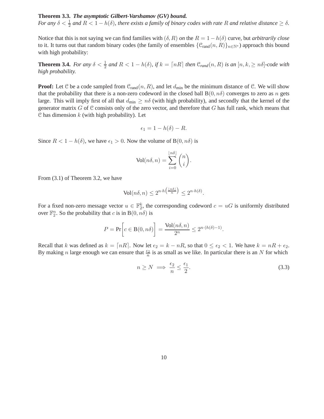### **Theorem 3.3.** *The asymptotic Gilbert-Varshamov (GV) bound.*

*For any*  $\delta < \frac{1}{2}$  *and*  $R < 1 - h(\delta)$ *, there exists a family of binary codes with rate* R *and relative distance*  $\geq \delta$ *.* 

Notice that this is not saying we can find families with  $(\delta, R)$  *on* the  $R = 1 - h(\delta)$  curve, but *arbitrarily close* to it. It turns out that random binary codes (the family of ensembles  $\{C_{rand}(n, R)\}_{n\in\mathbb{N}^*}$ ) approach this bound with high probability:

**Theorem 3.4.** For any  $\delta < \frac{1}{2}$  and  $R < 1 - h(\delta)$ , if  $k = \lceil nR \rceil$  then  $\mathcal{C}_{rand}(n, R)$  is an  $[n, k, \geq n\delta]$ -code with *high probability.*

**Proof:** Let C be a code sampled from  $C_{\text{rand}}(n, R)$ , and let  $d_{\text{min}}$  be the minimum distance of C. We will show that the probability that there is a non-zero codeword in the closed ball  $B(0, n\delta)$  converges to zero as n gets large. This will imply first of all that  $d_{\min} \geq n\delta$  (with high probability), and secondly that the kernel of the generator matrix  $G$  of  $C$  consists only of the zero vector, and therefore that  $G$  has full rank, which means that C has dimension  $k$  (with high probability). Let

$$
\epsilon_1 = 1 - h(\delta) - R.
$$

Since  $R < 1 - h(\delta)$ , we have  $\epsilon_1 > 0$ . Now the volume of B $(0, n\delta)$  is

$$
Vol(n\delta, n) = \sum_{i=0}^{\lfloor n\delta \rfloor} \binom{n}{i}.
$$

From (3.1) of Theorem 3.2, we have

$$
\text{Vol}(n\delta, n) \le 2^{n \cdot h\left(\frac{\lfloor n\delta \rfloor}{n}\right)} \le 2^{n \cdot h(\delta)}.
$$

For a fixed non-zero message vector  $u \in \mathbb{F}_2^k$ , the corresponding codeword  $c = uG$  is uniformly distributed over  $\mathbb{F}_2^n$ . So the probability that c is in B $(0, n\delta)$  is

$$
P = \Pr\bigg[c \in \mathcal{B}(0, n\delta)\bigg] = \frac{\text{Vol}(n\delta, n)}{2^n} \le 2^{n \cdot (h(\delta) - 1)}.
$$

Recall that k was defined as  $k = \lfloor nR \rfloor$ . Now let  $\epsilon_2 = k - nR$ , so that  $0 \le \epsilon_2 < 1$ . We have  $k = nR + \epsilon_2$ . By making *n* large enough we can ensure that  $\frac{\epsilon_2}{n}$  is as small as we like. In particular there is an N for which

$$
n \ge N \implies \frac{\epsilon_2}{n} \le \frac{\epsilon_1}{2}.\tag{3.3}
$$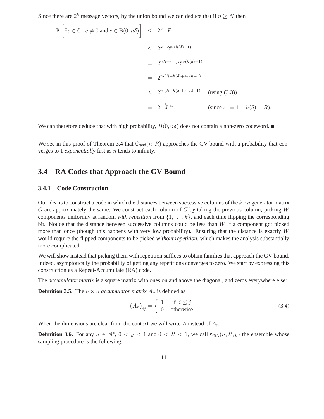Since there are  $2^k$  message vectors, by the union bound we can deduce that if  $n \geq N$  then

$$
\Pr\left[\exists c \in \mathcal{C} : c \neq 0 \text{ and } c \in B(0, n\delta)\right] \leq 2^k \cdot P
$$
  
\n
$$
\leq 2^k \cdot 2^{n \cdot (h(\delta) - 1)}
$$
  
\n
$$
= 2^{nR + \epsilon_2} \cdot 2^{n \cdot (h(\delta) - 1)}
$$
  
\n
$$
= 2^{n \cdot (R + h(\delta) + \epsilon_2/n - 1)}
$$
  
\n
$$
\leq 2^{n \cdot (R + h(\delta) + \epsilon_1/2 - 1)} \quad \text{(using (3.3))}
$$
  
\n
$$
= 2^{-\frac{\epsilon_1}{2} \cdot n} \quad \text{(since } \epsilon_1 = 1 - h(\delta) - R).
$$

We can therefore deduce that with high probability,  $B(0, n\delta)$  does not contain a non-zero codeword.

We see in this proof of Theorem 3.4 that  $\mathcal{C}_{rand}(n, R)$  approaches the GV bound with a probability that converges to 1 *exponentially* fast as n tends to infinity.

### **3.4 RA Codes that Approach the GV Bound**

#### **3.4.1 Code Construction**

Our idea is to construct a code in which the distances between successive columns of the  $k \times n$  generator matrix G are approximately the same. We construct each column of G by taking the previous column, picking  $W$ components uniformly at random *with repetition* from  $\{1, \ldots, k\}$ , and each time flipping the corresponding bit. Notice that the distance between successive columns could be less than W if a component got picked more than once (though this happens with very low probability). Ensuring that the distance is exactly  $W$ would require the flipped components to be picked *without repetition*, which makes the analysis substantially more complicated.

We will show instead that picking them with repetition suffices to obtain families that approach the GV-bound. Indeed, asymptotically the probability of getting any repetitions converges to zero. We start by expressing this construction as a Repeat-Accumulate (RA) code.

The *accumulator matrix* is a square matrix with ones on and above the diagonal, and zeros everywhere else:

**Definition 3.5.** The  $n \times n$  *accumulator matrix*  $A_n$  is defined as

$$
(A_n)_{ij} = \begin{cases} 1 & \text{if } i \le j \\ 0 & \text{otherwise} \end{cases}
$$
 (3.4)

When the dimensions are clear from the context we will write A instead of  $A_n$ .

**Definition 3.6.** For any  $n \in \mathbb{N}^*$ ,  $0 < y < 1$  and  $0 < R < 1$ , we call  $\mathcal{C}_{RA}(n, R, y)$  the ensemble whose sampling procedure is the following: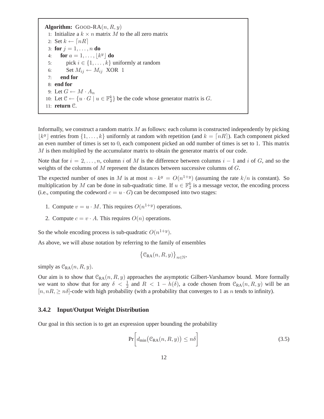**Algorithm:** GOOD-RA $(n, R, y)$ 1: Initialize a  $k \times n$  matrix M to the all zero matrix 2: Set  $k \leftarrow \lceil nR \rceil$ 3: **for**  $j = 1, ..., n$  **do** 4: **for**  $a = 1, \ldots, \lfloor k^y \rfloor$  **do** 5: pick  $i \in \{1, ..., k\}$  uniformly at random<br>6: Set  $M_{ij} \leftarrow M_{ij}$  XOR 1 6: Set  $M_{ij} \leftarrow M_{ij}$  XOR 1<br>7: **end for** 7: **end for** 8: **end for** 9: Let  $G \leftarrow M \cdot A_n$ 10: Let  $\mathcal{C} \leftarrow \{u \cdot G \mid u \in \mathbb{F}_2^k\}$  be the code whose generator matrix is G. 11: **return** C.

Informally, we construct a random matrix  $M$  as follows: each column is constructed independently by picking  $\lfloor k^y \rfloor$  entries from  $\{1, \ldots, k\}$  uniformly at random with repetition (and  $k = \lceil nR \rceil$ ). Each component picked an even number of times is set to 0, each component picked an odd number of times is set to 1. This matrix M is then multiplied by the accumulator matrix to obtain the generator matrix of our code.

Note that for  $i = 2, \ldots, n$ , column i of M is the difference between columns  $i - 1$  and i of G, and so the weights of the columns of M represent the distances between successive columns of G.

The expected number of ones in M is at most  $n \cdot k^y = O(n^{1+y})$  (assuming the rate  $k/n$  is constant). So multiplication by M can be done in sub-quadratic time. If  $u \in \mathbb{F}_2^k$  is a message vector, the encoding process (i.e., computing the codeword  $c = u \cdot G$ ) can be decomposed into two stages:

- 1. Compute  $v = u \cdot M$ . This requires  $O(n^{1+y})$  operations.
- 2. Compute  $c = v \cdot A$ . This requires  $O(n)$  operations.

So the whole encoding process is sub-quadratic  $O(n^{1+y})$ .

As above, we will abuse notation by referring to the family of ensembles

$$
\left\{\mathfrak{C}_{\mathbf{RA}}(n,R,y)\right\}_{n\in\mathbb{N}^*}
$$

simply as  $C_{RA}(n, R, y)$ .

Our aim is to show that  $C_{RA}(n, R, y)$  approaches the asymptotic Gilbert-Varshamov bound. More formally we want to show that for any  $\delta < \frac{1}{2}$  and  $R < 1 - h(\delta)$ , a code chosen from  $\mathcal{C}_{RA}(n, R, y)$  will be an  $[n, nR] \geq n\delta$ -code with high probability (with a probability that converges to 1 as n tends to infinity).

#### **3.4.2 Input/Output Weight Distribution**

Our goal in this section is to get an expression upper bounding the probability

$$
\Pr\bigg[d_{\min}\big(\mathcal{C}_{\text{RA}}(n,R,y)\big) \le n\delta\bigg] \tag{3.5}
$$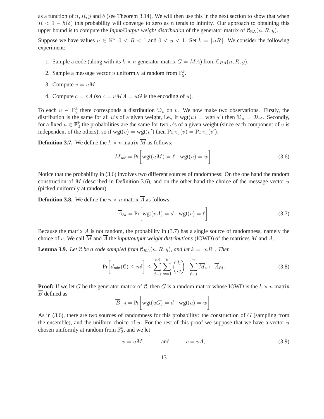as a function of n, R, y and  $\delta$  (see Theorem 3.14). We will then use this in the next section to show that when  $R < 1 - h(\delta)$  this probability will converge to zero as n tends to infinity. Our approach to obtaining this upper bound is to compute the *Input/Output weight distribution* of the generator matrix of  $\mathcal{C}_{RA}(n, R, y)$ .

Suppose we have values  $n \in \mathbb{N}^*$ ,  $0 < R < 1$  and  $0 < y < 1$ . Set  $k = \lceil nR \rceil$ . We consider the following experiment:

- 1. Sample a code (along with its  $k \times n$  generator matrix  $G = MA$ ) from  $\mathcal{C}_{RA}(n, R, y)$ .
- 2. Sample a message vector u uniformly at random from  $\mathbb{F}_2^k$ .
- 3. Compute  $v = uM$ .
- 4. Compute  $c = vA$  (so  $c = uMA = uG$  is the encoding of u).

To each  $u \in \mathbb{F}_2^k$  there corresponds a distribution  $\mathcal{D}_v$  on v. We now make two observations. Firstly, the distribution is the same for all u's of a given weight, i.e., if  $wgt(u) = wgt(u')$  then  $\mathcal{D}_u = \mathcal{D}_{u'}$ . Secondly, for a fixed  $u \in \mathbb{F}_2^k$  the probabilities are the same for two v's of a given weight (since each component of v is independent of the others), so if  $wgt(v) = wgt(v')$  then  $Pr_{\mathcal{D}_u}(v) = Pr_{\mathcal{D}_u}(v')$ .

**Definition 3.7.** We define the  $k \times n$  matrix  $\overline{M}$  as follows:

$$
\overline{M}_{w\ell} = \Pr\bigg[wgt(uM) = \ell \mid wgt(u) = w\bigg].\tag{3.6}
$$

Notice that the probability in (3.6) involves two different sources of randomness: On the one hand the random construction of M (described in Definition 3.6), and on the other hand the choice of the message vector  $u$ (picked uniformly at random).

**Definition 3.8.** We define the  $n \times n$  matrix  $\overline{A}$  as follows:

$$
\overline{A}_{\ell d} = \Pr\bigg[\text{wgt}(vA) = d \mid \text{wgt}(v) = \ell\bigg].\tag{3.7}
$$

Because the matrix  $\vec{A}$  is not random, the probability in (3.7) has a single source of randomness, namely the choice of v. We call  $\overline{M}$  and  $\overline{A}$  the *input/output weight distributions* (IOWD) of the matrices M and A.

**Lemma 3.9.** *Let*  $\mathcal{C}$  *be a code sampled from*  $\mathcal{C}_{RA}(n, R, y)$ *, and let*  $k = \lceil nR \rceil$ *. Then* 

$$
\Pr\left[d_{\min}(\mathcal{C}) \le n\delta\right] \le \sum_{d=1}^{n\delta} \sum_{w=1}^{k} \binom{k}{w} \cdot \sum_{\ell=1}^{n} \overline{M}_{w\ell} \cdot \overline{A}_{\ell d}.\tag{3.8}
$$

**Proof:** If we let G be the generator matrix of C, then G is a random matrix whose IOWD is the  $k \times n$  matrix  $\overline{B}$  defined as

$$
\overline{B}_{wd} = \Pr\bigg[\text{wgt}(uG) = d \mid \text{wgt}(u) = w \bigg].
$$

As in (3.6), there are two sources of randomness for this probability: the construction of  $G$  (sampling from the ensemble), and the uniform choice of  $u$ . For the rest of this proof we suppose that we have a vector  $u$ chosen uniformly at random from  $\mathbb{F}_2^k$ , and we let

$$
v = uM, \qquad \text{and} \qquad c = vA, \tag{3.9}
$$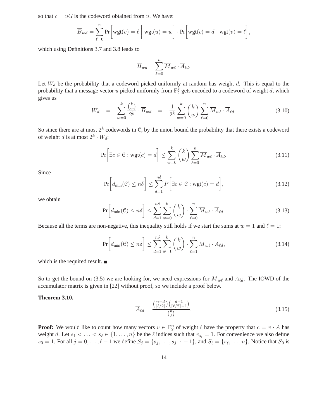so that  $c = uG$  is the codeword obtained from u. We have:

$$
\overline{B}_{wd} = \sum_{\ell=0}^{n} \Pr\bigg[wgt(v) = \ell \mid wgt(u) = w\bigg] \cdot \Pr\bigg[wgt(c) = d \mid wgt(v) = \ell\bigg],
$$

which using Definitions 3.7 and 3.8 leads to

$$
\overline{B}_{wd} = \sum_{\ell=0}^{n} \overline{M}_{w\ell} \cdot \overline{A}_{\ell d}.
$$

Let  $W_d$  be the probability that a codeword picked uniformly at random has weight d. This is equal to the probability that a message vector  $u$  picked uniformly from  $\mathbb{F}_2^k$  gets encoded to a codeword of weight  $d$ , which gives us

$$
W_d = \sum_{w=0}^k \frac{\binom{k}{w}}{2^k} \cdot \overline{B}_{wd} = \frac{1}{2^k} \sum_{w=0}^k \binom{k}{w} \sum_{\ell=0}^n \overline{M}_{w\ell} \cdot \overline{A}_{\ell d}.
$$
 (3.10)

So since there are at most  $2^k$  codewords in C, by the union bound the probability that there exists a codeword of weight d is at most  $2^k \cdot W_d$ :

$$
\Pr\left[\exists c \in \mathcal{C} : \text{wgt}(c) = d\right] \le \sum_{w=0}^{k} \binom{k}{w} \sum_{\ell=0}^{n} \overline{M}_{w\ell} \cdot \overline{A}_{\ell d}.
$$
 (3.11)

Since

$$
\Pr\left[d_{\min}(\mathcal{C}) \le n\delta\right] \le \sum_{d=1}^{n\delta} P\left[\exists c \in \mathcal{C} : \text{wgt}(c) = d\right],\tag{3.12}
$$

we obtain

$$
\Pr\left[d_{\min}(\mathcal{C}) \le n\delta\right] \le \sum_{d=1}^{n\delta} \sum_{w=0}^{k} {k \choose w} \cdot \sum_{\ell=0}^{n} \overline{M}_{w\ell} \cdot \overline{A}_{\ell d}.
$$
 (3.13)

Because all the terms are non-negative, this inequality still holds if we start the sums at  $w = 1$  and  $\ell = 1$ :

$$
\Pr\left[d_{\min}(\mathcal{C}) \le n\delta\right] \le \sum_{d=1}^{n\delta} \sum_{w=1}^{k} {k \choose w} \cdot \sum_{\ell=1}^{n} \overline{M}_{w\ell} \cdot \overline{A}_{\ell d},\tag{3.14}
$$

which is the required result. ■

So to get the bound on (3.5) we are looking for, we need expressions for  $\overline{M}_{w\ell}$  and  $\overline{A}_{\ell d}$ . The IOWD of the accumulator matrix is given in [22] without proof, so we include a proof below.

#### **Theorem 3.10.**

$$
\overline{A}_{\ell d} = \frac{\binom{n-d}{\lfloor \ell/2 \rfloor} \binom{d-1}{\lceil \ell/2 \rceil - 1}}{\binom{n}{\ell}}.
$$
\n(3.15)

**Proof:** We would like to count how many vectors  $v \in \mathbb{F}_2^n$  of weight  $\ell$  have the property that  $c = v \cdot A$  has weight d. Let  $s_1 < \ldots < s_\ell \in \{1, \ldots, n\}$  be the  $\ell$  indices such that  $v_{s_i} = 1$ . For convenience we also define  $s_0 = 1$ . For all  $j = 0, \ldots, \ell - 1$  we define  $S_j = \{s_j, \ldots, s_{j+1} - 1\}$ , and  $S_\ell = \{s_\ell, \ldots, n\}$ . Notice that  $S_0$  is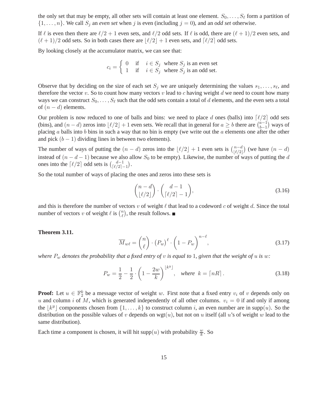the only set that may be empty, all other sets will contain at least one element.  $S_0, \ldots, S_\ell$  form a partition of  $\{1, \ldots, n\}$ . We call  $S_i$  an *even set* when j is even (including  $j = 0$ ), and an *odd set* otherwise.

If  $\ell$  is even then there are  $\ell/2 + 1$  even sets, and  $\ell/2$  odd sets. If  $\ell$  is odd, there are  $(\ell + 1)/2$  even sets, and  $(\ell+1)/2$  odd sets. So in both cases there are  $|\ell/2| + 1$  even sets, and  $\lceil \ell/2 \rceil$  odd sets.

By looking closely at the accumulator matrix, we can see that:

$$
c_i = \begin{cases} 0 & \text{if } i \in S_j \text{ where } S_j \text{ is an even set} \\ 1 & \text{if } i \in S_j \text{ where } S_j \text{ is an odd set.} \end{cases}
$$

Observe that by deciding on the size of each set  $S_j$  we are uniquely determining the values  $s_1, \ldots, s_\ell$ , and therefore the vector  $v$ . So to count how many vectors  $v$  lead to  $c$  having weight  $d$  we need to count how many ways we can construct  $S_0, \ldots, S_\ell$  such that the odd sets contain a total of d elements, and the even sets a total of  $(n - d)$  elements.

Our problem is now reduced to one of balls and bins: we need to place d ones (balls) into  $\lceil l/2 \rceil$  odd sets (bins), and  $(n-d)$  zeros into  $\lfloor \ell/2 \rfloor + 1$  even sets. We recall that in general for  $a \ge b$  there are  $\binom{a-1}{b-1}$  $\binom{a-1}{b-1}$  ways of placing a balls into b bins in such a way that no bin is empty (we write out the a elements one after the other and pick  $(b - 1)$  dividing lines in between two elements).

The number of ways of putting the  $(n-d)$  zeros into the  $\lfloor \ell/2 \rfloor + 1$  even sets is  $\binom{n-d}{\lfloor \ell/2 \rfloor}$  $\binom{n-d}{\lfloor \ell/2 \rfloor}$  (we have  $(n-d)$ instead of  $(n - d - 1)$  because we also allow  $S_0$  to be empty). Likewise, the number of ways of putting the d ones into the  $\lceil \ell/2 \rceil$  odd sets is  $\binom{d-1}{\lceil \ell/2 \rceil}$  $\frac{d-1}{\lceil \ell/2 \rceil - 1}$ .

So the total number of ways of placing the ones and zeros into these sets is

$$
\binom{n-d}{\lfloor \ell/2 \rfloor} \cdot \binom{d-1}{\lceil \ell/2 \rceil - 1},\tag{3.16}
$$

and this is therefore the number of vectors v of weight  $\ell$  that lead to a codeword c of weight d. Since the total number of vectors v of weight  $\ell$  is  $\binom{n}{\ell}$  $\binom{n}{\ell}$ , the result follows.

#### **Theorem 3.11.**

$$
\overline{M}_{w\ell} = \binom{n}{\ell} \cdot \left(P_w\right)^{\ell} \cdot \left(1 - P_w\right)^{n-\ell},\tag{3.17}
$$

*where*  $P_w$  *denotes the probability that a fixed entry of v is equal to* 1, given that the weight of u is w:

$$
P_w = \frac{1}{2} - \frac{1}{2} \cdot \left(1 - \frac{2w}{k}\right)^{\lfloor k^y \rfloor}, \quad \text{where} \quad k = \lceil nR \rceil. \tag{3.18}
$$

**Proof:** Let  $u \in \mathbb{F}_2^k$  be a message vector of weight w. First note that a fixed entry  $v_i$  of v depends only on u and column i of M, which is generated independently of all other columns.  $v_i = 0$  if and only if among the  $\lfloor k^y \rfloor$  components chosen from  $\{1, \ldots, k\}$  to construct column i, an even number are in supp $(u)$ . So the distribution on the possible values of v depends on wgt(u), but not on u itself (all u's of weight w lead to the same distribution).

Each time a component is chosen, it will hit supp $(u)$  with probability  $\frac{w}{k}$ . So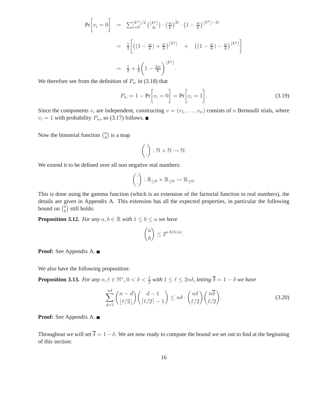$$
\Pr[v_i = 0] = \sum_{i=0}^{\lfloor k^y \rfloor/2} {\lfloor k^y \rfloor \choose 2i} \cdot {\left(\frac{w}{k}\right)}^{2i} \cdot \left(1 - \frac{w}{k}\right)^{\lfloor k^y \rfloor - 2i}
$$

$$
= \frac{1}{2} \left[ \left( \left(1 - \frac{w}{k}\right) + \frac{w}{k} \right)^{\lfloor k^y \rfloor} + \left( \left(1 - \frac{w}{k}\right) - \frac{w}{k} \right)^{\lfloor k^y \rfloor} \right]
$$

$$
= \frac{1}{2} + \frac{1}{2} \left(1 - \frac{2w}{k}\right)^{\lfloor k^y \rfloor}.
$$

We therefore see from the definition of  $P_w$  in (3.18) that

$$
P_w = 1 - \Pr\bigg[v_i = 0\bigg] = \Pr\bigg[v_i = 1\bigg].\tag{3.19}
$$

Since the components  $v_i$  are independent, constructing  $v = (v_1, \ldots, v_n)$  consists of n Bernoulli trials, where  $v_i = 1$  with probability  $P_w$ , so (3.17) follows.

Now the binomial function  $\binom{a}{b}$  $\binom{a}{b}$  is a map

$$
\left(\begin{matrix}\cdot\\ \cdot\end{matrix}\right)\colon \mathbb{N}\times\mathbb{N}\to\mathbb{N}.
$$

We extend it to be defined over all non negative real numbers:

$$
\left(\frac{\cdot}{\cdot}\right): \mathbb{R}_{\geq 0} \times \mathbb{R}_{\geq 0} \to \mathbb{R}_{\geq 0}.
$$

This is done using the gamma function (which is an extension of the factorial function to real numbers), the details are given in Appendix A. This extension has all the expected properties, in particular the following bound on  $\binom{a}{b}$  $\binom{a}{b}$  still holds:

**Proposition 3.12.** *For any*  $a, b \in \mathbb{R}$  *with*  $1 \leq b \leq a$  *we have* 

$$
\binom{a}{b} \le 2^{a \cdot h(b/a)}.
$$

**Proof:** See Appendix A.

We also have the following proposition:

**Proposition 3.13.** *For any*  $n, \ell \in \mathbb{N}^*$ ,  $0 < \delta < \frac{1}{2}$  *with*  $1 \leq \ell \leq 2n\delta$ , *letting*  $\overline{\delta} = 1 - \delta$  *we have* 

$$
\sum_{d=1}^{n\delta} \binom{n-d}{\lfloor \ell/2 \rfloor} \binom{d-1}{\lceil \ell/2 \rceil-1} \leq n\delta \cdot \binom{n\delta}{\ell/2} \binom{n\overline{\delta}}{\ell/2}.
$$
\n(3.20)

**Proof:** See Appendix A.

Throughout we will set  $\overline{\delta} = 1 - \delta$ . We are now ready to compute the bound we set out to find at the beginning of this section: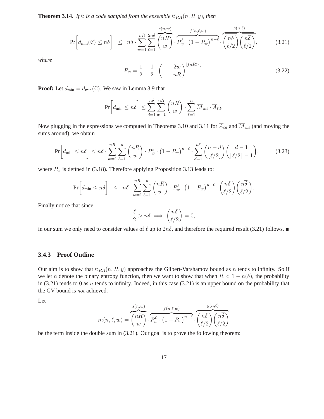**Theorem 3.14.** *If*  $\mathcal{C}$  *is a code sampled from the ensemble*  $\mathcal{C}_{RA}(n, R, y)$ *, then* 

$$
\Pr\left[d_{\min}(\mathcal{C}) \le n\delta\right] \le n\delta \cdot \sum_{w=1}^{nR} \sum_{\ell=1}^{2n\delta} \overbrace{\binom{nR}{w}}^{s(n,w)} \cdot \overbrace{P_w^{\ell} \cdot (1 - P_w)^{n-\ell}}^{f(n,\ell,w)} \cdot \overbrace{\binom{n\delta}{\ell/2} \binom{n\overline{\delta}}{\ell/2}}^{g(n,\ell)},\tag{3.21}
$$

*where*

$$
P_w = \frac{1}{2} - \frac{1}{2} \cdot \left( 1 - \frac{2w}{nR} \right)^{\lfloor (nR)^y \rfloor}.
$$
\n(3.22)

**Proof:** Let  $d_{\min} = d_{\min}(\mathcal{C})$ . We saw in Lemma 3.9 that

$$
\Pr\left[d_{\min} \leq n\delta\right] \leq \sum_{d=1}^{n\delta} \sum_{w=1}^{nR} \binom{nR}{w} \cdot \sum_{\ell=1}^{n} \overline{M}_{w\ell} \cdot \overline{A}_{\ell d}.
$$

Now plugging in the expressions we computed in Theorems 3.10 and 3.11 for  $\overline{A}_{\ell d}$  and  $\overline{M}_{w\ell}$  (and moving the sums around), we obtain

$$
\Pr\left[d_{\min} \leq n\delta\right] \leq n\delta \cdot \sum_{w=1}^{nR} \sum_{\ell=1}^{n} \binom{nR}{w} \cdot P_w^{\ell} \cdot \left(1 - P_w\right)^{n-\ell} \cdot \sum_{d=1}^{n\delta} \binom{n-d}{\lfloor \ell/2 \rfloor} \binom{d-1}{\lceil \ell/2 \rceil - 1},\tag{3.23}
$$

where  $P_w$  is defined in (3.18). Therefore applying Proposition 3.13 leads to:

$$
\Pr\left[d_{\min} \leq n\delta\right] \leq n\delta \cdot \sum_{w=1}^{nR} \sum_{\ell=1}^{n} {nR \choose w} \cdot P_w^{\ell} \cdot \left(1 - P_w\right)^{n-\ell} \cdot {n\delta \choose \ell/2} {n\overline{\delta} \choose \ell/2}.
$$

Finally notice that since

$$
\frac{\ell}{2} > n\delta \implies \binom{n\delta}{\ell/2} = 0,
$$

in our sum we only need to consider values of  $\ell$  up to  $2n\delta$ , and therefore the required result (3.21) follows.

### **3.4.3 Proof Outline**

Our aim is to show that  $C_{RA}(n, R, y)$  approaches the Gilbert-Varshamov bound as n tends to infinity. So if we let h denote the binary entropy function, then we want to show that when  $R < 1 - h(\delta)$ , the probability in  $(3.21)$  tends to 0 as n tends to infinity. Indeed, in this case  $(3.21)$  is an upper bound on the probability that the GV-bound is *not* achieved.

Let

$$
m(n,\ell,w) = \overbrace{\binom{nR}{w}}^{s(n,w)} \cdot \overbrace{P_w^{\ell} \cdot (1 - P_w)}^{f(n,\ell,w)} \cdot \overbrace{\binom{n\delta}{\ell/2}\binom{n\overline{\delta}}{\ell/2}}
$$

be the term inside the double sum in (3.21). Our goal is to prove the following theorem: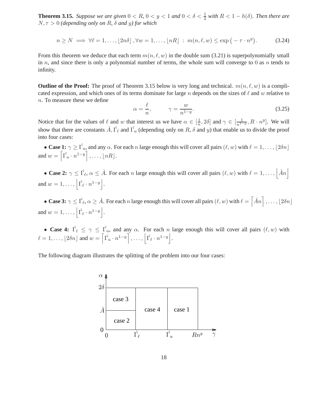**Theorem 3.15.** *Suppose we are given*  $0 < R$ ,  $0 < y < 1$  *and*  $0 < \delta < \frac{1}{2}$  *with*  $R < 1 - h(\delta)$ *. Then there are*  $N, \tau > 0$  *(depending only on R,*  $\delta$  *and y) for which* 

$$
n \ge N \implies \forall \ell = 1, \dots, \lfloor 2n\delta \rfloor, \forall w = 1, \dots, \lfloor nR \rfloor : m(n, \ell, w) \le \exp\left(-\tau \cdot n^y\right). \tag{3.24}
$$

From this theorem we deduce that each term  $m(n, \ell, w)$  in the double sum (3.21) is superpolynomially small in n, and since there is only a polynomial number of terms, the whole sum will converge to 0 as n tends to infinity.

**Outline of the Proof:** The proof of Theorem 3.15 below is very long and technical.  $m(n, \ell, w)$  is a complicated expression, and which ones of its terms dominate for large n depends on the sizes of  $\ell$  and w relative to n. To measure these we define

$$
\alpha = \frac{\ell}{n}, \qquad \gamma = \frac{w}{n^{1-y}}.\tag{3.25}
$$

Notice that for the values of  $\ell$  and w that interest us we have  $\alpha \in [\frac{1}{n}]$  $\frac{1}{n}, 2\delta$  and  $\gamma \in [\frac{1}{n^{1-y}}, R \cdot n^y]$ . We will show that there are constants  $\hat{A}$ ,  $\hat{\Gamma}_{\ell}$  and  $\hat{\Gamma}_{u}$  (depending only on R,  $\delta$  and y) that enable us to divide the proof into four cases:

• **Case 1:**  $\gamma \ge \hat{\Gamma_u}$ , and any  $\alpha$ . For each n large enough this will cover all pairs  $(\ell, w)$  with  $\ell = 1, \ldots, \lfloor 2\delta n \rfloor$ and  $w = \left[ \hat{\Gamma_u} \cdot n^{1-y} \right], \dots, \lfloor nR \rfloor.$ 

• **Case 2:**  $\gamma \leq \hat{\Gamma}_{\ell}, \alpha \leq \hat{A}$ . For each *n* large enough this will cover all pairs  $(\ell, w)$  with  $\ell = 1, \dots, |\hat{A}n|$ and  $w = 1, \ldots, \left| \hat{\Gamma_{\ell}} \cdot n^{1-y} \right|$ .

• **Case 3:**  $\gamma \leq \hat{\Gamma_{\ell}}, \alpha \geq \hat{A}$ . For each n large enough this will cover all pairs  $(\ell, w)$  with  $\ell = \left\lceil \hat{A}n \right\rceil, \ldots, \lfloor 2\delta n \rfloor$ and  $w = 1, \ldots, \left| \hat{\Gamma_{\ell}} \cdot n^{1-y} \right|$ .

• **Case 4:**  $\hat{\Gamma_{\ell}} \leq \gamma \leq \hat{\Gamma_{u}}$ , and any  $\alpha$ . For each n large enough this will cover all pairs  $(\ell, w)$  with  $\ell = 1, \ldots, \lfloor 2\delta n \rfloor$  and  $w = \left\lceil \hat{\Gamma_u} \cdot n^{1-y} \right\rceil, \ldots, \left\lceil \hat{\Gamma_{\ell}} \cdot n^{1-y} \right\rceil$ .

The following diagram illustrates the splitting of the problem into our four cases:

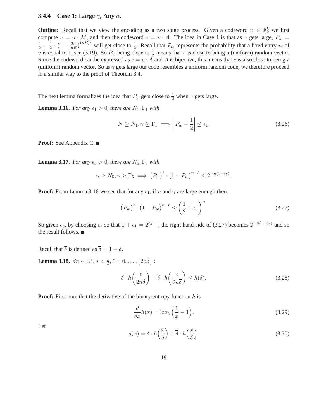### **3.4.4 Case 1: Large** γ**, Any** α**.**

**Outline:** Recall that we view the encoding as a two stage process. Given a codeword  $u \in \mathbb{F}_2^k$  we first compute  $v = u \cdot M$ , and then the codeword  $c = v \cdot A$ . The idea in Case 1 is that as  $\gamma$  gets large,  $P_w =$  $rac{1}{2} - \frac{1}{2}$  $\frac{1}{2} \cdot (1 - \frac{2w}{nR})^{(nR)y}$  will get close to  $\frac{1}{2}$ . Recall that  $P_w$  represents the probability that a fixed entry  $v_i$  of v is equal to 1, see (3.19). So  $P_w$  being close to  $\frac{1}{2}$  means that v is close to being a (uniform) random vector. Since the codeword can be expressed as  $c = v \cdot A$  and A is bijective, this means that c is also close to being a (uniform) random vector. So as  $\gamma$  gets large our code resembles a uniform random code, we therefore proceed in a similar way to the proof of Theorem 3.4.

The next lemma formalizes the idea that  $P_w$  gets close to  $\frac{1}{2}$  when  $\gamma$  gets large.

**Lemma 3.16.** *For any*  $\epsilon_1 > 0$ *, there are*  $N_1$ ,  $\Gamma_1$  *with* 

$$
N \ge N_1, \gamma \ge \Gamma_1 \implies \left| P_w - \frac{1}{2} \right| \le \epsilon_1. \tag{3.26}
$$

**Proof:** See Appendix C.

**Lemma 3.17.** *For any*  $\epsilon_5 > 0$ *, there are*  $N_5$ ,  $\Gamma_5$  *with* 

$$
n \ge N_5, \gamma \ge \Gamma_5 \implies \left(P_w\right)^{\ell} \cdot \left(1 - P_w\right)^{n-\ell} \le 2^{-n(1-\epsilon_5)}.
$$

**Proof:** From Lemma 3.16 we see that for any  $\epsilon_1$ , if n and  $\gamma$  are large enough then

$$
\left(P_w\right)^{\ell} \cdot \left(1 - P_w\right)^{n-\ell} \le \left(\frac{1}{2} + \epsilon_1\right)^n. \tag{3.27}
$$

So given  $\epsilon_5$ , by choosing  $\epsilon_1$  so that  $\frac{1}{2} + \epsilon_1 = 2^{\epsilon_5 - 1}$ , the right hand side of (3.27) becomes  $2^{-n(1-\epsilon_5)}$  and so the result follows.

Recall that  $\overline{\delta}$  is defined as  $\overline{\delta} = 1 - \delta$ .

**Lemma 3.18.**  $\forall n \in \mathbb{N}^*, \delta < \frac{1}{2}, \ell = 0, \ldots, \lfloor 2n\delta \rfloor$ :

$$
\delta \cdot h\left(\frac{\ell}{2n\delta}\right) + \overline{\delta} \cdot h\left(\frac{\ell}{2n\overline{\delta}}\right) \le h(\delta). \tag{3.28}
$$

**Proof:** First note that the derivative of the binary entropy function h is

$$
\frac{d}{dx}h(x) = \log_2\left(\frac{1}{x} - 1\right). \tag{3.29}
$$

Let

$$
q(x) = \delta \cdot h\left(\frac{x}{\delta}\right) + \overline{\delta} \cdot h\left(\frac{x}{\overline{\delta}}\right). \tag{3.30}
$$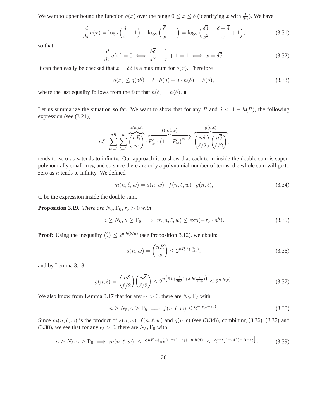We want to upper bound the function  $q(x)$  over the range  $0 \le x \le \delta$  (identifying x with  $\frac{\ell}{2n}$ ). We have

$$
\frac{d}{dx}q(x) = \log_2\left(\frac{\delta}{x} - 1\right) + \log_2\left(\frac{\overline{\delta}}{x} - 1\right) = \log_2\left(\frac{\delta\overline{\delta}}{x^2} - \frac{\delta + \overline{\delta}}{x} + 1\right),\tag{3.31}
$$

so that

$$
\frac{d}{dx}q(x) = 0 \iff \frac{\delta\overline{\delta}}{x^2} - \frac{1}{x} + 1 = 1 \iff x = \delta\overline{\delta}.\tag{3.32}
$$

It can then easily be checked that  $x = \delta \overline{\delta}$  is a maximum for  $q(x)$ . Therefore

$$
q(x) \le q(\delta \overline{\delta}) = \delta \cdot h(\overline{\delta}) + \overline{\delta} \cdot h(\delta) = h(\delta), \tag{3.33}
$$

where the last equality follows from the fact that  $h(\delta)=h(\overline{\delta}).$   $\blacksquare$ 

Let us summarize the situation so far. We want to show that for any R and  $\delta < 1 - h(R)$ , the following expression (see (3.21))

$$
n\delta \cdot \sum_{w=1}^{nR} \sum_{\ell=1}^{n} \overbrace{\binom{nR}{w}}^{s(n,w)} \cdot \overbrace{P_w^{\ell} \cdot (1-P_w)^{n-\ell}}^{f(n,\ell,w)} \cdot \overbrace{\binom{n\delta}{\ell/2}\binom{n\overline{\delta}}{\ell/2}}^{g(n,\ell)},
$$

tends to zero as  $n$  tends to infinity. Our approach is to show that each term inside the double sum is superpolynomially small in  $n$ , and so since there are only a polynomial number of terms, the whole sum will go to zero as  $n$  tends to infinity. We defined

$$
m(n, \ell, w) = s(n, w) \cdot f(n, \ell, w) \cdot g(n, \ell), \tag{3.34}
$$

to be the expression inside the double sum.

**Proposition 3.19.** *There are*  $N_6, \Gamma_6, \tau_6 > 0$  *with* 

$$
n \ge N_6, \gamma \ge \Gamma_6 \implies m(n, \ell, w) \le \exp(-\tau_6 \cdot n^y). \tag{3.35}
$$

**Proof:** Using the inequality  $\binom{a}{b}$  $\binom{a}{b} \leq 2^{a \cdot h(b/a)}$  (see Proposition 3.12), we obtain:

$$
s(n, w) = \binom{nR}{w} \le 2^{nR \cdot h(\frac{w}{nR})},\tag{3.36}
$$

and by Lemma 3.18

$$
g(n,\ell) = {n\delta \choose \ell/2} {n\overline{\delta} \choose \ell/2} \le 2^{n\left(\delta \cdot h\left(\frac{\ell}{2n\delta}\right) + \overline{\delta} \cdot h\left(\frac{\ell}{2n\overline{\delta}}\right)\right)} \le 2^{n \cdot h(\delta)}.
$$
 (3.37)

We also know from Lemma 3.17 that for any  $\epsilon_5 > 0$ , there are  $N_5$ ,  $\Gamma_5$  with

$$
n \ge N_5, \gamma \ge \Gamma_5 \implies f(n, \ell, w) \le 2^{-n(1 - \epsilon_5)}.
$$
\n(3.38)

Since  $m(n, \ell, w)$  is the product of  $s(n, w)$ ,  $f(n, \ell, w)$  and  $g(n, \ell)$  (see (3.34)), combining (3.36), (3.37) and (3.38), we see that for any  $\epsilon_5 > 0$ , there are  $N_5$ ,  $\Gamma_5$  with

$$
n \ge N_5, \gamma \ge \Gamma_5 \implies m(n,\ell,w) \le 2^{nR \cdot h\left(\frac{w}{nR}\right) - n(1-\epsilon_5) + n \cdot h(\delta)} \le 2^{-n\left[1 - h(\delta) - R - \epsilon_5\right]}.
$$
 (3.39)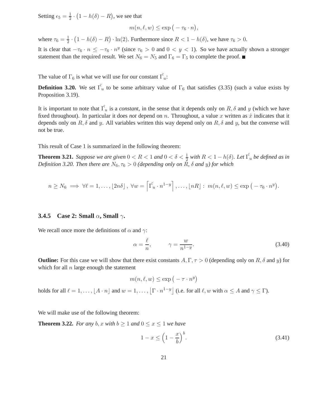Setting  $\epsilon_5 = \frac{1}{2}$  $\frac{1}{2} \cdot (1 - h(\delta) - R)$ , we see that

$$
m(n, \ell, w) \le \exp(-\tau_6 \cdot n),
$$

where  $\tau_6 = \frac{1}{2}$  $\frac{1}{2} \cdot (1 - h(\delta) - R) \cdot \ln(2)$ . Furthermore since  $R < 1 - h(\delta)$ , we have  $\tau_6 > 0$ .

It is clear that  $-\tau_6 \cdot n \le -\tau_6 \cdot n^y$  (since  $\tau_6 > 0$  and  $0 < y < 1$ ). So we have actually shown a stronger statement than the required result. We set  $N_6 = N_5$  and  $\Gamma_6 = \Gamma_5$  to complete the proof.

The value of  $\Gamma_6$  is what we will use for our constant  $\hat{\Gamma_u}$ :

**Definition 3.20.** We set  $\hat{\Gamma}_u$  to be some arbitrary value of  $\Gamma_6$  that satisfies (3.35) (such a value exists by Proposition 3.19).

It is important to note that  $\hat{\Gamma_u}$  is a *constant*, in the sense that it depends only on  $R, \delta$  and y (which we have fixed throughout). In particular it does *not* depend on  $n$ . Throughout, a value  $x$  written as  $\hat{x}$  indicates that it depends only on R,  $\delta$  and y. All variables written this way depend only on R,  $\delta$  and y, but the converse will not be true.

This result of Case 1 is summarized in the following theorem:

**Theorem 3.21.** *Suppose we are given*  $0 < R < 1$  *and*  $0 < \delta < \frac{1}{2}$  *with*  $R < 1 - h(\delta)$ *. Let*  $\hat{\Gamma_u}$  *be defined as in Definition 3.20. Then there are*  $N_6$ ,  $\tau_6 > 0$  *(depending only on* R,  $\delta$  *and y) for which* 

$$
n \geq N_6 \implies \forall \ell = 1, \ldots, \lfloor 2n\delta \rfloor, \ \forall w = \left[ \hat{\Gamma_u} \cdot n^{1-y} \right], \ldots, \lfloor nR \rfloor : \ m(n, \ell, w) \leq \exp \left( -\tau_6 \cdot n^y \right).
$$

#### **3.4.5 Case 2: Small** α**, Small** γ**.**

We recall once more the definitions of  $\alpha$  and  $\gamma$ :

$$
\alpha = \frac{\ell}{n}, \qquad \gamma = \frac{w}{n^{1-y}}.
$$
\n(3.40)

**Outline:** For this case we will show that there exist constants  $A, \Gamma, \tau > 0$  (depending only on  $R, \delta$  and y) for which for all  $n$  large enough the statement

$$
m(n, \ell, w) \le \exp(-\tau \cdot n^y)
$$

holds for all  $\ell = 1, ..., \lfloor A \cdot n \rfloor$  and  $w = 1, ..., \lfloor \Gamma \cdot n^{1-y} \rfloor$  (i.e. for all  $\ell, w$  with  $\alpha \le A$  and  $\gamma \le \Gamma$ ).

We will make use of the following theorem:

**Theorem 3.22.** *For any b, x with*  $b > 1$  *and*  $0 \le x \le 1$  *we have* 

$$
1 - x \le \left(1 - \frac{x}{b}\right)^b. \tag{3.41}
$$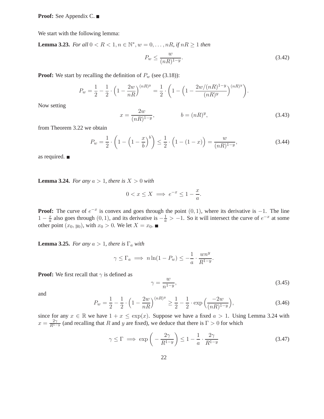**Proof:** See Appendix C.

We start with the following lemma:

**Lemma 3.23.** *For all*  $0 < R < 1, n \in \mathbb{N}^*, w = 0, \dots, nR$ , if  $nR \ge 1$  then

$$
P_w \le \frac{w}{(nR)^{1-y}}.\tag{3.42}
$$

**Proof:** We start by recalling the definition of  $P_w$  (see (3.18)):

$$
P_w = \frac{1}{2} - \frac{1}{2} \cdot \left(1 - \frac{2w}{nR}\right)^{(nR)^y} = \frac{1}{2} \cdot \left(1 - \left(1 - \frac{2w/(nR)^{1-y}}{(nR)^y}\right)^{(nR)^y}\right).
$$

Now setting

$$
x = \frac{2w}{(nR)^{1-y}}, \qquad b = (nR)^y,
$$
\n(3.43)

from Theorem 3.22 we obtain

$$
P_w = \frac{1}{2} \cdot \left( 1 - \left( 1 - \frac{x}{b} \right)^b \right) \le \frac{1}{2} \cdot \left( 1 - (1 - x) \right) = \frac{w}{(nR)^{1 - y}},\tag{3.44}
$$

as required.

**Lemma 3.24.** *For any*  $a > 1$ *, there is*  $X > 0$  *with* 

$$
0 < x \le X \implies e^{-x} \le 1 - \frac{x}{a}.
$$

**Proof:** The curve of  $e^{-x}$  is convex and goes through the point  $(0, 1)$ , where its derivative is  $-1$ . The line  $1-\frac{x}{a}$  $\frac{x}{a}$  also goes through (0, 1), and its derivative is  $-\frac{1}{a} > -1$ . So it will intersect the curve of  $e^{-x}$  at some other point  $(x_0, y_0)$ , with  $x_0 > 0$ . We let  $X = x_0$ .

**Lemma 3.25.** *For any*  $a > 1$ *, there is*  $\Gamma_a$  *with* 

$$
\gamma \leq \Gamma_a \implies n \ln(1 - P_w) \leq -\frac{1}{a} \cdot \frac{wn^y}{R^{1-y}}.
$$

**Proof:** We first recall that  $\gamma$  is defined as

$$
\gamma = \frac{w}{n^{1-y}},\tag{3.45}
$$

and

$$
P_w = \frac{1}{2} - \frac{1}{2} \cdot \left( 1 - \frac{2w}{nR} \right)^{(nR)y} \ge \frac{1}{2} - \frac{1}{2} \cdot \exp\left(\frac{-2w}{(nR)^{1-y}}\right),\tag{3.46}
$$

since for any  $x \in \mathbb{R}$  we have  $1 + x \leq \exp(x)$ . Suppose we have a fixed  $a > 1$ . Using Lemma 3.24 with  $x = \frac{2\gamma}{R^{1-y}}$  (and recalling that R and y are fixed), we deduce that there is  $\Gamma > 0$  for which

$$
\gamma \le \Gamma \implies \exp\left(-\frac{2\gamma}{R^{1-y}}\right) \le 1 - \frac{1}{a} \cdot \frac{2\gamma}{R^{1-y}}
$$
\n(3.47)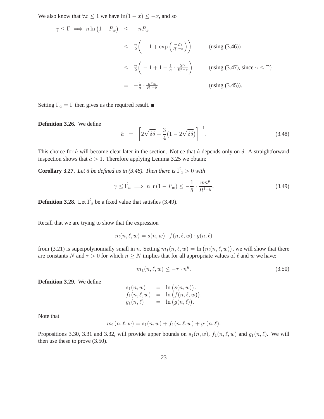We also know that  $\forall x \leq 1$  we have  $\ln(1-x) \leq -x$ , and so

$$
\gamma \leq \Gamma \implies n \ln (1 - P_w) \leq -nP_w
$$
  
\n
$$
\leq \frac{n}{2} \left( -1 + \exp\left(\frac{-2\gamma}{R^{1-y}}\right) \right) \qquad \text{(using (3.46))}
$$
  
\n
$$
\leq \frac{n}{2} \left( -1 + 1 - \frac{1}{a} \cdot \frac{2\gamma}{R^{1-y}} \right) \qquad \text{(using (3.47), since } \gamma \leq \Gamma)
$$
  
\n
$$
= -\frac{1}{a} \cdot \frac{n^y w}{R^{1-y}} \qquad \text{(using (3.45))}.
$$

Setting  $\Gamma_a = \Gamma$  then gives us the required result.

**Definition 3.26.** We define

$$
\hat{a} = \left[2\sqrt{\delta\delta} + \frac{3}{4}\left(1 - 2\sqrt{\delta\delta}\right)\right]^{-1}.\tag{3.48}
$$

This choice for  $\hat{a}$  will become clear later in the section. Notice that  $\hat{a}$  depends only on  $\delta$ . A straightforward inspection shows that  $\hat{a} > 1$ . Therefore applying Lemma 3.25 we obtain:

**Corollary 3.27.** *Let*  $\hat{a}$  *be defined as in (3.48). Then there is*  $\hat{\Gamma_a} > 0$  *with* 

$$
\gamma \leq \hat{\Gamma_a} \implies n \ln(1 - P_w) \leq -\frac{1}{\hat{a}} \cdot \frac{wn^y}{R^{1-y}}.
$$
\n(3.49)

**Definition 3.28.** Let  $\hat{\Gamma_a}$  be a fixed value that satisfies (3.49).

Recall that we are trying to show that the expression

$$
m(n, \ell, w) = s(n, w) \cdot f(n, \ell, w) \cdot g(n, \ell)
$$

from (3.21) is superpolynomially small in n. Setting  $m_1(n, \ell, w) = \ln (m(n, \ell, w))$ , we will show that there are constants N and  $\tau > 0$  for which  $n \geq N$  implies that for all appropriate values of  $\ell$  and w we have:

$$
m_1(n, \ell, w) \le -\tau \cdot n^y. \tag{3.50}
$$

**Definition 3.29.** We define

$$
s_1(n, w) = \ln (s(n, w)).
$$
  
\n
$$
f_1(n, \ell, w) = \ln (f(n, \ell, w)).
$$
  
\n
$$
g_1(n, \ell) = \ln (g(n, \ell)).
$$

Note that

$$
m_1(n, \ell, w) = s_1(n, w) + f_1(n, \ell, w) + g_1(n, \ell).
$$

Propositions 3.30, 3.31 and 3.32, will provide upper bounds on  $s_1(n, w)$ ,  $f_1(n, \ell, w)$  and  $g_1(n, \ell)$ . We will then use these to prove (3.50).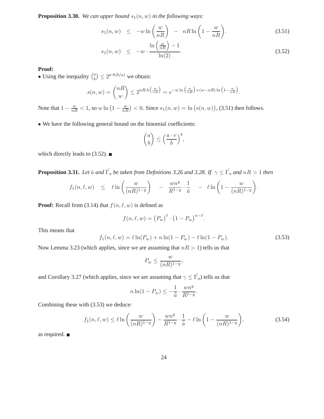**Proposition 3.30.** *We can upper bound*  $s_1(n, w)$  *in the following ways:* 

$$
s_1(n, w) \le -w \ln\left(\frac{w}{nR}\right) - nR \ln\left(1 - \frac{w}{nR}\right). \tag{3.51}
$$

$$
s_1(n, w) \leq -w \cdot \frac{\ln\left(\frac{w}{nR}\right) - 1}{\ln(2)}.\tag{3.52}
$$

#### **Proof:**

• Using the inequality  $\binom{a}{b}$  $\binom{a}{b} \leq 2^{a \cdot h(b/a)}$  we obtain:

$$
s(n, w) = {nR \choose w} \le 2^{nR \cdot h\left(\frac{w}{nR}\right)} = e^{-w \ln\left(\frac{w}{nR}\right) + (w - nR) \ln\left(1 - \frac{w}{nR}\right)}.
$$

Note that  $1 - \frac{w}{nR} < 1$ , so  $w \ln(1 - \frac{w}{nR}) < 0$ . Since  $s_1(n, w) = \ln(s(n, w))$ , (3.51) then follows.

• We have the following general bound on the binomial coefficients:

$$
\binom{a}{b} \le \left(\frac{a \cdot e}{b}\right)^b,
$$

which directly leads to (3.52).  $\blacksquare$ 

**Proposition 3.31.** *Let*  $\hat{a}$  *and*  $\hat{\Gamma_a}$  *be taken from Definitions 3.26 and 3.28. If*  $\gamma \leq \hat{\Gamma_a}$  *and*  $nR > 1$  *then* 

$$
f_1(n,\ell,w) \leq \ell \ln\left(\frac{w}{(nR)^{1-y}}\right) - \frac{wn^y}{R^{1-y}} \cdot \frac{1}{\hat{a}} - \ell \ln\left(1 - \frac{w}{(nR)^{1-y}}\right).
$$

**Proof:** Recall from (3.14) that  $f(n, \ell, w)$  is defined as

$$
f(n,\ell,w) = (P_w)^{\ell} \cdot (1 - P_w)^{n-\ell}.
$$

This means that

$$
f_1(n, \ell, w) = \ell \ln(P_w) + n \ln(1 - P_w) - \ell \ln(1 - P_w).
$$
 (3.53)

Now Lemma 3.23 (which applies, since we are assuming that  $nR > 1$ ) tells us that

$$
P_w \le \frac{w}{(nR)^{1-y}},
$$

and Corollary 3.27 (which applies, since we are assuming that  $\gamma \leq \hat{\Gamma_a}$ ) tells us that

$$
n\ln(1-P_w)\leq -\frac{1}{\hat{a}}\cdot\frac{wn^y}{R^{1-y}}.
$$

Combining these with (3.53) we deduce:

$$
f_1(n,\ell,w) \le \ell \ln\left(\frac{w}{(nR)^{1-y}}\right) - \frac{wn^y}{R^{1-y}} \cdot \frac{1}{\hat{a}} - \ell \ln\left(1 - \frac{w}{(nR)^{1-y}}\right),\tag{3.54}
$$

as required.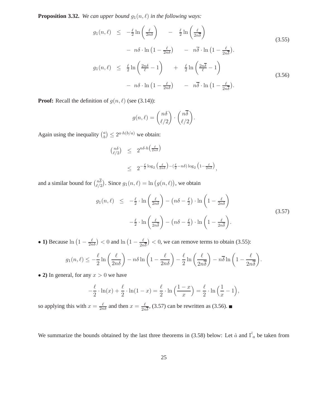**Proposition 3.32.** *We can upper bound*  $g_1(n, \ell)$  *in the following ways:* 

$$
g_1(n,\ell) \leq -\frac{\ell}{2}\ln\left(\frac{\ell}{2n\delta}\right) - \frac{\ell}{2}\ln\left(\frac{\ell}{2n\delta}\right)
$$
\n
$$
- n\delta \cdot \ln\left(1 - \frac{\ell}{2n\delta}\right) - n\overline{\delta} \cdot \ln\left(1 - \frac{\ell}{2n\overline{\delta}}\right).
$$
\n
$$
g_1(n,\ell) \leq \frac{\ell}{2}\ln\left(\frac{2n\delta}{\ell} - 1\right) + \frac{\ell}{2}\ln\left(\frac{2n\overline{\delta}}{\ell} - 1\right)
$$
\n
$$
- n\delta \cdot \ln\left(1 - \frac{\ell}{2n\delta}\right) - n\overline{\delta} \cdot \ln\left(1 - \frac{\ell}{2n\overline{\delta}}\right).
$$
\n(3.56)

**Proof:** Recall the definition of  $g(n, \ell)$  (see (3.14)):

$$
g(n,\ell) = \binom{n\delta}{\ell/2} \cdot \binom{n\overline{\delta}}{\ell/2}.
$$

Again using the inequality  $\binom{a}{b}$  $\binom{a}{b} \leq 2^{a \cdot h(b/a)}$  we obtain:

$$
\begin{array}{rcl}\n\left(\begin{array}{l}\nn\delta \\
\ell/2\n\end{array}\right) & \leq & 2^{n\delta \cdot h\left(\frac{\ell}{2n\delta}\right)} \\
& \leq & 2^{-\frac{\ell}{2}\log_2\left(\frac{\ell}{2n\delta}\right) - \left(\frac{\ell}{2} - n\delta\right)\log_2\left(1 - \frac{\ell}{2n\delta}\right)},\n\end{array}
$$

and a similar bound for  $\binom{n\delta}{\ell}$  $\binom{n\delta}{\ell/2}$ . Since  $g_1(n,\ell) = \ln(g(n,\ell))$ , we obtain

$$
g_1(n,\ell) \leq -\frac{\ell}{2} \cdot \ln\left(\frac{\ell}{2n\delta}\right) - \left(n\delta - \frac{\ell}{2}\right) \cdot \ln\left(1 - \frac{\ell}{2n\delta}\right)
$$
  

$$
-\frac{\ell}{2} \cdot \ln\left(\frac{\ell}{2n\delta}\right) - \left(n\delta - \frac{\ell}{2}\right) \cdot \ln\left(1 - \frac{\ell}{2n\delta}\right).
$$
 (3.57)

• 1) Because  $\ln\left(1-\frac{\ell}{2n\delta}\right) < 0$  and  $\ln\left(1-\frac{\ell}{2n}\right)$  $\frac{\ell}{2n\delta}$   $\big)$  < 0, we can remove terms to obtain (3.55):

$$
g_1(n,\ell) \leq -\frac{\ell}{2}\ln\left(\frac{\ell}{2n\delta}\right) - n\delta\ln\left(1 - \frac{\ell}{2n\delta}\right) - \frac{\ell}{2}\ln\left(\frac{\ell}{2n\overline{\delta}}\right) - n\overline{\delta}\ln\left(1 - \frac{\ell}{2n\overline{\delta}}\right).
$$

• 2) In general, for any  $x > 0$  we have

$$
-\frac{\ell}{2}\cdot\ln(x) + \frac{\ell}{2}\cdot\ln(1-x) = \frac{\ell}{2}\cdot\ln\left(\frac{1-x}{x}\right) = \frac{\ell}{2}\cdot\ln\left(\frac{1}{x}-1\right),
$$

so applying this with  $x = \frac{\ell}{2n\delta}$  and then  $x = \frac{\ell}{2n\delta}$  $\frac{\ell}{2n\delta}$ , (3.57) can be rewritten as (3.56).

We summarize the bounds obtained by the last three theorems in (3.58) below: Let  $\hat{a}$  and  $\hat{\Gamma_a}$  be taken from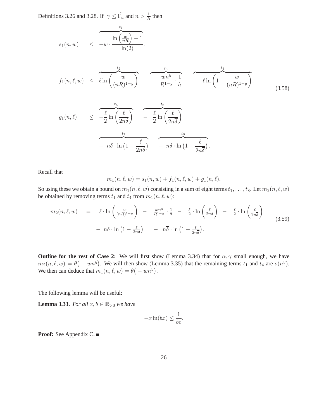Definitions 3.26 and 3.28. If  $\gamma \leq \hat{\Gamma_a}$  and  $n > \frac{1}{R}$  then

$$
s_1(n,w) \leq -w \cdot \frac{\ln\left(\frac{w}{nR}\right) - 1}{\ln(2)}.
$$

$$
f_1(n,\ell,w) \leq \ell \ln\left(\frac{w}{(nR)^{1-y}}\right) \quad - \frac{t_3}{R^{1-y}} \cdot \frac{1}{\hat{a}} \quad - \ell \ln\left(1 - \frac{w}{(nR)^{1-y}}\right). \tag{3.58}
$$

$$
g_1(n,\ell) \leq \frac{\frac{t_5}{2} \ln\left(\frac{\ell}{2n\delta}\right)}{-\frac{\ell}{2} \ln\left(\frac{\ell}{2n\overline{\delta}}\right)} - \frac{\frac{t_6}{2} \ln\left(\frac{\ell}{2n\overline{\delta}}\right)}{-n\delta \cdot \ln\left(1 - \frac{\ell}{2n\delta}\right)} - \frac{t_8}{n\overline{\delta} \cdot \ln\left(1 - \frac{\ell}{2n\overline{\delta}}\right)}.
$$

Recall that

$$
m_1(n, \ell, w) = s_1(n, w) + f_1(n, \ell, w) + g_1(n, \ell).
$$

So using these we obtain a bound on  $m_1(n, \ell, w)$  consisting in a sum of eight terms  $t_1, \ldots, t_8$ . Let  $m_2(n, \ell, w)$ be obtained by removing terms  $t_1$  and  $t_4$  from  $m_1(n, \ell, w)$ :

$$
m_2(n,\ell,w) = \ell \cdot \ln\left(\frac{w}{(nR)^{1-y}}\right) - \frac{wn^y}{R^{1-y}} \cdot \frac{1}{\hat{a}} - \frac{\ell}{2} \cdot \ln\left(\frac{\ell}{2n\delta}\right) - \frac{\ell}{2} \cdot \ln\left(\frac{\ell}{2n\delta}\right)
$$
  
-  $n\delta \cdot \ln\left(1 - \frac{\ell}{2n\delta}\right) - n\overline{\delta} \cdot \ln\left(1 - \frac{\ell}{2n\overline{\delta}}\right).$  (3.59)

**Outline for the rest of Case 2:** We will first show (Lemma 3.34) that for  $\alpha, \gamma$  small enough, we have  $m_2(n, \ell, w) = \theta(-w n^y)$ . We will then show (Lemma 3.35) that the remaining terms  $t_1$  and  $t_4$  are  $o(n^y)$ . We then can deduce that  $m_1(n, \ell, w) = \theta(-w n^y)$ .

The following lemma will be useful:

**Lemma 3.33.** *For all*  $x, b \in \mathbb{R}_{>0}$  *we have* 

$$
-x\ln(bx) \le \frac{1}{be}.
$$

**Proof:** See Appendix C.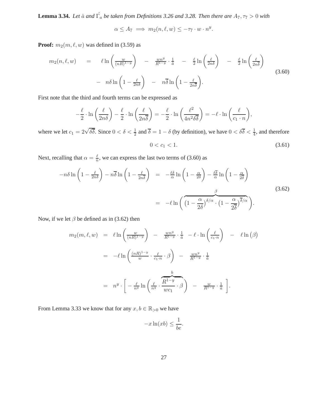**Lemma 3.34.** Let  $\hat{a}$  and  $\hat{\Gamma_a}$  be taken from Definitions 3.26 and 3.28. Then there are  $A_7, \tau_7 > 0$  with

$$
\alpha \le A_7 \implies m_2(n, \ell, w) \le -\tau_7 \cdot w \cdot n^y.
$$

**Proof:**  $m_2(m, \ell, w)$  was defined in (3.59) as

$$
m_2(n,\ell,w) = \ell \ln\left(\frac{w}{(nR)^{1-y}}\right) - \frac{wn^y}{R^{1-y}} \cdot \frac{1}{\hat{a}} - \frac{\ell}{2} \ln\left(\frac{\ell}{2n\delta}\right) - \frac{\ell}{2} \ln\left(\frac{\ell}{2n\delta}\right)
$$

$$
- n\delta \ln\left(1 - \frac{\ell}{2n\delta}\right) - n\overline{\delta} \ln\left(1 - \frac{\ell}{2n\overline{\delta}}\right).
$$
(3.60)

First note that the third and fourth terms can be expressed as

$$
-\frac{\ell}{2} \cdot \ln\left(\frac{\ell}{2n\delta}\right) - \frac{\ell}{2} \cdot \ln\left(\frac{\ell}{2n\overline{\delta}}\right) = -\frac{\ell}{2} \cdot \ln\left(\frac{\ell^2}{4n^2\delta\overline{\delta}}\right) = -\ell \cdot \ln\left(\frac{\ell}{c_1 \cdot n}\right),
$$

where we let  $c_1 = 2\sqrt{\delta\overline{\delta}}$ . Since  $0 < \delta < \frac{1}{2}$  and  $\overline{\delta} = 1 - \delta$  (by definition), we have  $0 < \delta\overline{\delta} < \frac{1}{4}$ , and therefore

$$
0 < c_1 < 1. \tag{3.61}
$$

Next, recalling that  $\alpha = \frac{\ell}{n}$ , we can express the last two terms of (3.60) as

$$
-n\delta \ln \left(1 - \frac{\ell}{2n\delta}\right) - n\overline{\delta} \ln \left(1 - \frac{\ell}{2n\overline{\delta}}\right) = -\frac{\ell\delta}{\alpha} \ln \left(1 - \frac{\alpha}{2\delta}\right) - \frac{\ell\overline{\delta}}{\alpha} \ln \left(1 - \frac{\alpha}{2\overline{\delta}}\right)
$$

$$
= -\ell \ln \left(\overbrace{\left(1 - \frac{\alpha}{2\delta}\right)^{\delta/\alpha} \cdot \left(1 - \frac{\alpha}{2\overline{\delta}}\right)^{\overline{\delta}/\alpha}}^{\beta} \right).
$$
(3.62)

Now, if we let  $\beta$  be defined as in (3.62) then

$$
m_2(m,\ell,w) = \ell \ln \left( \frac{w}{(nR)^{1-y}} \right) - \frac{wn^y}{R^{1-y}} \cdot \frac{1}{\hat{a}} - \ell \cdot \ln \left( \frac{\ell}{c_1 \cdot n} \right) - \ell \ln \left( \beta \right)
$$
  

$$
= -\ell \ln \left( \frac{(nR)^{1-y}}{w} \cdot \frac{\ell}{c_1 \cdot n} \cdot \beta \right) - \frac{wn^y}{R^{1-y}} \cdot \frac{1}{\hat{a}}
$$
  

$$
= n^y \cdot \left[ -\frac{\ell}{n^y} \ln \left( \frac{\ell}{n^y} \cdot \frac{\widehat{R}^{1-y}}{wc_1} \cdot \beta \right) - \frac{w}{R^{1-y}} \cdot \frac{1}{\hat{a}} \right].
$$

From Lemma 3.33 we know that for any  $x, b \in \mathbb{R}_{>0}$  we have

$$
-x\ln(xb) \le \frac{1}{be}.
$$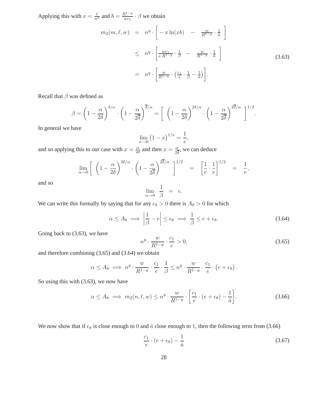Applying this with  $x = \frac{\ell}{n^y}$  and  $b = \frac{R^{1-y}}{w c_1}$  $\frac{\mathcal{X}^{1-g}}{wc_1} \cdot \beta$  we obtain

$$
m_2(m,\ell,w) = n^y \cdot \left[ -x \ln(xb) - \frac{w}{R^{1-y}} \cdot \frac{1}{\hat{a}} \right]
$$
  
\n
$$
\leq n^y \cdot \left[ \frac{wc_1}{e \cdot R^{1-y}} \cdot \frac{1}{\beta} - \frac{w}{R^{1-y}} \cdot \frac{1}{\hat{a}} \right]
$$
  
\n
$$
= n^y \cdot \left[ \frac{w}{R^{1-y}} \cdot \left( \frac{c_1}{e} \cdot \frac{1}{\beta} - \frac{1}{\hat{a}} \right) \right].
$$
 (3.63)

Recall that  $\beta$  was defined as

$$
\beta = \left(1 - \frac{\alpha}{2\delta}\right)^{\delta/\alpha} \cdot \left(1 - \frac{\alpha}{2\overline{\delta}}\right)^{\overline{\delta}/\alpha} = \left[\left(1 - \frac{\alpha}{2\delta}\right)^{2\delta/\alpha} \cdot \left(1 - \frac{\alpha}{2\overline{\delta}}\right)^{2\overline{\delta}/\alpha}\right]^{1/2}
$$

In general we have

$$
\lim_{x \to 0} (1 - x)^{1/x} = \frac{1}{e},
$$

and so applying this to our case with  $x = \frac{\alpha}{2l}$  $\frac{\alpha}{2\delta}$  and then  $x = \frac{\alpha}{2\delta}$  $\frac{\alpha}{2\delta}$ , we can deduce

$$
\lim_{\alpha \to 0} \left[ \left( 1 - \frac{\alpha}{2\delta} \right)^{2\delta/\alpha} \cdot \left( 1 - \frac{\alpha}{2\delta} \right)^{2\overline{\delta}/\alpha} \right]^{1/2} = \left[ \frac{1}{e} \cdot \frac{1}{e} \right]^{1/2} = \frac{1}{e},
$$

and so

$$
\lim_{\alpha \to 0} \frac{1}{\beta} = e.
$$

We can write this formally by saying that for any  $\epsilon_8 > 0$  there is  $A_8 > 0$  for which

$$
\alpha \le A_8 \implies \left| \frac{1}{\beta} - e \right| \le \epsilon_8 \implies \frac{1}{\beta} \le e + \epsilon_8. \tag{3.64}
$$

Going back to (3.63), we have

$$
n^y \cdot \frac{w}{R^{1-y}} \cdot \frac{c_1}{e} > 0,\tag{3.65}
$$

.

and therefore combining (3.65) and (3.64) we obtain

$$
\alpha \le A_8 \implies n^y \cdot \frac{w}{R^{1-y}} \cdot \frac{c_1}{e} \cdot \frac{1}{\beta} \le n^y \cdot \frac{w}{R^{1-y}} \cdot \frac{c_1}{e} \cdot (e + \epsilon_8).
$$

So using this with (3.63), we now have

$$
\alpha \le A_8 \implies m_2(n,\ell,w) \le n^y \cdot \frac{w}{R^{1-y}} \cdot \left[\frac{c_1}{e} \cdot (e + \epsilon_8) - \frac{1}{\hat{a}}\right]. \tag{3.66}
$$

We now show that if  $\epsilon_8$  is close enough to 0 and  $\hat{a}$  close enough to 1, then the following term from (3.66)

$$
\frac{c_1}{e} \cdot (e + \epsilon_8) - \frac{1}{\hat{a}} \tag{3.67}
$$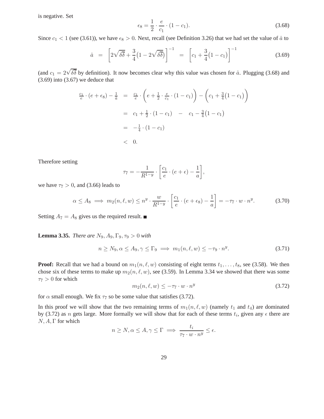is negative. Set

$$
\epsilon_8 = \frac{1}{2} \cdot \frac{e}{c_1} \cdot (1 - c_1). \tag{3.68}
$$

Since  $c_1 < 1$  (see (3.61)), we have  $\epsilon_8 > 0$ . Next, recall (see Definition 3.26) that we had set the value of  $\hat{a}$  to

$$
\hat{a} = \left[2\sqrt{\delta\delta} + \frac{3}{4}\left(1 - 2\sqrt{\delta\delta}\right)\right]^{-1} = \left[c_1 + \frac{3}{4}\left(1 - c_1\right)\right]^{-1} \tag{3.69}
$$

(and  $c_1 = 2\sqrt{\delta\overline{\delta}}$  by definition). It now becomes clear why this value was chosen for  $\hat{a}$ . Plugging (3.68) and  $(3.69)$  into  $(3.67)$  we deduce that

$$
\frac{c_1}{e} \cdot (e + \epsilon_8) - \frac{1}{\hat{a}} = \frac{c_1}{e} \cdot \left( e + \frac{1}{2} \cdot \frac{e}{c_1} \cdot (1 - c_1) \right) - \left( c_1 + \frac{3}{4} (1 - c_1) \right)
$$
  
=  $c_1 + \frac{1}{2} \cdot (1 - c_1) - c_1 - \frac{3}{4} (1 - c_1)$   
=  $-\frac{1}{4} \cdot (1 - c_1)$   
< 0.

Therefore setting

$$
\tau_7 = -\frac{1}{R^{1-y}} \cdot \left[ \frac{c_1}{e} \cdot (e + \epsilon) - \frac{1}{a} \right],
$$

we have  $\tau_7 > 0$ , and (3.66) leads to

$$
\alpha \le A_8 \implies m_2(n,\ell,w) \le n^y \cdot \frac{w}{R^{1-y}} \cdot \left[\frac{c_1}{e} \cdot (e + \epsilon_8) - \frac{1}{a}\right] = -\tau_7 \cdot w \cdot n^y. \tag{3.70}
$$

Setting  $A_7 = A_8$  gives us the required result.

**Lemma 3.35.** *There are*  $N_9$ ,  $A_9$ ,  $\Gamma_9$ ,  $\tau_9 > 0$  *with* 

$$
n \ge N_9, \alpha \le A_9, \gamma \le \Gamma_9 \implies m_1(n, \ell, w) \le -\tau_9 \cdot n^y. \tag{3.71}
$$

**Proof:** Recall that we had a bound on  $m_1(n, \ell, w)$  consisting of eight terms  $t_1, \ldots, t_8$ , see (3.58). We then chose six of these terms to make up  $m_2(n, \ell, w)$ , see (3.59). In Lemma 3.34 we showed that there was some  $\tau_7 > 0$  for which

$$
m_2(n,\ell,w) \le -\tau_7 \cdot w \cdot n^y \tag{3.72}
$$

for  $\alpha$  small enough. We fix  $\tau_7$  so be some value that satisfies (3.72).

In this proof we will show that the two remaining terms of  $m_1(n, \ell, w)$  (namely  $t_1$  and  $t_4$ ) are dominated by (3.72) as *n* gets large. More formally we will show that for each of these terms  $t_i$ , given any  $\epsilon$  there are  $N, A, \Gamma$  for which

$$
n \ge N, \alpha \le A, \gamma \le \Gamma \implies \frac{t_i}{\tau_\gamma \cdot w \cdot n^y} \le \epsilon.
$$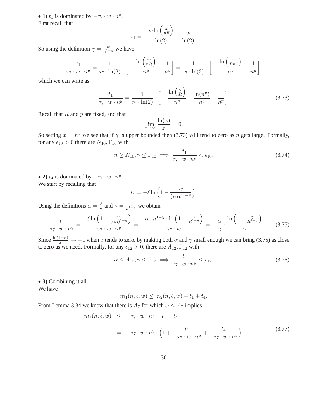• 1)  $t_1$  is dominated by  $-\tau_7 \cdot w \cdot n^y$ . First recall that

$$
t_1 = -\frac{w \ln\left(\frac{w}{nR}\right)}{\ln(2)} - \frac{w}{\ln(2)}.
$$

So using the definition  $\gamma = \frac{w}{n^{1-y}}$  we have

$$
\frac{t_1}{\tau_7 \cdot w \cdot n^y} = \frac{1}{\tau_7 \cdot \ln(2)} \cdot \left[ -\frac{\ln\left(\frac{w}{nR}\right)}{n^y} - \frac{1}{n^y} \right] = \frac{1}{\tau_7 \cdot \ln(2)} \cdot \left[ -\frac{\ln\left(\frac{\gamma}{Rn^y}\right)}{n^y} - \frac{1}{n^y} \right],
$$

which we can write as

$$
\frac{t_1}{\tau_7 \cdot w \cdot n^y} = \frac{1}{\tau_7 \cdot \ln(2)} \cdot \left[ -\frac{\ln\left(\frac{\gamma}{R}\right)}{n^y} + \frac{\ln(n^y)}{n^y} - \frac{1}{n^y} \right].
$$
\n(3.73)

Recall that  $R$  and  $y$  are fixed, and that

$$
\lim_{x \to \infty} \frac{\ln(x)}{x} = 0.
$$

So setting  $x = n^y$  we see that if  $\gamma$  is upper bounded then (3.73) will tend to zero as n gets large. Formally, for any  $\epsilon_{10} > 0$  there are  $N_{10}$ ,  $\Gamma_{10}$  with

$$
n \ge N_{10}, \gamma \le \Gamma_{10} \implies \frac{t_1}{\tau_7 \cdot w \cdot n^y} < \epsilon_{10}.\tag{3.74}
$$

• 2)  $t_4$  is dominated by  $-\tau_7 \cdot w \cdot n^y$ . We start by recalling that

$$
t_4 = -\ell \ln \left( 1 - \frac{w}{(nR)^{1-y}} \right).
$$

Using the definitions  $\alpha = \frac{\ell}{n}$  $\frac{\ell}{n}$  and  $\gamma = \frac{w}{n^{1-y}}$  we obtain

$$
\frac{t_4}{\tau_7 \cdot w \cdot n^y} = -\frac{\ell \ln\left(1 - \frac{w}{(nR)^{1-y}}\right)}{\tau_7 \cdot w \cdot n^y} = -\frac{\alpha \cdot n^{1-y} \cdot \ln\left(1 - \frac{\gamma}{R^{1-y}}\right)}{\tau_7 \cdot w} = -\frac{\alpha}{\tau_7} \cdot \frac{\ln\left(1 - \frac{\gamma}{R^{1-y}}\right)}{\gamma}.
$$
(3.75)

Since  $\frac{\ln(1-x)}{x} \to -1$  when x tends to zero, by making both  $\alpha$  and  $\gamma$  small enough we can bring (3.75) as close to zero as we need. Formally, for any  $\epsilon_{12} > 0$ , there are  $A_{12}$ ,  $\Gamma_{12}$  with

$$
\alpha \le A_{12}, \gamma \le \Gamma_{12} \implies \frac{t_4}{\tau_7 \cdot w \cdot n^y} \le \epsilon_{12}.\tag{3.76}
$$

• **3)** Combining it all.

We have

$$
m_1(n, \ell, w) \le m_2(n, \ell, w) + t_1 + t_4.
$$

From Lemma 3.34 we know that there is  $A_7$  for which  $\alpha \leq A_7$  implies

$$
m_1(n, \ell, w) \leq -\tau_7 \cdot w \cdot n^y + t_1 + t_4
$$
  
=  $-\tau_7 \cdot w \cdot n^y \cdot \left(1 + \frac{t_1}{-\tau_7 \cdot w \cdot n^y} + \frac{t_4}{-\tau_7 \cdot w \cdot n^y}\right).$  (3.77)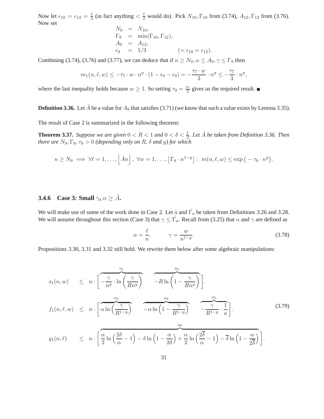Now let  $\epsilon_{10} = \epsilon_{12} = \frac{1}{3}$  $\frac{1}{3}$  (in fact anything  $\lt \frac{1}{2}$  would do). Pick  $N_{10}$ ,  $\Gamma_{10}$  from (3.74),  $A_{12}$ ,  $\Gamma_{12}$  from (3.76). Now set

$$
N_9 = N_{10},
$$
  
\n
$$
\Gamma_9 = \min(\Gamma_{10}, \Gamma_{12}),
$$
  
\n
$$
A_9 = A_{12},
$$
  
\n
$$
\epsilon_9 = 1/3 \qquad (= \epsilon_{10} = \epsilon_{12}).
$$

Combining (3.74), (3.76) and (3.77), we can deduce that if  $n \ge N_9$ ,  $\alpha \le A_9$ ,  $\gamma \le \Gamma_9$  then

$$
m_1(n,\ell,w) \leq -\tau_7 \cdot w \cdot n^y \cdot (1 - \epsilon_9 - \epsilon_9) = -\frac{\tau_7 \cdot w}{3} \cdot n^y \leq -\frac{\tau_7}{3} \cdot n^y,
$$

where the last inequality holds because  $w \ge 1$ . So setting  $\tau_9 = \frac{\tau_7}{3}$  gives us the required result.

**Definition 3.36.** Let  $\hat{A}$  be a value for  $A_9$  that satisfies (3.71) (we know that such a value exists by Lemma 3.35).

The result of Case 2 is summarized in the following theorem:

**Theorem 3.37.** *Suppose we are given*  $0 < R < 1$  *and*  $0 < \delta < \frac{1}{2}$ *. Let*  $\hat{A}$  *be taken from Definition 3.36. Then there are*  $N_9, \Gamma_9, \tau_9 > 0$  *(depending only on* R,  $\delta$  *and y) for which* 

$$
n \geq N_9 \implies \forall \ell = 1,\ldots, \left\lfloor \hat{A}n \right\rfloor, \ \forall w = 1,\ldots, \left\lfloor \Gamma_9 \cdot n^{1-y} \right\rfloor : \ m(n,\ell,w) \leq \exp\left(-\tau_9 \cdot n^y\right).
$$

## **3.4.6** Case 3: Small  $\gamma$ ,  $\alpha \geq \hat{A}$ .

We will make use of some of the work done in Case 2. Let  $\hat{a}$  and  $\hat{\Gamma_a}$  be taken from Definitions 3.26 and 3.28. We will assume throughout this section (Case 3) that  $\gamma \leq \hat{\Gamma_a}$ . Recall from (3.25) that  $\alpha$  and  $\gamma$  are defined as

$$
\alpha = \frac{\ell}{n}, \qquad \gamma = \frac{w}{n^{1-y}}.\tag{3.78}
$$

 $2\delta$ 

Propositions 3.30, 3.31 and 3.32 still hold. We rewrite them below after some algebraic manipulations:

$$
s_{1}(n, w) \leq n \cdot \left[ \overbrace{-\frac{\gamma}{n^{y}} \cdot \ln\left(\frac{\gamma}{Rn^{y}}\right)}^{u_{1}} \overbrace{-R \ln\left(1 - \frac{\gamma}{Rn^{y}}\right)}^{u_{2}} \right].
$$
\n
$$
f_{1}(n, \ell, w) \leq n \cdot \left[ \overbrace{\alpha \ln\left(\frac{\gamma}{R^{1-y}}\right)}^{u_{3}} \overbrace{-\alpha \ln\left(1 - \frac{\gamma}{R^{1-y}}\right)}^{u_{4}} \overbrace{-\frac{\gamma}{R^{1-y}} \cdot \frac{1}{a}}^{u_{5}} \right].
$$
\n
$$
g_{1}(n, \ell) \leq n \cdot \left[ \overbrace{\frac{\alpha}{2} \ln\left(\frac{2\delta}{\alpha} - 1\right) - \delta \ln\left(1 - \frac{\alpha}{2\delta}\right)}^{u_{6}} + \frac{\alpha}{2} \ln\left(\frac{2\overline{\delta}}{\alpha} - 1\right) - \overline{\delta} \ln\left(1 - \frac{\alpha}{2\overline{\delta}}\right) \right].
$$
\n(3.79)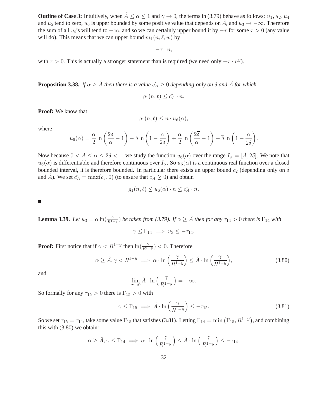**Outline of Case 3:** Intuitively, when  $\hat{A} \le \alpha \le 1$  and  $\gamma \to 0$ , the terms in (3.79) behave as follows:  $u_1, u_2, u_4$ and  $u_5$  tend to zero,  $u_6$  is upper bounded by some positive value that depends on  $\hat{A}$ , and  $u_3 \to -\infty$ . Therefore the sum of all  $u_i$ 's will tend to  $-\infty$ , and so we can certainly upper bound it by  $-\tau$  for some  $\tau > 0$  (any value will do). This means that we can upper bound  $m_1(n, \ell, w)$  by

 $-\tau \cdot n,$ 

with  $\tau > 0$ . This is actually a stronger statement than is required (we need only  $-\tau \cdot n^y$ ).

**Proposition 3.38.** *If*  $\alpha \geq \hat{A}$  *then there is a value*  $c_A \geq 0$  *depending only on*  $\delta$  *and*  $\hat{A}$  *for which* 

$$
g_1(n,\ell) \leq \hat{c_A} \cdot n.
$$

**Proof:** We know that

$$
g_1(n,\ell) \leq n \cdot u_6(\alpha),
$$

where

$$
u_6(\alpha) = \frac{\alpha}{2} \ln \left( \frac{2\delta}{\alpha} - 1 \right) - \delta \ln \left( 1 - \frac{\alpha}{2\delta} \right) + \frac{\alpha}{2} \ln \left( \frac{2\overline{\delta}}{\alpha} - 1 \right) - \overline{\delta} \ln \left( 1 - \frac{\alpha}{2\overline{\delta}} \right).
$$

Now because  $0 < A \le \alpha \le 2\delta < 1$ , we study the function  $u_6(\alpha)$  over the range  $I_\alpha = [\hat{A}, 2\delta]$ . We note that  $u_6(\alpha)$  is differentiable and therefore continuous over  $I_\alpha$ . So  $u_6(\alpha)$  is a continuous real function over a closed bounded interval, it is therefore bounded. In particular there exists an upper bound  $c_2$  (depending only on  $\delta$ and  $\hat{A}$ ). We set  $\hat{c}_A = \max(c_2, 0)$  (to ensure that  $\hat{c}_A \geq 0$ ) and obtain

$$
g_1(n,\ell) \le u_6(\alpha) \cdot n \le \hat{c_A} \cdot n.
$$

 $\blacksquare$ 

**Lemma 3.39.** Let  $u_3 = \alpha \ln(\frac{\gamma}{R^{1-y}})$  be taken from (3.79). If  $\alpha \geq \hat{A}$  then for any  $\tau_{14} > 0$  there is  $\Gamma_{14}$  with

$$
\gamma \leq \Gamma_{14} \implies u_3 \leq -\tau_{14}.
$$

**Proof:** First notice that if  $\gamma < R^{1-y}$  then  $\ln(\frac{\gamma}{R^{1-y}}) < 0$ . Therefore

$$
\alpha \ge \hat{A}, \gamma < R^{1-y} \implies \alpha \cdot \ln\left(\frac{\gamma}{R^{1-y}}\right) \le \hat{A} \cdot \ln\left(\frac{\gamma}{R^{1-y}}\right),\tag{3.80}
$$

and

$$
\lim_{\gamma \to 0} \hat{A} \cdot \ln\left(\frac{\gamma}{R^{1-y}}\right) = -\infty.
$$

So formally for any  $\tau_{15} > 0$  there is  $\Gamma_{15} > 0$  with

$$
\gamma \le \Gamma_{15} \implies \hat{A} \cdot \ln\left(\frac{\gamma}{R^{1-y}}\right) \le -\tau_{15}.\tag{3.81}
$$

So we set  $\tau_{15} = \tau_{14}$ , take some value  $\Gamma_{15}$  that satisfies (3.81). Letting  $\Gamma_{14} = \min(\Gamma_{15}, R^{1-y})$ , and combining this with (3.80) we obtain:

$$
\alpha \geq \hat{A}, \gamma \leq \Gamma_{14} \implies \alpha \cdot \ln\left(\frac{\gamma}{R^{1-y}}\right) \leq \hat{A} \cdot \ln\left(\frac{\gamma}{R^{1-y}}\right) \leq -\tau_{14},
$$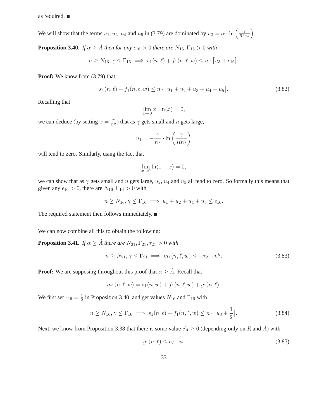as required.

We will show that the terms  $u_1, u_2, u_4$  and  $u_5$  in (3.79) are dominated by  $u_3 = \alpha \cdot \ln\left(\frac{\gamma}{R^{15}}\right)$  $R^{1-y}$ .

**Proposition 3.40.** *If*  $\alpha \geq \hat{A}$  *then for any*  $\epsilon_{16} > 0$  *there are*  $N_{16}$ ,  $\Gamma_{16} > 0$  *with* 

$$
n \geq N_{16}, \gamma \leq \Gamma_{16} \implies s_1(n,\ell) + f_1(n,\ell,w) \leq n \cdot [u_3 + \epsilon_{16}].
$$

**Proof:** We know from (3.79) that

$$
s_1(n,\ell) + f_1(n,\ell,w) \le n \cdot [u_1 + u_2 + u_3 + u_4 + u_5]. \tag{3.82}
$$

Recalling that

$$
\lim_{x \to 0} x \cdot \ln(x) = 0,
$$

we can deduce (by setting  $x = \frac{\gamma}{n^y}$ ) that as  $\gamma$  gets small and n gets large,

$$
u_1 = -\frac{\gamma}{n^y} \cdot \ln\left(\frac{\gamma}{Rn^y}\right)
$$

will tend to zero. Similarly, using the fact that

$$
\lim_{x \to 0} \ln(1 - x) = 0,
$$

we can show that as  $\gamma$  gets small and n gets large,  $u_2$ ,  $u_4$  and  $u_5$  all tend to zero. So formally this means that given any  $\epsilon_{16} > 0$ , there are  $N_{16}$ ,  $\Gamma_{16} > 0$  with

$$
n \ge N_{16}, \gamma \le \Gamma_{16} \implies u_1 + u_2 + u_4 + u_5 \le \epsilon_{16}.
$$

The required statement then follows immediately.

We can now combine all this to obtain the following:

**Proposition 3.41.** *If*  $\alpha \geq \hat{A}$  *there are*  $N_{21}, \Gamma_{21}, \tau_{21} > 0$  *with* 

$$
n \ge N_{21}, \gamma \le \Gamma_{21} \implies m_1(n, \ell, w) \le -\tau_{21} \cdot n^y. \tag{3.83}
$$

**Proof:** We are supposing throughout this proof that  $\alpha \geq \hat{A}$ . Recall that

$$
m_1(n, \ell, w) = s_1(n, w) + f_1(n, \ell, w) + g_1(n, \ell).
$$

We first set  $\epsilon_{16} = \frac{1}{2}$  in Proposition 3.40, and get values  $N_{16}$  and  $\Gamma_{16}$  with

$$
n \ge N_{16}, \gamma \le \Gamma_{16} \implies s_1(n, \ell) + f_1(n, \ell, w) \le n \cdot [u_3 + \frac{1}{2}]. \tag{3.84}
$$

Next, we know from Proposition 3.38 that there is some value  $c_A \geq 0$  (depending only on R and  $\hat{A}$ ) with

$$
g_1(n,\ell) \leq \hat{c}_A \cdot n. \tag{3.85}
$$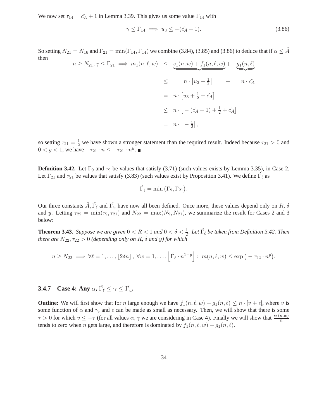We now set  $\tau_{14} = \hat{c}_A + 1$  in Lemma 3.39. This gives us some value  $\Gamma_{14}$  with

$$
\gamma \le \Gamma_{14} \implies u_3 \le -(\hat{c}_A + 1). \tag{3.86}
$$

So setting  $N_{21} = N_{16}$  and  $\Gamma_{21} = \min(\Gamma_{14}, \Gamma_{14})$  we combine (3.84), (3.85) and (3.86) to deduce that if  $\alpha \leq \hat{A}$ then

$$
n \ge N_{21}, \gamma \le \Gamma_{21} \implies m_1(n, \ell, w) \le \underbrace{s_1(n, w) + f_1(n, \ell, w)}_{\leq} + \underbrace{g_1(n, \ell)}_{n \cdot c_A}
$$
\n
$$
\le n \cdot [u_3 + \frac{1}{2}] + n \cdot c_A
$$
\n
$$
\le n \cdot [- (c_A + 1) + \frac{1}{2} + c_A]
$$
\n
$$
= n \cdot [-\frac{1}{2}],
$$

so setting  $\tau_{21} = \frac{1}{2}$  we have shown a stronger statement than the required result. Indeed because  $\tau_{21} > 0$  and  $0 < y < 1$ , we have  $-\tau_{21} \cdot n \leq -\tau_{21} \cdot n^y$ .

**Definition 3.42.** Let  $\Gamma_9$  and  $\tau_9$  be values that satisfy (3.71) (such values exists by Lemma 3.35), in Case 2. Let  $\Gamma_{21}$  and  $\tau_{21}$  be values that satisfy (3.83) (such values exist by Proposition 3.41). We define  $\hat{\Gamma}_{\ell}$  as

$$
\hat{\Gamma_{\ell}} = \min(\Gamma_9, \Gamma_{21}).
$$

Our three constants  $\hat{A}$ ,  $\hat{\Gamma}_\ell$  and  $\hat{\Gamma}_u$  have now all been defined. Once more, these values depend only on R,  $\delta$ and y. Letting  $\tau_{22} = \min(\tau_9, \tau_{21})$  and  $N_{22} = \max(N_9, N_{21})$ , we summarize the result for Cases 2 and 3 below:

**Theorem 3.43.** *Suppose we are given*  $0 < R < 1$  *and*  $0 < \delta < \frac{1}{2}$ *. Let*  $\hat{\Gamma_{\ell}}$  *be taken from Definition 3.42. Then there are*  $N_{22}, \tau_{22} > 0$  *(depending only on R,*  $\delta$  *and y) for which* 

$$
n \geq N_{22} \implies \forall \ell = 1, \ldots, \lfloor 2\delta n \rfloor, \ \forall w = 1, \ldots, \left\lfloor \hat{\Gamma_{\ell}} \cdot n^{1-y} \right\rfloor : \ m(n, \ell, w) \leq \exp\left(-\tau_{22} \cdot n^y\right).
$$

**3.4.7** Case 4: Any  $\alpha$ ,  $\hat{\Gamma_{\ell}} \leq \gamma \leq \hat{\Gamma_{u}}$ .

**Outline:** We will first show that for n large enough we have  $f_1(n, \ell, w) + g_1(n, \ell) \leq n \cdot [v + \epsilon]$ , where v is some function of  $\alpha$  and  $\gamma$ , and  $\epsilon$  can be made as small as necessary. Then, we will show that there is some  $\tau > 0$  for which  $v \le -\tau$  (for all values  $\alpha, \gamma$  we are considering in Case 4). Finally we will show that  $\frac{s_1(n,w)}{n}$ tends to zero when *n* gets large, and therefore is dominated by  $f_1(n, \ell, w) + g_1(n, \ell)$ .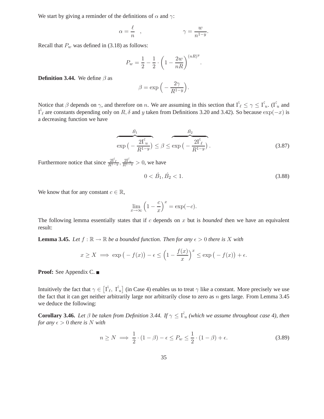We start by giving a reminder of the definitions of  $\alpha$  and  $\gamma$ :

$$
\alpha = \frac{\ell}{n} \quad , \qquad \qquad \gamma = \frac{w}{n^{1-y}}.
$$

Recall that  $P_w$  was defined in (3.18) as follows:

$$
P_w = \frac{1}{2} - \frac{1}{2} \cdot \left(1 - \frac{2w}{nR}\right)^{(nR)^y}.
$$

**Definition 3.44.** We define  $\beta$  as

$$
\beta = \exp\Big(-\frac{2\gamma}{R^{1-y}}\Big).
$$

Notice that  $\beta$  depends on  $\gamma$ , and therefore on n. We are assuming in this section that  $\hat{\Gamma_{\ell}} \leq \gamma \leq \hat{\Gamma_{u}}$ . ( $\hat{\Gamma_{u}}$  and  $\hat{\Gamma}_{\ell}$  are constants depending only on  $R, \delta$  and y taken from Definitions 3.20 and 3.42). So because  $\exp(-x)$  is a decreasing function we have

$$
\overbrace{\exp\left(-\frac{2\hat{\Gamma_u}}{R^{1-y}}\right)}^{\hat{B_1}} \leq \beta \leq \exp\left(-\frac{2\hat{\Gamma_\ell}}{R^{1-y}}\right). \tag{3.87}
$$

Furthermore notice that since  $\frac{2\hat{\Gamma}_{\ell}}{R^{1-y}}, \frac{2\hat{\Gamma}_{u}}{R^{1-y}} > 0$ , we have

$$
0 < \hat{B_1}, \hat{B_2} < 1. \tag{3.88}
$$

We know that for any constant  $c \in \mathbb{R}$ ,

$$
\lim_{x \to \infty} \left( 1 - \frac{c}{x} \right)^x = \exp(-c).
$$

The following lemma essentially states that if c depends on x but is *bounded* then we have an equivalent result:

**Lemma 3.45.** Let  $f : \mathbb{R} \to \mathbb{R}$  be a bounded function. Then for any  $\epsilon > 0$  there is X with

$$
x \ge X \implies \exp(-f(x)) - \epsilon \le \left(1 - \frac{f(x)}{x}\right)^x \le \exp(-f(x)) + \epsilon.
$$

**Proof:** See Appendix C.

Intuitively the fact that  $\gamma \in [\hat{\Gamma}_{\ell}, \hat{\Gamma_{u}}]$  (in Case 4) enables us to treat  $\gamma$  like a constant. More precisely we use the fact that it can get neither arbitrarily large nor arbitrarily close to zero as  $n$  gets large. From Lemma 3.45 we deduce the following:

**Corollary 3.46.** *Let*  $\beta$  *be taken from Definition 3.44. If*  $\gamma \leq \hat{\Gamma_u}$  (which we assume throughout case 4), then *for any*  $\epsilon > 0$  *there is* N *with* 

$$
n \ge N \implies \frac{1}{2} \cdot (1 - \beta) - \epsilon \le P_w \le \frac{1}{2} \cdot (1 - \beta) + \epsilon. \tag{3.89}
$$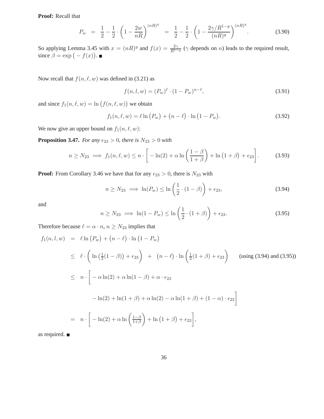**Proof:** Recall that

$$
P_w = \frac{1}{2} - \frac{1}{2} \cdot \left( 1 - \frac{2w}{nR} \right)^{(nR)^y} = \frac{1}{2} - \frac{1}{2} \cdot \left( 1 - \frac{2\gamma/R^{1-y}}{(nR)^y} \right)^{(nR)^y}.
$$
 (3.90)

So applying Lemma 3.45 with  $x = (nR)^y$  and  $f(x) = \frac{2\gamma}{R^{1-y}} (\gamma$  depends on n) leads to the required result, since  $\beta = \exp(-f(x)).$ 

Now recall that  $f(n, \ell, w)$  was defined in (3.21) as

$$
f(n, l, w) = (P_w)^{\ell} \cdot (1 - P_w)^{n - \ell}, \tag{3.91}
$$

and since  $f_1(n, \ell, w) = \ln(f(n, \ell, w))$  we obtain

$$
f_1(n, \ell, w) = \ell \ln (P_w) + (n - \ell) \cdot \ln (1 - P_w).
$$
 (3.92)

We now give an upper bound on  $f_1(n, \ell, w)$ :

**Proposition 3.47.** *For any*  $\epsilon_{23} > 0$ *, there is*  $N_{23} > 0$  *with* 

$$
n \ge N_{23} \implies f_1(n,\ell,w) \le n \cdot \left[ -\ln(2) + \alpha \ln\left(\frac{1-\beta}{1+\beta}\right) + \ln\left(1+\beta\right) + \epsilon_{23} \right]. \tag{3.93}
$$

**Proof:** From Corollary 3.46 we have that for any  $\epsilon_{23} > 0$ , there is  $N_{23}$  with

$$
n \ge N_{23} \implies \ln(P_w) \le \ln\left(\frac{1}{2} \cdot (1 - \beta)\right) + \epsilon_{23},\tag{3.94}
$$

and

$$
n \ge N_{23} \implies \ln(1 - P_w) \le \ln\left(\frac{1}{2} \cdot (1 + \beta)\right) + \epsilon_{23}.
$$
\n(3.95)

Therefore because  $\ell = \alpha \cdot n$ ,  $n \ge N_{23}$  implies that

$$
f_1(n, l, w) = \ell \ln (P_w) + (n - \ell) \cdot \ln (1 - P_w)
$$
  
\n
$$
\leq \ell \cdot \left( \ln \left( \frac{1}{2} (1 - \beta) \right) + \epsilon_{23} \right) + (n - \ell) \cdot \ln \left( \frac{1}{2} (1 + \beta) + \epsilon_{23} \right) \quad \text{(using (3.94) and (3.95))}
$$
  
\n
$$
\leq n \cdot \left[ -\alpha \ln(2) + \alpha \ln(1 - \beta) + \alpha \cdot \epsilon_{23} \right]
$$
  
\n
$$
- \ln(2) + \ln(1 + \beta) + \alpha \ln(2) - \alpha \ln(1 + \beta) + (1 - \alpha) \cdot \epsilon_{23} \right]
$$
  
\n
$$
= n \cdot \left[ -\ln(2) + \alpha \ln \left( \frac{1 - \beta}{1 + \beta} \right) + \ln (1 + \beta) + \epsilon_{23} \right],
$$

as required.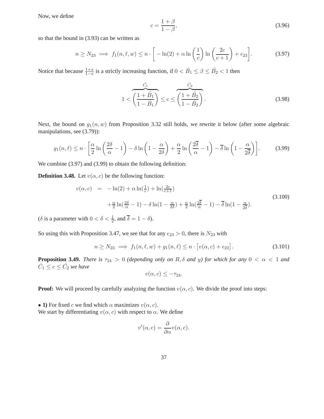Now, we define

$$
c = \frac{1+\beta}{1-\beta},\tag{3.96}
$$

so that the bound in (3.93) can be written as

$$
n \ge N_{23} \implies f_1(n,\ell,w) \le n \cdot \left[ -\ln(2) + \alpha \ln\left(\frac{1}{c}\right) \ln\left(\frac{2c}{c+1}\right) + \epsilon_{23} \right]. \tag{3.97}
$$

Notice that because  $\frac{1+x}{1-x}$  is a strictly increasing function, if  $0 < \hat{B}_1 \le \beta \le \hat{B}_2 < 1$  then

$$
1 < \overbrace{\left(\frac{1+\hat{B_1}}{1-\hat{B_1}}\right)}^{\hat{C_1}} \le c \le \overbrace{\left(\frac{1+\hat{B_2}}{1-\hat{B_2}}\right)}^{\hat{C_2}}.
$$
\n(3.98)

Next, the bound on  $g_1(n, w)$  from Proposition 3.32 still holds, we rewrite it below (after some algebraic manipulations, see (3.79)):

$$
g_1(n,\ell) \le n \cdot \left[ \frac{\alpha}{2} \ln \left( \frac{2\delta}{\alpha} - 1 \right) - \delta \ln \left( 1 - \frac{\alpha}{2\delta} \right) + \frac{\alpha}{2} \ln \left( \frac{2\overline{\delta}}{\alpha} - 1 \right) - \overline{\delta} \ln \left( 1 - \frac{\alpha}{2\overline{\delta}} \right) \right].
$$
 (3.99)

We combine  $(3.97)$  and  $(3.99)$  to obtain the following definition:

**Definition 3.48.** Let  $v(\alpha, c)$  be the following function:

$$
v(\alpha, c) = -\ln(2) + \alpha \ln(\frac{1}{c}) + \ln(\frac{2c}{c+1})
$$
  
 
$$
+ \frac{\alpha}{2} \ln(\frac{2\delta}{\alpha} - 1) - \delta \ln(1 - \frac{\alpha}{2\delta}) + \frac{\alpha}{2} \ln(\frac{2\delta}{\alpha} - 1) - \overline{\delta} \ln(1 - \frac{\alpha}{2\delta}).
$$
 (3.100)

( $\delta$  is a parameter with  $0 < \delta < \frac{1}{2}$ , and  $\overline{\delta} = 1 - \delta$ ).

So using this with Proposition 3.47, we see that for any  $\epsilon_{23} > 0$ , there is  $N_{23}$  with

$$
n \ge N_{23} \implies f_1(n, \ell, w) + g_1(n, \ell) \le n \cdot \left[ v(\alpha, c) + \epsilon_{23} \right]. \tag{3.101}
$$

**Proposition 3.49.** *There is*  $\tau_{24} > 0$  *(depending only on* R,  $\delta$  *and y) for which for any*  $0 < \alpha < 1$  *and*  $\hat{C}_1 \leq c \leq \hat{C}_2$  we have

$$
v(\alpha, c) \leq -\tau_{24}.
$$

**Proof:** We will proceed by carefully analyzing the function  $v(\alpha, c)$ . We divide the proof into steps:

• **1**) For fixed c we find which  $\alpha$  maximizes  $v(\alpha, c)$ . We start by differentiating  $v(\alpha, c)$  with respect to  $\alpha$ . We define

$$
v'(\alpha, c) = \frac{\partial}{\partial \alpha} v(\alpha, c).
$$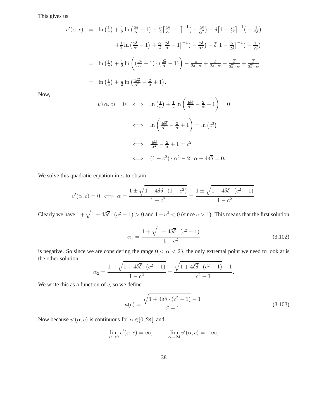This gives us

$$
v'(\alpha, c) = \ln\left(\frac{1}{c}\right) + \frac{1}{2}\ln\left(\frac{2\delta}{\alpha} - 1\right) + \frac{\alpha}{2}\left[\frac{2\delta}{\alpha} - 1\right]^{-1}\left(-\frac{2\delta}{\alpha^2}\right) - \delta\left[1 - \frac{\alpha}{2\delta}\right]^{-1}\left(-\frac{1}{2\delta}\right)
$$

$$
+ \frac{1}{2}\ln\left(\frac{2\delta}{\alpha} - 1\right) + \frac{\alpha}{2}\left[\frac{2\delta}{\alpha} - 1\right]^{-1}\left(-\frac{2\delta}{\alpha^2}\right) - \delta\left[1 - \frac{\alpha}{2\delta}\right]^{-1}\left(-\frac{1}{2\delta}\right)
$$

$$
= \ln\left(\frac{1}{c}\right) + \frac{1}{2}\ln\left(\frac{2\delta}{\alpha} - 1\right) \cdot \left(\frac{2\delta}{\alpha} - 1\right) - \frac{\delta}{2\delta - \alpha} + \frac{\delta}{2\delta - \alpha} - \frac{\delta}{2\delta - \alpha} + \frac{\delta}{2\delta - \alpha}
$$

$$
= \ln\left(\frac{1}{c}\right) + \frac{1}{2}\ln\left(\frac{4\delta\overline{\delta}}{\alpha^2} - \frac{2}{\alpha} + 1\right).
$$

Now,

$$
v'(\alpha, c) = 0 \iff \ln\left(\frac{1}{c}\right) + \frac{1}{2}\ln\left(\frac{4\delta\overline{\delta}}{\alpha^2} - \frac{2}{\alpha} + 1\right) = 0
$$
  

$$
\iff \ln\left(\frac{4\delta\overline{\delta}}{\alpha^2} - \frac{2}{\alpha} + 1\right) = \ln\left(c^2\right)
$$
  

$$
\iff \frac{4\delta\overline{\delta}}{\alpha^2} - \frac{2}{\alpha} + 1 = c^2
$$
  

$$
\iff (1 - c^2) \cdot \alpha^2 - 2 \cdot \alpha + 4\delta\overline{\delta} = 0.
$$

We solve this quadratic equation in  $\alpha$  to obtain

$$
v'(\alpha, c) = 0 \iff \alpha = \frac{1 \pm \sqrt{1 - 4\delta\overline{\delta} \cdot (1 - c^2)}}{1 - c^2} = \frac{1 \pm \sqrt{1 + 4\delta\overline{\delta} \cdot (c^2 - 1)}}{1 - c^2}.
$$

Clearly we have  $1 + \sqrt{1 + 4\delta\overline{\delta} \cdot (c^2 - 1)} > 0$  and  $1 - c^2 < 0$  (since  $c > 1$ ). This means that the first solution

$$
\alpha_1 = \frac{1 + \sqrt{1 + 4\delta \delta \cdot (c^2 - 1)}}{1 - c^2} \tag{3.102}
$$

is negative. So since we are considering the range  $0 < \alpha < 2\delta$ , the only extremal point we need to look at is the other solution

$$
\alpha_2 = \frac{1 - \sqrt{1 + 4\delta\overline{\delta} \cdot (c^2 - 1)}}{1 - c^2} = \frac{\sqrt{1 + 4\delta\overline{\delta} \cdot (c^2 - 1)} - 1}{c^2 - 1}.
$$

We write this as a function of  $c$ , so we define

$$
u(c) = \frac{\sqrt{1 + 4\delta\overline{\delta} \cdot (c^2 - 1)} - 1}{c^2 - 1}.
$$
\n(3.103)

Now because  $v'(\alpha, c)$  is continuous for  $\alpha \in ]0, 2\delta[$ , and

$$
\lim_{\alpha \to 0} v'(\alpha, c) = \infty, \qquad \lim_{\alpha \to 2\delta} v'(\alpha, c) = -\infty,
$$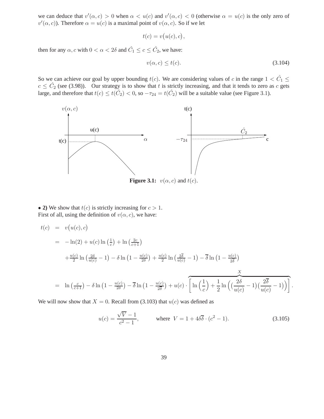we can deduce that  $v'(\alpha, c) > 0$  when  $\alpha < u(c)$  and  $v'(\alpha, c) < 0$  (otherwise  $\alpha = u(c)$  is the only zero of  $v'(\alpha, c)$ ). Therefore  $\alpha = u(c)$  is a maximal point of  $v(\alpha, c)$ . So if we let

$$
t(c) = v(u(c), c),
$$

then for any  $\alpha$ , c with  $0 < \alpha < 2\delta$  and  $\hat{C}_1 \le c \le \hat{C}_2$ , we have:

$$
v(\alpha, c) \le t(c). \tag{3.104}
$$

So we can achieve our goal by upper bounding  $t(c)$ . We are considering values of c in the range  $1 < \hat{C}_1 \leq$  $c \leq C_2$  (see (3.98)). Our strategy is to show that t is strictly increasing, and that it tends to zero as c gets large, and therefore that  $t(c) \le t(\hat{C}_2) < 0$ , so  $-\tau_{24} = t(\hat{C}_2)$  will be a suitable value (see Figure 3.1).



• 2) We show that  $t(c)$  is strictly increasing for  $c > 1$ . First of all, using the definition of  $v(\alpha, c)$ , we have:

$$
t(c) = v(u(c), c)
$$
  
=  $-\ln(2) + u(c) \ln(\frac{1}{c}) + \ln(\frac{2c}{c+1})$   

$$
+ \frac{u(c)}{2} \ln(\frac{2\delta}{u(c)} - 1) - \delta \ln(1 - \frac{u(c)}{2\delta}) + \frac{u(c)}{2} \ln(\frac{2\delta}{u(c)} - 1) - \delta \ln(1 - \frac{u(c)}{2\delta})
$$
  
=  $\ln(\frac{c}{c+1}) - \delta \ln(1 - \frac{u(c)}{2\delta}) - \delta \ln(1 - \frac{u(c)}{2\delta}) + u(c) \cdot \left[ \ln(\frac{1}{c}) + \frac{1}{2} \ln((\frac{2\delta}{u(c)} - 1)(\frac{2\delta}{u(c)} - 1)) \right].$ 

We will now show that  $X = 0$ . Recall from (3.103) that  $u(c)$  was defined as

$$
u(c) = \frac{\sqrt{V} - 1}{c^2 - 1}, \qquad \text{where } V = 1 + 4\delta\overline{\delta} \cdot (c^2 - 1). \tag{3.105}
$$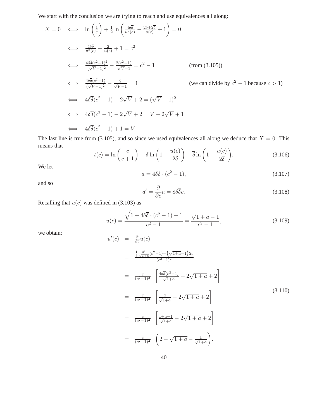We start with the conclusion we are trying to reach and use equivalences all along:

$$
X = 0 \iff \ln\left(\frac{1}{c}\right) + \frac{1}{2}\ln\left(\frac{4\delta\overline{\delta}}{u^{2}(c)} - \frac{2\delta + 2\overline{\delta}}{u(c)} + 1\right) = 0
$$
  
\n
$$
\iff \frac{4\delta\overline{\delta}}{u^{2}(c)} - \frac{2}{u(c)} + 1 = c^{2}
$$
  
\n
$$
\iff \frac{4\delta\overline{\delta}(c^{2} - 1)^{2}}{(\sqrt{V} - 1)^{2}} - \frac{2(c^{2} - 1)}{\sqrt{V} - 1} = c^{2} - 1
$$
 (from (3.105))  
\n
$$
\iff \frac{4\delta\overline{\delta}(c^{2} - 1)}{(\sqrt{V} - 1)^{2}} - \frac{2}{\sqrt{V} - 1} = 1
$$
 (we can divide by  $c^{2} - 1$  because  $c > 1$ )  
\n
$$
\iff 4\delta\overline{\delta}(c^{2} - 1) - 2\sqrt{V} + 2 = (\sqrt{V} - 1)^{2}
$$
  
\n
$$
\iff 4\delta\overline{\delta}(c^{2} - 1) - 2\sqrt{V} + 2 = V - 2\sqrt{V} + 1
$$
  
\n
$$
\iff 4\delta\overline{\delta}(c^{2} - 1) + 1 = V.
$$

The last line is true from (3.105), and so since we used equivalences all along we deduce that  $X = 0$ . This means that

$$
t(c) = \ln\left(\frac{c}{c+1}\right) - \delta \ln\left(1 - \frac{u(c)}{2\delta}\right) - \overline{\delta} \ln\left(1 - \frac{u(c)}{2\overline{\delta}}\right).
$$
 (3.106)

We let

$$
a = 4\delta\overline{\delta} \cdot (c^2 - 1),\tag{3.107}
$$

and so

$$
a' = \frac{\partial}{\partial c}a = 8\delta\overline{\delta}c.
$$
 (3.108)

Recalling that  $u(c)$  was defined in (3.103) as

$$
u(c) = \frac{\sqrt{1 + 4\delta\overline{\delta} \cdot (c^2 - 1)} - 1}{c^2 - 1} = \frac{\sqrt{1 + a} - 1}{c^2 - 1},
$$
\n(3.109)

we obtain:

$$
u'(c) = \frac{\partial}{\partial c} u(c)
$$
  
= 
$$
\frac{\frac{1}{2} \frac{a'}{\sqrt{1+a}} (c^2 - 1) - (\sqrt{1+a} - 1) 2c}{(c^2 - 1)^2}
$$
  
= 
$$
\frac{c}{(c^2 - 1)^2} \cdot \left[ \frac{4 \delta \overline{\delta} (c^2 - 1)}{\sqrt{1+a}} - 2\sqrt{1+a} + 2 \right]
$$
  
= 
$$
\frac{c}{(c^2 - 1)^2} \cdot \left[ \frac{a}{\sqrt{1+a}} - 2\sqrt{1+a} + 2 \right]
$$
  
= 
$$
\frac{c}{(c^2 - 1)^2} \cdot \left[ \frac{1+a-1}{\sqrt{1+a}} - 2\sqrt{1+a} + 2 \right]
$$
  
= 
$$
\frac{c}{(c^2 - 1)^2} \cdot \left( 2 - \sqrt{1+a} - \frac{1}{\sqrt{1+a}} \right).
$$
(3.110)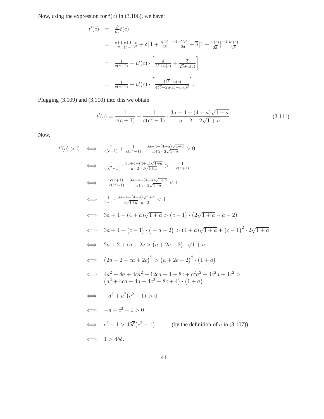Now, using the expression for  $t(c)$  in (3.106), we have:

$$
t'(c) = \frac{\partial}{\partial c}t(c)
$$
  
=  $\frac{c+1}{c} \frac{c+1-c}{(c+1)^2} + \delta \left[1 + \frac{u(c)}{2\delta}\right]^{-1} \frac{u'(c)}{2\delta} + \delta \left[1 + \frac{u(c)}{2\delta}\right]^{-1} \frac{u'(c)}{2\delta}$   
=  $\frac{1}{c(c+1)} + u'(c) \cdot \left[\frac{\delta}{2\delta + u(c)} + \frac{\delta}{2\delta + u(c)}\right]$   
=  $\frac{1}{c(c+1)} + u'(c) \cdot \left[\frac{4\delta\overline{\delta} - u(c)}{4\delta\overline{\delta} - 2u(c) + u(c)^2}\right].$ 

Plugging (3.109) and (3.110) into this we obtain

$$
t'(c) = \frac{1}{c(c+1)} + \frac{1}{c(c^2 - 1)} \cdot \frac{3a + 4 - (4+a)\sqrt{1+a}}{a + 2 - 2\sqrt{1+a}}.
$$
 (3.111)

Now,

t ′

$$
(c) > 0 \iff \frac{1}{c(c+1)} + \frac{1}{c(c^2-1)} \cdot \frac{3a+4-(4+a)\sqrt{1+a}}{a+2-2\sqrt{1+a}} > 0
$$
  
\n
$$
\iff \frac{1}{c(c^2-1)} \cdot \frac{3a+4-(4+a)\sqrt{1+a}}{a+2-2\sqrt{1+a}} > -\frac{1}{c(c+1)}
$$
  
\n
$$
\iff -\frac{c(c+1)}{c(c^2-1)} \cdot \frac{3a+4-(4+a)\sqrt{1+a}}{a+2-2\sqrt{1+a}} < 1
$$
  
\n
$$
\iff \frac{1}{c-1} \cdot \frac{3a+4-(4+a)\sqrt{1+a}}{2\sqrt{1+a}-a-2} < 1
$$
  
\n
$$
\iff 3a+4-(4+a)\sqrt{1+a} > (c-1) \cdot (2\sqrt{1+a}-a-2)
$$
  
\n
$$
\iff 3a+4-(c-1) \cdot (-a-2) > (4+a)\sqrt{1+a} + (c-1)^2 \cdot 2\sqrt{1+a}
$$
  
\n
$$
\iff 2a+2+ca+2c > (a+2c+2) \cdot \sqrt{1+a}
$$
  
\n
$$
\iff (2a+2+ca+2c)^2 > (a+2c+2)^2 \cdot (1+a)
$$
  
\n
$$
\iff 4a^2+8a+4ca^2+12ca+4+8c+c^2a^2+4c^2a+4c^2 > (a^2+4ca+4a+4c^2+8c+4) \cdot (1+a)
$$
  
\n
$$
\iff -a^3+a^2(c^2-1) > 0
$$
  
\n
$$
\iff -a+c^2-1 > 0
$$
  
\n
$$
\iff c^2-1 > 4\delta\overline{\delta}(c^2-1)
$$
 (by the definition of *a* in (3.107))  
\n
$$
\iff 1 > 4\delta\overline{\delta}.
$$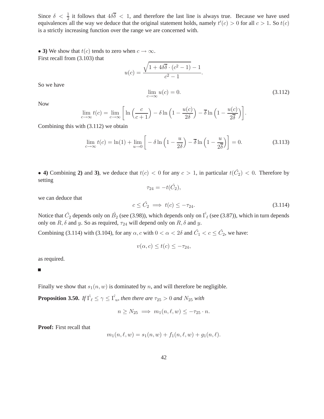Since  $\delta < \frac{1}{2}$  it follows that  $4\delta\overline{\delta} < 1$ , and therefore the last line is always true. Because we have used equivalences all the way we deduce that the original statement holds, namely  $t'(c) > 0$  for all  $c > 1$ . So  $t(c)$ is a strictly increasing function over the range we are concerned with.

• **3**) We show that  $t(c)$  tends to zero when  $c \to \infty$ . First recall from (3.103) that

$$
u(c) = \frac{\sqrt{1 + 4\delta \overline{\delta} \cdot (c^2 - 1)} - 1}{c^2 - 1}.
$$
  

$$
\lim_{c \to \infty} u(c) = 0.
$$
 (3.112)

So we have

Now

$$
\lim_{c \to \infty} t(c) = \lim_{c \to \infty} \left[ \ln \left( \frac{c}{c+1} \right) - \delta \ln \left( 1 - \frac{u(c)}{2\delta} \right) - \overline{\delta} \ln \left( 1 - \frac{u(c)}{2\overline{\delta}} \right) \right].
$$

Combining this with (3.112) we obtain

$$
\lim_{c \to \infty} t(c) = \ln(1) + \lim_{u \to 0} \left[ -\delta \ln \left( 1 - \frac{u}{2\delta} \right) - \overline{\delta} \ln \left( 1 - \frac{u}{2\overline{\delta}} \right) \right] = 0. \tag{3.113}
$$

• **4)** Combining 2) and 3), we deduce that  $t(c) < 0$  for any  $c > 1$ , in particular  $t(\hat{C}_2) < 0$ . Therefore by setting

 $\tau_{24} = -t(\hat{C}_2),$ 

we can deduce that

$$
c \leq \hat{C}_2 \implies t(c) \leq -\tau_{24}.\tag{3.114}
$$

Notice that  $\hat{C}_2$  depends only on  $\hat{B_2}$  (see (3.98)), which depends only on  $\hat{\Gamma_\ell}$  (see (3.87)), which in turn depends only on  $R$ ,  $\delta$  and  $y$ . So as required,  $\tau_{24}$  will depend only on  $R$ ,  $\delta$  and  $y$ .

Combining (3.114) with (3.104), for any  $\alpha$ , c with  $0 < \alpha < 2\delta$  and  $\hat{C}_1 < c \leq \hat{C}_2$ , we have:

$$
v(\alpha, c) \le t(c) \le -\tau_{24},
$$

as required.

г

Finally we show that  $s_1(n, w)$  is dominated by n, and will therefore be negligible.

**Proposition 3.50.** *If*  $\hat{\Gamma_{\ell}} \leq \gamma \leq \hat{\Gamma_{u}}$ , then there are  $\tau_{25} > 0$  and  $N_{25}$  with

$$
n \geq N_{25} \implies m_1(n, \ell, w) \leq -\tau_{25} \cdot n.
$$

**Proof:** First recall that

$$
m_1(n, \ell, w) = s_1(n, w) + f_1(n, \ell, w) + g_1(n, \ell).
$$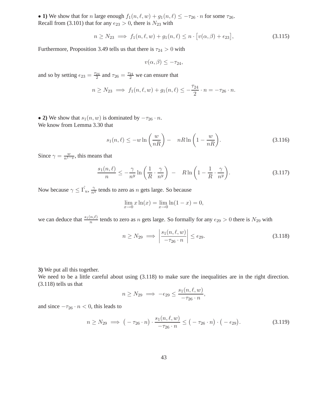• **1)** We show that for n large enough  $f_1(n, \ell, w) + g_1(n, \ell) \le -\tau_{26} \cdot n$  for some  $\tau_{26}$ . Recall from (3.101) that for any  $\epsilon_{23} > 0$ , there is  $N_{23}$  with

$$
n \ge N_{23} \implies f_1(n, \ell, w) + g_1(n, \ell) \le n \cdot \left[ v(\alpha, \beta) + \epsilon_{23} \right],\tag{3.115}
$$

Furthermore, Proposition 3.49 tells us that there is  $\tau_{24} > 0$  with

$$
v(\alpha, \beta) \leq -\tau_{24},
$$

and so by setting  $\epsilon_{23} = \frac{\tau_{24}}{2}$  and  $\tau_{26} = \frac{\tau_{24}}{2}$  we can ensure that

$$
n \ge N_{23} \implies f_1(n, \ell, w) + g_1(n, \ell) \le -\frac{\tau_{24}}{2} \cdot n = -\tau_{26} \cdot n.
$$

• **2**) We show that  $s_1(n, w)$  is dominated by  $-\tau_{26} \cdot n$ . We know from Lemma 3.30 that

$$
s_1(n,\ell) \le -w \ln\left(\frac{w}{nR}\right) - nR \ln\left(1 - \frac{w}{nR}\right). \tag{3.116}
$$

Since  $\gamma = \frac{w}{n^{1-y}}$ , this means that

$$
\frac{s_1(n,\ell)}{n} \le -\frac{\gamma}{n^y} \ln\left(\frac{1}{R} \cdot \frac{\gamma}{n^y}\right) - R \ln\left(1 - \frac{1}{R} \cdot \frac{\gamma}{n^y}\right). \tag{3.117}
$$

Now because  $\gamma \leq \hat{\Gamma_u}$ ,  $\frac{\gamma}{n^y}$  tends to zero as n gets large. So because

$$
\lim_{x \to 0} x \ln(x) = \lim_{x \to 0} \ln(1 - x) = 0,
$$

we can deduce that  $\frac{s_1(n,\ell)}{n}$  tends to zero as n gets large. So formally for any  $\epsilon_{29} > 0$  there is  $N_{29}$  with

$$
n \ge N_{29} \implies \left| \frac{s_1(n, \ell, w)}{-\tau_{26} \cdot n} \right| \le \epsilon_{29}.\tag{3.118}
$$

#### **3)** We put all this together.

We need to be a little careful about using  $(3.118)$  to make sure the inequalities are in the right direction. (3.118) tells us that

$$
n \geq N_{29} \implies -\epsilon_{29} \leq \frac{s_1(n, \ell, w)}{-\tau_{26} \cdot n},
$$

and since  $-\tau_{26} \cdot n < 0$ , this leads to

$$
n \ge N_{29} \implies \left( -\tau_{26} \cdot n \right) \cdot \frac{s_1(n, \ell, w)}{-\tau_{26} \cdot n} \le \left( -\tau_{26} \cdot n \right) \cdot \left( -\epsilon_{29} \right). \tag{3.119}
$$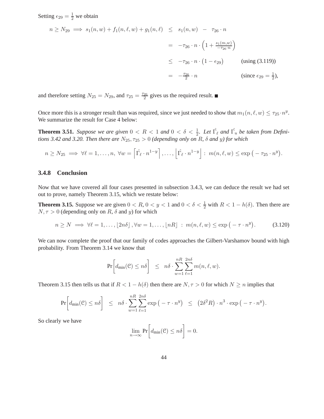Setting  $\epsilon_{29} = \frac{1}{2}$  we obtain

$$
n \ge N_{29} \implies s_1(n, w) + f_1(n, \ell, w) + g_1(n, \ell) \le s_1(n, w) - \tau_{26} \cdot n
$$
  
=  $-\tau_{26} \cdot n \cdot \left(1 + \frac{s_1(m, w)}{-\tau_{26} \cdot n}\right)$   
 $\le -\tau_{26} \cdot n \cdot \left(1 - \epsilon_{29}\right)$  (using (3.119))  
=  $-\frac{\tau_{26}}{2} \cdot n$  (since  $\epsilon_{29} = \frac{1}{2}$ ),

and therefore setting  $N_{25} = N_{29}$ , and  $\tau_{25} = \frac{\tau_{26}}{2}$  gives us the required result.

Once more this is a stronger result than was required, since we just needed to show that  $m_1(n, \ell, w) \leq \tau_{25} \cdot n^y$ . We summarize the result for Case 4 below:

**Theorem 3.51.** *Suppose we are given*  $0 < R < 1$  *and*  $0 < \delta < \frac{1}{2}$ *. Let*  $\hat{\Gamma}_{\ell}$  *and*  $\hat{\Gamma}_{u}$  *be taken from Definitions 3.42 and 3.20. Then there are*  $N_{25}$ ,  $\tau_{25} > 0$  (depending only on R,  $\delta$  and y) for which

$$
n \geq N_{25} \implies \forall \ell = 1, \ldots, n, \ \forall w = \left[ \hat{\Gamma_{\ell}} \cdot n^{1-y} \right], \ldots, \left[ \hat{\Gamma_{\ell}} \cdot n^{1-y} \right] : m(n, \ell, w) \leq \exp\left( -\tau_{25} \cdot n^{y} \right).
$$

#### **3.4.8 Conclusion**

Now that we have covered all four cases presented in subsection 3.4.3, we can deduce the result we had set out to prove, namely Theorem 3.15, which we restate below:

**Theorem 3.15.** Suppose we are given  $0 < R$ ,  $0 < y < 1$  and  $0 < \delta < \frac{1}{2}$  with  $R < 1 - h(\delta)$ . Then there are  $N, \tau > 0$  (depending only on R,  $\delta$  and y) for which

$$
n \ge N \implies \forall \ell = 1, \dots, \lfloor 2n\delta \rfloor, \forall w = 1, \dots, \lfloor nR \rfloor : m(n, \ell, w) \le \exp\left(-\tau \cdot n^y\right). \tag{3.120}
$$

We can now complete the proof that our family of codes approaches the Gilbert-Varshamov bound with high probability. From Theorem 3.14 we know that

$$
\Pr\bigg[d_{\min}(\mathcal{C}) \leq n\delta\bigg] \leq n\delta \cdot \sum_{w=1}^{nR} \sum_{\ell=1}^{2n\delta} m(n,\ell,w).
$$

Theorem 3.15 then tells us that if  $R < 1 - h(\delta)$  then there are  $N, \tau > 0$  for which  $N \ge n$  implies that

$$
\Pr\bigg[d_{\min}(\mathcal{C}) \leq n\delta\bigg] \leq n\delta \cdot \sum_{w=1}^{nR} \sum_{\ell=1}^{2n\delta} \exp\big(-\tau \cdot n^y\big) \leq (2\delta^2 R) \cdot n^3 \cdot \exp\big(-\tau \cdot n^y\big).
$$

So clearly we have

$$
\lim_{n \to \infty} \Pr \biggl [ d_{\min}(\mathcal{C}) \leq n \delta \biggr ] = 0.
$$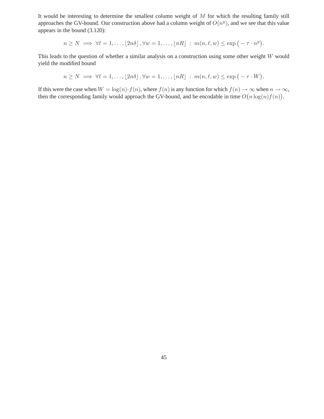It would be interesting to determine the smallest column weight of  $M$  for which the resulting family still approaches the GV-bound. Our construction above had a column weight of  $O(n^y)$ , and we see that this value appears in the bound (3.120):

$$
n \ge N \implies \forall \ell = 1, \ldots, \lfloor 2n\delta \rfloor, \forall w = 1, \ldots, \lfloor nR \rfloor : m(n, \ell, w) \le \exp(-\tau \cdot n^y).
$$

This leads to the question of whether a similar analysis on a construction using some other weight W would yield the modified bound

$$
n \geq N \implies \forall \ell = 1, \ldots, \lfloor 2n\delta \rfloor, \forall w = 1, \ldots, \lfloor nR \rfloor : m(n, \ell, w) \leq \exp(-\tau \cdot W).
$$

If this were the case when  $W = \log(n) \cdot f(n)$ , where  $f(n)$  is any function for which  $f(n) \to \infty$  when  $n \to \infty$ , then the corresponding family would approach the GV-bound, and be encodable in time  $O(n \log(n) f(n))$ .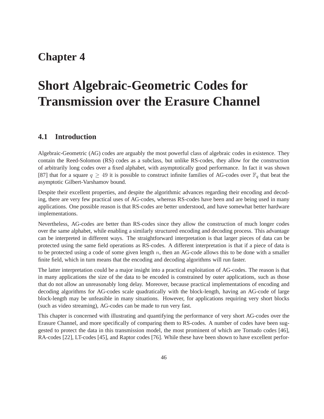# **Chapter 4**

# **Short Algebraic-Geometric Codes for Transmission over the Erasure Channel**

# **4.1 Introduction**

Algebraic-Geometric (AG) codes are arguably the most powerful class of algebraic codes in existence. They contain the Reed-Solomon (RS) codes as a subclass, but unlike RS-codes, they allow for the construction of arbitrarily long codes over a fixed alphabet, with asymptotically good performance. In fact it was shown [87] that for a square  $q \ge 49$  it is possible to construct infinite families of AG-codes over  $\mathbb{F}_q$  that beat the asymptotic Gilbert-Varshamov bound.

Despite their excellent properties, and despite the algorithmic advances regarding their encoding and decoding, there are very few practical uses of AG-codes, whereas RS-codes have been and are being used in many applications. One possible reason is that RS-codes are better understood, and have somewhat better hardware implementations.

Nevertheless, AG-codes are better than RS-codes since they allow the construction of much longer codes over the same alphabet, while enabling a similarly structured encoding and decoding process. This advantage can be interpreted in different ways. The straightforward interpretation is that larger pieces of data can be protected using the same field operations as RS-codes. A different interpretation is that if a piece of data is to be protected using a code of some given length  $n$ , then an AG-code allows this to be done with a smaller finite field, which in turn means that the encoding and decoding algorithms will run faster.

The latter interpretation could be a major insight into a practical exploitation of AG-codes. The reason is that in many applications the size of the data to be encoded is constrained by outer applications, such as those that do not allow an unreasonably long delay. Moreover, because practical implementations of encoding and decoding algorithms for AG-codes scale quadratically with the block-length, having an AG-code of large block-length may be unfeasible in many situations. However, for applications requiring very short blocks (such as video streaming), AG-codes can be made to run very fast.

This chapter is concerned with illustrating and quantifying the performance of very short AG-codes over the Erasure Channel, and more specifically of comparing them to RS-codes. A number of codes have been suggested to protect the data in this transmission model, the most prominent of which are Tornado codes [46], RA-codes [22], LT-codes [45], and Raptor codes [76]. While these have been shown to have excellent perfor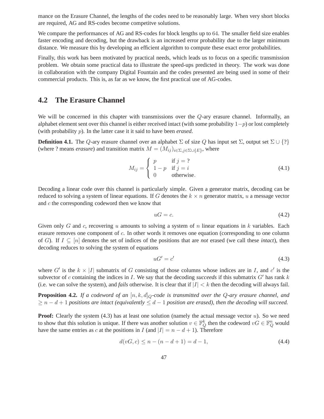mance on the Erasure Channel, the lengths of the codes need to be reasonably large. When very short blocks are required, AG and RS-codes become competitve solutions.

We compare the performances of AG and RS-codes for block lengths up to 64. The smaller field size enables faster encoding and decoding, but the drawback is an increased error probability due to the larger minimum distance. We measure this by developing an efficient algorithm to compute these exact error probabilities.

Finally, this work has been motivated by practical needs, which leads us to focus on a specific transmission problem. We obtain some practical data to illustrate the speed-ups predicted in theory. The work was done in collaboration with the company Digital Fountain and the codes presented are being used in some of their commercial products. This is, as far as we know, the first practical use of AG-codes.

# **4.2 The Erasure Channel**

We will be concerned in this chapter with transmissions over the Q-ary erasure channel. Informally, an alphabet element sent over this channel is either received intact (with some probability  $1-p$ ) or lost completely (with probability p). In the latter case it it said to have been *erased*.

**Definition 4.1.** The Q-ary erasure channel over an alphabet  $\Sigma$  of size Q has input set  $\Sigma$ , output set  $\Sigma \cup \{?\}$ (where ? means *erasure*) and transition matrix  $M = (M_{ij})_{i \in \Sigma, j \in \Sigma \cup \{E\}}$ , where

$$
M_{ij} = \begin{cases} p & \text{if } j = ? \\ 1 - p & \text{if } j = i \\ 0 & \text{otherwise.} \end{cases}
$$
 (4.1)

Decoding a linear code over this channel is particularly simple. Given a generator matrix, decoding can be reduced to solving a system of linear equations. If G denotes the  $k \times n$  generator matrix, u a message vector and c the corresponding codeword then we know that

$$
uG = c.\t\t(4.2)
$$

Given only G and c, recovering u amounts to solving a system of n linear equations in k variables. Each erasure removes one component of c. In other words it removes one equation (corresponding to one column of G). If  $I \subseteq [n]$  denotes the set of indices of the positions that are *not* erased (we call these *intact*), then decoding reduces to solving the system of equations

$$
uG' = c'
$$
\n<sup>(4.3)</sup>

where G' is the  $k \times |I|$  submatrix of G consisting of those columns whose indices are in I, and c' is the subvector of c containing the indices in I. We say that the decoding *succeeds* if this submatrix  $G'$  has rank  $k$ (i.e. we can solve the system), and *fails* otherwise. It is clear that if  $|I| < k$  then the decoding will always fail.

**Proposition 4.2.** If a codeword of an  $[n, k, d]_Q$ -code is transmitted over the Q-ary erasure channel, and  $\geq n-d+1$  *positions are intact (equivalently*  $\leq d-1$  *position are erased), then the decoding will succeed.* 

**Proof:** Clearly the system  $(4.3)$  has at least one solution (namely the actual message vector  $u$ ). So we need to show that this solution is unique. If there was another solution  $v \in \mathbb{F}_Q^k$  then the codeword  $vG \in \mathbb{F}_Q^n$  would have the same entries as c at the positions in I (and  $|I| = n - d + 1$ ). Therefore

$$
d(vG, c) \le n - (n - d + 1) = d - 1,\tag{4.4}
$$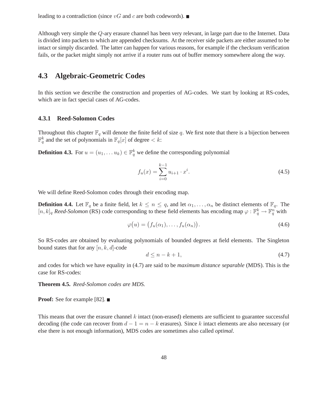leading to a contradiction (since  $vG$  and c are both codewords).  $\blacksquare$ 

Although very simple the Q-ary erasure channel has been very relevant, in large part due to the Internet. Data is divided into packets to which are appended checksums. At the receiver side packets are either assumed to be intact or simply discarded. The latter can happen for various reasons, for example if the checksum verification fails, or the packet might simply not arrive if a router runs out of buffer memory somewhere along the way.

# **4.3 Algebraic-Geometric Codes**

In this section we describe the construction and properties of AG-codes. We start by looking at RS-codes, which are in fact special cases of AG-codes.

#### **4.3.1 Reed-Solomon Codes**

Throughout this chapter  $\mathbb{F}_q$  will denote the finite field of size q. We first note that there is a bijection between  $\mathbb{F}_q^k$  and the set of polynomials in  $\mathbb{F}_q[x]$  of degree  $\lt k$ :

**Definition 4.3.** For  $u = (u_1, \dots u_k) \in \mathbb{F}_q^k$  we define the corresponding polynomial

$$
f_u(x) = \sum_{i=0}^{k-1} u_{i+1} \cdot x^i.
$$
 (4.5)

We will define Reed-Solomon codes through their encoding map.

**Definition 4.4.** Let  $\mathbb{F}_q$  be a finite field, let  $k \leq n \leq q$ , and let  $\alpha_1, \ldots, \alpha_n$  be distinct elements of  $\mathbb{F}_q$ . The  $[n, k]_q$  *Reed-Solomon* (RS) code corresponding to these field elements has encoding map  $\varphi : \mathbb{F}_q^k \to \mathbb{F}_q^n$  with

$$
\varphi(u) = (f_u(\alpha_1), \dots, f_u(\alpha_n)). \tag{4.6}
$$

So RS-codes are obtained by evaluating polynomials of bounded degrees at field elements. The Singleton bound states that for any  $[n, k, d]$ -code

$$
d \le n - k + 1,\tag{4.7}
$$

and codes for which we have equality in (4.7) are said to be *maximum distance separable* (MDS). This is the case for RS-codes:

**Theorem 4.5.** *Reed-Solomon codes are MDS.*

**Proof:** See for example [82]. ■

This means that over the erasure channel  $k$  intact (non-erased) elements are sufficient to guarantee successful decoding (the code can recover from  $d-1 = n - k$  erasures). Since k intact elements are also necessary (or else there is not enough information), MDS codes are sometimes also called *optimal*.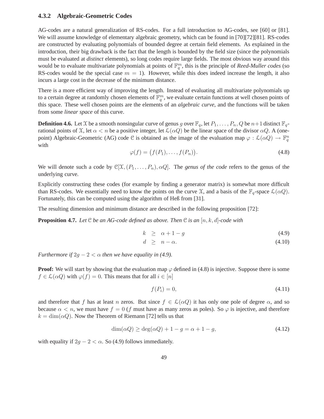#### **4.3.2 Algebraic-Geometric Codes**

AG-codes are a natural generalization of RS-codes. For a full introduction to AG-codes, see [60] or [81]. We will assume knowledge of elementary algebraic geometry, which can be found in [70][72][81]. RS-codes are constructed by evaluating polynomials of bounded degree at certain field elements. As explained in the introduction, their big drawback is the fact that the length is bounded by the field size (since the polynomials must be evaluated at *distinct* elements), so long codes require large fields. The most obvious way around this would be to evaluate multivariate polynomials at points of  $\mathbb{F}_q^m$ , this is the principle of *Reed-Muller codes* (so RS-codes would be the special case  $m = 1$ ). However, while this does indeed increase the length, it also incurs a large cost in the decrease of the minimum distance.

There is a more efficient way of improving the length. Instead of evaluating all multivariate polynomials up to a certain degree at randomly chosen elements of  $\mathbb{F}_q^m$ , we evaluate certain functions at well chosen points of this space. These well chosen points are the elements of an *algebraic curve*, and the functions will be taken from some *linear space* of this curve.

**Definition 4.6.** Let X be a smooth nonsingular curve of genus g over  $\mathbb{F}_q$ , let  $P_1, \ldots, P_n, Q$  be  $n+1$  distinct  $\mathbb{F}_q$ rational points of X, let  $\alpha < n$  be a positive integer, let  $\mathcal{L}(\alpha Q)$  be the linear space of the divisor  $\alpha Q$ . A (onepoint) Algebraic-Geometric (AG) code C is obtained as the image of the evaluation map  $\varphi : \mathcal{L}(\alpha Q) \to \mathbb{F}_q^n$ with

$$
\varphi(f) = \big(f(P_1), \dots, f(P_n)\big). \tag{4.8}
$$

We will denote such a code by  $\mathbb{C}[\mathfrak{X},(P_1,\ldots,P_n),\alpha Q]$ . The *genus of the code* refers to the genus of the underlying curve.

Explicitly constructing these codes (for example by finding a generator matrix) is somewhat more difficult than RS-codes. We essentially need to know the points on the curve  $\mathfrak{X}$ , and a basis of the  $\mathbb{F}_q$ -space  $\mathcal{L}(\alpha Q)$ . Fortunately, this can be computed using the algorithm of Heß from [31].

The resulting dimension and minimum distance are described in the following proposition [72]:

**Proposition 4.7.** Let  $\mathcal{C}$  *be an AG-code defined as above. Then*  $\mathcal{C}$  *is an*  $[n, k, d]$ *-code with* 

$$
k \ge \alpha + 1 - g \tag{4.9}
$$

$$
d \geq n - \alpha. \tag{4.10}
$$

*Furthermore if*  $2g - 2 < \alpha$  *then we have equality in (4.9).* 

**Proof:** We will start by showing that the evaluation map  $\varphi$  defined in (4.8) is injective. Suppose there is some  $f \in \mathcal{L}(\alpha Q)$  with  $\varphi(f) = 0$ . This means that for all  $i \in [n]$ 

$$
f(P_i) = 0,\t\t(4.11)
$$

and therefore that f has at least n zeros. But since  $f \in \mathcal{L}(\alpha Q)$  it has only one pole of degree  $\alpha$ , and so because  $\alpha < n$ , we must have  $f = 0$  (f must have as many zeros as poles). So  $\varphi$  is injective, and therefore  $k = \dim(\alpha Q)$ . Now the Theorem of Riemann [72] tells us that

$$
\dim(\alpha Q) \ge \deg(\alpha Q) + 1 - g = \alpha + 1 - g,\tag{4.12}
$$

with equality if  $2g - 2 < \alpha$ . So (4.9) follows immediately.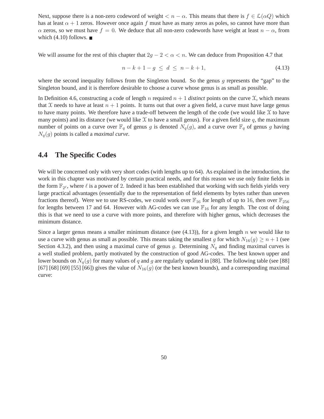Next, suppose there is a non-zero codeword of weight  $\langle n - \alpha$ . This means that there is  $f \in \mathcal{L}(\alpha Q)$  which has at least  $\alpha + 1$  zeros. However once again f must have as many zeros as poles, so cannot have more than  $\alpha$  zeros, so we must have  $f = 0$ . We deduce that all non-zero codewords have weight at least  $n - \alpha$ , from which  $(4.10)$  follows.

We will assume for the rest of this chapter that  $2g - 2 < \alpha < n$ . We can deduce from Proposition 4.7 that

$$
n - k + 1 - g \le d \le n - k + 1,\tag{4.13}
$$

where the second inequality follows from the Singleton bound. So the genus  $q$  represents the "gap" to the Singleton bound, and it is therefore desirable to choose a curve whose genus is as small as possible.

In Definition 4.6, constructing a code of length n required  $n + 1$  *distinct* points on the curve  $\mathfrak{X}$ , which means that X needs to have at least  $n + 1$  points. It turns out that over a given field, a curve must have large genus to have many points. We therefore have a trade-off between the length of the code (we would like  $\chi$  to have many points) and its distance (we would like  $X$  to have a small genus). For a given field size q, the maximum number of points on a curve over  $\mathbb{F}_q$  of genus g is denoted  $N_q(g)$ , and a curve over  $\mathbb{F}_q$  of genus g having Nq(g) points is called a *maximal curve*.

## **4.4 The Specific Codes**

We will be concerned only with very short codes (with lengths up to 64). As explained in the introduction, the work in this chapter was motivated by certain practical needs, and for this reason we use only finite fields in the form  $\mathbb{F}_{2^{\ell}}$ , where  $\ell$  is a power of 2. Indeed it has been established that working with such fields yields very large practical advantages (essentially due to the representation of field elements by bytes rather than uneven fractions thereof). Were we to use RS-codes, we could work over  $\mathbb{F}_{16}$  for length of up to 16, then over  $\mathbb{F}_{256}$ for lengths between 17 and 64. However with AG-codes we can use  $\mathbb{F}_{16}$  for any length. The cost of doing this is that we need to use a curve with more points, and therefore with higher genus, which decreases the minimum distance.

Since a larger genus means a smaller minimum distance (see  $(4.13)$ ), for a given length n we would like to use a curve with genus as small as possible. This means taking the smallest g for which  $N_{16}(g) \ge n + 1$  (see Section 4.3.2), and then using a maximal curve of genus g. Determining  $N_q$  and finding maximal curves is a well studied problem, partly motivated by the construction of good AG-codes. The best known upper and lower bounds on  $N_q(g)$  for many values of q and g are regularly updated in [88]. The following table (see [88] [67] [68] [69] [55] [66]) gives the value of  $N_{16}(g)$  (or the best known bounds), and a corresponding maximal curve: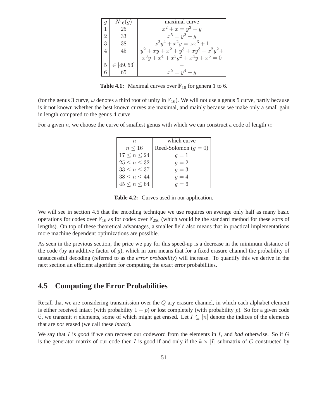|                             | $N_{16}(q)$        | maximal curve                            |
|-----------------------------|--------------------|------------------------------------------|
|                             | 25                 | $x^2 + x = y^3 + y$                      |
| $\mathcal{D}_{\mathcal{L}}$ | 33                 | $x^5 = y^2 + y$                          |
| 3                           | 38                 | $x^2y^4 + x^2y = \omega x^3 + 1$         |
| 4                           | 45                 | $y^2 + xy + x^2 + y^3 + xy^3 + x^2y^2 +$ |
|                             |                    | $x^3y + x^4 + x^3y^2 + x^4y + x^5 = 0$   |
|                             | $5   \in [49, 53]$ |                                          |
|                             | 65                 | $x^5 = y^4 + y$                          |

**Table 4.1:** Maximal curves over  $\mathbb{F}_{16}$  for genera 1 to 6.

(for the genus 3 curve,  $\omega$  denotes a third root of unity in  $\mathbb{F}_{16}$ ). We will not use a genus 5 curve, partly because is it not known whether the best known curves are maximal, and mainly because we make only a small gain in length compared to the genus 4 curve.

For a given n, we choose the curve of smallest genus with which we can construct a code of length  $n$ :

| $n_{\cdot}$         | which curve            |
|---------------------|------------------------|
| $n \leq 16$         | Reed-Solomon $(g = 0)$ |
| $17 \leq n \leq 24$ | $q=1$                  |
| $25 \leq n \leq 32$ | $g=2$                  |
| $33 \leq n \leq 37$ | $q=3$                  |
| $38 \leq n \leq 44$ | $q=4$                  |
| $45 \leq n \leq 64$ | $q=6$                  |

**Table 4.2:** Curves used in our application.

We will see in section 4.6 that the encoding technique we use requires on average only half as many basic operations for codes over  $\mathbb{F}_{16}$  as for codes over  $\mathbb{F}_{256}$  (which would be the standard method for these sorts of lengths). On top of these theoretical advantages, a smaller field also means that in practical implementations more machine dependent optimizations are possible.

As seen in the previous section, the price we pay for this speed-up is a decrease in the minimum distance of the code (by an additive factor of  $q$ ), which in turn means that for a fixed erasure channel the probability of unsuccessful decoding (referred to as the *error probability*) will increase. To quantify this we derive in the next section an efficient algorithm for computing the exact error probabilities.

# **4.5 Computing the Error Probabilities**

Recall that we are considering transmission over the Q-ary erasure channel, in which each alphabet element is either received intact (with probability  $1 - p$ ) or lost completely (with probability p). So for a given code C, we transmit *n* elements, some of which might get erased. Let  $I \subseteq [n]$  denote the indices of the elements that are *not* erased (we call these *intact*).

We say that I is *good* if we can recover our codeword from the elements in I, and *bad* otherwise. So if G is the generator matrix of our code then I is good if and only if the  $k \times |I|$  submatrix of G constructed by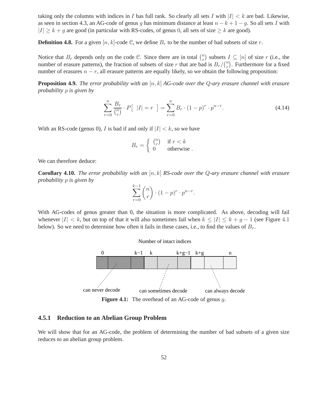taking only the columns with indices in I has full rank. So clearly all sets I with  $|I| < k$  are bad. Likewise, as seen in section 4.3, an AG-code of genus g has minimum distance at least  $n - k + 1 - g$ . So all sets I with  $|I| \geq k + g$  are good (in particular with RS-codes, of genus 0, all sets of size  $\geq k$  are good).

**Definition 4.8.** For a given  $[n, k]$ -code C, we define  $B_r$  to be the number of bad subsets of size r.

Notice that  $B_r$  depends only on the code C. Since there are in total  $\binom{n}{r}$  $\binom{n}{r}$  subsets  $I \subseteq [n]$  of size r (i.e., the number of erasure patterns), the fraction of subsets of size r that are bad is  $B_r / \binom{n}{r}$  $r$ <sup>n</sup>). Furthermore for a fixed number of erasures  $n - r$ , all erasure patterns are equally likely, so we obtain the following proposition:

**Proposition 4.9.** *The error probability with an* [n, k] *AG-code over the* Q*-ary erasure channel with erasure probability* p *is given by*

$$
\sum_{r=0}^{n} \frac{B_r}{\binom{n}{r}} \cdot P\left[ |I| = r \right] = \sum_{r=0}^{n} B_r \cdot (1-p)^r \cdot p^{n-r}.
$$
 (4.14)

With an RS-code (genus 0), I is bad if and only if  $|I| < k$ , so we have

$$
B_r = \begin{cases} \begin{pmatrix} n \\ r \end{pmatrix} & \text{if } r < k \\ 0 & \text{otherwise} \end{cases}
$$

We can therefore deduce:

**Corollary 4.10.** *The error probability with an* [n, k] *RS-code over the* Q*-ary erasure channel with erasure probability* p *is given by*

$$
\sum_{r=0}^{k-1} \binom{n}{r} \cdot (1-p)^r \cdot p^{n-r}.
$$

With AG-codes of genus greater than 0, the situation is more complicated. As above, decoding will fail whenever  $|I| < k$ , but on top of that it will also sometimes fail when  $k \leq |I| \leq k + g - 1$  (see Figure 4.1) below). So we need to determine how often it fails in these cases, i.e., to find the values of  $B_r$ .

Number of intact indices



Figure 4.1: The overhead of an AG-code of genus g.

#### **4.5.1 Reduction to an Abelian Group Problem**

We will show that for an AG-code, the problem of determining the number of bad subsets of a given size reduces to an abelian group problem.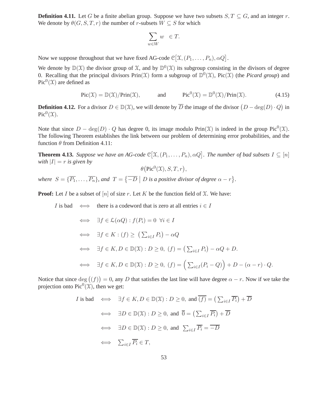**Definition 4.11.** Let G be a finite abelian group. Suppose we have two subsets  $S, T \subseteq G$ , and an integer r. We denote by  $\theta(G, S, T, r)$  the number of r-subsets  $W \subseteq S$  for which

$$
\sum_{w \in W} w \in T.
$$

Now we suppose throughout that we have fixed AG-code  $\mathcal{C}[\mathfrak{X}, (P_1, \ldots, P_n), \alpha Q]$ .

We denote by  $\mathbb{D}(\mathcal{X})$  the divisor group of X, and by  $\mathbb{D}^0(\mathcal{X})$  its subgroup consisting in the divisors of degree 0. Recalling that the principal divisors  $Prin(\mathcal{X})$  form a subgroup of  $\mathbb{D}^0(\mathcal{X})$ ,  $Pic(\mathcal{X})$  (the *Picard group*) and  $Pic^0(\mathfrak{X})$  are defined as

$$
Pic(\mathfrak{X}) = \mathbb{D}(\mathfrak{X})/Prin(\mathfrak{X}), \quad \text{and} \quad Pic^{0}(\mathfrak{X}) = \mathbb{D}^{0}(\mathfrak{X})/Prin(\mathfrak{X}). \tag{4.15}
$$

**Definition 4.12.** For a divisor  $D \in \mathbb{D}(\mathcal{X})$ , we will denote by  $\overline{D}$  the image of the divisor  $(D - \deg(D) \cdot Q)$  in  $Pic^0(\mathfrak{X}).$ 

Note that since  $D - \deg(D) \cdot Q$  has degree 0, its image modulo Prin $(\mathcal{X})$  is indeed in the group Pic<sup>0</sup> $(\mathcal{X})$ . The following Theorem establishes the link between our problem of determining error probabilities, and the function  $\theta$  from Definition 4.11:

**Theorem 4.13.** *Suppose we have an AG-code*  $\mathbb{C}[\mathfrak{X}, (P_1, \ldots, P_n), \alpha Q]$ *. The number of bad subsets*  $I \subseteq [n]$ *with*  $|I| = r$  *is given by* 

$$
\theta(\operatorname{Pic}^0(\mathfrak{X}), S, T, r),
$$

where  $S = \{\overline{P_1}, \ldots, \overline{P_n}\}$ , and  $T = \{\overline{-D} \mid D \text{ is a positive divisor of degree } \alpha - r\}.$ 

**Proof:** Let I be a subset of  $[n]$  of size r. Let K be the function field of X. We have:

*I* is bad 
$$
\iff
$$
 there is a codeword that is zero at all entries  $i \in I$   
 $\iff \exists f \in \mathcal{L}(\alpha Q) : f(P_i) = 0 \ \forall i \in I$   
 $\iff \exists f \in K : (f) \ge (\sum_{i \in I} P_i) - \alpha Q$   
 $\iff \exists f \in K, D \in \mathbb{D}(\mathfrak{X}) : D \ge 0, (f) = (\sum_{i \in I} P_i) - \alpha Q + D.$   
 $\iff \exists f \in K, D \in \mathbb{D}(\mathfrak{X}) : D \ge 0, (f) = (\sum_{i \in I} (P_i - Q)) + D - (\alpha - r) \cdot Q.$ 

Notice that since  $deg((f)) = 0$ , any D that satisfies the last line will have degree  $\alpha - r$ . Now if we take the projection onto  $Pic^0(\mathfrak{X})$ , then we get:

$$
I \text{ is bad } \iff \exists f \in K, D \in \mathbb{D}(\mathfrak{X}) : D \ge 0, \text{ and } \overline{(f)} = (\sum_{i \in I} \overline{P_i}) + \overline{D}
$$
  

$$
\iff \exists D \in \mathbb{D}(\mathfrak{X}) : D \ge 0, \text{ and } \overline{0} = (\sum_{i \in I} \overline{P_i}) + \overline{D}
$$
  

$$
\iff \exists D \in \mathbb{D}(\mathfrak{X}) : D \ge 0, \text{ and } \sum_{i \in I} \overline{P_i} = \overline{-D}
$$
  

$$
\iff \sum_{i \in I} \overline{P_i} \in T,
$$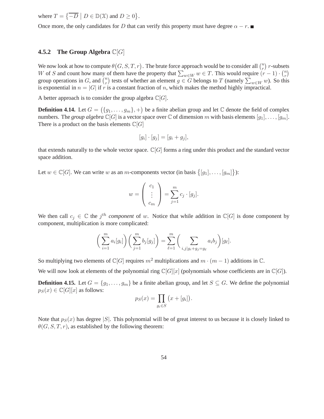where  $T = \{ \overline{-D} \mid D \in \mathbb{D}(\mathcal{X}) \text{ and } D \geq 0 \}.$ 

Once more, the only candidates for D that can verify this property must have degree  $\alpha - r$ .

#### **4.5.2 The Group Algebra** C[G]

We now look at how to compute  $\theta(G, S, T, r)$ . The brute force approach would be to consider all  $\binom{n}{r}$  $\binom{n}{r}$  r-subsets W of S and count how many of them have the property that  $\sum_{w \in W} w \in T$ . This would require  $(r - 1) \cdot {n \choose r}$  $\binom{n}{r}$ group operations in G, and  $\binom{n}{r}$ <sup>n</sup>) tests of whether an element  $g \in G$  belongs to T (namely  $\sum_{w \in W} w$ ). So this is exponential in  $n = |G|$  if r is a constant fraction of n, which makes the method highly impractical.

A better approach is to consider the group algebra  $\mathbb{C}[G]$ .

**Definition 4.14.** Let  $G = (\{g_1, \ldots, g_m\}, +)$  be a finite abelian group and let  $\mathbb C$  denote the field of complex numbers. The *group algebra*  $\mathbb{C}[G]$  is a vector space over  $\mathbb{C}$  of dimension m with basis elements  $[g_1], \ldots, [g_m]$ . There is a product on the basis elements  $\mathbb{C}[G]$ 

$$
[g_i] \cdot [g_j] = [g_i + g_j],
$$

that extends naturally to the whole vector space.  $\mathbb{C}[G]$  forms a ring under this product and the standard vector space addition.

Let  $w \in \mathbb{C}[G]$ . We can write w as an m-components vector (in basis  $\{[g_1], \ldots, [g_m]\}$ ):

$$
w = \left(\begin{array}{c} c_1 \\ \vdots \\ c_m \end{array}\right) = \sum_{j=1}^m c_j \cdot [g_j].
$$

We then call  $c_j \in \mathbb{C}$  the j<sup>th</sup> component of w. Notice that while addition in  $\mathbb{C}[G]$  is done component by component, multiplication is more complicated:

$$
\left(\sum_{i=1}^m a_i[g_i]\right)\left(\sum_{j=1}^m b_j[g_j]\right) = \sum_{\ell=1}^m \left(\sum_{i,j|g_i+g_j=g_\ell} a_i b_j\right)[g_\ell].
$$

So multiplying two elements of  $\mathbb{C}[G]$  requires  $m^2$  multiplications and  $m \cdot (m-1)$  additions in  $\mathbb{C}$ .

We will now look at elements of the polynomial ring  $\mathbb{C}[G][x]$  (polynomials whose coefficients are in  $\mathbb{C}[G]$ ).

**Definition 4.15.** Let  $G = \{g_1, \ldots, g_m\}$  be a finite abelian group, and let  $S \subseteq G$ . We define the polynomial  $p_S(x) \in \mathbb{C}[G][x]$  as follows:

$$
p_S(x) = \prod_{g_i \in S} (x + [g_i]).
$$

Note that  $p_S(x)$  has degree |S|. This polynomial will be of great interest to us because it is closely linked to  $\theta(G, S, T, r)$ , as established by the following theorem: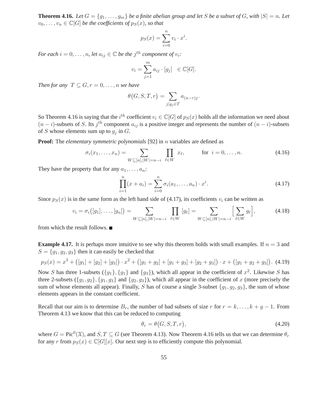**Theorem 4.16.** *Let*  $G = \{g_1, \ldots, g_m\}$  *be a finite abelian group and let* S *be a subset of* G, with  $|S| = n$ . Let  $v_0, \ldots, v_n \in \mathbb{C}[G]$  *be the coefficients of*  $p_S(x)$ *, so that* 

$$
p_S(x) = \sum_{i=0}^{n} v_i \cdot x^i.
$$

*For each*  $i = 0, \ldots, n$ , let  $a_{ij} \in \mathbb{C}$  be the  $j^{th}$  component of  $v_i$ :

$$
v_i = \sum_{j=1}^m a_{ij} \cdot [g_j] \in \mathbb{C}[G].
$$

*Then for any*  $T \subseteq G, r = 0, \ldots, n$  *we have* 

$$
\theta\big(G, S, T, r\big) = \sum_{j \mid g_j \in T} a_{(n-r)j}.
$$

So Theorem 4.16 is saying that the  $i^{th}$  coefficient  $v_i \in \mathbb{C}[G]$  of  $p_S(x)$  holds all the information we need about  $(n - i)$ -subsets of S. Its j<sup>th</sup> component  $a_{ij}$  is a positive integer and represents the number of  $(n - i)$ -subsets of S whose elements sum up to  $g_j$  in G.

**Proof:** The *elementary symmetric polynomials* [92] in *n* variables are defined as

$$
\sigma_i(x_1, ..., x_n) = \sum_{W \subseteq [n], |W| = n - i} \prod_{\ell \in W} x_\ell, \quad \text{for } i = 0, ..., n. \tag{4.16}
$$

They have the property that for any  $a_1, \ldots, a_n$ :

$$
\prod_{i=1}^{n} (x + a_i) = \sum_{i=0}^{n} \sigma_i(a_1, \dots, a_n) \cdot x^i.
$$
 (4.17)

Since  $p_S(x)$  is in the same form as the left hand side of (4.17), its coefficients  $v_i$  can be written as

$$
v_i = \sigma_i([g_1], \dots, [g_n]) = \sum_{W \subseteq [n], |W| = n - i} \prod_{\ell \in W} [g_\ell] = \sum_{W \subseteq [n], |W| = n - i} \left[ \sum_{\ell \in W} g_\ell \right], \tag{4.18}
$$

from which the result follows.

**Example 4.17.** It is perhaps more intuitive to see why this theorem holds with small examples. If  $n = 3$  and  $S = \{g_1, g_2, g_3\}$  then it can easily be checked that

$$
p_S(x) = x^3 + ([g_1] + [g_2] + [g_3]) \cdot x^2 + ([g_1 + g_2] + [g_1 + g_3] + [g_2 + g_3]) \cdot x + ([g_1 + g_2 + g_3]). \tag{4.19}
$$

Now S has three 1-subsets  $({g_1}, {g_1}$  and  ${g_3}$ , which all appear in the coefficient of  $x^2$ . Likewise S has three 2-subsets  $({g_1, g_2}, {g_1, g_3})$  and  ${g_2, g_3}$ , which all appear in the coefficient of x (more precisely the sum of whose elements all appear). Finally, S has of course a single 3-subset  $\{g_1, g_2, g_3\}$ , the sum of whose elements appears in the constant coefficient.

Recall that our aim is to determine  $B_r$ , the number of bad subsets of size r for  $r = k, \ldots, k + g - 1$ . From Theorem 4.13 we know that this can be reduced to computing

$$
\theta_r = \theta(G, S, T, r),\tag{4.20}
$$

where  $G = Pic^0(\mathfrak{X})$ , and  $S, T \subseteq G$  (see Theorem 4.13). Now Theorem 4.16 tells us that we can determine  $\theta_r$ for any r from  $p_S(x) \in \mathbb{C}[G][x]$ . Our next step is to efficiently compute this polynomial.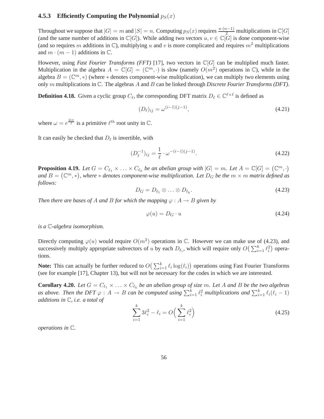#### **4.5.3 Efficiently Computing the Polynomial**  $p_S(x)$

Throughout we suppose that  $|G| = m$  and  $|S| = n$ . Computing  $p_S(x)$  requires  $\frac{n \cdot (n-1)}{2}$  multiplications in  $\mathbb{C}[G]$ (and the same number of additions in  $\mathbb{C}[G]$ ). While adding two vectors  $u, v \in \mathbb{C}[G]$  is done component-wise (and so requires m additions in  $\mathbb{C}$ ), multiplying u and v is more complicated and requires  $m^2$  multiplications and  $m \cdot (m-1)$  additions in  $\mathbb{C}$ .

However, using *Fast Fourier Transforms (FFT)* [17], two vectors in C[G] can be multiplied much faster. Multiplication in the algebra  $A = \mathbb{C}[G] = (\mathbb{C}^m, \cdot)$  is slow (namely  $O(m^2)$  operations in  $\mathbb{C}$ ), while in the algebra  $B = (\mathbb{C}^m, *)$  (where  $*$  denotes component-wise multiplication), we can multiply two elements using only m multiplications in C. The algebras A and B can be linked through *Discrete Fourier Transforms (DFT)*.

**Definition 4.18.** Given a cyclic group  $C_{\ell}$ , the corresponding DFT matrix  $D_{\ell} \in \mathbb{C}^{\ell \times \ell}$  is defined as

$$
(D_{\ell})_{ij} = \omega^{(i-1)(j-1)},\tag{4.21}
$$

where  $\omega = e^{\frac{2i\pi}{\ell}}$  is a primitive  $\ell^{th}$  root unity in C.

It can easily be checked that  $D_{\ell}$  is invertible, with

$$
(D_{\ell}^{-1})_{ij} = \frac{1}{\ell} \cdot \omega^{-(i-1)(j-1)}.
$$
\n(4.22)

**Proposition 4.19.** Let  $G = C_{\ell_1} \times ... \times C_{\ell_k}$  be an abelian group with  $|G| = m$ . Let  $A = \mathbb{C}[G] = (\mathbb{C}^m, \cdot)$ and  $B = (\mathbb{C}^m, *)$ , where  $*$  denotes component-wise multiplication. Let  $D_G$  be the  $m \times m$  matrix defined as *follows:*

$$
D_G = D_{\ell_1} \otimes \ldots \otimes D_{\ell_k}.\tag{4.23}
$$

*Then there are bases of A and B for which the mapping*  $\varphi$  :  $A \rightarrow B$  *given by* 

$$
\varphi(u) = D_G \cdot u \tag{4.24}
$$

*is a* C*-algebra isomorphism.*

Directly computing  $\varphi(u)$  would require  $O(m^2)$  operations in C. However we can make use of (4.23), and successively multiply appropriate subvectors of u by each  $D_{\ell_i}$ , which will require only  $O\left(\sum_{i=1}^k \ell_i^2\right)$  operations.

**Note:** This can actually be further reduced to  $O(\sum_{i=1}^{k} \ell_i \log(\ell_i))$  operations using Fast Fourier Transforms (see for example [17], Chapter 13), but will not be necessary for the codes in which we are interested.

**Corollary 4.20.** Let  $G = C_{\ell_1} \times \ldots \times C_{\ell_k}$  be an abelian group of size m. Let A and B be the two algebras as above. Then the DFT  $\varphi: A \to B$  can be computed using  $\sum_{i=1}^k \ell_i^2$  multiplications and  $\sum_{i=1}^k \ell_i(\ell_i-1)$ *additions in* C*, i.e. a total of*

$$
\sum_{i=1}^{k} 3\ell_i^2 - \ell_i = O\left(\sum_{i=1}^{k} \ell_i^2\right)
$$
\n(4.25)

*operations in* C*.*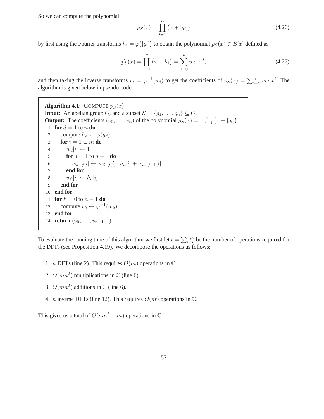So we can compute the polynomial

$$
p_S(x) = \prod_{i=1}^{n} (x + [g_i])
$$
\n(4.26)

by first using the Fourier transforms  $h_i = \varphi([g_i])$  to obtain the polynomial  $\hat{p_S}(x) \in B[x]$  defined as

$$
\hat{p_S}(x) = \prod_{i=1}^n (x + h_i) = \sum_{i=0}^n w_i \cdot x^i,
$$
\n(4.27)

and then taking the inverse transforms  $v_i = \varphi^{-1}(w_i)$  to get the coefficients of  $p_S(x) = \sum_{i=0}^n v_i \cdot x^i$ . The algorithm is given below in pseudo-code:

**Algorithm 4.1:** COMPUTE  $p_S(x)$ **Input:** An abelian group G, and a subset  $S = \{g_1, \ldots, g_n\} \subseteq G$ . **Output:** The coefficients  $(v_0, \ldots, v_n)$  of the polynomial  $p_S(x) = \prod_{i=1}^n (x + [g_i])$ 1: **for**  $d = 1$  to n **do** 2: compute  $h_d \leftarrow \varphi(g_d)$ <br>3: **for**  $i = 1$  to m **do for**  $i = 1$  to  $m$  **do** 4:  $w_d[i] \leftarrow 1$ <br>5: **for**  $j = 1$ 5: **for**  $j = 1$  to  $d - 1$  **do**<br>6:  $w_{d-j}[i] \leftarrow w_{d-j}[i]$ 6:  $w_{d-j}[i] \leftarrow w_{d-j}[i] \cdot h_d[i] + w_{d-j-1}[i]$ 7: **end for** 8:  $w_0[i] \leftarrow h_d[i]$ <br>9: **end for** 9: **end for** 10: **end for** 11: **for**  $k = 0$  to  $n - 1$  **do** 12: compute  $v_k \leftarrow \varphi^{-1}(w_k)$ 13: **end for** 14: **return**  $(v_0, \ldots, v_{n-1}, 1)$ 

To evaluate the running time of this algorithm we first let  $t = \sum_i \ell_i^2$  be the number of operations required for the DFTs (see Proposition 4.19). We decompose the operations as follows:

- 1. *n* DFTs (line 2). This requires  $O(nt)$  operations in  $\mathbb{C}$ .
- 2.  $O(mn^2)$  multiplications in  $\mathbb C$  (line 6).
- 3.  $O(mn^2)$  additions in  $\mathbb C$  (line 6).
- 4. *n* inverse DFTs (line 12). This requires  $O(nt)$  operations in  $\mathbb{C}$ .

This gives us a total of  $O(mn^2 + nt)$  operations in  $\mathbb{C}$ .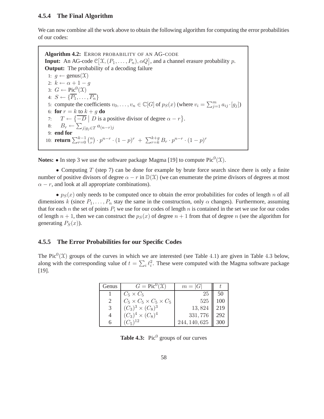#### **4.5.4 The Final Algorithm**

We can now combine all the work above to obtain the following algorithm for computing the error probabilities of our codes:

**Algorithm 4.2:** ERROR PROBABILITY OF AN AG-CODE **Input:** An AG-code  $\mathcal{C}[\mathcal{X}, (P_1, \ldots, P_n), \alpha Q]$ , and a channel erasure probability p. **Output:** The probability of a decoding failure 1:  $q \leftarrow \text{genus}(\mathfrak{X})$ 2:  $k \leftarrow \alpha + 1 - q$ 3:  $G \leftarrow \text{Pic}^0(\mathfrak{X})$ 4:  $S \leftarrow {\overline{P_1}, \ldots, \overline{P_n}}$ 5: compute the coefficients  $v_0, \ldots, v_n \in \mathbb{C}[G]$  of  $p_S(x)$  (where  $v_i = \sum_{j=1}^m a_{ij} \cdot [g_j]$ ) 6: **for**  $r = k$  to  $k + g$  **do** 7:  $T \leftarrow {\overline{-D}} | D$  is a positive divisor of degree  $\alpha - r$ . 8:  $B_r \leftarrow \sum_{j|g_j \in T} a_{(n-r)j}$ 9: **end for** 10: **return**  $\sum_{r=0}^{k-1} \binom{n}{r}$  $r_{r}^{(n)} \cdot p^{n-r} \cdot (1-p)^{r} + \sum_{r=k}^{k+g} B_r \cdot p^{n-r} \cdot (1-p)^{r}$ 

**Notes:**  $\bullet$  In step 3 we use the software package Magma [19] to compute Pic<sup>0</sup>( $\mathfrak{X}$ ).

• Computing T (step 7) can be done for example by brute force search since there is only a finite number of positive divisors of degree  $\alpha - r$  in  $\mathbb{D}(\mathcal{X})$  (we can enumerate the prime divisors of degrees at most  $\alpha - r$ , and look at all appropriate combinations).

•  $p_S(x)$  only needs to be computed once to obtain the error probabilities for codes of length n of all dimensions k (since  $P_1, \ldots, P_n$  stay the same in the construction, only  $\alpha$  changes). Furthermore, assuming that for each n the set of points  $P_i$  we use for our codes of length n is contained in the set we use for our codes of length  $n + 1$ , then we can construct the  $p_S(x)$  of degree  $n + 1$  from that of degree n (see the algorithm for generating  $P_S(x)$ ).

#### **4.5.5 The Error Probabilities for our Specific Codes**

The Pic<sup>0</sup>( $\mathfrak{X}$ ) groups of the curves in which we are interested (see Table 4.1) are given in Table 4.3 below, along with the corresponding value of  $t = \sum_i \ell_i^2$ . These were computed with the Magma software package [19].

| Genus | $G = Pic^0(\mathfrak{X})$              | $m =  G $     |     |
|-------|----------------------------------------|---------------|-----|
|       | $C_5 \times C_5$                       | 25            | 50  |
|       | $C_5 \times C_5 \times C_5 \times C_5$ | 525           | 100 |
| 3     | $(C_3)^3 \times (C_8)^3$               | 13,824        | 219 |
| 4     | $(C_3)^4 \times (C_8)^4$               | 331,776       | 292 |
|       |                                        | 244, 140, 625 | 300 |

|  |  | <b>Table 4.3:</b> Pic <sup>0</sup> groups of our curves |  |
|--|--|---------------------------------------------------------|--|
|--|--|---------------------------------------------------------|--|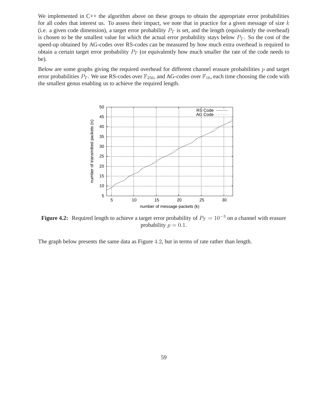We implemented in C++ the algorithm above on these groups to obtain the appropriate error probabilities for all codes that interest us. To assess their impact, we note that in practice for a given message of size  $k$ (i.e. a given code dimension), a target error probability  $P_T$  is set, and the length (equivalently the overhead) is chosen to be the smallest value for which the actual error probability stays below  $P_T$ . So the cost of the speed-up obtained by AG-codes over RS-codes can be measured by how much extra overhead is required to obtain a certain target error probability  $P_T$  (or equivalently how much smaller the rate of the code needs to be).

Below are some graphs giving the required overhead for different channel erasure probabilities  $p$  and target error probabilities  $P_T$ . We use RS-codes over  $\mathbb{F}_{256}$ , and AG-codes over  $\mathbb{F}_{16}$ , each time choosing the code with the smallest genus enabling us to achieve the required length.



**Figure 4.2:** Required length to achieve a target error probability of  $P_T = 10^{-3}$  on a channel with erasure probability  $p = 0.1$ .

The graph below presents the same data as Figure 4.2, but in terms of rate rather than length.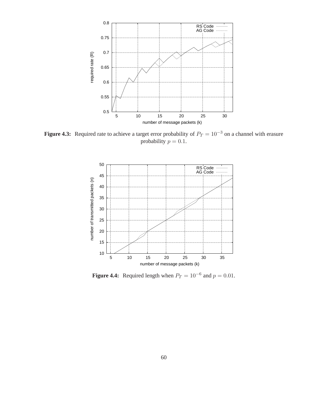

**Figure 4.3:** Required rate to achieve a target error probability of  $P_T = 10^{-3}$  on a channel with erasure probability  $p = 0.1$ .



**Figure 4.4:** Required length when  $P_T = 10^{-6}$  and  $p = 0.01$ .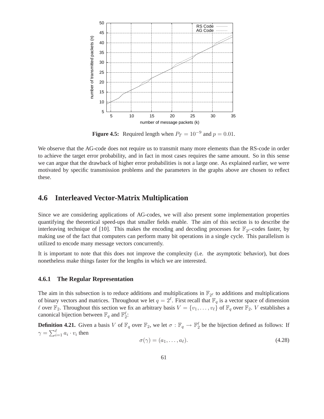

**Figure 4.5:** Required length when  $P_T = 10^{-9}$  and  $p = 0.01$ .

We observe that the AG-code does not require us to transmit many more elements than the RS-code in order to achieve the target error probability, and in fact in most cases requires the same amount. So in this sense we can argue that the drawback of higher error probabilities is not a large one. As explained earlier, we were motivated by specific transmission problems and the parameters in the graphs above are chosen to reflect these.

# **4.6 Interleaved Vector-Matrix Multiplication**

Since we are considering applications of AG-codes, we will also present some implementation properties quantifying the theoretical speed-ups that smaller fields enable. The aim of this section is to describe the interleaving technique of [10]. This makes the encoding and decoding processes for  $\mathbb{F}_{2^{\ell}}$ -codes faster, by making use of the fact that computers can perform many bit operations in a single cycle. This parallelism is utilized to encode many message vectors concurrently.

It is important to note that this does not improve the complexity (i.e. the asymptotic behavior), but does nonetheless make things faster for the lengths in which we are interested.

#### **4.6.1 The Regular Representation**

The aim in this subsection is to reduce additions and multiplications in  $\mathbb{F}_{2^{\ell}}$  to additions and multiplications of binary vectors and matrices. Throughout we let  $q = 2^{\ell}$ . First recall that  $\mathbb{F}_q$  is a vector space of dimension  $\ell$  over  $\mathbb{F}_2$ . Throughout this section we fix an arbitrary basis  $V = \{v_1, \ldots, v_\ell\}$  of  $\mathbb{F}_q$  over  $\mathbb{F}_2$ . V establishes a canonical bijection between  $\mathbb{F}_q$  and  $\mathbb{F}_2^{\ell}$ :

**Definition 4.21.** Given a basis V of  $\mathbb{F}_q$  over  $\mathbb{F}_2$ , we let  $\sigma : \mathbb{F}_q \to \mathbb{F}_2^{\ell}$  be the bijection defined as follows: If  $\gamma = \sum_{i=1}^{\ell} a_i \cdot v_i$  then

$$
\sigma(\gamma) = (a_1, \dots, a_\ell). \tag{4.28}
$$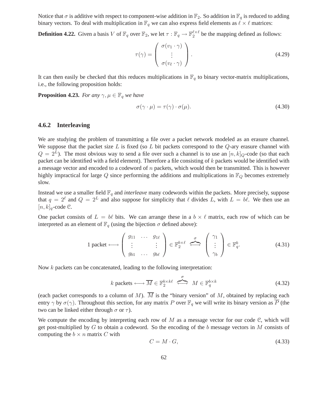Notice that  $\sigma$  is additive with respect to component-wise addition in  $\mathbb{F}_2$ . So addition in  $\mathbb{F}_q$  is reduced to adding binary vectors. To deal with multiplication in  $\mathbb{F}_q$  we can also express field elements as  $\ell \times \ell$  matrices:

**Definition 4.22.** Given a basis V of  $\mathbb{F}_q$  over  $\mathbb{F}_2$ , we let  $\tau : \mathbb{F}_q \to \mathbb{F}_2^{\ell \times \ell}$  be the mapping defined as follows:

$$
\tau(\gamma) = \begin{pmatrix} \sigma(v_1 \cdot \gamma) \\ \vdots \\ \sigma(v_{\ell} \cdot \gamma) \end{pmatrix} . \tag{4.29}
$$

It can then easily be checked that this reduces multiplications in  $\mathbb{F}_q$  to binary vector-matrix multiplications, i.e., the following proposition holds:

**Proposition 4.23.** *For any*  $\gamma, \mu \in \mathbb{F}_q$  *we have* 

$$
\sigma(\gamma \cdot \mu) = \tau(\gamma) \cdot \sigma(\mu). \tag{4.30}
$$

#### **4.6.2 Interleaving**

We are studying the problem of transmitting a file over a packet network modeled as an erasure channel. We suppose that the packet size L is fixed (so L bit packets correspond to the  $Q$ -ary erasure channel with  $Q = 2^L$ ). The most obvious way to send a file over such a channel is to use an  $[n, k]_Q$ -code (so that each packet can be identified with a field element). Therefore a file consisting of k packets would be identified with a message vector and encoded to a codeword of  $n$  packets, which would then be transmitted. This is however highly impractical for large  $Q$  since performing the additions and multiplications in  $\mathbb{F}_Q$  becomes extremely slow.

Instead we use a smaller field  $\mathbb{F}_q$  and *interleave* many codewords within the packets. More precisely, suppose that  $q = 2^{\ell}$  and  $Q = 2^{L}$  and also suppose for simplicity that  $\ell$  divides L, with  $L = b\ell$ . We then use an  $[n, k]_q$ -code C.

One packet consists of  $L = b\ell$  bits. We can arrange these in a  $b \times \ell$  matrix, each row of which can be interpreted as an element of  $\mathbb{F}_q$  (using the bijection  $\sigma$  defined above):

$$
1 \text{ packet} \longleftrightarrow \left( \begin{array}{ccc} g_{11} & \cdots & g_{1\ell} \\ \vdots & & \vdots \\ g_{b1} & \cdots & g_{b\ell} \end{array} \right) \in \mathbb{F}_2^{b \times \ell} \iff \left( \begin{array}{c} \gamma_1 \\ \vdots \\ \gamma_b \end{array} \right) \in \mathbb{F}_q^b. \tag{4.31}
$$

Now k packets can be concatenated, leading to the following interpretation:

$$
k \text{ packets} \longleftrightarrow \overline{M} \in \mathbb{F}_2^{b \times k\ell} \stackrel{\sigma}{\iff} M \in \mathbb{F}_q^{b \times k} \tag{4.32}
$$

(each packet corresponds to a column of M).  $\overline{M}$  is the "binary version" of M, obtained by replacing each entry  $\gamma$  by  $\sigma(\gamma)$ . Throughout this section, for any matrix P over  $\mathbb{F}_q$  we will write its binary version as  $\overline{P}$  (the two can be linked either through  $\sigma$  or  $\tau$ ).

We compute the encoding by interpreting each row of  $M$  as a message vector for our code  $C$ , which will get post-multiplied by  $G$  to obtain a codeword. So the encoding of the b message vectors in M consists of computing the  $b \times n$  matrix C with

$$
C = M \cdot G,\tag{4.33}
$$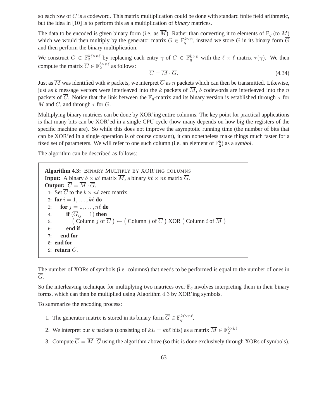so each row of  $C$  is a codeword. This matrix multiplication could be done with standard finite field arithmetic, but the idea in [10] is to perform this as a multiplication of *binary* matrices.

The data to be encoded is given binary form (i.e. as  $\overline{M}$ ). Rather than converting it to elements of  $\mathbb{F}_q$  (to M) which we would then multiply by the generator matrix  $G \in \mathbb{F}_q^{k \times n}$ , instead we store G in its binary form  $\overline{G}$ and then perform the binary multiplication.

We construct  $\overline{G} \in \mathbb{F}_2^{k\ell \times n\ell}$  by replacing each entry  $\gamma$  of  $G \in \mathbb{F}_q^{k \times n}$  with the  $\ell \times \ell$  matrix  $\tau(\gamma)$ . We then compute the matrix  $\overline{C} \in \mathbb{F}_2^{b \times n\ell}$  as follows:

$$
\overline{C} = \overline{M} \cdot \overline{G}.\tag{4.34}
$$

Just as  $\overline{M}$  was identified with k packets, we interpret  $\overline{C}$  as n packets which can then be transmitted. Likewise, just as b message vectors were interleaved into the k packets of  $\overline{M}$ , b codewords are interleaved into the n packets of  $\overline{C}$ . Notice that the link between the  $\mathbb{F}_q$ -matrix and its binary version is established through  $\sigma$  for M and C, and through  $\tau$  for G.

Multiplying binary matrices can be done by XOR'ing entire columns. The key point for practical applications is that many bits can be XOR'ed in a single CPU cycle (how many depends on how big the registers of the specific machine are). So while this does not improve the asymptotic running time (the number of bits that can be XOR'ed in a single operation is of course constant), it can nonetheless make things much faster for a fixed set of parameters. We will refer to one such column (i.e. an element of  $\mathbb{F}_2^b$ ) as a *symbol*.

The algorithm can be described as follows:

**Algorithm 4.3:** BINARY MULTIPLY BY XOR'ING COLUMNS **Input:** A binary  $b \times k\ell$  matrix  $\overline{M}$ , a binary  $k\ell \times n\ell$  matrix  $\overline{G}$ . **Output:**  $\overline{C} = \overline{M} \cdot \overline{G}$ . 1: Set  $\overline{C}$  to the  $b \times n\ell$  zero matrix 2: **for**  $i = 1, \ldots, k\ell$  **do** 3: **for**  $j = 1, \ldots, n\ell$  **do** 4: **if**  $(\overline{G}_{ij} = 1)$  **then** 5: Column  $j$  of  $\overline{C}$   $) \leftarrow ($  Column  $j$  of  $\overline{C}$   $)$  XOR  $($  Column  $i$  of  $\overline{M}$  $)$ 6: **end if** 7: **end for** 8: **end for** 9: **return**  $\overline{C}$ .

The number of XORs of symbols (i.e. columns) that needs to be performed is equal to the number of ones in G.

So the interleaving technique for multiplying two matrices over  $\mathbb{F}_q$  involves interpreting them in their binary forms, which can then be multiplied using Algorithm 4.3 by XOR'ing symbols.

To summarize the encoding process:

- 1. The generator matrix is stored in its binary form  $\overline{G} \in \mathbb{F}_q^{k\ell \times n\ell}$ .
- 2. We interpret our k packets (consisting of  $kL = kb\ell$  bits) as a matrix  $\overline{M} \in \mathbb{F}_2^{b \times k\ell}$
- 3. Compute  $\overline{C} = \overline{M} \cdot \overline{G}$  using the algorithm above (so this is done exclusively through XORs of symbols).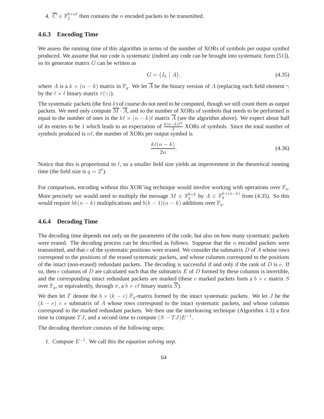4.  $\overline{C} \in \mathbb{F}_2^{b \times n\ell}$  then contains the *n* encoded packets to be transmitted.

#### **4.6.3 Encoding Time**

We assess the running time of this algorithm in terms of the number of XORs of symbols per output symbol produced. We assume that our code is systematic (indeed any code can be brought into systematic form [51]), so its generator matrix  $G$  can be written as

$$
G = (I_k | A), \tag{4.35}
$$

where A is a  $k \times (n - k)$  matrix in  $\mathbb{F}_q$ . We let  $\overline{A}$  be the binary version of A (replacing each field element  $\gamma$ by the  $\ell \times \ell$  binary matrix  $\tau(\gamma)$ ).

The systematic packets (the first  $k$ ) of course do not need to be computed, though we still count them as output packets. We need only compute  $\overline{M} \cdot \overline{A}$ , and so the number of XORs of symbols that needs to be performed is equal to the number of ones in the  $k\ell \times (n-k)\ell$  matrix  $\overline{A}$  (see the algorithm above). We expect about half of its entries to be 1 which leads to an expectation of  $\frac{k(n-k)\ell^2}{2}$  XORs of symbols. Since the total number of symbols produced is  $n\ell$ , the number of XORs per output symbol is

$$
\frac{k\ell(n-k)}{2n}.\tag{4.36}
$$

Notice that this is proportional to  $\ell$ , so a smaller field size yields an improvement in the theoretical running time (the field size is  $q = 2^{\ell}$ ).

For comparison, encoding without this XOR'ing technique would involve working with operations over  $\mathbb{F}_q$ . More precisely we would need to multiply the message  $M \in \mathbb{F}_q^{b \times k}$  by  $A \in \mathbb{F}_q^{k \times (n-k)}$  from (4.35). So this would require  $bk(n - k)$  multiplications and  $b(k - 1)(n - k)$  additions over  $\mathbb{F}_q$ .

#### **4.6.4 Decoding Time**

The decoding time depends not only on the parameters of the code, but also on how many systematic packets were erased. The decoding process can be described as follows. Suppose that the  $n$  encoded packets were transmitted, and that  $e$  of the systematic positions were erased. We consider the submatrix  $D$  of  $A$  whose rows correspond to the positions of the erased systematic packets, and whose columns correspond to the positions of the intact (non-erased) redundant packets. The decoding is successful if and only if the rank of  $D$  is  $e$ . If so, then  $e$  columns of  $D$  are calculated such that the submatrix  $E$  of  $D$  formed by these columns is invertible, and the corresponding intact redundant packets are marked (these e marked packets form a  $b \times e$  matrix S over  $\mathbb{F}_q$ , or equivalently, through  $\sigma$ , a  $b \times e\ell$  binary matrix  $\overline{S}$ ).

We then let T denote the  $b \times (k - e)$   $\mathbb{F}_q$ -matrix formed by the intact systematic packets. We let J be the  $(k - e) \times e$  submatrix of A whose rows correspond to the intact systematic packets, and whose columns correspond to the marked redundant packets. We then use the interleaving technique (Algorithm 4.3) a first time to compute  $TJ$ , and a second time to compute  $(S - TJ)E^{-1}$ .

The decoding therefore consists of the following steps:

1. Compute E−<sup>1</sup> . We call this the *equation solving step*.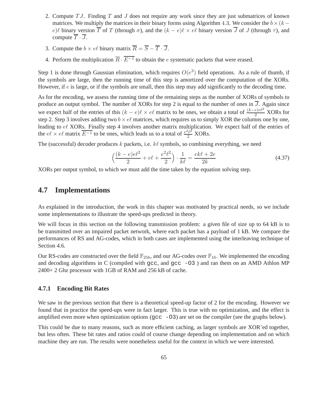- 2. Compute  $TJ$ . Finding  $T$  and  $J$  does not require any work since they are just submatrices of known matrices. We multiply the matrices in their binary forms using Algorithm 4.3. We consider the  $b \times (k$ e)ℓ binary version  $\overline{T}$  of T (through  $\sigma$ ), and the  $(k - e)\ell \times e\ell$  binary version  $\overline{J}$  of J (through  $\tau$ ), and compute  $\overline{T} \cdot \overline{J}$ .
- 3. Compute the  $b \times e\ell$  binary matrix  $\overline{R} = \overline{S} \overline{T} \cdot \overline{J}$ .
- 4. Perform the multiplication  $\overline{R} \cdot E^{-1}$  to obtain the *e* systematic packets that were erased.

Step 1 is done through Gaussian elimination, which requires  $O(e^3)$  field operations. As a rule of thumb, if the symbols are large, then the running time of this step is amortized over the computation of the XORs. However, if e is large, or if the symbols are small, then this step may add significantly to the decoding time.

As for the encoding, we assess the running time of the remaining steps as the number of XORs of symbols to produce an output symbol. The number of XORs for step 2 is equal to the number of ones in  $\overline{J}$ . Again since we expect half of the entries of this  $(k - e)\ell \times e\ell$  matrix to be ones, we obtain a total of  $\frac{(k-e)e\ell^2}{2}$  XORs for step 2. Step 3 involves adding two  $b \times e\ell$  matrices, which requires us to simply XOR the columns one by one, leading to el XORs. Finally step 4 involves another matrix multiplication. We expect half of the entries of the  $e\ell \times e\ell$  matrix  $\overline{E^{-1}}$  to be ones, which leads us to a total of  $\frac{e^2\ell^2}{2}$  XORs.

The (successful) decoder produces  $k$  packets, i.e.  $k\ell$  symbols, so combining everything, we need

$$
\left(\frac{(k-e)e^2}{2} + e\ell + \frac{e^2\ell^2}{2}\right) \cdot \frac{1}{k\ell} = \frac{ek\ell + 2e}{2k}
$$
\n(4.37)

XORs per output symbol, to which we must add the time taken by the equation solving step.

# **4.7 Implementations**

As explained in the introduction, the work in this chapter was motivated by practical needs, so we include some implementations to illustrate the speed-ups predicted in theory.

We will focus in this section on the following transmission problem: a given file of size up to 64 kB is to be transmitted over an impaired packet network, where each packet has a payload of 1 kB. We compare the performances of RS and AG-codes, which in both cases are implemented using the interleaving technique of Section 4.6.

Our RS-codes are constructed over the field  $\mathbb{F}_{256}$ , and our AG-codes over  $\mathbb{F}_{16}$ . We implemented the encoding and decoding algorithms in C (compiled with  $\text{gcc}$ , and  $\text{gcc}$  -O3) and ran them on an AMD Athlon MP 2400+ 2 Ghz processor with 1GB of RAM and 256 kB of cache.

#### **4.7.1 Encoding Bit Rates**

We saw in the previous section that there is a theoretical speed-up factor of 2 for the encoding. However we found that in practice the speed-ups were in fact larger. This is true with no optimization, and the effect is amplified even more when optimization options ( $\frac{\text{gcc}}{\text{03}}$ ) are set on the compiler (see the graphs below).

This could be due to many reasons, such as more efficient caching, as larger symbols are XOR'ed together, but less often. These bit rates and ratios could of course change depending on implementation and on which machine they are run. The results were nonetheless useful for the context in which we were interested.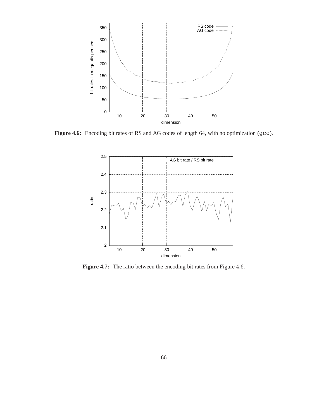

Figure 4.6: Encoding bit rates of RS and AG codes of length 64, with no optimization (gcc).



**Figure 4.7:** The ratio between the encoding bit rates from Figure 4.6.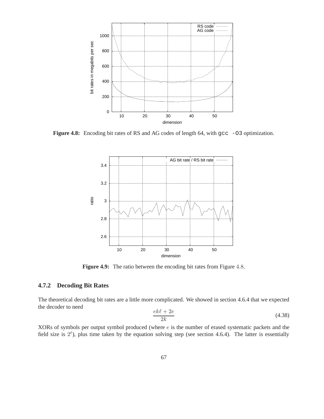

Figure 4.8: Encoding bit rates of RS and AG codes of length 64, with gcc -03 optimization.



Figure 4.9: The ratio between the encoding bit rates from Figure 4.8.

### **4.7.2 Decoding Bit Rates**

The theoretical decoding bit rates are a little more complicated. We showed in section 4.6.4 that we expected the decoder to need

$$
\frac{ek\ell + 2e}{2k} \tag{4.38}
$$

XORs of symbols per output symbol produced (where e is the number of erased systematic packets and the field size is  $2^{\ell}$ ), plus time taken by the equation solving step (see section 4.6.4). The latter is essentially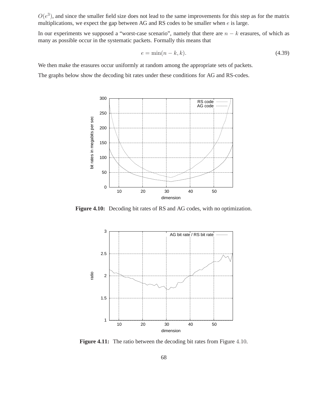$O(e^3)$ , and since the smaller field size does not lead to the same improvements for this step as for the matrix multiplications, we expect the gap between AG and RS codes to be smaller when  $e$  is large.

In our experiments we supposed a "worst-case scenario", namely that there are  $n - k$  erasures, of which as many as possible occur in the systematic packets. Formally this means that

$$
e = \min(n - k, k). \tag{4.39}
$$

We then make the erasures occur uniformly at random among the appropriate sets of packets.

The graphs below show the decoding bit rates under these conditions for AG and RS-codes.



**Figure 4.10:** Decoding bit rates of RS and AG codes, with no optimization.



Figure 4.11: The ratio between the decoding bit rates from Figure 4.10.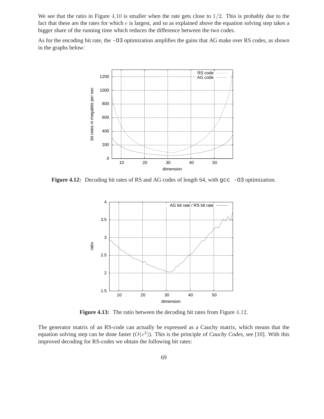We see that the ratio in Figure 4.10 is smaller when the rate gets close to  $1/2$ . This is probably due to the fact that these are the rates for which  $e$  is largest, and so as explained above the equation solving step takes a bigger share of the running time which reduces the difference between the two codes.

As for the encoding bit rate, the -O3 optimization amplifies the gains that AG make over RS codes, as shown in the graphs below:



**Figure 4.12:** Decoding bit rates of RS and AG codes of length 64, with  $\text{gcc } -03$  optimization.



**Figure 4.13:** The ratio between the decoding bit rates from Figure 4.12.

The generator matrix of an RS-code can actually be expressed as a Cauchy matrix, which means that the equation solving step can be done faster  $(O(e^2))$ . This is the principle of *Cauchy Codes*, see [10]. With this improved decoding for RS-codes we obtain the following bit rates: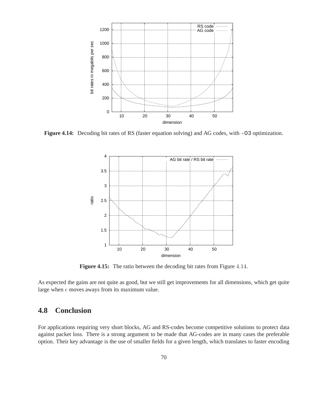

**Figure 4.14:** Decoding bit rates of RS (faster equation solving) and AG codes, with -03 optimization.



**Figure 4.15:** The ratio between the decoding bit rates from Figure 4.14.

As expected the gains are not quite as good, but we still get improvements for all dimensions, which get quite large when e moves aways from its maximum value.

## **4.8 Conclusion**

For applications requiring very short blocks, AG and RS-codes become competitive solutions to protect data against packet loss. There is a strong argument to be made that AG-codes are in many cases the preferable option. Their key advantage is the use of smaller fields for a given length, which translates to faster encoding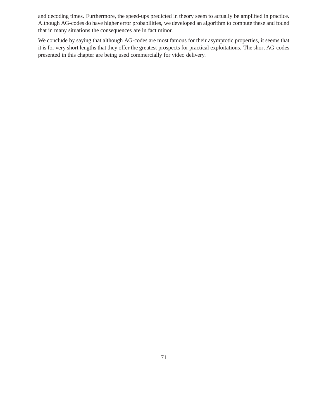and decoding times. Furthermore, the speed-ups predicted in theory seem to actually be amplified in practice. Although AG-codes do have higher error probabilities, we developed an algorithm to compute these and found that in many situations the consequences are in fact minor.

We conclude by saying that although AG-codes are most famous for their asymptotic properties, it seems that it is for very short lengths that they offer the greatest prospects for practical exploitations. The short AG-codes presented in this chapter are being used commercially for video delivery.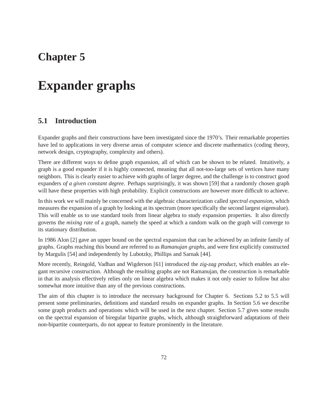## **Chapter 5**

# **Expander graphs**

## **5.1 Introduction**

Expander graphs and their constructions have been investigated since the 1970's. Their remarkable properties have led to applications in very diverse areas of computer science and discrete mathematics (coding theory, network design, cryptography, complexity and others).

There are different ways to define graph expansion, all of which can be shown to be related. Intuitively, a graph is a good expander if it is highly connected, meaning that all not-too-large sets of vertices have many neighbors. This is clearly easier to achieve with graphs of larger degree, and the challenge is to construct good expanders *of a given constant degree*. Perhaps surprisingly, it was shown [59] that a randomly chosen graph will have these properties with high probability. Explicit constructions are however more difficult to achieve.

In this work we will mainly be concerned with the algebraic characterization called *spectral expansion*, which measures the expansion of a graph by looking at its spectrum (more specifically the second largest eigenvalue). This will enable us to use standard tools from linear algebra to study expansion properties. It also directly governs the *mixing rate* of a graph, namely the speed at which a random walk on the graph will converge to its stationary distribution.

In 1986 Alon [2] gave an upper bound on the spectral expansion that can be achieved by an infinite family of graphs. Graphs reaching this bound are referred to as *Ramanujan graphs*, and were first explicitly constructed by Margulis [54] and independently by Lubotzky, Phillips and Sarnak [44].

More recently, Reingold, Vadhan and Wigderson [61] introduced the *zig-zag product*, which enables an elegant recursive construction. Although the resulting graphs are not Ramanujan, the construction is remarkable in that its analysis effectively relies only on linear algebra which makes it not only easier to follow but also somewhat more intuitive than any of the previous constructions.

The aim of this chapter is to introduce the necessary background for Chapter 6. Sections 5.2 to 5.5 will present some preliminaries, definitions and standard results on expander graphs. In Section 5.6 we describe some graph products and operations which will be used in the next chapter. Section 5.7 gives some results on the spectral expansion of biregular bipartite graphs, which, although straightforward adaptations of their non-bipartite counterparts, do not appear to feature prominently in the literature.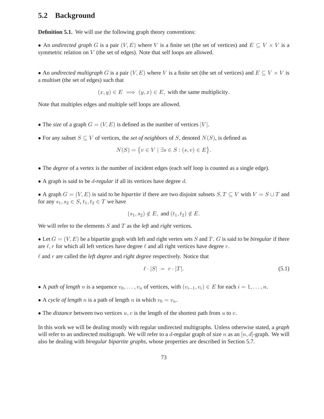## **5.2 Background**

**Definition 5.1.** We will use the following graph theory conventions:

• An *undirected graph* G is a pair  $(V, E)$  where V is a finite set (the set of vertices) and  $E \subseteq V \times V$  is a symmetric relation on V (the set of edges). Note that self loops are allowed.

• An *undirected multigraph* G is a pair  $(V, E)$  where V is a finite set (the set of vertices) and  $E \subseteq V \times V$  is a multiset (the set of edges) such that

 $(x, y) \in E \implies (y, x) \in E$ , with the same multiplicity.

Note that multiples edges and multiple self loops are allowed.

- The *size* of a graph  $G = (V, E)$  is defined as the number of vertices |V|.
- For any subset  $S \subseteq V$  of vertices, the *set of neighbors* of S, denoted  $N(S)$ , is defined as

$$
N(S) = \{ v \in V \mid \exists s \in S : (s, v) \in E \}.
$$

- The *degree* of a vertex is the number of incident edges (each self loop is counted as a single edge).
- A graph is said to be d*-regular* if all its vertices have degree d.

• A graph  $G = (V, E)$  is said to be *bipartite* if there are two disjoint subsets  $S, T \subseteq V$  with  $V = S \cup T$  and for any  $s_1, s_2 \in S$ ,  $t_1, t_2 \in T$  we have

$$
(s_1, s_2) \notin E, \text{ and } (t_1, t_2) \notin E.
$$

We will refer to the elements S and T as the *left* and *right* vertices.

• Let  $G = (V, E)$  be a bipartite graph with left and right vertex sets S and T. G is said to be *biregular* if there are  $\ell$ , r for which all left vertices have degree  $\ell$  and all right vertices have degree r.

ℓ and r are called the *left degree* and *right degree* respectively. Notice that

$$
\ell \cdot |S| = r \cdot |T|.\tag{5.1}
$$

- A *path of length* n is a sequence  $v_0, \ldots, v_n$  of vertices, with  $(v_{i-1}, v_i) \in E$  for each  $i = 1, \ldots, n$ .
- A *cycle of length n* is a path of length *n* in which  $v_0 = v_n$ .
- The *distance* between two vertices  $u, v$  is the length of the shortest path from  $u$  to  $v$ .

In this work we will be dealing mostly with regular undirected multigraphs. Unless otherwise stated, a *graph* will refer to an undirected multigraph. We will refer to a d-regular graph of size n as an  $[n, d]$ -graph. We will also be dealing with *biregular bipartite graphs*, whose properties are described in Section 5.7.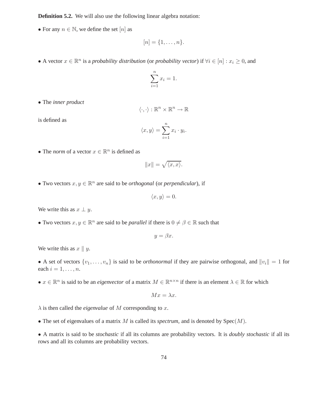**Definition 5.2.** We will also use the following linear algebra notation:

• For any  $n \in \mathbb{N}$ , we define the set  $[n]$  as

$$
[n]=\{1,\ldots,n\}.
$$

• A vector  $x \in \mathbb{R}^n$  is a *probability distribution* (or *probability vector*) if  $\forall i \in [n] : x_i \geq 0$ , and

$$
\sum_{i=1}^{n} x_i = 1.
$$

• The *inner product*

$$
\langle \cdot, \cdot \rangle : \mathbb{R}^n \times \mathbb{R}^n \to \mathbb{R}
$$

is defined as

$$
\langle x, y \rangle = \sum_{i=1}^{n} x_i \cdot y_i.
$$

• The *norm* of a vector  $x \in \mathbb{R}^n$  is defined as

$$
||x|| = \sqrt{\langle x, x \rangle}.
$$

• Two vectors  $x, y \in \mathbb{R}^n$  are said to be *orthogonal* (or *perpendicular*), if

$$
\langle x, y \rangle = 0
$$

We write this as  $x \perp y$ .

• Two vectors  $x, y \in \mathbb{R}^n$  are said to be *parallel* if there is  $0 \neq \beta \in \mathbb{R}$  such that

$$
y = \beta x.
$$

We write this as  $x \parallel y$ .

• A set of vectors  $\{v_1, \ldots, v_n\}$  is said to be *orthonormal* if they are pairwise orthogonal, and  $||v_i|| = 1$  for each  $i = 1, \ldots, n$ .

•  $x \in \mathbb{R}^n$  is said to be an *eigenvector* of a matrix  $M \in \mathbb{R}^{n \times n}$  if there is an element  $\lambda \in \mathbb{R}$  for which

$$
Mx = \lambda x.
$$

 $\lambda$  is then called the *eigenvalue* of M corresponding to x.

• The set of eigenvalues of a matrix M is called its *spectrum*, and is denoted by Spec(M).

• A matrix is said to be *stochastic* if all its columns are probability vectors. It is *doubly stochastic* if all its rows and all its columns are probability vectors.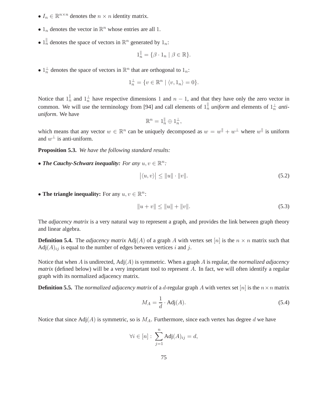- $I_n \in \mathbb{R}^{n \times n}$  denotes the  $n \times n$  identity matrix.
- $1_n$  denotes the vector in  $\mathbb{R}^n$  whose entries are all 1.
- $1_n^{\parallel}$  denotes the space of vectors in  $\mathbb{R}^n$  generated by  $1_n$ :

$$
1_n^{\parallel} = \{ \beta \cdot 1_n \mid \beta \in \mathbb{R} \}.
$$

•  $1_n^{\perp}$  denotes the space of vectors in  $\mathbb{R}^n$  that are orthogonal to  $1_n$ :

$$
1_n^{\perp} = \{ v \in \mathbb{R}^n \mid \langle v, 1_n \rangle = 0 \}.
$$

Notice that  $1_n^{\parallel}$  and  $1_n^{\perp}$  have respective dimensions 1 and  $n-1$ , and that they have only the zero vector in common. We will use the terminology from [94] and call elements of  $1_n^{\parallel}$  *uniform* and elements of  $1_n^{\perp}$  *antiuniform*. We have

$$
\mathbb{R}^n = 1_n^{\parallel} \oplus 1_n^{\perp},
$$

which means that any vector  $w \in \mathbb{R}^n$  can be uniquely decomposed as  $w = w^{\parallel} + w^{\perp}$  where  $w^{\parallel}$  is uniform and  $w^{\perp}$  is anti-uniform.

**Proposition 5.3.** *We have the following standard results:*

• **The Cauchy-Schwarz inequality:** For any  $u, v \in \mathbb{R}^n$ :

$$
|\langle u, v \rangle| \le ||u|| \cdot ||v||. \tag{5.2}
$$

• **The triangle inequality:** For any  $u, v \in \mathbb{R}^n$ :

$$
||u + v|| \le ||u|| + ||v||. \tag{5.3}
$$

The *adjacency matrix* is a very natural way to represent a graph, and provides the link between graph theory and linear algebra.

**Definition 5.4.** The *adjacency matrix*  $\text{Adj}(A)$  of a graph A with vertex set [n] is the  $n \times n$  matrix such that  $Adj(A)_{ij}$  is equal to the number of edges between vertices i and j.

Notice that when A is undirected, Adj(A) is symmetric. When a graph A is regular, the *normalized adjacency matrix* (defined below) will be a very important tool to represent A. In fact, we will often identify a regular graph with its normalized adjacency matrix.

**Definition 5.5.** The *normalized adjacency matrix* of a *d*-regular graph A with vertex set  $[n]$  is the  $n \times n$  matrix

$$
M_A = \frac{1}{d} \cdot \text{Adj}(A). \tag{5.4}
$$

Notice that since  $Adj(A)$  is symmetric, so is  $M_A$ . Furthermore, since each vertex has degree d we have

$$
\forall i \in [n]: \sum_{j=1}^n \text{Adj}(A)_{ij} = d,
$$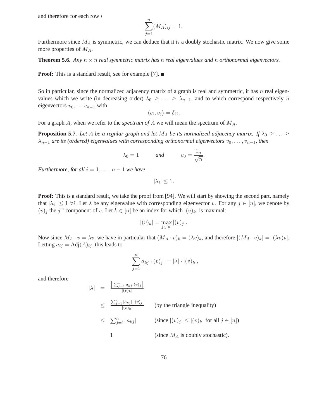and therefore for each row i

$$
\sum_{j=1}^{n} (M_A)_{ij} = 1.
$$

Furthermore since  $M_A$  is symmetric, we can deduce that it is a doubly stochastic matrix. We now give some more properties of  $M_A$ .

**Theorem 5.6.** *Any*  $n \times n$  *real symmetric matrix has* n *real eigenvalues and* n *orthonormal eigenvectors.* 

**Proof:** This is a standard result, see for example [7]. ■

So in particular, since the normalized adjacency matrix of a graph is real and symmetric, it has  $n$  real eigenvalues which we write (in decreasing order)  $\lambda_0 \geq \ldots \geq \lambda_{n-1}$ , and to which correspond respectively n eigenvectors  $v_0, \ldots v_{n-1}$  with

$$
\langle v_i, v_j \rangle = \delta_{ij}.
$$

For a graph A, when we refer to the *spectrum of* A we will mean the spectrum of MA.

**Proposition 5.7.** Let A be a regular graph and let  $M_A$  be its normalized adjacency matrix. If  $\lambda_0 \geq \ldots \geq$  $\lambda_{n-1}$  *are its (ordered) eigenvalues with corresponding orthonormal eigenvectors*  $v_0, \ldots, v_{n-1}$ *, then* 

$$
\lambda_0 = 1
$$
 and  $v_0 = \frac{1_n}{\sqrt{n}}$ .

*Furthermore, for all*  $i = 1, \ldots, n - 1$  *we have* 

 $|\lambda_i| \leq 1.$ 

**Proof:** This is a standard result, we take the proof from [94]. We will start by showing the second part, namely that  $|\lambda_i| \leq 1$   $\forall i$ . Let  $\lambda$  be any eigenvalue with corresponding eigenvector v. For any  $j \in [n]$ , we denote by  $(v)_j$  the j<sup>th</sup> component of v. Let  $k \in [n]$  be an index for which  $|(v)_k|$  is maximal:

$$
|(v)_k| = \max_{j \in [n]} |(v)_j|.
$$

Now since  $M_A \cdot v = \lambda v$ , we have in particular that  $(M_A \cdot v)_k = (\lambda v)_k$ , and therefore  $|(M_A \cdot v)_k| = |(\lambda v)_k|$ . Letting  $a_{ij} = \text{Adj}(A)_{ij}$ , this leads to

$$
\left|\sum_{j=1}^n a_{kj} \cdot (v)_j\right| = |\lambda| \cdot |(v)_k|,
$$

and therefore

$$
|\lambda| = \frac{\left|\sum_{j=1}^{n} a_{kj} \cdot (v)_j\right|}{|(v)_k|}
$$
\n
$$
\leq \frac{\sum_{j=1}^{n} |a_{kj}| \cdot |(v)_j|}{|(v)_k|}
$$
 (by the triangle inequality)\n
$$
\leq \sum_{j=1}^{n} |a_{kj}|
$$
 (since  $|(v)_j| \leq |(v)_k|$  for all  $j \in [n]$ )\n
$$
= 1
$$
 (since  $M_A$  is doubly stochastic).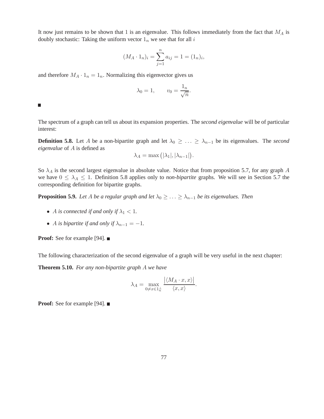It now just remains to be shown that 1 is an eigenvalue. This follows immediately from the fact that  $M_A$  is doubly stochastic: Taking the uniform vector  $1_n$  we see that for all i

$$
(M_A \cdot 1_n)_i = \sum_{j=1}^n a_{ij} = 1 = (1_n)_i,
$$

and therefore  $M_A \cdot 1_n = 1_n$ . Normalizing this eigenvector gives us

$$
\lambda_0 = 1, \qquad v_0 = \frac{1_n}{\sqrt{n}}.
$$

 $\Box$ 

The spectrum of a graph can tell us about its expansion properties. The *second eigenvalue* will be of particular interest:

**Definition 5.8.** Let A be a non-bipartite graph and let  $\lambda_0 \geq \ldots \geq \lambda_{n-1}$  be its eigenvalues. The *second eigenvalue* of A is defined as

$$
\lambda_A = \max(|\lambda_1|, |\lambda_{n-1}|).
$$

So  $\lambda_A$  is the second largest eigenvalue in absolute value. Notice that from proposition 5.7, for any graph A we have  $0 \leq \lambda_A \leq 1$ . Definition 5.8 applies only to *non-bipartite* graphs. We will see in Section 5.7 the corresponding definition for bipartite graphs.

**Proposition 5.9.** *Let* A *be a regular graph and let*  $\lambda_0 \geq \ldots \geq \lambda_{n-1}$  *be its eigenvalues. Then* 

- A *is connected if and only if*  $\lambda_1 < 1$ *.*
- A *is bipartite if and only if*  $\lambda_{n-1} = -1$ .

**Proof:** See for example [94]. ■

The following characterization of the second eigenvalue of a graph will be very useful in the next chapter:

**Theorem 5.10.** *For any non-bipartite graph* A *we have*

$$
\lambda_A = \max_{0 \neq x \in 1^{\perp}_n} \frac{|\langle M_A \cdot x, x \rangle|}{\langle x, x \rangle}.
$$

**Proof:** See for example [94]. ■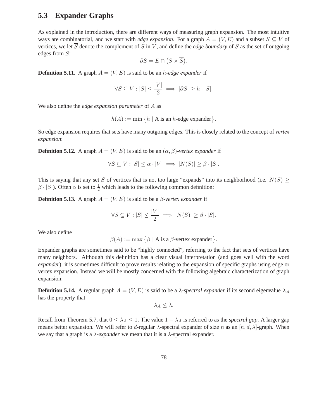## **5.3 Expander Graphs**

As explained in the introduction, there are different ways of measuring graph expansion. The most intuitive ways are combinatorial, and we start with *edge expansion*. For a graph  $A = (V, E)$  and a subset  $S \subseteq V$  of vertices, we let  $\overline{S}$  denote the complement of S in V, and define the *edge boundary* of S as the set of outgoing edges from S:

$$
\partial S = E \cap (S \times \overline{S}).
$$

**Definition 5.11.** A graph  $A = (V, E)$  is said to be an *h-edge expander* if

$$
\forall S \subseteq V : |S| \le \frac{|V|}{2} \implies |\partial S| \ge h \cdot |S|.
$$

We also define the *edge expansion parameter* of A as

$$
h(A) := \min\big\{h \mid A \text{ is an } h\text{-edge exponent}\big\}.
$$

So edge expansion requires that sets have many outgoing edges. This is closely related to the concept of *vertex expansion*:

**Definition 5.12.** A graph  $A = (V, E)$  is said to be an  $(\alpha, \beta)$ *-vertex expander* if

$$
\forall S \subseteq V : |S| \le \alpha \cdot |V| \implies |N(S)| \ge \beta \cdot |S|.
$$

This is saying that any set S of vertices that is not too large "expands" into its neighborhood (i.e.  $N(S) \geq$  $\beta \cdot |S|$ ). Often  $\alpha$  is set to  $\frac{1}{2}$  which leads to the following common definition:

**Definition 5.13.** A graph  $A = (V, E)$  is said to be a  $\beta$ -vertex expander if

$$
\forall S \subseteq V : |S| \le \frac{|V|}{2} \implies |N(S)| \ge \beta \cdot |S|.
$$

We also define

$$
\beta(A) := \max \big\{ \beta \mid A \text{ is a } \beta\text{-vertex expander} \big\}.
$$

Expander graphs are sometimes said to be "highly connected", referring to the fact that sets of vertices have many neighbors. Although this definition has a clear visual interpretation (and goes well with the word *expander*), it is sometimes difficult to prove results relating to the expansion of specific graphs using edge or vertex expansion. Instead we will be mostly concerned with the following algebraic characterization of graph expansion:

**Definition 5.14.** A regular graph  $A = (V, E)$  is said to be a  $\lambda$ -spectral expander if its second eigenvalue  $\lambda_A$ has the property that

$$
\lambda_A \leq \lambda.
$$

Recall from Theorem 5.7, that  $0 \leq \lambda_A \leq 1$ . The value  $1 - \lambda_A$  is referred to as the *spectral gap*. A larger gap means better expansion. We will refer to d-regular  $\lambda$ -spectral expander of size n as an  $[n, d, \lambda]$ -graph. When we say that a graph is a  $\lambda$ -expander we mean that it is a  $\lambda$ -spectral expander.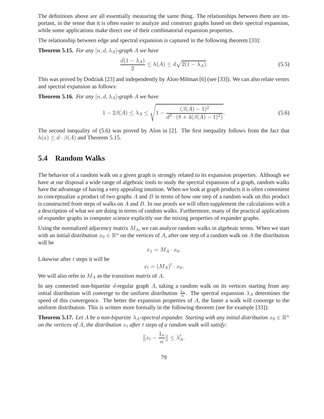The definitions above are all essentially measuring the same thing. The relationships between them are important, in the sense that it is often easier to analyze and construct graphs based on their spectral expansion, while some applications make direct use of their combinatorial expansion properties.

The relationship between edge and spectral expansion is captured in the following theorem [33]:

**Theorem 5.15.** *For any*  $[n, d, \lambda_A]$ *-graph A we have* 

$$
\frac{d(1-\lambda_A)}{2} \le h(A) \le d\sqrt{2(1-\lambda_A)}.\tag{5.5}
$$

This was proved by Dodziuk [23] and independently by Alon-Milman [6] (see [33]). We can also relate vertex and spectral expansion as follows:

**Theorem 5.16.** *For any*  $[n, d, \lambda_A]$ *-graph A we have* 

$$
1 - 2\beta(A) \le \lambda_A \le \sqrt{1 - \frac{(\beta(A) - 1)^2}{d^2 \cdot (8 + 4(\beta(A) - 1)^2)}}.
$$
\n(5.6)

The second inequality of (5.6) was proved by Alon in [2]. The first inequality follows from the fact that  $h(a) \leq d \cdot \beta(A)$  and Theorem 5.15.

## **5.4 Random Walks**

The behavior of a random walk on a given graph is strongly related to its expansion properties. Although we have at our disposal a wide range of algebraic tools to study the spectral expansion of a graph, random walks have the advantage of having a very appealing intuition. When we look at graph products it is often convenient to conceptualize a product of two graphs  $A$  and  $B$  in terms of how one step of a random walk on this product is constructed from steps of walks on  $A$  and  $B$ . In our proofs we will often supplement the calculations with a a description of what we are doing in terms of random walks. Furthermore, many of the practical applications of expander graphs in computer science explicitly use the mixing properties of expander graphs.

Using the normalized adjacency matrix  $M_A$ , we can analyze random walks in algebraic terms. When we start with an initial distribution  $x_0 \in \mathbb{R}^n$  on the vertices of A, after one step of a random walk on A the distribution will be

$$
x_1 = M_A \cdot x_0.
$$

Likewise after  $t$  steps it will be

$$
x_t = (M_A)^t \cdot x_0.
$$

We will also refer to  $M_A$  as the *transition matrix* of  $A$ .

In any connected non-bipartite  $d$ -regular graph  $A$ , taking a random walk on its vertices starting from any initial distribution will converge to the uniform distribution  $\frac{1}{n}$ . The spectral expansion  $\lambda_A$  determines the speed of this convergence. The better the expansion properties of A, the faster a walk will converge to the uniform distribution. This is written more formally in the following theorem (see for example [33]):

**Theorem 5.17.** Let A be a non-bipartite  $\lambda_A$ -spectral expander. Starting with any initial distribution  $x_0 \in \mathbb{R}^n$ *on the vertices of A, the distribution*  $x_t$  *after* t *steps of a random walk will satisfy:* 

$$
||x_t - \frac{1_n}{n}|| \le \lambda_A^t.
$$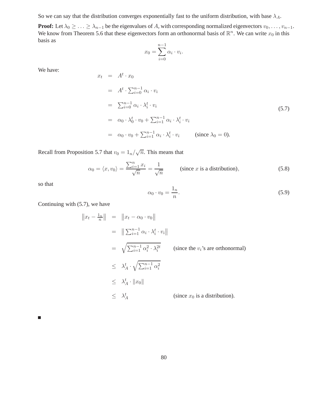So we can say that the distribution converges exponentially fast to the uniform distribution, with base  $\lambda_A$ .

**Proof:** Let  $\lambda_0 \geq \ldots \geq \lambda_{n-1}$  be the eigenvalues of A, with corresponding normalized eigenvectors  $v_0, \ldots, v_{n-1}$ . We know from Theorem 5.6 that these eigenvectors form an orthonormal basis of  $\mathbb{R}^n$ . We can write  $x_0$  in this basis as

$$
x_0 = \sum_{i=0}^{n-1} \alpha_i \cdot v_i.
$$

We have:

$$
x_t = A^t \cdot x_0
$$
  
\n
$$
= A^t \cdot \sum_{i=0}^{n-1} \alpha_i \cdot v_i
$$
  
\n
$$
= \sum_{i=0}^{n-1} \alpha_i \cdot \lambda_i^t \cdot v_i
$$
  
\n
$$
= \alpha_0 \cdot \lambda_0^t \cdot v_0 + \sum_{i=1}^{n-1} \alpha_i \cdot \lambda_i^t \cdot v_i
$$
  
\n
$$
= \alpha_0 \cdot v_0 + \sum_{i=1}^{n-1} \alpha_i \cdot \lambda_i^t \cdot v_i \quad \text{(since } \lambda_0 = 0).
$$
  
\n(5.7)

Recall from Proposition 5.7 that  $v_0 = 1_n/\sqrt{n}$ . This means that

$$
\alpha_0 = \langle x, v_0 \rangle = \frac{\sum_{i=1}^n x_i}{\sqrt{n}} = \frac{1}{\sqrt{n}} \qquad \text{(since } x \text{ is a distribution)}, \tag{5.8}
$$

so that

$$
\alpha_0 \cdot v_0 = \frac{1_n}{n}.\tag{5.9}
$$

Continuing with (5.7), we have

$$
||x_t - \frac{1_n}{n}|| = ||x_t - \alpha_0 \cdot v_0||
$$
  
\n
$$
= ||\sum_{i=1}^{n-1} \alpha_i \cdot \lambda_i^t \cdot v_i||
$$
  
\n
$$
= \sqrt{\sum_{i=1}^{n-1} \alpha_i^2 \cdot \lambda_i^{2t}}
$$
 (since the  $v_i$ 's are orthonormal)  
\n
$$
\leq \lambda_A^t \cdot \sqrt{\sum_{i=1}^{n-1} \alpha_i^2}
$$
  
\n
$$
\leq \lambda_A^t \cdot ||x_0||
$$
  
\n
$$
\leq \lambda_A^t
$$
 (since  $x_0$  is a distribution).

 $\blacksquare$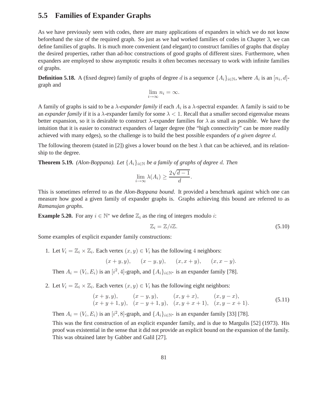## **5.5 Families of Expander Graphs**

As we have previously seen with codes, there are many applications of expanders in which we do not know beforehand the size of the required graph. So just as we had worked families of codes in Chapter 3, we can define families of graphs. It is much more convenient (and elegant) to construct families of graphs that display the desired properties, rather than ad-hoc constructions of good graphs of different sizes. Furthermore, when expanders are employed to show asymptotic results it often becomes necessary to work with infinite families of graphs.

**Definition 5.18.** A (fixed degree) family of graphs of degree d is a sequence  $\{A_i\}_{i\in\mathbb{N}}$ , where  $A_i$  is an  $[n_i, d]$ graph and

$$
\lim_{i \to \infty} n_i = \infty.
$$

A family of graphs is said to be a  $\lambda$ -expander family if each  $A_i$  is a  $\lambda$ -spectral expander. A family is said to be an *expander family* if it is a  $\lambda$ -expander family for some  $\lambda < 1$ . Recall that a smaller second eigenvalue means better expansion, so it is desirable to construct  $\lambda$ -expander families for  $\lambda$  as small as possible. We have the intuition that it is easier to construct expanders of larger degree (the "high connectivity" can be more readily achieved with many edges), so the challenge is to build the best possible expanders *of a given degree* d.

The following theorem (stated in [2]) gives a lower bound on the best  $\lambda$  that can be achieved, and its relationship to the degree.

**Theorem 5.19.** *(Alon-Boppana). Let*  $\{A_i\}_{i\in\mathbb{N}}$  *be a family of graphs of degree d. Then* 

$$
\lim_{i \to \infty} \lambda(A_i) \ge \frac{2\sqrt{d-1}}{d}.
$$

This is sometimes referred to as the *Alon-Boppana bound*. It provided a benchmark against which one can measure how good a given family of expander graphs is. Graphs achieving this bound are referred to as *Ramanujan graphs*.

**Example 5.20.** For any  $i \in \mathbb{N}^*$  we define  $\mathbb{Z}_i$  as the ring of integers modulo *i*:

$$
\mathbb{Z}_i = \mathbb{Z}/i\mathbb{Z}.\tag{5.10}
$$

Some examples of explicit expander family constructions:

1. Let  $V_i = \mathbb{Z}_i \times \mathbb{Z}_i$ . Each vertex  $(x, y) \in V_i$  has the following 4 neighbors:

$$
(x + y, y),
$$
  $(x - y, y),$   $(x, x + y),$   $(x, x - y).$ 

Then  $A_i = (V_i, E_i)$  is an  $[i^2, 4]$ -graph, and  $\{A_i\}_{i \in \mathbb{N}^*}$  is an expander family [78].

2. Let  $V_i = \mathbb{Z}_i \times \mathbb{Z}_i$ . Each vertex  $(x, y) \in V_i$  has the following eight neighbors:

$$
(x+y,y),
$$
  $(x-y,y),$   $(x,y+x),$   $(x,y-x),$   
\n $(x+y+1,y),$   $(x-y+1,y),$   $(x,y+x+1),$   $(x,y-x+1).$  (5.11)

Then  $A_i = (V_i, E_i)$  is an  $[i^2, 8]$ -graph, and  $\{A_i\}_{i \in \mathbb{N}^*}$  is an expander family [33] [78].

This was the first construction of an explicit expander family, and is due to Margulis [52] (1973). His proof was existential in the sense that it did not provide an explicit bound on the expansion of the family. This was obtained later by Gabber and Galil [27].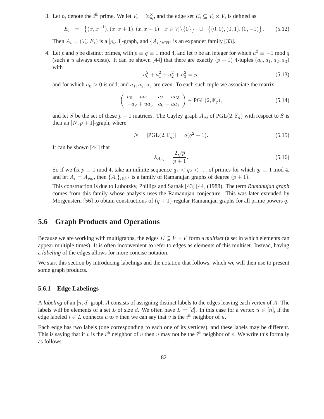3. Let  $p_i$  denote the *i*<sup>th</sup> prime. We let  $V_i = \mathbb{Z}_{p_i}^{\times}$ , and the edge set  $E_i \subseteq V_i \times V_i$  is defined as

$$
E_i = \{(x, x^{-1}), (x, x + 1), (x, x - 1) | x \in V_i \setminus \{0\}\} \cup \{(0, 0), (0, 1), (0, -1)\}.
$$
 (5.12)

Then  $A_i = (V_i, E_i)$  is a  $[p_i, 3]$ -graph, and  $\{A_i\}_{i \in \mathbb{N}^*}$  is an expander family [33].

4. Let p and q be distinct primes, with  $p \equiv q \equiv 1 \mod 4$ , and let u be an integer for which  $u^2 \equiv -1 \mod q$ (such a u always exists). It can be shown [44] that there are exactly  $(p + 1)$  4-tuples  $(a_0, a_1, a_2, a_3)$ with

$$
a_0^2 + a_1^2 + a_2^2 + a_3^2 = p,\t\t(5.13)
$$

and for which  $a_0 > 0$  is odd, and  $a_1, a_2, a_3$  are even. To each such tuple we associate the matrix

$$
\begin{pmatrix} a_0 + ua_1 & a_2 + ua_3 \ -a_2 + ua_3 & a_0 - ua_1 \end{pmatrix} \in \text{PGL}(2, \mathbb{F}_q),
$$
\n(5.14)

and let S be the set of these  $p + 1$  matrices. The Cayley graph  $A_{pq}$  of PGL(2,  $\mathbb{F}_q$ ) with respect to S is then an  $[N, p+1]$ -graph, where

$$
N = |\text{PGL}(2, \mathbb{F}_q)| = q(q^2 - 1).
$$
\n(5.15)

It can be shown [44] that

$$
\lambda_{A_{pq}} = \frac{2\sqrt{p}}{p+1}.\tag{5.16}
$$

So if we fix  $p \equiv 1 \mod 4$ , take an infinite sequence  $q_1 < q_2 < \dots$  of primes for which  $q_i \equiv 1 \mod 4$ , and let  $A_i = A_{pq_i}$ , then  $\{A_i\}_{i \in \mathbb{N}^*}$  is a family of Ramanujan graphs of degree  $(p+1)$ .

This construction is due to Lubotzky, Phillips and Sarnak [43] [44] (1988). The term *Ramanujan graph* comes from this family whose analysis uses the Ramanujan conjecture. This was later extended by Morgenstern [56] to obtain constructions of  $(q + 1)$ -regular Ramanujan graphs for all prime powers q.

## **5.6 Graph Products and Operations**

Because we are working with multigraphs, the edges  $E \subseteq V \times V$  form a *multiset* (a set in which elements can appear multiple times). It is often inconvenient to refer to edges as elements of this multiset. Instead, having a *labeling* of the edges allows for more concise notation.

We start this section by introducing labelings and the notation that follows, which we will then use to present some graph products.

#### **5.6.1 Edge Labelings**

A *labeling* of an [n, d]-graph A consists of assigning distinct labels to the edges leaving each vertex of A. The labels will be elements of a set L of size d. We often have  $L = [d]$ . In this case for a vertex  $u \in [n]$ , if the edge labeled  $i \in L$  connects u to v then we can say that v is the  $i^{\text{th}}$  neighbor of u.

Each edge has two labels (one corresponding to each one of its vertices), and these labels may be different. This is saying that if v is the i<sup>th</sup> neighbor of u then u may not be the i<sup>th</sup> neighbor of v. We write this formally as follows: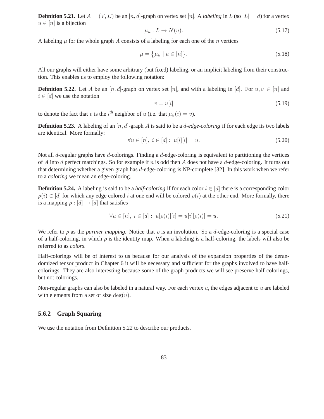**Definition 5.21.** Let  $A = (V, E)$  be an [n, d]-graph on vertex set [n]. A *labeling* in L (so  $|L| = d$ ) for a vertex  $u \in [n]$  is a bijection

$$
\mu_u: L \to N(u). \tag{5.17}
$$

A labeling  $\mu$  for the whole graph A consists of a labeling for each one of the n vertices

$$
\mu = {\mu_u \mid u \in [n]}.
$$
\n
$$
(5.18)
$$

All our graphs will either have some arbitrary (but fixed) labeling, or an implicit labeling from their construction. This enables us to employ the following notation:

**Definition 5.22.** Let A be an [n, d]-graph on vertex set [n], and with a labeling in [d]. For  $u, v \in [n]$  and  $i \in [d]$  we use the notation

$$
v = u[i] \tag{5.19}
$$

to denote the fact that v is the i<sup>th</sup> neighbor of u (i.e. that  $\mu_u(i) = v$ ).

**Definition 5.23.** A labeling of an  $[n, d]$ -graph A is said to be a *d-edge-coloring* if for each edge its two labels are identical. More formally:

$$
\forall u \in [n], \ i \in [d] : u[i][i] = u. \tag{5.20}
$$

Not all d-regular graphs have d-colorings. Finding a d-edge-coloring is equivalent to partitioning the vertices of A into d perfect matchings. So for example if n is odd then A does not have a d-edge-coloring. It turns out that determining whether a given graph has d-edge-coloring is NP-complete [32]. In this work when we refer to a *coloring* we mean an edge-coloring.

**Definition 5.24.** A labeling is said to be a *half-coloring* if for each color  $i \in [d]$  there is a corresponding color  $\rho(i) \in [d]$  for which any edge colored i at one end will be colored  $\rho(i)$  at the other end. More formally, there is a mapping  $\rho : [d] \rightarrow [d]$  that satisfies

$$
\forall u \in [n], \ i \in [d]: \ u[\rho(i)][i] = u[i][\rho(i)] = u. \tag{5.21}
$$

We refer to  $\rho$  as the *partner mapping*. Notice that  $\rho$  is an involution. So a *d*-edge-coloring is a special case of a half-coloring, in which  $\rho$  is the identity map. When a labeling is a half-coloring, the labels will also be referred to as *colors*.

Half-colorings will be of interest to us because for our analysis of the expansion properties of the derandomized tensor product in Chapter 6 it will be necessary and sufficient for the graphs involved to have halfcolorings. They are also interesting because some of the graph products we will see preserve half-colorings, but not colorings.

Non-regular graphs can also be labeled in a natural way. For each vertex  $u$ , the edges adjacent to  $u$  are labeled with elements from a set of size  $deg(u)$ .

#### **5.6.2 Graph Squaring**

We use the notation from Definition 5.22 to describe our products.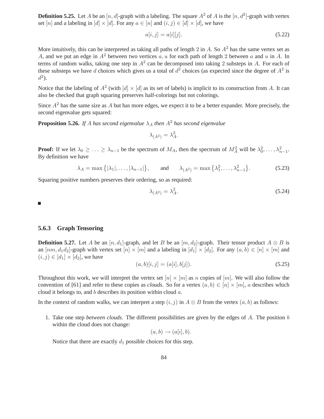**Definition 5.25.** Let A be an  $[n, d]$ -graph with a labeling. The square  $A^2$  of A is the  $[n, d^2]$ -graph with vertex set [n] and a labeling in [d]  $\times$  [d]. For any  $a \in [n]$  and  $(i, j) \in [d] \times [d]$ , we have

$$
a[i,j] = a[i][j].
$$
\n(5.22)

More intuitively, this can be interpreted as taking all paths of length 2 in A. So  $A<sup>2</sup>$  has the same vertex set as A, and we put an edge in  $A^2$  between two vertices a, u for each path of length 2 between a and u in A. In terms of random walks, taking one step in  $A^2$  can be decomposed into taking 2 substeps in A. For each of these substeps we have d choices which gives us a total of  $d^2$  choices (as expected since the degree of  $A^2$  is  $d^2$ ).

Notice that the labeling of  $A^2$  (with  $[d] \times [d]$  as its set of labels) is implicit to its construction from A. It can also be checked that graph squaring preserves half-colorings but not colorings.

Since  $A^2$  has the same size as A but has more edges, we expect it to be a better expander. More precisely, the second eigenvalue gets squared:

**Proposition 5.26.** *If* A has second eigenvalue  $\lambda_A$  *then*  $A^2$  *has second eigenvalue* 

$$
\lambda_{(A^2)} = \lambda_A^2.
$$

**Proof:** If we let  $\lambda_0 \geq \ldots \geq \lambda_{n-1}$  be the spectrum of  $M_A$ , then the spectrum of  $M_A^2$  will be  $\lambda_0^2, \ldots, \lambda_{n-1}^2$ . By definition we have

$$
\lambda_A = \max\left\{ |\lambda_1|, \dots, |\lambda_{n-1}| \right\}, \quad \text{and} \quad \lambda_{(A^2)} = \max\left\{ \lambda_1^2, \dots, \lambda_{n-1}^2 \right\}. \tag{5.23}
$$

Squaring positive numbers preserves their ordering, so as required:

$$
\lambda_{(A^2)} = \lambda_A^2. \tag{5.24}
$$

п

#### **5.6.3 Graph Tensoring**

**Definition 5.27.** Let A be an  $[n, d_1]$ -graph, and let B be an  $[m, d_2]$ -graph. Their tensor product  $A \otimes B$  is an  $[mm, d_1d_2]$ -graph with vertex set  $[n] \times [m]$  and a labeling in  $[d_1] \times [d_2]$ . For any  $(a, b) \in [n] \times [m]$  and  $(i, j) \in [d_1] \times [d_2]$ , we have

$$
(a, b)[i, j] = (a[i], b[j]).
$$
\n(5.25)

Throughout this work, we will interpret the vertex set  $[n] \times [m]$  as n copies of  $[m]$ . We will also follow the convention of [61] and refer to these copies as *clouds*. So for a vertex  $(a, b) \in [n] \times [m]$ , a describes which cloud it belongs to, and b describes its position within cloud a.

In the context of random walks, we can interpret a step  $(i, j)$  in  $A \otimes B$  from the vertex  $(a, b)$  as follows:

1. Take one step *between clouds*. The different possibilities are given by the edges of A. The position b within the cloud does not change:

$$
(a,b)\rightarrow (a[i],b).
$$

Notice that there are exactly  $d_1$  possible choices for this step.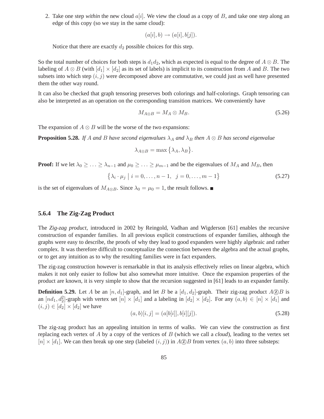2. Take one step *within* the new cloud  $a[i]$ . We view the cloud as a copy of B, and take one step along an edge of this copy (so we stay in the same cloud):

$$
(a[i], b) \rightarrow (a[i], b[j]).
$$

Notice that there are exactly  $d_2$  possible choices for this step.

So the total number of choices for both steps is  $d_1d_2$ , which as expected is equal to the degree of  $A \otimes B$ . The labeling of  $A \otimes B$  (with  $[d_1] \times [d_2]$  as its set of labels) is implicit to its construction from A and B. The two subsets into which step  $(i, j)$  were decomposed above are commutative, we could just as well have presented them the other way round.

It can also be checked that graph tensoring preserves both colorings and half-colorings. Graph tensoring can also be interpreted as an operation on the corresponding transition matrices. We conveniently have

$$
M_{A\otimes B} = M_A \otimes M_B. \tag{5.26}
$$

The expansion of  $A \otimes B$  will be the worse of the two expansions:

**Proposition 5.28.** *If* A and B have second eigenvalues  $\lambda_A$  and  $\lambda_B$  *then*  $A \otimes B$  *has second eigenvalue* 

$$
\lambda_{A\otimes B} = \max\left\{\lambda_A, \lambda_B\right\}.
$$

**Proof:** If we let  $\lambda_0 \geq \ldots \geq \lambda_{n-1}$  and  $\mu_0 \geq \ldots \geq \mu_{m-1}$  and be the eigenvalues of  $M_A$  and  $M_B$ , then

$$
\{\lambda_i \cdot \mu_j \mid i = 0, \dots, n-1, \ j = 0, \dots, m-1\}
$$
\n(5.27)

is the set of eigenvalues of  $M_{A\otimes B}$ . Since  $\lambda_0 = \mu_0 = 1$ , the result follows. ■

#### **5.6.4 The Zig-Zag Product**

The *Zig-zag product*, introduced in 2002 by Reingold, Vadhan and Wigderson [61] enables the recursive construction of expander families. In all previous explicit constructions of expander families, although the graphs were easy to describe, the proofs of why they lead to good expanders were highly algebraic and rather complex. It was therefore difficult to conceptualize the connection between the algebra and the actual graphs, or to get any intuition as to why the resulting families were in fact expanders.

The zig-zag construction however is remarkable in that its analysis effectively relies on linear algebra, which makes it not only easier to follow but also somewhat more intuitive. Once the expansion properties of the product are known, it is very simple to show that the recursion suggested in [61] leads to an expander family.

**Definition 5.29.** Let A be an  $[n, d_1]$ -graph, and let B be a  $[d_1, d_2]$ -graph. Their zig-zag product  $A \circled{D} B$  is an  $[nd_1, d_2^2]$ -graph with vertex set  $[n] \times [d_1]$  and a labeling in  $[d_2] \times [d_2]$ . For any  $(a, b) \in [n] \times [d_1]$  and  $(i, j) \in [d_2] \times [d_2]$  we have

$$
(a, b)[i, j] = (a[b[i]], b[i][j]).
$$
\n(5.28)

The zig-zag product has an appealing intuition in terms of walks. We can view the construction as first replacing each vertex of A by a copy of the vertices of B (which we call a *cloud*), leading to the vertex set  $[n] \times [d_1]$ . We can then break up one step (labeled  $(i, j)$ ) in  $A \circled{2} B$  from vertex  $(a, b)$  into three substeps: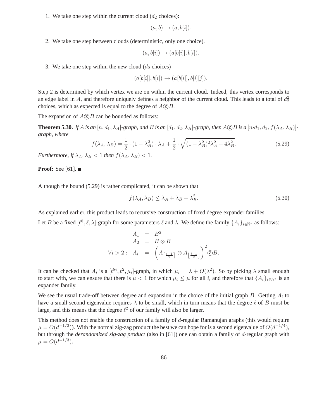1. We take one step within the current cloud  $(d_2 \text{ choices})$ :

$$
(a,b)\rightarrow (a,b[i]).
$$

2. We take one step between clouds (deterministic, only one choice).

$$
(a, b[i]) \rightarrow (a[b[i]], b[i]).
$$

3. We take one step within the new cloud  $(d_2 \text{ choices})$ 

$$
(a[b[i]], b[i]) \rightarrow (a[b[i]], b[i][j]).
$$

Step 2 is determined by which vertex we are on within the current cloud. Indeed, this vertex corresponds to an edge label in A, and therefore uniquely defines a neighbor of the current cloud. This leads to a total of  $d_2^2$ choices, which as expected is equal to the degree of  $A \circled{2} B$ .

The expansion of  $A(\overline{z})B$  can be bounded as follows:

**Theorem 5.30.** *If* A *is an*  $[n, d_1, \lambda_A]$ *-graph, and* B *is an*  $[d_1, d_2, \lambda_B]$ *-graph, then*  $A \odot B$  *is a*  $[n \cdot d_1, d_2, f(\lambda_A, \lambda_B)]$ *graph, where*

$$
f(\lambda_A, \lambda_B) = \frac{1}{2} \cdot (1 - \lambda_B^2) \cdot \lambda_A + \frac{1}{2} \cdot \sqrt{(1 - \lambda_B^2)^2 \lambda_A^2 + 4\lambda_B^2}.
$$
 (5.29)

*Furthermore, if*  $\lambda_A$ ,  $\lambda_B$  < 1 *then*  $f(\lambda_A, \lambda_B)$  < 1*.* 

**Proof:** See [61]. ■

Although the bound (5.29) is rather complicated, it can be shown that

$$
f(\lambda_A, \lambda_B) \le \lambda_A + \lambda_B + \lambda_B^2. \tag{5.30}
$$

As explained earlier, this product leads to recursive construction of fixed degree expander families.

Let B be a fixed  $[\ell^8, \ell, \lambda]$ -graph for some parameters  $\ell$  and  $\lambda$ . We define the family  $\{A_i\}_{i \in \mathbb{N}^*}$  as follows:

$$
A_1 = B^2
$$
  
\n
$$
A_2 = B \otimes B
$$
  
\n
$$
\forall i > 2: A_i = \left(A_{\left\lceil \frac{i-1}{2} \right\rceil} \otimes A_{\left\lfloor \frac{i-1}{2} \right\rfloor} \right)^2 \textcircled{B}.
$$

It can be checked that  $A_i$  is a  $[\ell^{8i}, \ell^2, \mu_i]$ -graph, in which  $\mu_i = \lambda + O(\lambda^2)$ . So by picking  $\lambda$  small enough to start with, we can ensure that there is  $\mu < 1$  for which  $\mu_i \leq \mu$  for all i, and therefore that  $\{A_i\}_{i\in\mathbb{N}^*}$  is an expander family.

We see the usual trade-off between degree and expansion in the choice of the initial graph  $B$ . Getting  $A_i$  to have a small second eigenvalue requires  $\lambda$  to be small, which in turn means that the degree  $\ell$  of B must be large, and this means that the degree  $\ell^2$  of our family will also be larger.

This method does not enable the construction of a family of  $d$ -regular Ramanujan graphs (this would require  $\mu = O(d^{-1/2})$ ). With the normal zig-zag product the best we can hope for is a second eigenvalue of  $O(d^{-1/4})$ , but through the *derandomized zig-zag product* (also in [61]) one can obtain a family of d-regular graph with  $\mu = O(d^{-1/3}).$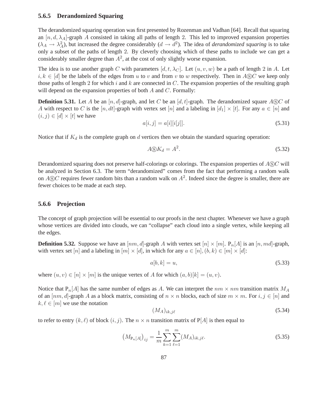#### **5.6.5 Derandomized Squaring**

The derandomized squaring operation was first presented by Rozenman and Vadhan [64]. Recall that squaring an  $[n, d, \lambda_A]$ -graph A consisted in taking all paths of length 2. This led to improved expansion properties  $(\lambda_A \to \lambda_A^2)$ , but increased the degree considerably  $(d \to d^2)$ . The idea of *derandomized squaring* is to take only a subset of the paths of length 2. By cleverly choosing which of these paths to include we can get a considerably smaller degree than  $A^2$ , at the cost of only slightly worse expansion.

The idea is to use another graph C with parameters  $[d, t, \lambda_C]$ . Let  $(u, v, w)$  be a path of length 2 in A. Let  $i, k \in [d]$  be the labels of the edges from u to v and from v to w respectively. Then in ASC we keep only those paths of length 2 for which i and  $k$  are connected in  $C$ . The expansion properties of the resulting graph will depend on the expansion properties of both  $A$  and  $C$ . Formally:

**Definition 5.31.** Let A be an  $[n, d]$ -graph, and let C be an  $[d, t]$ -graph. The derandomized square ASC of A with respect to C is the  $[n, dt]$ -graph with vertex set  $[n]$  and a labeling in  $[d_1] \times [t]$ . For any  $a \in [n]$  and  $(i, j) \in [d] \times [t]$  we have

$$
a[i,j] = a[i][i[j]].
$$
\n(5.31)

Notice that if  $K_d$  is the complete graph on  $d$  vertices then we obtain the standard squaring operation:

$$
A \circledS K_d = A^2. \tag{5.32}
$$

Derandomized squaring does not preserve half-colorings or colorings. The expansion properties of  $A\odot C$  will be analyzed in Section 6.3. The term "derandomized" comes from the fact that performing a random walk on  $A \circledS C$  requires fewer random bits than a random walk on  $A^2$ . Indeed since the degree is smaller, there are fewer choices to be made at each step.

#### **5.6.6 Projection**

The concept of graph projection will be essential to our proofs in the next chapter. Whenever we have a graph whose vertices are divided into clouds, we can "collapse" each cloud into a single vertex, while keeping all the edges.

**Definition 5.32.** Suppose we have an  $[mn, d]$ -graph A with vertex set  $[n] \times [m]$ .  $P_n[A]$  is an  $[n, md]$ -graph, with vertex set [n] and a labeling in  $[m] \times [d]$ , in which for any  $a \in [n]$ ,  $(b, k) \in [m] \times [d]$ :

$$
a[b,k] = u,\tag{5.33}
$$

where  $(u, v) \in [n] \times [m]$  is the unique vertex of A for which  $(a, b)[k] = (u, v)$ .

Notice that  $P_n[A]$  has the same number of edges as A. We can interpret the  $nm \times nm$  transition matrix  $M_A$ of an  $[nm, d]$ -graph A as a block matrix, consisting of  $n \times n$  blocks, each of size  $m \times m$ . For  $i, j \in [n]$  and  $k, \ell \in [m]$  we use the notation

$$
(M_A)_{ik,j\ell} \tag{5.34}
$$

to refer to entry  $(k, \ell)$  of block  $(i, j)$ . The  $n \times n$  transition matrix of P[A] is then equal to

$$
\left(M_{\mathbf{P}_n[A]}\right)_{ij} = \frac{1}{m} \sum_{k=1}^m \sum_{\ell=1}^m (M_A)_{ik,j\ell}.
$$
\n(5.35)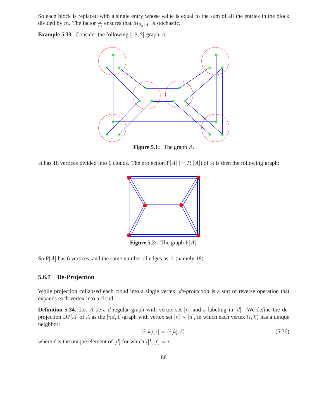So each block is replaced with a single entry whose value is equal to the sum of all the entries in the block divided by m. The factor  $\frac{1}{m}$  ensures that  $M_{P_n[A]}$  is stochastic.

**Example 5.33.** Consider the following [18, 2]-graph A,



A has 18 vertices divided into 6 clouds. The projection  $P[A] (= P_6[A])$  of A is then the following graph:



**Figure 5.2:** The graph  $P[A]$ .

So  $P[A]$  has 6 vertices, and the same number of edges as A (namely 18).

#### **5.6.7 De-Projection**

While projection collapsed each cloud into a single vertex, *de-projection* is a sort of reverse operation that expands each vertex into a cloud.

**Definition 5.34.** Let A be a d-regular graph with vertex set  $[n]$  and a labeling in  $[d]$ . We define the deprojection DP[A] of A as the [nd, 1]-graph with vertex set [n]  $\times$  [d], in which each vertex (i, k) has a unique neighbor:

$$
(i,k)[1] = (i[k], \ell), \tag{5.36}
$$

where  $\ell$  is the unique element of  $[d]$  for which  $i[k][\ell] = i$ .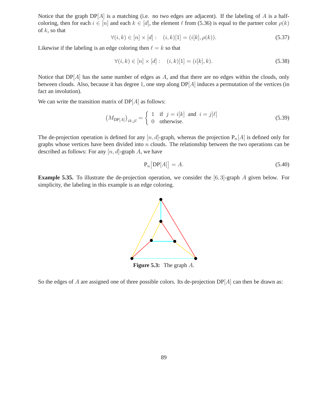Notice that the graph  $DP[A]$  is a matching (i.e. no two edges are adjacent). If the labeling of A is a halfcoloring, then for each  $i \in [n]$  and each  $k \in [d]$ , the element  $\ell$  from (5.36) is equal to the partner color  $\rho(k)$ of  $k$ , so that

$$
\forall (i,k) \in [n] \times [d]: \quad (i,k)[1] = (i[k], \rho(k)). \tag{5.37}
$$

Likewise if the labeling is an edge coloring then  $\ell = k$  so that

$$
\forall (i,k) \in [n] \times [d]: \quad (i,k)[1] = (i[k],k). \tag{5.38}
$$

Notice that  $DP[A]$  has the same number of edges as  $A$ , and that there are no edges within the clouds, only between clouds. Also, because it has degree 1, one step along DP[A] induces a permutation of the vertices (in fact an involution).

We can write the transition matrix of  $DP[A]$  as follows:

$$
(M_{\text{DP}[A]})_{ik,jl} = \begin{cases} 1 & \text{if } j = i[k] \text{ and } i = j[\ell] \\ 0 & \text{otherwise.} \end{cases} \tag{5.39}
$$

The de-projection operation is defined for any  $[n, d]$ -graph, whereas the projection  $P_n[A]$  is defined only for graphs whose vertices have been divided into  $n$  clouds. The relationship between the two operations can be described as follows: For any  $[n, d]$ -graph A, we have

$$
\mathbf{P}_n\big[\mathbf{DP}[A]\big] = A.\tag{5.40}
$$

**Example 5.35.** To illustrate the de-projection operation, we consider the [6, 3]-graph A given below. For simplicity, the labeling in this example is an edge coloring.



**Figure 5.3:** The graph A.

So the edges of A are assigned one of three possible colors. Its de-projection  $DP[A]$  can then be drawn as: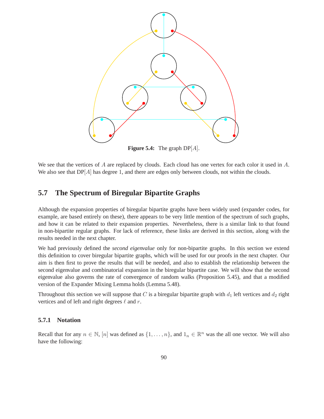

**Figure 5.4:** The graph  $DP[A]$ .

We see that the vertices of A are replaced by clouds. Each cloud has one vertex for each color it used in A. We also see that  $DP[A]$  has degree 1, and there are edges only between clouds, not within the clouds.

## **5.7 The Spectrum of Biregular Bipartite Graphs**

Although the expansion properties of biregular bipartite graphs have been widely used (expander codes, for example, are based entirely on these), there appears to be very little mention of the spectrum of such graphs, and how it can be related to their expansion properties. Nevertheless, there is a similar link to that found in non-bipartite regular graphs. For lack of reference, these links are derived in this section, along with the results needed in the next chapter.

We had previously defined the *second eigenvalue* only for non-bipartite graphs. In this section we extend this definition to cover biregular bipartite graphs, which will be used for our proofs in the next chapter. Our aim is then first to prove the results that will be needed, and also to establish the relationship between the second eigenvalue and combinatorial expansion in the biregular bipartite case. We will show that the second eigenvalue also governs the rate of convergence of random walks (Proposition 5.45), and that a modified version of the Expander Mixing Lemma holds (Lemma 5.48).

Throughout this section we will suppose that C is a biregular bipartite graph with  $d_1$  left vertices and  $d_2$  right vertices and of left and right degrees  $\ell$  and r.

#### **5.7.1 Notation**

Recall that for any  $n \in \mathbb{N}$ ,  $[n]$  was defined as  $\{1, \ldots, n\}$ , and  $1_n \in \mathbb{R}^n$  was the all one vector. We will also have the following: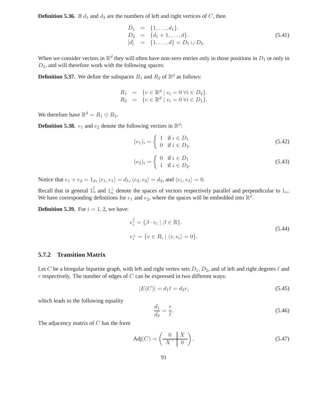**Definition 5.36.** If  $d_1$  and  $d_2$  are the numbers of left and right vertices of C, then

$$
D_1 = \{1, ..., d_1\}.
$$
  
\n
$$
D_2 = \{d_1 + 1, ..., d\}.
$$
  
\n
$$
[d] = \{1, ..., d\} = D_1 \sqcup D_2.
$$
\n(5.41)

When we consider vectors in  $\mathbb{R}^d$  they will often have non-zero entries only in those positions in  $D_1$  or only in  $D_2$ , and will therefore work with the following spaces:

**Definition 5.37.** We define the subspaces  $R_1$  and  $R_2$  of  $\mathbb{R}^d$  as follows:

$$
R_1 = \{ v \in \mathbb{R}^d \mid v_i = 0 \,\forall i \in D_2 \}.
$$
  
\n
$$
R_2 = \{ v \in \mathbb{R}^d \mid v_i = 0 \,\forall i \in D_1 \}.
$$

We therefore have  $\mathbb{R}^d = R_1 \oplus R_2$ .

**Definition 5.38.**  $e_1$  and  $e_2$  denote the following vectors in  $\mathbb{R}^d$ :

$$
(e_1)_i = \begin{cases} 1 & \text{if } i \in D_1 \\ 0 & \text{if } i \in D_2. \end{cases}
$$
 (5.42)

$$
(e_2)_i = \begin{cases} 0 & \text{if } i \in D_1 \\ 1 & \text{if } i \in D_2. \end{cases}
$$
\n
$$
(5.43)
$$

Notice that  $e_1 + e_2 = 1_d$ ,  $\langle e_1, e_1 \rangle = d_1$ ,  $\langle e_2, e_2 \rangle = d_2$ , and  $\langle e_1, e_2 \rangle = 0$ .

Recall that in general  $1_n^{\parallel}$  and  $1_n^{\perp}$  denote the spaces of vectors respectively parallel and perpendicular to  $1_n$ . We have corresponding definitions for  $e_1$  and  $e_2$ , where the spaces will be embedded into  $\mathbb{R}^d$ .

**Definition 5.39.** For  $i = 1, 2$ , we have:

$$
e_i^{\parallel} = \{ \beta \cdot e_i \mid \beta \in \mathbb{R} \}.
$$
  
\n
$$
e_i^{\perp} = \{ v \in R_i \mid \langle v, e_i \rangle = 0 \}.
$$
\n(5.44)

#### **5.7.2 Transition Matrix**

Let C be a biregular bipartite graph, with left and right vertex sets  $D_1, D_2$ , and of left and right degrees  $\ell$  and  $r$  respectively. The number of edges of  $C$  can be expressed in two different ways:

$$
|E(C)| = d_1 \ell = d_2 r,\t\t(5.45)
$$

which leads to the following equality

$$
\frac{d_1}{d_2} = \frac{r}{\ell}.\tag{5.46}
$$

The adjacency matrix of  $C$  has the form

$$
Adj(C) = \left(\frac{0}{X^{\top} \mid 0}\right),\tag{5.47}
$$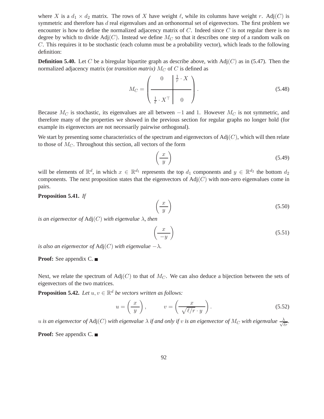where X is a  $d_1 \times d_2$  matrix. The rows of X have weight  $\ell$ , while its columns have weight r. Adj(C) is symmetric and therefore has d real eigenvalues and an orthonormal set of eigenvectors. The first problem we encounter is how to define the normalized adjacency matrix of  $C$ . Indeed since  $C$  is not regular there is no degree by which to divide Adj(C). Instead we define  $M_C$  so that it describes one step of a random walk on C. This requires it to be stochastic (each column must be a probability vector), which leads to the following definition:

**Definition 5.40.** Let C be a biregular bipartite graph as describe above, with  $\text{Adj}(C)$  as in (5.47). Then the normalized adjacency matrix (or *transition matrix)*  $M_C$  of C is defined as

$$
M_C = \left(\begin{array}{c|c} 0 & \frac{1}{r} \cdot X \\ \hline 1 & X^{\top} & 0 \end{array}\right). \tag{5.48}
$$

Because  $M_C$  is stochastic, its eigenvalues are all between  $-1$  and 1. However  $M_C$  is not symmetric, and therefore many of the properties we showed in the previous section for regular graphs no longer hold (for example its eigenvectors are not necessarily pairwise orthogonal).

We start by presenting some characteristics of the spectrum and eigenvectors of  $\text{Adj}(C)$ , which will then relate to those of  $M<sub>C</sub>$ . Throughout this section, all vectors of the form

$$
\left(\frac{x}{y}\right) \tag{5.49}
$$

will be elements of  $\mathbb{R}^d$ , in which  $x \in \mathbb{R}^{d_1}$  represents the top  $d_1$  components and  $y \in \mathbb{R}^{d_2}$  the bottom  $d_2$ components. The next proposition states that the eigenvectors of  $Adj(C)$  with non-zero eigenvalues come in pairs.

#### **Proposition 5.41.** *If*

$$
\left(\frac{x}{y}\right) \tag{5.50}
$$

*is an eigenvector of* Adj(C) *with eigenvalue* λ*, then*

$$
\left(\frac{x}{-y}\right) \tag{5.51}
$$

*is also an eigenvector of*  $Adj(C)$  *with eigenvalue*  $-\lambda$ *.* 

#### **Proof:** See appendix C. ■

Next, we relate the spectrum of  $Adj(C)$  to that of  $M_C$ . We can also deduce a bijection between the sets of eigenvectors of the two matrices.

**Proposition 5.42.** *Let*  $u, v \in \mathbb{R}^d$  *be vectors written as follows:* 

$$
u = \left(\frac{x}{y}\right), \qquad v = \left(\frac{x}{\sqrt{\ell/r} \cdot y}\right). \tag{5.52}
$$

u is an eigenvector of Adj $(C)$  with eigenvalue  $\lambda$  if and only if v is an eigenvector of  $M_C$  with eigenvalue  $\frac{\lambda}{\sqrt{\ell r}}$ .

**Proof:** See appendix C. ■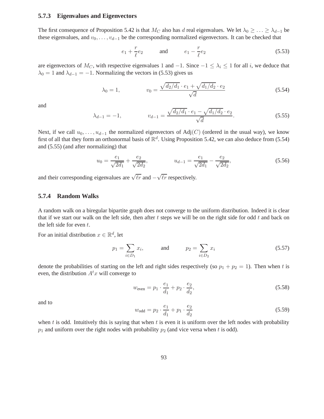#### **5.7.3 Eigenvalues and Eigenvectors**

The first consequence of Proposition 5.42 is that  $M_C$  also has d real eigenvalues. We let  $\lambda_0 \geq \ldots \geq \lambda_{d-1}$  be these eigenvalues, and  $v_0, \ldots, v_{d-1}$  be the corresponding normalized eigenvectors. It can be checked that

$$
e_1 + \frac{r}{\ell}e_2 \qquad \text{and} \qquad e_1 - \frac{r}{\ell}e_2 \tag{5.53}
$$

are eigenvectors of  $M_C$ , with respective eigenvalues 1 and  $-1$ . Since  $-1 \leq \lambda_i \leq 1$  for all i, we deduce that  $\lambda_0 = 1$  and  $\lambda_{d-1} = -1$ . Normalizing the vectors in (5.53) gives us

$$
\lambda_0 = 1, \qquad v_0 = \frac{\sqrt{d_2/d_1} \cdot e_1 + \sqrt{d_1/d_2} \cdot e_2}{\sqrt{d}} \tag{5.54}
$$

and

$$
\lambda_{d-1} = -1, \qquad v_{d-1} = \frac{\sqrt{d_2/d_1} \cdot e_1 - \sqrt{d_1/d_2} \cdot e_2}{\sqrt{d}}.
$$
\n(5.55)

Next, if we call  $u_0, \ldots, u_{d-1}$  the normalized eigenvectors of Adj(C) (ordered in the usual way), we know first of all that they form an orthonormal basis of  $\mathbb{R}^d$ . Using Proposition 5.42, we can also deduce from (5.54) and (5.55) (and after normalizing) that

$$
u_0 = \frac{e_1}{\sqrt{2d_1}} + \frac{e_2}{\sqrt{2d_2}}, \qquad u_{d-1} = \frac{e_1}{\sqrt{2d_1}} - \frac{e_2}{\sqrt{2d_2}}, \qquad (5.56)
$$

and their corresponding eigenvalues are  $\sqrt{\ell r}$  and  $-\sqrt{\ell r}$  respectively.

#### **5.7.4 Random Walks**

A random walk on a biregular bipartite graph does not converge to the uniform distribution. Indeed it is clear that if we start our walk on the left side, then after  $t$  steps we will be on the right side for odd  $t$  and back on the left side for even  $t$ .

For an initial distribution  $x \in \mathbb{R}^d$ , let

$$
p_1 = \sum_{i \in D_1} x_i
$$
, and  $p_2 = \sum_{i \in D_2} x_i$  (5.57)

denote the probabilities of starting on the left and right sides respectively (so  $p_1 + p_2 = 1$ ). Then when t is even, the distribution  $A<sup>t</sup>x$  will converge to

$$
w_{\text{even}} = p_1 \cdot \frac{e_1}{d_1} + p_2 \cdot \frac{e_2}{d_2},\tag{5.58}
$$

and to

$$
w_{\text{odd}} = p_2 \cdot \frac{e_1}{d_1} + p_1 \cdot \frac{e_2}{d_2} \tag{5.59}
$$

when  $t$  is odd. Intuitively this is saying that when  $t$  is even it is uniform over the left nodes with probability  $p_1$  and uniform over the right nodes with probability  $p_2$  (and vice versa when t is odd).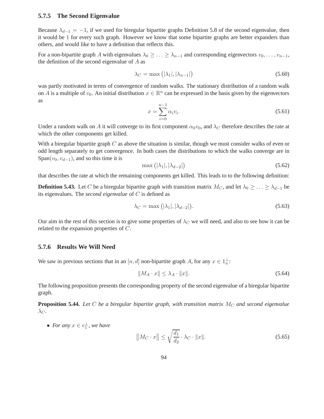#### **5.7.5 The Second Eigenvalue**

Because  $\lambda_{d-1} = -1$ , if we used for biregular bipartite graphs Definition 5.8 of the second eigenvalue, then it would be 1 for every such graph. However we know that some bipartite graphs are better expanders than others, and would like to have a definition that reflects this.

For a non-bipartite graph A with eigenvalues  $\lambda_0 \geq \ldots \geq \lambda_{n-1}$  and corresponding eigenvectors  $v_0, \ldots, v_{n-1}$ , the definition of the second eigenvalue of A as

$$
\lambda_C = \max\left(|\lambda_1|, |\lambda_{n-1}|\right) \tag{5.60}
$$

was partly motivated in terms of convergence of random walks. The stationary distribution of a random walk on A is a multiple of  $v_0$ . An initial distribution  $x \in \mathbb{R}^n$  can be expressed in the basis given by the eigenvectors as

$$
x = \sum_{i=0}^{n-1} \alpha_i v_i.
$$
 (5.61)

Under a random walk on A it will converge to its first component  $\alpha_0v_0$ , and  $\lambda_C$  therefore describes the rate at which the other components get killed.

With a biregular bipartite graph  $C$  as above the situation is similar, though we must consider walks of even or odd length separately to get convergence. In both cases the distributions to which the walks converge are in Span( $v_0, v_{d-1}$ ), and so this time it is

$$
\max\left(|\lambda_1|, |\lambda_{d-2}|\right) \tag{5.62}
$$

that describes the rate at which the remaining components get killed. This leads to to the following definition:

**Definition 5.43.** Let C be a biregular bipartite graph with transition matrix  $M_C$ , and let  $\lambda_0 \geq \ldots \geq \lambda_{d-1}$  be its eigenvalues. The *second eigenvalue* of C is defined as

$$
\lambda_C = \max\left(|\lambda_1|, |\lambda_{d-2}|\right). \tag{5.63}
$$

Our aim in the rest of this section is to give some properties of  $\lambda_C$  we will need, and also to see how it can be related to the expansion properties of C.

#### **5.7.6 Results We Will Need**

We saw in previous sections that in an  $[n, d]$  non-bipartite graph A, for any  $x \in 1^{\perp}_n$ :

$$
||M_A \cdot x|| \le \lambda_A \cdot ||x||. \tag{5.64}
$$

The following proposition presents the corresponding property of the second eigenvalue of a biregular bipartite graph.

**Proposition 5.44.** Let  $C$  be a biregular bipartite graph, with transition matrix  $M_C$  and second eigenvalue  $\lambda_C$ .

• For any  $x \in e_1^{\perp}$ , we have

$$
\left\| M_C \cdot x \right\| \le \sqrt{\frac{d_1}{d_2}} \cdot \lambda_C \cdot \|x\|.\tag{5.65}
$$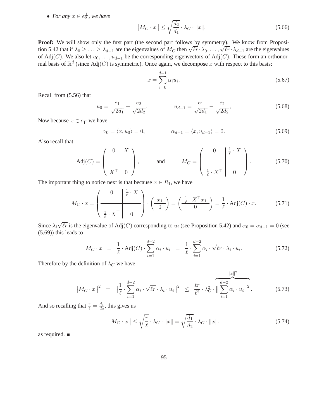• For any  $x \in e_2^{\perp}$ , we have

$$
||M_C \cdot x|| \le \sqrt{\frac{d_2}{d_1}} \cdot \lambda_C \cdot ||x||. \tag{5.66}
$$

Proof: We will show only the first part (the second part follows by symmetry). We know from Proposition 5.42 that if  $\lambda_0 \geq ... \geq \lambda_{d-1}$  are the eigenvalues of  $M_C$  then  $\sqrt{\ell r} \cdot \lambda_0, ..., \sqrt{\ell r} \cdot \lambda_{d-1}$  are the eigenvalues of Adj(C). We also let  $u_0, \ldots, u_{d-1}$  be the corresponding eigenvectors of Adj(C). These form an orthonormal basis of  $\mathbb{R}^d$  (since Adj $(C)$  is symmetric). Once again, we decompose x with respect to this basis:

$$
x = \sum_{i=0}^{d-1} \alpha_i u_i.
$$
 (5.67)

Recall from (5.56) that

$$
u_0 = \frac{e_1}{\sqrt{2d_1}} + \frac{e_2}{\sqrt{2d_2}}, \qquad u_{d-1} = \frac{e_1}{\sqrt{2d_1}} - \frac{e_2}{\sqrt{2d_2}}, \qquad (5.68)
$$

Now because  $x \in e_1^{\perp}$  we have

$$
\alpha_0 = \langle x, u_0 \rangle = 0, \qquad \alpha_{d-1} = \langle x, u_{d-1} \rangle = 0. \tag{5.69}
$$

Also recall that

$$
Adj(C) = \left(\begin{array}{c|c} 0 & X \\ \hline X^\top & 0 \end{array}\right), \quad \text{and} \quad M_C = \left(\begin{array}{c|c} 0 & \frac{1}{r} \cdot X \\ \hline \frac{1}{\ell} \cdot X^\top & 0 \end{array}\right). \quad (5.70)
$$

The important thing to notice next is that because  $x \in R_1$ , we have

$$
M_C \cdot x = \begin{pmatrix} 0 & \frac{1}{r} \cdot X \\ \frac{1}{\ell} \cdot X^\top & 0 \end{pmatrix} \cdot \begin{pmatrix} x_1 \\ 0 \end{pmatrix} = \begin{pmatrix} \frac{1}{\ell} \cdot X^\top x_1 \\ 0 \end{pmatrix} = \frac{1}{\ell} \cdot \text{Adj}(C) \cdot x. \tag{5.71}
$$

Since  $\lambda_i\sqrt{\ell r}$  is the eigenvalue of Adj(C) corresponding to  $u_i$  (see Proposition 5.42) and  $\alpha_0 = \alpha_{d-1} = 0$  (see (5.69)) this leads to

$$
M_C \cdot x = \frac{1}{\ell} \cdot \text{Adj}(C) \cdot \sum_{i=1}^{d-2} \alpha_i \cdot u_i = \frac{1}{\ell} \cdot \sum_{i=1}^{d-2} \alpha_i \cdot \sqrt{\ell r} \cdot \lambda_i \cdot u_i. \tag{5.72}
$$

Therefore by the definition of  $\lambda_C$  we have

$$
||M_C \cdot x||^2 = ||\frac{1}{\ell} \cdot \sum_{i=1}^{d-2} \alpha_i \cdot \sqrt{\ell r} \cdot \lambda_i \cdot u_i||^2 \le \frac{\ell r}{\ell^2} \cdot \lambda_C^2 \cdot ||\sum_{i=1}^{d-2} \alpha_i \cdot u_i||^2.
$$
 (5.73)

And so recalling that  $\frac{r}{\ell} = \frac{d_1}{d_2}$  $\frac{d_1}{d_2}$ , this gives us

$$
\left| \left| M_C \cdot x \right| \right| \le \sqrt{\frac{r}{\ell}} \cdot \lambda_C \cdot \left\| x \right\| = \sqrt{\frac{d_1}{d_2}} \cdot \lambda_C \cdot \left\| x \right\|, \tag{5.74}
$$

as required.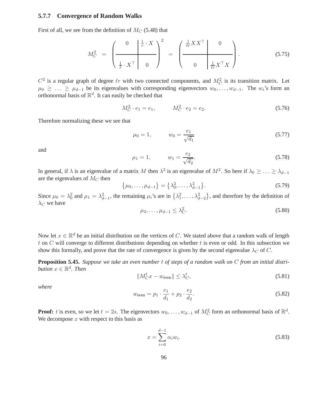#### **5.7.7 Convergence of Random Walks**

First of all, we see from the definition of  $M_C$  (5.48) that

$$
M_C^2 = \left(\begin{array}{c|c} 0 & \frac{1}{r} \cdot X \\ \hline \frac{1}{\ell} \cdot X^\top & 0 \end{array}\right)^2 = \left(\begin{array}{c|c} \frac{1}{\ell r} XX^\top & 0 \\ \hline 0 & \frac{1}{\ell r} X^\top X \end{array}\right).
$$
(5.75)

 $C^2$  is a regular graph of degree  $\ell r$  with two connected components, and  $M_C^2$  is its transition matrix. Let  $\mu_0 \geq \ldots \geq \mu_{d-1}$  be its eigenvalues with corresponding eigenvectors  $w_0, \ldots, w_{d-1}$ . The w<sub>i</sub>'s form an orthonormal basis of  $\mathbb{R}^d$ . It can easily be checked that

$$
M_C^2 \cdot e_1 = e_1, \qquad M_C^2 \cdot e_2 = e_2. \tag{5.76}
$$

Therefore normalizing these we see that

$$
\mu_0 = 1, \qquad w_0 = \frac{e_1}{\sqrt{d_1}} \tag{5.77}
$$

and

$$
\mu_1 = 1, \qquad w_1 = \frac{e_2}{\sqrt{d_2}}.\tag{5.78}
$$

In general, if  $\lambda$  is an eigenvalue of a matrix M then  $\lambda^2$  is an eigenvalue of  $M^2$ . So here if  $\lambda_0 \geq \ldots \geq \lambda_{d-1}$ are the eigenvalues of  $M_C$  then

$$
\{\mu_0, \dots, \mu_{d-1}\} = \{\lambda_0^2, \dots, \lambda_{d-1}^2\}.
$$
\n(5.79)

Since  $\mu_0 = \lambda_0^2$  and  $\mu_1 = \lambda_{d-1}^2$ , the remaining  $\mu_i$ 's are in  $\{\lambda_1^2, \dots, \lambda_{d-2}^2\}$ , and therefore by the definition of  $\lambda_C$  we have

$$
\mu_2, \dots, \mu_{d-1} \le \lambda_C^2. \tag{5.80}
$$

Now let  $x \in \mathbb{R}^d$  be an initial distribution on the vertices of C. We stated above that a random walk of length  $t$  on  $C$  will converge to different distributions depending on whether  $t$  is even or odd. In this subsection we show this formally, and prove that the rate of convergence is given by the second eigenvalue  $\lambda_C$  of C.

**Proposition 5.45.** *Suppose we take an even number* t *of steps of a random walk on* C *from an initial distribution*  $x \in \mathbb{R}^d$ . Then

$$
||M_C^t x - w_{\text{even}}|| \le \lambda_C^t,
$$
\n(5.81)

*where*

$$
w_{\text{even}} = p_1 \cdot \frac{e_1}{d_1} + p_2 \cdot \frac{e_2}{d_2}.\tag{5.82}
$$

**Proof:** t is even, so we let  $t = 2s$ . The eigenvectors  $w_0, \ldots, w_{d-1}$  of  $M_C^2$  form an orthonormal basis of  $\mathbb{R}^d$ . We decompose  $x$  with respect to this basis as

$$
x = \sum_{i=0}^{d-1} \alpha_i w_i.
$$
 (5.83)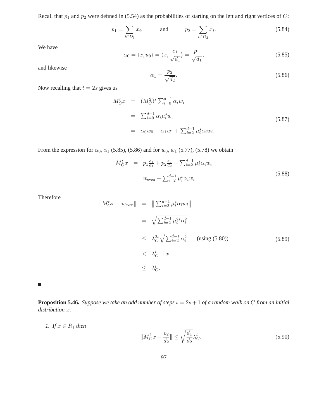Recall that  $p_1$  and  $p_2$  were defined in (5.54) as the probabilities of starting on the left and right vertices of C:

$$
p_1 = \sum_{i \in D_1} x_i
$$
, and  $p_2 = \sum_{i \in D_2} x_i$ . (5.84)

We have

$$
\alpha_0 = \langle x, u_0 \rangle = \langle x, \frac{e_1}{\sqrt{d_1}} \rangle = \frac{p_1}{\sqrt{d_1}},\tag{5.85}
$$

and likewise

$$
\alpha_1 = \frac{p_2}{\sqrt{d_2}}.\tag{5.86}
$$

Now recalling that  $t = 2s$  gives us

$$
M_C^t x = (M_C^2)^s \sum_{i=0}^{d-1} \alpha_i w_i
$$
  
=  $\sum_{i=0}^{d-1} \alpha_i \mu_i^s w_i$   
=  $\alpha_0 w_0 + \alpha_1 w_1 + \sum_{i=2}^{d-1} \mu_i^s \alpha_i w_i.$  (5.87)

From the expression for  $\alpha_0, \alpha_1$  (5.85), (5.86) and for  $w_0, w_1$  (5.77), (5.78) we obtain

$$
M_C^t x = p_1 \frac{e_1}{d_1} + p_2 \frac{e_2}{d_2} + \sum_{i=2}^{d-1} \mu_i^s \alpha_i w_i
$$
  
=  $w_{\text{even}} + \sum_{i=2}^{d-1} \mu_i^s \alpha_i w_i$  (5.88)

Therefore

$$
\|M_C^t x - w_{\text{even}}\| = \|\sum_{i=2}^{d-1} \mu_i^s \alpha_i w_i\|
$$
  
\n
$$
= \sqrt{\sum_{i=2}^{d-1} \mu_i^{2s} \alpha_i^2}
$$
  
\n
$$
\leq \lambda_C^2 \sqrt{\sum_{i=2}^{d-1} \alpha_i^2} \quad \text{(using (5.80))}
$$
  
\n
$$
< \lambda_C^t \cdot \|x\|
$$
  
\n
$$
\leq \lambda_C^t.
$$
  
\n(5.89)

 $\blacksquare$ 

*1. If*  $x \in R_1$  *then* 

**Proposition 5.46.** *Suppose we take an odd number of steps*  $t = 2s + 1$  *of a random walk on C from an initial distribution* x*.*

$$
||M_C^t x - \frac{e_2}{d_2}|| \le \sqrt{\frac{d_1}{d_2}} \lambda_C^t.
$$

 $(5.90)$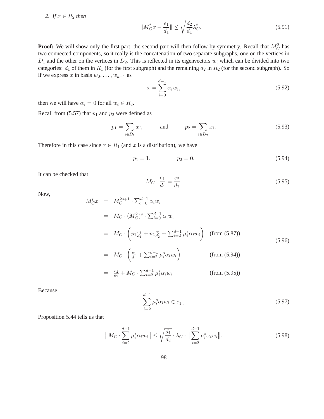2. If  $x \in R_2$  *then* 

$$
||M_C^t x - \frac{e_1}{d_1}|| \le \sqrt{\frac{d_2}{d_1}} \lambda_C^t. \tag{5.91}
$$

**Proof:** We will show only the first part, the second part will then follow by symmetry. Recall that  $M_C^2$  has two connected components, so it really is the concatenation of two separate subgraphs, one on the vertices in  $D_1$  and the other on the vertices in  $D_2$ . This is reflected in its eigenvectors  $w_i$  which can be divided into two categories:  $d_1$  of them in  $R_1$  (for the first subgraph) and the remaining  $d_2$  in  $R_2$  (for the second subgraph). So if we express x in basis  $w_0, \ldots, w_{d-1}$  as

$$
x = \sum_{i=0}^{d-1} \alpha_i w_i,
$$
\n(5.92)

then we will have  $\alpha_i = 0$  for all  $w_i \in R_2$ .

Recall from (5.57) that  $p_1$  and  $p_2$  were defined as

$$
p_1 = \sum_{i \in D_1} x_i, \qquad \text{and} \qquad p_2 = \sum_{i \in D_2} x_i. \tag{5.93}
$$

Therefore in this case since  $x \in R_1$  (and x is a distribution), we have

$$
p_1 = 1, \qquad \qquad p_2 = 0. \tag{5.94}
$$

It can be checked that

$$
M_C \cdot \frac{e_1}{d_1} = \frac{e_2}{d_2}.\tag{5.95}
$$

Now,

$$
M_C^t x = M_C^{2s+1} \cdot \sum_{i=0}^{d-1} \alpha_i w_i
$$
  
\n
$$
= M_C \cdot (M_C^2)^s \cdot \sum_{i=0}^{d-1} \alpha_i w_i
$$
  
\n
$$
= M_C \cdot \left( p_1 \frac{e_1}{d_1} + p_2 \frac{e_2}{d_2} + \sum_{i=2}^{d-1} \mu_i^s \alpha_i w_i \right) \quad \text{(from (5.87))}
$$
  
\n
$$
= M_C \cdot \left( \frac{e_1}{d_1} + \sum_{i=2}^{d-1} \mu_i^s \alpha_i w_i \right) \quad \text{(from (5.94))}
$$
  
\n
$$
= \frac{e_2}{d_2} + M_C \cdot \sum_{i=2}^{d-1} \mu_i^s \alpha_i w_i \quad \text{(from (5.95))}.
$$

Because

$$
\sum_{i=2}^{d-1} \mu_i^s \alpha_i w_i \in e_1^{\perp}, \tag{5.97}
$$

Proposition 5.44 tells us that

$$
||M_C \cdot \sum_{i=2}^{d-1} \mu_i^s \alpha_i w_i|| \le \sqrt{\frac{d_1}{d_2}} \cdot \lambda_C \cdot ||\sum_{i=2}^{d-1} \mu_i^s \alpha_i w_i||. \tag{5.98}
$$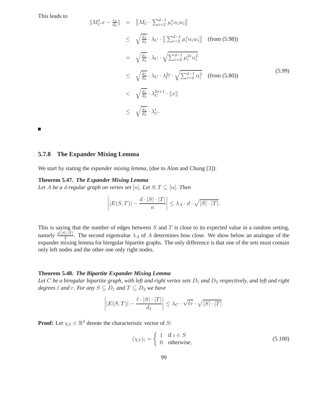This leads to

$$
||M_C^t x - \frac{e_2}{d_2}|| = ||M_C \cdot \sum_{i=2}^{d-1} \mu_i^s \alpha_i w_i||
$$
  
\n
$$
\leq \sqrt{\frac{d_1}{d_2}} \cdot \lambda_C \cdot ||\sum_{i=2}^{d-1} \mu_i^s \alpha_i w_i|| \quad \text{(from (5.98))}
$$
  
\n
$$
= \sqrt{\frac{d_1}{d_2}} \cdot \lambda_C \cdot \sqrt{\sum_{i=2}^{d-1} \mu_i^{2s} \alpha_i^2}
$$
  
\n
$$
\leq \sqrt{\frac{d_1}{d_2}} \cdot \lambda_C \cdot \lambda_C^{2s} \cdot \sqrt{\sum_{i=2}^{d-1} \alpha_i^2} \quad \text{(from (5.80))}
$$
  
\n
$$
< \sqrt{\frac{d_1}{d_2}} \cdot \lambda_C^{2s+1} \cdot ||x||
$$
  
\n
$$
\leq \sqrt{\frac{d_1}{d_2}} \cdot \lambda_C^t.
$$
  
\n(5.99)

 $\blacksquare$ 

#### **5.7.8 The Expander Mixing Lemma**

We start by stating the *expander mixing lemma*, (due to Alon and Chung [3]):

#### **Theorem 5.47.** *The Expander Mixing Lemma*

*Let A be a d-regular graph on vertex set* [n]. *Let*  $S, T \subseteq [n]$ *. Then* 

$$
\left| |E(S,T)| - \frac{d \cdot |S| \cdot |T|}{n} \right| \le \lambda_A \cdot d \cdot \sqrt{|S| \cdot |T|}.
$$

This is saying that the number of edges between  $S$  and  $T$  is close to its expected value in a random setting, namely  $\frac{d\cdot|S|\cdot|T|}{2}$ . The second eigenvalue  $\lambda_A$  of A determines how close. We show below an analogue of the expander mixing lemma for biregular bipartite graphs. The only difference is that one of the sets must contain only left nodes and the other one only right nodes.

#### **Theorem 5.48.** *The Bipartite Expander Mixing Lemma*

Let  $C$  be a biregular bipartite graph, with left and right vertex sets  $D_1$  and  $D_2$  respectively, and left and right *degrees*  $\ell$  *and*  $r$ *. For any*  $S \subseteq D_1$  *and*  $T \subseteq D_2$  *we have* 

$$
\left| |E(S,T)| - \frac{\ell \cdot |S| \cdot |T|}{d_1} \right| \leq \lambda_C \cdot \sqrt{\ell r} \cdot \sqrt{|S| \cdot |T|}.
$$

**Proof:** Let  $\chi_S \in \mathbb{R}^d$  denote the characteristic vector of S:

$$
(\chi_S)_i = \begin{cases} 1 & \text{if } i \in S \\ 0 & \text{otherwise,} \end{cases}
$$
 (5.100)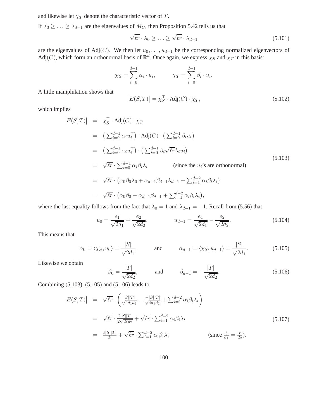and likewise let  $\chi_T$  denote the characteristic vector of T.

If  $\lambda_0 \geq \ldots \geq \lambda_{d-1}$  are the eigenvalues of  $M_C$ , then Proposition 5.42 tells us that

$$
\sqrt{\ell r} \cdot \lambda_0 \ge \ldots \ge \sqrt{\ell r} \cdot \lambda_{d-1} \tag{5.101}
$$

are the eigenvalues of Adj(C). We then let  $u_0, \ldots, u_{d-1}$  be the corresponding normalized eigenvectors of Adj(C), which form an orthonormal basis of  $\mathbb{R}^d$ . Once again, we express  $\chi_S$  and  $\chi_T$  in this basis:

$$
\chi_S = \sum_{i=0}^{d-1} \alpha_i \cdot u_i, \qquad \chi_T = \sum_{i=0}^{d-1} \beta_i \cdot u_i.
$$

A little maniplulation shows that

$$
|E(S,T)| = \chi_S^{\top} \cdot \text{Adj}(C) \cdot \chi_T,
$$
\n(5.102)

which implies

$$
|E(S,T)| = \chi_S^{\top} \cdot \text{Adj}(C) \cdot \chi_T
$$
  
\n
$$
= \left( \sum_{i=0}^{d-1} \alpha_i u_i^{\top} \right) \cdot \text{Adj}(C) \cdot \left( \sum_{i=0}^{d-1} \beta_i u_i \right)
$$
  
\n
$$
= \left( \sum_{i=0}^{d-1} \alpha_i u_i^{\top} \right) \cdot \left( \sum_{i=0}^{d-1} \beta_i \sqrt{\ell r} \lambda_i u_i \right)
$$
  
\n
$$
= \sqrt{\ell r} \cdot \sum_{i=0}^{d-1} \alpha_i \beta_i \lambda_i \qquad \text{(since the } u_i \text{'s are orthonormal)}
$$
  
\n
$$
= \sqrt{\ell r} \cdot \left( \alpha_0 \beta_0 \lambda_0 + \alpha_{d-1} \beta_{d-1} \lambda_{d-1} + \sum_{i=1}^{d-2} \alpha_i \beta_i \lambda_i \right)
$$
  
\n
$$
= \sqrt{\ell r} \cdot \left( \alpha_0 \beta_0 - \alpha_{d-1} \beta_{d-1} + \sum_{i=1}^{d-2} \alpha_i \beta_i \lambda_i \right),
$$
  
\n(5.103)

where the last equality follows from the fact that  $\lambda_0 = 1$  and  $\lambda_{d-1} = -1$ . Recall from (5.56) that

$$
u_0 = \frac{e_1}{\sqrt{2d_1}} + \frac{e_2}{\sqrt{2d_2}}, \qquad u_{d-1} = \frac{e_1}{\sqrt{2d_1}} - \frac{e_2}{\sqrt{2d_2}}.
$$
 (5.104)

This means that

$$
\alpha_0 = \langle \chi_S, u_0 \rangle = \frac{|S|}{\sqrt{2d_1}}, \quad \text{and} \quad \alpha_{d-1} = \langle \chi_S, u_{d-1} \rangle = \frac{|S|}{\sqrt{2d_1}}. \quad (5.105)
$$

Likewise we obtain

$$
\beta_0 = \frac{|T|}{\sqrt{2d_2}},
$$
 and  $\beta_{d-1} = -\frac{|T|}{\sqrt{2d_2}}.$  (5.106)

Combining (5.103), (5.105) and (5.106) leads to

$$
|E(S,T)| = \sqrt{\ell r} \cdot \left(\frac{|S||T|}{\sqrt{4d_1d_2}} - \frac{-|S||T|}{\sqrt{4d_1d_2}} + \sum_{i=1}^{d-2} \alpha_i \beta_i \lambda_i\right)
$$
  
\n
$$
= \sqrt{\ell r} \cdot \frac{2|S||T|}{2\sqrt{d_1d_2}} + \sqrt{\ell r} \cdot \sum_{i=1}^{d-2} \alpha_i \beta_i \lambda_i
$$
  
\n
$$
= \frac{\ell|S||T|}{d_1} + \sqrt{\ell r} \cdot \sum_{i=1}^{d-2} \alpha_i \beta_i \lambda_i
$$
 (5.107)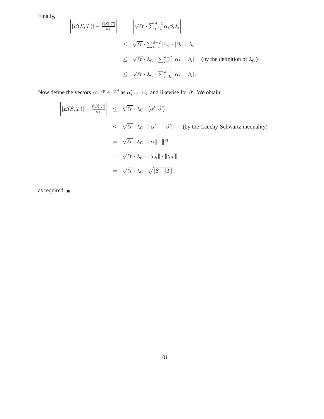Finally,

$$
\left| E(S,T) \right| - \frac{\ell |S||T|}{d_1} \right| = \left| \sqrt{\ell r} \cdot \sum_{i=1}^{d-2} \alpha_i \beta_i \lambda_i \right|
$$
  
\n
$$
\leq \sqrt{\ell r} \cdot \sum_{i=1}^{d-2} |\alpha_i| \cdot |\beta_i| \cdot |\lambda_i|
$$
  
\n
$$
\leq \sqrt{\ell r} \cdot \lambda_C \cdot \sum_{i=1}^{d-2} |\alpha_i| \cdot |\beta_i| \quad \text{(by the definition of } \lambda_C)
$$
  
\n
$$
\leq \sqrt{\ell r} \cdot \lambda_C \cdot \sum_{i=0}^{d-1} |\alpha_i| \cdot |\beta_i|.
$$

Now define the vectors  $\alpha', \beta' \in \mathbb{R}^d$  as  $\alpha'_i = |\alpha_i|$  and likewise for  $\beta'$ . We obtain

$$
\left| |E(S,T)| - \frac{\ell |S||T|}{d_1} \right| \leq \sqrt{\ell r} \cdot \lambda_C \cdot \langle \alpha', \beta' \rangle
$$
  
\n
$$
\leq \sqrt{\ell r} \cdot \lambda_C \cdot ||\alpha'|| \cdot ||\beta'|| \quad \text{(by the Cauchy-Schwartz inequality)}
$$
  
\n
$$
= \sqrt{\ell r} \cdot \lambda_C \cdot ||\alpha|| \cdot ||\beta||
$$
  
\n
$$
= \sqrt{\ell r} \cdot \lambda_C \cdot ||\chi_S|| \cdot ||\chi_T||
$$
  
\n
$$
= \sqrt{\ell r} \cdot \lambda_C \cdot \sqrt{|S| \cdot |T|},
$$

as required.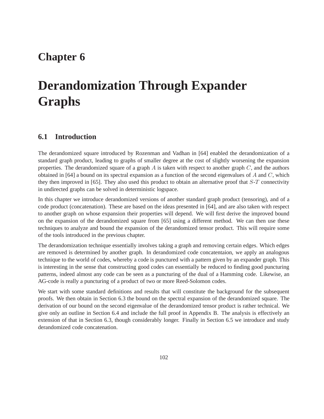## **Chapter 6**

# **Derandomization Through Expander Graphs**

## **6.1 Introduction**

The derandomized square introduced by Rozenman and Vadhan in [64] enabled the derandomization of a standard graph product, leading to graphs of smaller degree at the cost of slightly worsening the expansion properties. The derandomized square of a graph  $A$  is taken with respect to another graph  $C$ , and the authors obtained in [64] a bound on its spectral expansion as a function of the second eigenvalues of A and  $C$ , which they then improved in [65]. They also used this product to obtain an alternative proof that S-T connectivity in undirected graphs can be solved in deterministic logspace.

In this chapter we introduce derandomized versions of another standard graph product (tensoring), and of a code product (concatenation). These are based on the ideas presented in [64], and are also taken with respect to another graph on whose expansion their properties will depend. We will first derive the improved bound on the expansion of the derandomized square from [65] using a different method. We can then use these techniques to analyze and bound the expansion of the derandomized tensor product. This will require some of the tools introduced in the previous chapter.

The derandomization technique essentially involves taking a graph and removing certain edges. Which edges are removed is determined by another graph. In derandomized code concatentaion, we apply an analogous technique to the world of codes, whereby a code is punctured with a pattern given by an expander graph. This is interesting in the sense that constructing good codes can essentially be reduced to finding good puncturing patterns, indeed almost any code can be seen as a puncturing of the dual of a Hamming code. Likewise, an AG-code is really a puncturing of a product of two or more Reed-Solomon codes.

We start with some standard definitions and results that will constitute the background for the subsequent proofs. We then obtain in Section 6.3 the bound on the spectral expansion of the derandomized square. The derivation of our bound on the second eigenvalue of the derandomized tensor product is rather technical. We give only an outline in Section 6.4 and include the full proof in Appendix B. The analysis is effectively an extension of that in Section 6.3, though considerably longer. Finally in Section 6.5 we introduce and study derandomized code concatenation.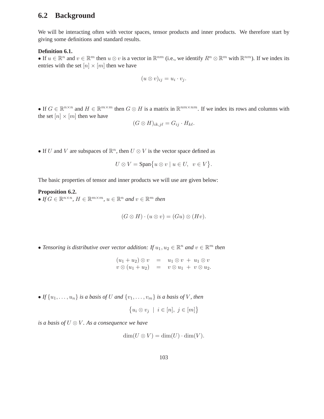## **6.2 Background**

We will be interacting often with vector spaces, tensor products and inner products. We therefore start by giving some definitions and standard results.

## **Definition 6.1.**

• If  $u \in \mathbb{R}^n$  and  $v \in \mathbb{R}^m$  then  $u \otimes v$  is a vector in  $\mathbb{R}^{nm}$  (i.e., we identify  $R^n \otimes \mathbb{R}^m$  with  $\mathbb{R}^{nm}$ ). If we index its entries with the set  $[n] \times [m]$  then we have

$$
(u\otimes v)_{ij}=u_i\cdot v_j.
$$

• If  $G \in \mathbb{R}^{n \times n}$  and  $H \in \mathbb{R}^{m \times m}$  then  $G \otimes H$  is a matrix in  $\mathbb{R}^{nm \times nm}$ . If we index its rows and columns with the set  $[n] \times [m]$  then we have

$$
(G\otimes H)_{ik,j\ell}=G_{ij}\cdot H_{k\ell}.
$$

• If U and V are subspaces of  $\mathbb{R}^n$ , then  $U \otimes V$  is the vector space defined as

$$
U \otimes V = \text{Span}\big\{u \otimes v \mid u \in U, \ v \in V\big\}.
$$

The basic properties of tensor and inner products we will use are given below:

**Proposition 6.2.** • If  $G \in \mathbb{R}^{n \times n}$ ,  $H \in \mathbb{R}^{m \times m}$ ,  $u \in \mathbb{R}^n$  and  $v \in \mathbb{R}^m$  then

$$
(G \otimes H) \cdot (u \otimes v) = (Gu) \otimes (Hv).
$$

• Tensoring is distributive over vector addition: If  $u_1, u_2 \in \mathbb{R}^n$  and  $v \in \mathbb{R}^m$  then

 $(u_1 + u_2) \otimes v = u_1 \otimes v + u_1 \otimes v$  $v \otimes (u_1 + u_2) = v \otimes u_1 + v \otimes u_2.$ 

• *If*  $\{u_1, \ldots, u_n\}$  *is a basis of U and*  $\{v_1, \ldots, v_m\}$  *is a basis of V, then* 

$$
\big\{u_i\otimes v_j\;\mid\;i\in[n],\;j\in[m]\big\}
$$

*is a basis of* U ⊗ V *. As a consequence we have*

$$
\dim(U \otimes V) = \dim(U) \cdot \dim(V).
$$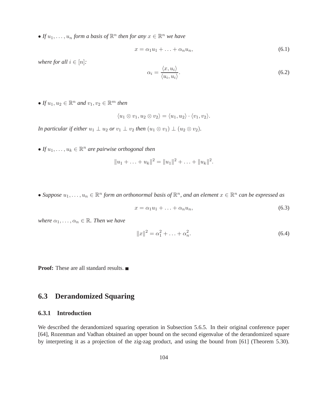• If  $u_1, \ldots, u_n$  form a basis of  $\mathbb{R}^n$  then for any  $x \in \mathbb{R}^n$  we have

$$
x = \alpha_1 u_1 + \ldots + \alpha_n u_n, \tag{6.1}
$$

*where for all*  $i \in [n]$ *:* 

$$
\alpha_i = \frac{\langle x, u_i \rangle}{\langle u_i, u_i \rangle}.
$$
\n(6.2)

• If  $u_1, u_2 \in \mathbb{R}^n$  and  $v_1, v_2 \in \mathbb{R}^m$  then

$$
\langle u_1 \otimes v_1, u_2 \otimes v_2 \rangle = \langle u_1, u_2 \rangle \cdot \langle v_1, v_2 \rangle.
$$

*In particular if either*  $u_1 \perp u_2$  *or*  $v_1 \perp v_2$  *then*  $(u_1 \otimes v_1) \perp (u_2 \otimes v_2)$ *.* 

• If  $u_1, \ldots, u_k \in \mathbb{R}^n$  are pairwise orthogonal then

$$
||u_1 + \ldots + u_k||^2 = ||u_1||^2 + \ldots + ||u_k||^2.
$$

• Suppose  $u_1, \ldots, u_n \in \mathbb{R}^n$  form an orthonormal basis of  $\mathbb{R}^n$ , and an element  $x \in \mathbb{R}^n$  can be expressed as

$$
x = \alpha_1 u_1 + \ldots + \alpha_n u_n, \tag{6.3}
$$

*where*  $\alpha_1, \ldots, \alpha_n \in \mathbb{R}$ *. Then we have* 

$$
||x||^2 = \alpha_1^2 + \ldots + \alpha_n^2.
$$
 (6.4)

**Proof:** These are all standard results. ■

## **6.3 Derandomized Squaring**

## **6.3.1 Introduction**

We described the derandomized squaring operation in Subsection 5.6.5. In their original conference paper [64], Rozenman and Vadhan obtained an upper bound on the second eigenvalue of the derandomized square by interpreting it as a projection of the zig-zag product, and using the bound from [61] (Theorem 5.30).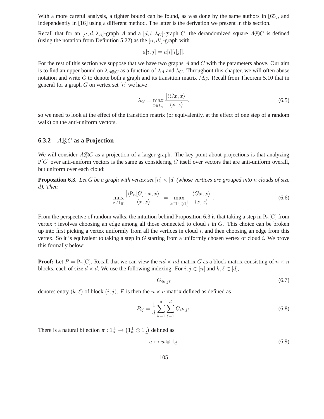With a more careful analysis, a tighter bound can be found, as was done by the same authors in [65], and independently in [16] using a different method. The latter is the derivation we present in this section.

Recall that for an  $[n, d, \lambda_A]$ -graph A and a  $[d, t, \lambda_C]$ -graph C, the derandomized square ASC is defined (using the notation from Definition 5.22) as the  $[n, dt]$ -graph with

$$
a[i,j] = a[i][i[j]].
$$

For the rest of this section we suppose that we have two graphs  $A$  and  $C$  with the parameters above. Our aim is to find an upper bound on  $\lambda_{A\otimes C}$  as a function of  $\lambda_A$  and  $\lambda_C$ . Throughout this chapter, we will often abuse notation and write G to denote both a graph and its transition matrix  $M_G$ . Recall from Theorem 5.10 that in general for a graph  $G$  on vertex set  $[n]$  we have

$$
\lambda_G = \max_{x \in 1^{\perp}_n} \frac{|\langle Gx, x \rangle|}{\langle x, x \rangle},\tag{6.5}
$$

so we need to look at the effect of the transition matrix (or equivalently, at the effect of one step of a random walk) on the anti-uniform vectors.

## **6.3.2** ASC **as a Projection**

We will consider  $A\odot C$  as a projection of a larger graph. The key point about projections is that analyzing  $P[G]$  over anti-uniform vectors is the same as considering G itself over vectors that are anti-uniform overall, but uniform over each cloud:

**Proposition 6.3.** Let G be a graph with vertex set  $[n] \times [d]$  *(whose vertices are grouped into* n *clouds of size* d*). Then*

$$
\max_{x \in 1^{\perp}_n} \frac{|\langle P_n[G] \cdot x, x \rangle|}{\langle x, x \rangle} = \max_{x \in 1^{\perp}_n \otimes 1^{\parallel}_d} \frac{|\langle Gx, x \rangle|}{\langle x, x \rangle}.
$$
\n(6.6)

From the perspective of random walks, the intuition behind Proposition 6.3 is that taking a step in  $P_n[G]$  from vertex  $i$  involves choosing an edge among all those connected to cloud  $i$  in  $G$ . This choice can be broken up into first picking a vertex uniformly from all the vertices in cloud  $i$ , and then choosing an edge from this vertex. So it is equivalent to taking a step in G starting from a uniformly chosen vertex of cloud i. We prove this formally below:

**Proof:** Let  $P = P_n[G]$ . Recall that we can view the  $nd \times nd$  matrix G as a block matrix consisting of  $n \times n$ blocks, each of size  $d \times d$ . We use the following indexing: For  $i, j \in [n]$  and  $k, \ell \in [d]$ ,

$$
G_{ik,j\ell} \tag{6.7}
$$

denotes entry  $(k, \ell)$  of block  $(i, j)$ . P is then the  $n \times n$  matrix defined as defined as

$$
P_{ij} = \frac{1}{d} \sum_{k=1}^{d} \sum_{\ell=1}^{d} G_{ik,j\ell}.
$$
 (6.8)

There is a natural bijection  $\pi: 1_n^{\perp} \to (1_n^{\perp} \otimes 1_d^{\parallel})$  defined as

$$
u \mapsto u \otimes 1_d. \tag{6.9}
$$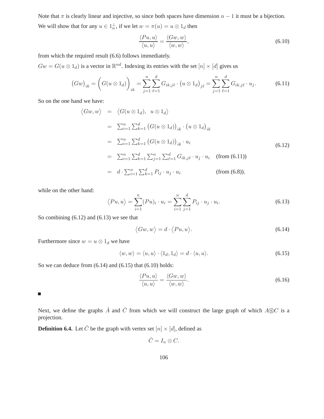Note that  $\pi$  is clearly linear and injective, so since both spaces have dimension  $n - 1$  it must be a bijection. We will show that for any  $u \in 1^{\perp}_n$ , if we let  $w = \pi(u) = u \otimes 1_d$  then

$$
\frac{\langle Pu, u \rangle}{\langle u, u \rangle} = \frac{\langle Gw, w \rangle}{\langle w, w \rangle},\tag{6.10}
$$

from which the required result (6.6) follows immediately.

 $Gw = G(u \otimes 1_d)$  is a vector in  $\mathbb{R}^{nd}$ . Indexing its entries with the set  $[n] \times [d]$  gives us

$$
(Gw)_{ik} = \left(G(u \otimes 1_d)\right)_{ik} = \sum_{j=1}^n \sum_{\ell=1}^d G_{ik,j\ell} \cdot \left(u \otimes 1_d\right)_{j\ell} = \sum_{j=1}^n \sum_{\ell=1}^d G_{ik,j\ell} \cdot u_j.
$$
 (6.11)

So on the one hand we have:

$$
\langle Gw, w \rangle = \langle G(u \otimes 1_d), u \otimes 1_d \rangle
$$
  
\n
$$
= \sum_{i=1}^n \sum_{k=1}^d (G(u \otimes 1_d))_{ik} \cdot (u \otimes 1_d)_{ik}
$$
  
\n
$$
= \sum_{i=1}^n \sum_{k=1}^d (G(u \otimes 1_d))_{ik} \cdot u_i
$$
  
\n
$$
= \sum_{i=1}^n \sum_{k=1}^d \sum_{j=1}^n \sum_{\ell=1}^d G_{ik,j\ell} \cdot u_j \cdot u_i \quad \text{(from (6.11))}
$$
  
\n
$$
= d \cdot \sum_{i=1}^n \sum_{k=1}^d P_{ij} \cdot u_j \cdot u_i \quad \text{(from (6.8)),}
$$

while on the other hand:

$$
\langle Pu, u \rangle = \sum_{i=1}^{n} (Pu)_i \cdot u_i = \sum_{i=1}^{n} \sum_{j=1}^{d} P_{ij} \cdot u_j \cdot u_i.
$$
 (6.13)

So combining (6.12) and (6.13) we see that

$$
\langle Gw, w \rangle = d \cdot \langle Pu, u \rangle. \tag{6.14}
$$

Furthermore since  $w = u \otimes 1_d$  we have

$$
\langle w, w \rangle = \langle u, u \rangle \cdot \langle 1_d, 1_d \rangle = d \cdot \langle u, u \rangle. \tag{6.15}
$$

So we can deduce from  $(6.14)$  and  $(6.15)$  that  $(6.10)$  holds:

$$
\frac{\langle Pu, u \rangle}{\langle u, u \rangle} = \frac{\langle Gw, w \rangle}{\langle w, w \rangle}.
$$
\n(6.16)

Ш

Next, we define the graphs  $\hat{A}$  and  $\hat{C}$  from which we will construct the large graph of which  $A\circledS C$  is a projection.

**Definition 6.4.** Let  $\hat{C}$  be the graph with vertex set  $[n] \times [d]$ , defined as

$$
\hat{C}=I_n\otimes C.
$$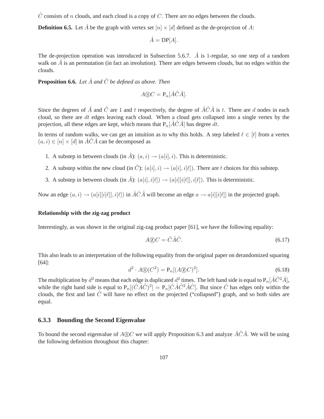$\hat{C}$  consists of n clouds, and each cloud is a copy of C. There are no edges between the clouds.

**Definition 6.5.** Let  $\hat{A}$  be the graph with vertex set  $[n] \times [d]$  defined as the de-projection of A:

 $\hat{A} = DP[A].$ 

The de-projection operation was introduced in Subsection 5.6.7.  $\hat{A}$  is 1-regular, so one step of a random walk on  $\hat{A}$  is an permutation (in fact an involution). There are edges between clouds, but no edges within the clouds.

**Proposition 6.6.** *Let*  $\hat{A}$  *and*  $\hat{C}$  *be defined as above. Then* 

$$
A \circledS C = \mathbf{P}_n[\hat{A}\hat{C}\hat{A}].
$$

Since the degrees of  $\hat{A}$  and  $\hat{C}$  are 1 and t respectively, the degree of  $\hat{A}\hat{C}\hat{A}$  is t. There are d nodes in each cloud, so there are  $dt$  edges leaving each cloud. When a cloud gets collapsed into a single vertex by the projection, all these edges are kept, which means that  $P_n[\hat{A}\hat{C}\hat{A}]$  has degree dt.

In terms of random walks, we can get an intuition as to why this holds. A step labeled  $\ell \in [t]$  from a vertex  $(a, i) \in [n] \times [d]$  in  $\widehat{ACA}$  can be decomposed as

- 1. A substep in between clouds (in  $\hat{A}$ ):  $(a, i) \rightarrow (a[i], i)$ . This is deterministic.
- 2. A substep within the new cloud (in  $\hat{C}$ ):  $(a[i], i) \rightarrow (a[i], i[\ell])$ . There are t choices for this substep.
- 3. A substep in between clouds (in  $\hat{A}$ ):  $(a[i], i[\ell]) \rightarrow (a[i][i[\ell]], i[\ell])$ . This is deterministic.

Now an edge  $(a, i) \rightarrow (a[i][i[\ell]], i[\ell])$  in  $\hat{A}\hat{C}\hat{A}$  will become an edge  $a \rightarrow a[i][i[\ell]]$  in the projected graph.

### **Relationship with the zig-zag product**

Interestingly, as was shown in the original zig-zag product paper [61], we have the following equality:

$$
A \circled{2} C = \hat{C} \hat{A} \hat{C}.
$$
\n(6.17)

This also leads to an interpretation of the following equality from the original paper on derandomized squaring [64]:

$$
d^2 \cdot A \mathbb{S}(C^2) = \mathbb{P}_n[(A \mathbb{Z} C)^2]. \tag{6.18}
$$

The multiplication by  $d^2$  means that each edge is duplicated  $d^2$  times. The left hand side is equal to  $P_n[\hat{A}\hat{C}^2\hat{A}],$ while the right hand side is equal to  $P_n[(\hat{C}\hat{A}\hat{C})^2] = P_n[\hat{C}\hat{A}\hat{C}^2\hat{A}\hat{C}]$ . But since  $\hat{C}$  has edges only within the clouds, the first and last  $\hat{C}$  will have no effect on the projected ("collapsed") graph, and so both sides are equal.

## **6.3.3 Bounding the Second Eigenvalue**

To bound the second eigenvalue of  $A \odot C$  we will apply Proposition 6.3 and analyze  $\hat{A} \hat{C} \hat{A}$ . We will be using the following definition throughout this chapter: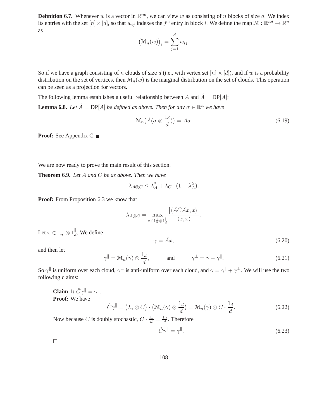**Definition 6.7.** Whenever w is a vector in  $\mathbb{R}^{nd}$ , we can view w as consisting of n blocks of size d. We index its entries with the set  $[n] \times [d]$ , so that  $w_{ij}$  indexes the  $j^{\text{th}}$  entry in block i. We define the map  $\mathcal{M}: \mathbb{R}^{nd} \to \mathbb{R}^{n}$ as

$$
\big(\mathfrak{M}_n(w)\big)_i = \sum_{j=1}^d w_{ij}.
$$

So if we have a graph consisting of n clouds of size d (i.e., with vertex set  $[n] \times [d]$ ), and if w is a probability distribution on the set of vertices, then  $\mathcal{M}_n(w)$  is the marginal distribution on the set of clouds. This operation can be seen as a projection for vectors.

The following lemma establishes a useful relationship between A and  $\hat{A} = DP[A]$ :

**Lemma 6.8.** Let  $\hat{A} = \text{DP}[A]$  be defined as above. Then for any  $\sigma \in \mathbb{R}^n$  we have

$$
\mathcal{M}_n(\hat{A}(\sigma \otimes \frac{1_d}{d})) = A\sigma. \tag{6.19}
$$

**Proof:** See Appendix C.

We are now ready to prove the main result of this section.

**Theorem 6.9.** *Let* A *and* C *be as above. Then we have*

$$
\lambda_{A \circledS C} \leq \lambda_A^2 + \lambda_C \cdot (1 - \lambda_A^2).
$$

**Proof:** From Proposition 6.3 we know that

$$
\lambda_{A \circledS C} = \max_{x \in 1_{n}^{\perp} \otimes 1_{d}^{\parallel}} \frac{\left| \langle \hat{A} \hat{C} \hat{A} x, x \rangle \right|}{\langle x, x \rangle}
$$

Let  $x \in 1^{\perp}_n \otimes 1^{\parallel}_d$ . We define

 $\gamma = \hat{A}x,$ (6.20)

and then let

$$
\gamma^{\parallel} = \mathcal{M}_n(\gamma) \otimes \frac{1_d}{d}, \quad \text{and} \quad \gamma^{\perp} = \gamma - \gamma^{\parallel}.
$$
\n(6.21)

.

So  $\gamma$ <sup>||</sup> is uniform over each cloud,  $\gamma^{\perp}$  is anti-uniform over each cloud, and  $\gamma = \gamma^{||} + \gamma^{\perp}$ . We will use the two following claims:

**Claim 1:**  $\hat{C}\gamma^{\parallel} = \gamma^{\parallel}$ . **Proof:** We have

$$
\hat{C}\gamma^{\parallel} = (I_n \otimes C) \cdot (\mathcal{M}_n(\gamma) \otimes \frac{1_d}{d}) = \mathcal{M}_n(\gamma) \otimes C \cdot \frac{1_d}{d}.
$$
 (6.22)

Now because C is doubly stochastic,  $C \cdot \frac{1_d}{d} = \frac{1_d}{d}$ . Therefore

$$
\hat{C}\gamma^{\parallel} = \gamma^{\parallel}.\tag{6.23}
$$

 $\Box$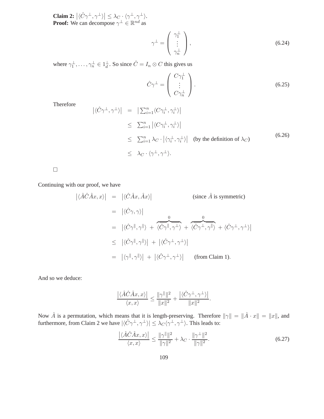**Claim 2:**  $|\langle \hat{C} \gamma^{\perp}, \gamma^{\perp} \rangle| \leq \lambda_C \cdot \langle \gamma^{\perp}, \gamma^{\perp} \rangle$ . **Proof:** We can decompose  $\gamma^{\perp} \in \mathbb{R}^{nd}$  as

$$
\gamma^{\perp} = \begin{pmatrix} \gamma_1^{\perp} \\ \vdots \\ \gamma_n^{\perp} \end{pmatrix},\tag{6.24}
$$

where  $\gamma_1^{\perp}, \ldots, \gamma_n^{\perp} \in 1_d^{\perp}$ . So since  $\hat{C} = I_n \otimes C$  this gives us

$$
\hat{C}\gamma^{\perp} = \begin{pmatrix} C\gamma_1^{\perp} \\ \vdots \\ C\gamma_n^{\perp} \end{pmatrix} . \tag{6.25}
$$

Therefore

$$
\begin{array}{rcl}\n\left| \langle \hat{C} \gamma^{\perp}, \gamma^{\perp} \rangle \right| & = & \left| \sum_{i=1}^{n} \langle C \gamma_i^{\perp}, \gamma_i^{\perp} \rangle \right| \\
& \leq & \sum_{i=1}^{n} \left| \langle C \gamma_i^{\perp}, \gamma_i^{\perp} \rangle \right| \\
& \leq & \sum_{i=1}^{n} \lambda_C \cdot \left| \langle \gamma_i^{\perp}, \gamma_i^{\perp} \rangle \right| \quad \text{(by the definition of } \lambda_C) \\
& \leq & \lambda_C \cdot \langle \gamma^{\perp}, \gamma^{\perp} \rangle.\n\end{array}
$$
\n $(6.26)$ 

 $\Box$ 

Continuing with our proof, we have

$$
\begin{aligned}\n|\langle \hat{A}\hat{C}\hat{A}x, x \rangle| &= |\langle \hat{C}\hat{A}x, \hat{A}x \rangle| & \text{(since } \hat{A} \text{ is symmetric)} \\
&= |\langle \hat{C}\gamma, \gamma \rangle| \\
&= |\langle \hat{C}\gamma^\parallel, \gamma^\parallel \rangle + \overbrace{\langle \hat{C}\gamma^\parallel, \gamma^\perp \rangle}^0 + \overbrace{\langle \hat{C}\gamma^\perp, \gamma^\parallel \rangle}^0 + \langle \hat{C}\gamma^\perp, \gamma^\perp \rangle| \\
&\leq |\langle \hat{C}\gamma^\parallel, \gamma^\parallel \rangle| + |\langle \hat{C}\gamma^\perp, \gamma^\perp \rangle| \\
&= |\langle \gamma^\parallel, \gamma^\parallel \rangle| + |\langle \hat{C}\gamma^\perp, \gamma^\perp \rangle| & \text{(from Claim 1)}.\n\end{aligned}
$$

And so we deduce:

$$
\frac{\left| \langle \hat{A}\hat{C}\hat{A}x, x \rangle \right|}{\langle x, x \rangle} \le \frac{\|\gamma^{\parallel}\|^2}{\|x\|^2} + \frac{\left| \langle \hat{C}\gamma^{\perp}, \gamma^{\perp} \rangle \right|}{\|x\|^2}.
$$

Now  $\hat{A}$  is a permutation, which means that it is length-preserving. Therefore  $\|\gamma\| = \|\hat{A} \cdot x\| = \|x\|$ , and furthermore, from Claim 2 we have  $|\langle \hat{C} \gamma^{\perp}, \gamma^{\perp} \rangle| \leq \lambda_C \langle \gamma^{\perp}, \gamma^{\perp} \rangle$ . This leads to:

$$
\frac{|\langle \hat{A}\hat{C}\hat{A}x, x\rangle|}{\langle x, x\rangle} \le \frac{\|\gamma^{\parallel}\|^2}{\|\gamma\|^2} + \lambda_C \cdot \frac{\|\gamma^{\perp}\|^2}{\|\gamma\|^2}.
$$
\n(6.27)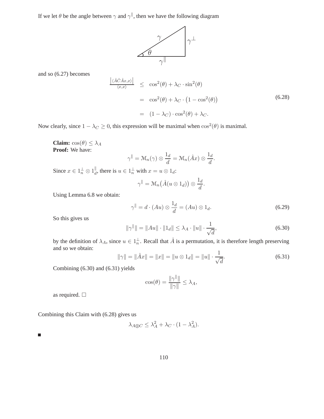If we let  $\theta$  be the angle between  $\gamma$  and  $\gamma^{\parallel}$ , then we have the following diagram



and so (6.27) becomes

$$
\frac{\left|\langle \hat{A}\hat{C}\hat{A}x, x\rangle\right|}{\langle x, x\rangle} \leq \cos^2(\theta) + \lambda_C \cdot \sin^2(\theta)
$$
\n
$$
= \cos^2(\theta) + \lambda_C \cdot \left(1 - \cos^2(\theta)\right)
$$
\n
$$
= (1 - \lambda_C) \cdot \cos^2(\theta) + \lambda_C. \tag{6.28}
$$

Now clearly, since  $1 - \lambda_C \ge 0$ , this expression will be maximal when  $\cos^2(\theta)$  is maximal.

**Claim:**  $cos(\theta) \leq \lambda_A$ **Proof:** We have:

$$
\gamma^{\parallel} = \mathcal{M}_n(\gamma) \otimes \frac{1_d}{d} = \mathcal{M}_n(\hat{A}x) \otimes \frac{1_d}{d}.
$$

Since  $x \in 1_n^{\perp} \otimes 1_d^{\parallel}$ , there is  $u \in 1_n^{\perp}$  with  $x = u \otimes 1_d$ :

$$
\gamma^{\parallel} = \mathcal{M}_n(\hat{A}(u \otimes 1_d)) \otimes \frac{1_d}{d}.
$$

Using Lemma 6.8 we obtain:

$$
\gamma^{\parallel} = d \cdot (Au) \otimes \frac{1_d}{d} = (Au) \otimes 1_d. \tag{6.29}
$$

So this gives us

$$
\|\gamma^{\parallel}\| = \|Au\| \cdot \|1_d\| \le \lambda_A \cdot \|u\| \cdot \frac{1}{\sqrt{d}},\tag{6.30}
$$

by the definition of  $\lambda_A$ , since  $u \in 1^{\perp}_n$ . Recall that  $\hat{A}$  is a permutation, it is therefore length preserving and so we obtain:

$$
\|\gamma\| = \|\hat{A}x\| = \|x\| = \|u \otimes 1_d\| = \|u\| \cdot \frac{1}{\sqrt{d}}.\tag{6.31}
$$

Combining (6.30) and (6.31) yields

$$
\cos(\theta) = \frac{\|\gamma^{\parallel}\|}{\|\gamma\|} \le \lambda_A,
$$

as required.  $\square$ 

Combining this Claim with (6.28) gives us

$$
\lambda_{A \circledS C} \leq \lambda_A^2 + \lambda_C \cdot (1 - \lambda_A^2).
$$

г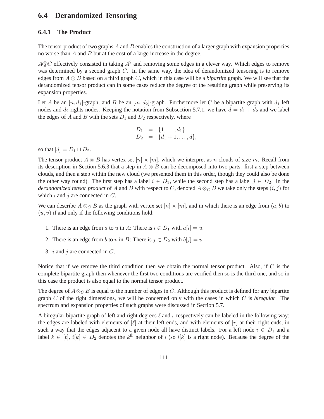## **6.4 Derandomized Tensoring**

## **6.4.1 The Product**

The tensor product of two graphs  $A$  and  $B$  enables the construction of a larger graph with expansion properties no worse than A and B but at the cost of a large increase in the degree.

 $A \circledS C$  effectively consisted in taking  $A^2$  and removing some edges in a clever way. Which edges to remove was determined by a second graph  $C$ . In the same way, the idea of derandomized tensoring is to remove edges from  $A \otimes B$  based on a third graph C, which in this case will be a *bipartite* graph. We will see that the derandomized tensor product can in some cases reduce the degree of the resulting graph while preserving its expansion properties.

Let A be an  $[n, d_1]$ -graph, and B be an  $[m, d_2]$ -graph. Furthermore let C be a bipartite graph with  $d_1$  left nodes and  $d_2$  rights nodes. Keeping the notation from Subsection 5.7.1, we have  $d = d_1 + d_2$  and we label the edges of A and B with the sets  $D_1$  and  $D_2$  respectively, where

$$
D_1 = \{1, ..., d_1\} D_2 = \{d_1 + 1, ..., d\},
$$

so that  $[d] = D_1 \sqcup D_2$ .

The tensor product  $A \otimes B$  has vertex set  $[n] \times [m]$ , which we interpret as n clouds of size m. Recall from its description in Section 5.6.3 that a step in  $A \otimes B$  can be decomposed into two parts: first a step between clouds, and then a step within the new cloud (we presented them in this order, though they could also be done the other way round). The first step has a label  $i \in D_1$ , while the second step has a label  $j \in D_2$ . In the *derandomized tensor product* of A and B with respect to C, denoted  $A \otimes_C B$  we take only the steps  $(i, j)$  for which  $i$  and  $j$  are connected in  $C$ .

We can describe  $A \otimes_{\mathbb{C}} B$  as the graph with vertex set  $[n] \times [m]$ , and in which there is an edge from  $(a, b)$  to  $(u, v)$  if and only if the following conditions hold:

- 1. There is an edge from a to u in A: There is  $i \in D_1$  with  $a[i] = u$ .
- 2. There is an edge from b to v in B: There is  $j \in D_2$  with  $b[j] = v$ .
- 3. *i* and *j* are connected in  $C$ .

Notice that if we remove the third condition then we obtain the normal tensor product. Also, if C is the complete bipartite graph then whenever the first two conditions are verified then so is the third one, and so in this case the product is also equal to the normal tensor product.

The degree of  $A \otimes_C B$  is equal to the number of edges in C. Although this product is defined for any bipartite graph C of the right dimensions, we will be concerned only with the cases in which C is *biregular*. The spectrum and expansion properties of such graphs were discussed in Section 5.7.

A biregular bipartite graph of left and right degrees  $\ell$  and r respectively can be labeled in the following way: the edges are labeled with elements of  $[\ell]$  at their left ends, and with elements of  $[r]$  at their right ends, in such a way that the edges adjacent to a given node all have distinct labels. For a left node  $i \in D_1$  and a label  $k \in [\ell], i[k] \in D_2$  denotes the  $k^{\text{th}}$  neighbor of i (so  $i[k]$  is a right node). Because the degree of the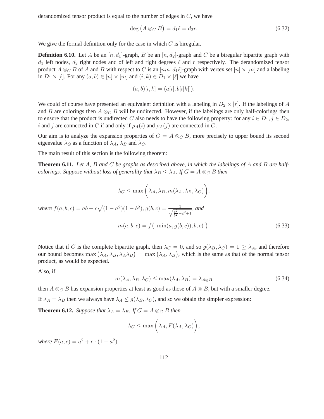derandomized tensor product is equal to the number of edges in  $C$ , we have

$$
\deg(A \otimes_C B) = d_1 \ell = d_2 r. \tag{6.32}
$$

We give the formal definition only for the case in which  $C$  is biregular.

**Definition 6.10.** Let A be an  $[n, d_1]$ -graph, B be an  $[n, d_2]$ -graph and C be a biregular bipartite graph with  $d_1$  left nodes,  $d_2$  right nodes and of left and right degrees  $\ell$  and r respectively. The derandomized tensor product  $A \otimes_C B$  of A and B with respect to C is an  $[nm, d_1\ell]$ -graph with vertex set  $[n] \times [m]$  and a labeling in  $D_1 \times [\ell]$ . For any  $(a, b) \in [n] \times [m]$  and  $(i, k) \in D_1 \times [\ell]$  we have

$$
(a,b)[i,k] = (a[i],b[i[k]]).
$$

We could of course have presented an equivalent definition with a labeling in  $D_2 \times [r]$ . If the labelings of A and B are colorings then  $A \otimes_C B$  will be undirected. However, if the labelings are only half-colorings then to ensure that the product is undirected C also needs to have the following property: for any  $i \in D_1, j \in D_2$ , i and j are connected in C if and only if  $\rho_A(i)$  and  $\rho_A(j)$  are connected in C.

Our aim is to analyze the expansion properties of  $G = A \otimes_C B$ , more precisely to upper bound its second eigenvalue  $\lambda_G$  as a function of  $\lambda_A$ ,  $\lambda_B$  and  $\lambda_C$ .

The main result of this section is the following theorem:

**Theorem 6.11.** *Let* A*,* B *and* C *be graphs as described above, in which the labelings of* A *and* B *are halfcolorings. Suppose without loss of generality that*  $\lambda_B \leq \lambda_A$ *. If*  $G = A \otimes_C B$  *then* 

$$
\lambda_G \le \max\left(\lambda_A, \lambda_B, m(\lambda_A, \lambda_B, \lambda_C)\right),
$$

*where*  $f(a, b, c) = ab + c\sqrt{(1 - a^2)(1 - b^2)}$ ,  $g(b, c) = \frac{1}{\sqrt{c^2 - b^2}}$  $\frac{1}{\frac{c^2}{b^2}-c^2+1}$ *, and*  $m(a, b, c) = f(min(a, g(b, c)), b, c)$ 

Notice that if C is the complete bipartite graph, then  $\lambda_C = 0$ , and so  $g(\lambda_B, \lambda_C) = 1 \ge \lambda_A$ , and therefore our bound becomes  $\max(\lambda_A, \lambda_B, \lambda_A \lambda_B) = \max(\lambda_A, \lambda_B)$ , which is the same as that of the normal tensor product, as would be expected.

Also, if

$$
m(\lambda_A, \lambda_B, \lambda_C) \le \max(\lambda_A, \lambda_B) = \lambda_{A \otimes B} \tag{6.34}
$$

 $(6.33)$ 

then  $A \otimes_C B$  has expansion properties at least as good as those of  $A \otimes B$ , but with a smaller degree. If  $\lambda_A = \lambda_B$  then we always have  $\lambda_A \leq g(\lambda_B, \lambda_C)$ , and so we obtain the simpler expression:

**Theorem 6.12.** *Suppose that*  $\lambda_A = \lambda_B$ *. If*  $G = A \otimes_C B$  *then* 

$$
\lambda_G \le \max\bigg(\lambda_A, F(\lambda_A, \lambda_C)\bigg),\,
$$

*where*  $F(a, c) = a^2 + c \cdot (1 - a^2)$ *.*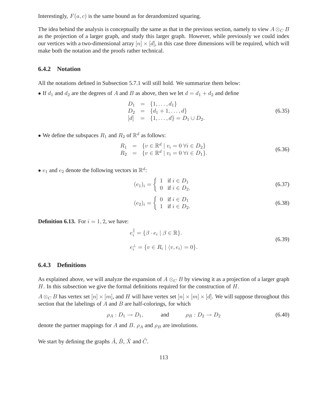Interestingly,  $F(a, c)$  is the same bound as for derandomized squaring.

The idea behind the analysis is conceptually the same as that in the previous section, namely to view  $A \otimes_C B$ as the projection of a larger graph, and study this larger graph. However, while previously we could index our vertices with a two-dimensional array  $[n] \times [d]$ , in this case three dimensions will be required, which will make both the notation and the proofs rather technical.

## **6.4.2 Notation**

All the notations defined in Subsection 5.7.1 will still hold. We summarize them below:

• If  $d_1$  and  $d_2$  are the degrees of A and B as above, then we let  $d = d_1 + d_2$  and define

$$
D_1 = \{1, ..., d_1\}
$$
  
\n
$$
D_2 = \{d_1 + 1, ..., d\}
$$
  
\n
$$
[d] = \{1, ..., d\} = D_1 \cup D_2.
$$
\n(6.35)

• We define the subspaces  $R_1$  and  $R_2$  of  $\mathbb{R}^d$  as follows:

$$
R_1 = \{ v \in \mathbb{R}^d \mid v_i = 0 \,\forall i \in D_2 \}
$$
  
\n
$$
R_2 = \{ v \in \mathbb{R}^d \mid v_i = 0 \,\forall i \in D_1 \}.
$$
\n(6.36)

•  $e_1$  and  $e_2$  denote the following vectors in  $\mathbb{R}^d$ :

$$
(e_1)_i = \begin{cases} 1 & \text{if } i \in D_1 \\ 0 & \text{if } i \in D_2. \end{cases}
$$
 (6.37)

$$
(e_2)_i = \begin{cases} 0 & \text{if } i \in D_1 \\ 1 & \text{if } i \in D_2. \end{cases}
$$
 (6.38)

**Definition 6.13.** For  $i = 1, 2$ , we have:

$$
e_i^{\parallel} = \{ \beta \cdot e_i \mid \beta \in \mathbb{R} \}. \tag{6.39}
$$
  

$$
e_i^{\perp} = \{ v \in R_i \mid \langle v, e_i \rangle = 0 \}.
$$

## **6.4.3 Definitions**

As explained above, we will analyze the expansion of  $A \otimes_C B$  by viewing it as a projection of a larger graph H. In this subsection we give the formal definitions required for the construction of  $H$ .

 $A \otimes_C B$  has vertex set  $[n] \times [m]$ , and H will have vertex set  $[n] \times [m] \times [d]$ . We will suppose throughout this section that the labelings of  $A$  and  $B$  are half-colorings, for which

$$
\rho_A: D_1 \to D_1, \quad \text{and} \quad \rho_B: D_2 \to D_2 \tag{6.40}
$$

denote the partner mappings for A and B.  $\rho_A$  and  $\rho_B$  are involutions.

We start by defining the graphs  $\hat{A}$ ,  $\hat{B}$ ,  $\hat{X}$  and  $\hat{C}$ .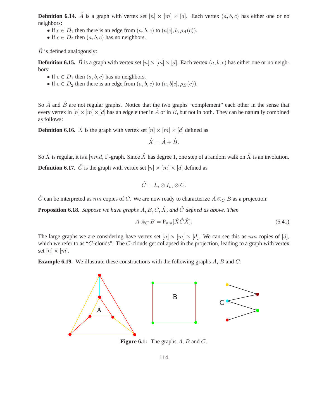**Definition 6.14.**  $\hat{A}$  is a graph with vertex set  $[n] \times [m] \times [d]$ . Each vertex  $(a, b, c)$  has either one or no neighbors:

- If  $c \in D_1$  then there is an edge from  $(a, b, c)$  to  $(a[c], b, \rho_A(c))$ .
- If  $c \in D_2$  then  $(a, b, c)$  has no neighbors.

 $\hat{B}$  is defined analogously:

**Definition 6.15.**  $\hat{B}$  is a graph with vertex set  $[n] \times [m] \times [d]$ . Each vertex  $(a, b, c)$  has either one or no neighbors:

- If  $c \in D_1$  then  $(a, b, c)$  has no neighbors.
- If  $c \in D_2$  then there is an edge from  $(a, b, c)$  to  $(a, b[c], \rho_B(c))$ .

So  $\hat{A}$  and  $\hat{B}$  are not regular graphs. Notice that the two graphs "complement" each other in the sense that every vertex in  $[n] \times [m] \times [d]$  has an edge either in  $\hat{A}$  or in  $\hat{B}$ , but not in both. They can be naturally combined as follows:

**Definition 6.16.**  $\hat{X}$  is the graph with vertex set  $[n] \times [m] \times [d]$  defined as

$$
\hat{X} = \hat{A} + \hat{B}.
$$

So  $\hat{X}$  is regular, it is a [nmd, 1]-graph. Since  $\hat{X}$  has degree 1, one step of a random walk on  $\hat{X}$  is an involution.

**Definition 6.17.**  $\hat{C}$  is the graph with vertex set  $[n] \times [m] \times [d]$  defined as

$$
\hat{C}=I_n\otimes I_m\otimes C.
$$

 $\hat{C}$  can be interpreted as nm copies of C. We are now ready to characterize  $A \otimes_C B$  as a projection:

**Proposition 6.18.** *Suppose we have graphs*  $A, B, C, \hat{X}$ *, and*  $\hat{C}$  *defined as above. Then* 

$$
A \otimes_C B = \mathbf{P}_{nm}[\hat{X}\hat{C}\hat{X}].
$$
\n(6.41)

The large graphs we are considering have vertex set  $[n] \times [m] \times [d]$ . We can see this as nm copies of [d], which we refer to as "C-clouds". The C-clouds get collapsed in the projection, leading to a graph with vertex set  $[n] \times [m]$ .

**Example 6.19.** We illustrate these constructions with the following graphs A, B and C:



**Figure 6.1:** The graphs A, B and C.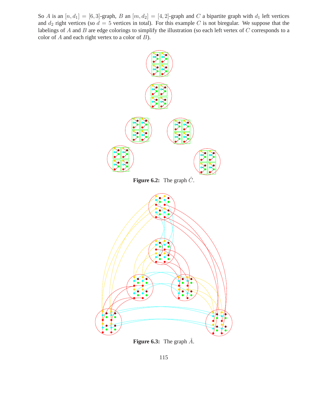So A is an  $[n, d_1] = [6, 3]$ -graph, B an  $[m, d_2] = [4, 2]$ -graph and C a bipartite graph with  $d_1$  left vertices and  $d_2$  right vertices (so  $d = 5$  vertices in total). For this example C is not biregular. We suppose that the labelings of  $A$  and  $B$  are edge colorings to simplify the illustration (so each left vertex of  $C$  corresponds to a color of  $A$  and each right vertex to a color of  $B$ ).



**Figure 6.3:** The graph  $\hat{A}$ .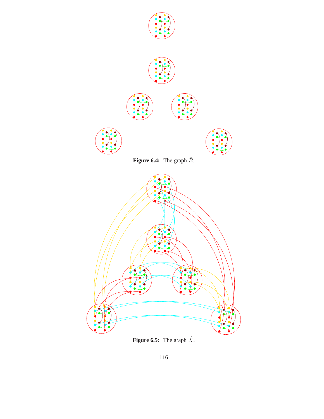

**Figure 6.5:** The graph  $\hat{X}$ .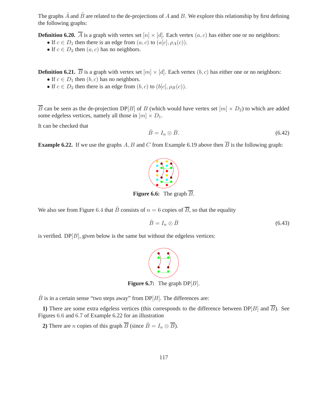The graphs  $\hat{A}$  and  $\hat{B}$  are related to the de-projections of A and B. We explore this relationship by first defining the following graphs:

**Definition 6.20.**  $\overline{A}$  is a graph with vertex set  $[n] \times [d]$ . Each vertex  $(a, c)$  has either one or no neighbors:

• If  $c \in D_1$  then there is an edge from  $(a, c)$  to  $(a[c], \rho_A(c))$ .

• If  $c \in D_2$  then  $(a, c)$  has no neighbors.

**Definition 6.21.**  $\overline{B}$  is a graph with vertex set  $[m] \times [d]$ . Each vertex  $(b, c)$  has either one or no neighbors:

- If  $c \in D_1$  then  $(b, c)$  has no neighbors.
- If  $c \in D_2$  then there is an edge from  $(b, c)$  to  $(b|c], \rho_B(c)$ ).

 $\overline{B}$  can be seen as the de-projection DP[B] of B (which would have vertex set  $[m] \times D_2$ ) to which are added some edgeless vertices, namely all those in  $[m] \times D_1$ .

It can be checked that

$$
\hat{B} = I_n \otimes \bar{B}.\tag{6.42}
$$

**Example 6.22.** If we use the graphs A, B and C from Example 6.19 above then  $\overline{B}$  is the following graph:

**Figure 6.6:** The graph  $\overline{B}$ .

We also see from Figure 6.4 that  $\hat{B}$  consists of  $n = 6$  copies of  $\overline{B}$ , so that the equality

$$
\hat{B} = I_n \otimes \bar{B} \tag{6.43}
$$

is verified.  $DP[B]$ , given below is the same but without the edgeless vertices:



**Figure 6.7:** The graph  $DP[B]$ .

 $\hat{B}$  is in a certain sense "two steps away" from DP[B]. The differences are:

**1)** There are some extra edgeless vertices (this corresponds to the difference between  $DP[B]$  and  $\overline{B}$ ). See Figures 6.6 and 6.7 of Example 6.22 for an illustration

**2)** There are *n* copies of this graph  $\overline{B}$  (since  $\hat{B} = I_n \otimes \overline{B}$ ).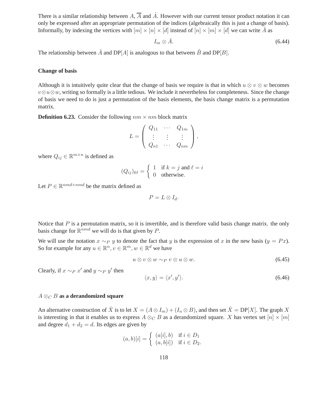There is a similar relationship between A,  $\overline{A}$  and  $\hat{A}$ . However with our current tensor product notation it can only be expressed after an appropriate permutation of the indices (algebraically this is just a change of basis). Informally, by indexing the vertices with  $[m] \times [n] \times [d]$  instead of  $[n] \times [m] \times [d]$  we can write  $\hat{A}$  as

$$
I_m \otimes \bar{A}.\tag{6.44}
$$

The relationship between  $\hat{A}$  and DP[A] is analogous to that between  $\hat{B}$  and DP[B].

#### **Change of basis**

Although it is intuitively quite clear that the change of basis we require is that in which  $u \otimes v \otimes w$  becomes  $v \otimes u \otimes w$ , writing so formally is a little tedious. We include it nevertheless for completeness. Since the change of basis we need to do is just a permutation of the basis elements, the basis change matrix is a permutation matrix.

**Definition 6.23.** Consider the following  $nm \times nm$  block matrix

$$
L = \left( \begin{array}{ccc} Q_{11} & \cdots & Q_{1m} \\ \vdots & \vdots & \vdots \\ Q_{n1} & \cdots & Q_{nm} \end{array} \right),
$$

where  $Q_{ij} \in \mathbb{R}^{m \times n}$  is defined as

$$
(Q_{ij})_{k\ell} = \begin{cases} 1 & \text{if } k = j \text{ and } \ell = i \\ 0 & \text{otherwise.} \end{cases}
$$

Let  $P \in \mathbb{R}^{nmd \times nmd}$  be the matrix defined as

$$
P=L\otimes I_d.
$$

Notice that  $P$  is a permutation matrix, so it is invertible, and is therefore valid basis change matrix. the only basis change for  $\mathbb{R}^{nmd}$  we will do is that given by P.

We will use the notation  $x \sim_P y$  to denote the fact that y is the expression of x in the new basis  $(y = Px)$ . So for example for any  $u \in \mathbb{R}^n, v \in \mathbb{R}^m, w \in \mathbb{R}^d$  we have

$$
u \otimes v \otimes w \sim_P v \otimes u \otimes w. \tag{6.45}
$$

Clearly, if  $x \sim_P x'$  and  $y \sim_P y'$  then

$$
\langle x, y \rangle = \langle x', y' \rangle. \tag{6.46}
$$

#### A ⊗<sup>C</sup> B **as a derandomized square**

An alternative construction of  $\hat{X}$  is to let  $X = (A \otimes I_m) + (I_n \otimes B)$ , and then set  $\hat{X} = DP[X]$ . The graph X is interesting in that it enables us to express  $A \otimes_C B$  as a derandomized square. X has vertex set  $[n] \times [m]$ and degree  $d_1 + d_2 = d$ . Its edges are given by

$$
(a,b)[i] = \begin{cases} (a[i],b) & \text{if } i \in D_1 \\ (a,b[i]) & \text{if } i \in D_2. \end{cases}
$$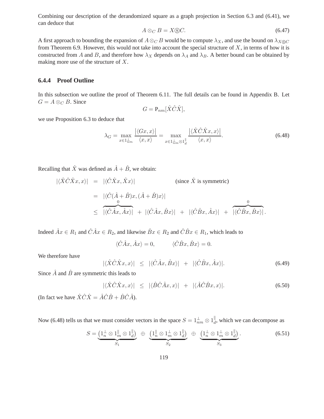Combining our description of the derandomized square as a graph projection in Section 6.3 and (6.41), we can deduce that

$$
A \otimes_C B = X \circledS C. \tag{6.47}
$$

A first approach to bounding the expansion of  $A \otimes_C B$  would be to compute  $\lambda_X$ , and use the bound on  $\lambda_{X \otimes C}$ from Theorem 6.9. However, this would not take into account the special structure of  $X$ , in terms of how it is constructed from A and B, and therefore how  $\lambda_X$  depends on  $\lambda_A$  and  $\lambda_B$ . A better bound can be obtained by making more use of the structure of X.

### **6.4.4 Proof Outline**

In this subsection we outline the proof of Theorem 6.11. The full details can be found in Appendix B. Let  $G = A \otimes_C B$ . Since

$$
G = \mathbf{P}_{nm}[\hat{X}\hat{C}\hat{X}],
$$

we use Proposition 6.3 to deduce that

$$
\lambda_G = \max_{x \in 1_{nm}^{\perp}} \frac{|\langle Gx, x \rangle|}{\langle x, x \rangle} = \max_{x \in 1_{nm}^{\perp} \otimes 1_{d}^{\parallel}} \frac{|\langle \hat{X} \hat{C} \hat{X} x, x \rangle|}{\langle x, x \rangle}.
$$
\n(6.48)

Recalling that  $\hat{X}$  was defined as  $\hat{A} + \hat{B}$ , we obtain:

$$
|\langle \hat{X}\hat{C}\hat{X}x, x \rangle| = |\langle \hat{C}\hat{X}x, \hat{X}x \rangle|
$$
 (since  $\hat{X}$  is symmetric)  
\n
$$
= |\langle \hat{C}(\hat{A} + \hat{B})x, (\hat{A} + \hat{B})x \rangle|
$$
\n
$$
\leq |\langle \hat{C}\hat{A}x, \hat{A}x \rangle| + |\langle \hat{C}\hat{A}x, \hat{B}x \rangle| + |\langle \hat{C}\hat{B}x, \hat{A}x \rangle| + |\langle \hat{C}\hat{B}x, \hat{B}x \rangle|.
$$

Indeed  $\hat{A}x \in R_1$  and  $\hat{C}\hat{A}x \in R_2$ , and likewise  $\hat{B}x \in R_2$  and  $\hat{C}\hat{B}x \in R_1$ , which leads to

$$
\langle \hat{C}\hat{A}x, \hat{A}x \rangle = 0, \qquad \langle \hat{C}\hat{B}x, \hat{B}x \rangle = 0.
$$

We therefore have

$$
|\langle \hat{X}\hat{C}\hat{X}x, x\rangle| \leq |\langle \hat{C}\hat{A}x, \hat{B}x\rangle| + |\langle \hat{C}\hat{B}x, \hat{A}x\rangle|.
$$
 (6.49)

Since  $\hat{A}$  and  $\hat{B}$  are symmetric this leads to

$$
|\langle \hat{X}\hat{C}\hat{X}x, x \rangle| \leq |\langle \hat{B}\hat{C}\hat{A}x, x \rangle| + |\langle \hat{A}\hat{C}\hat{B}x, x \rangle|.
$$
 (6.50)

(In fact we have  $\hat{X}\hat{C}\hat{X} = \hat{A}\hat{C}\hat{B} + \hat{B}\hat{C}\hat{A}$ ).

Now (6.48) tells us that we must consider vectors in the space  $S = 1 \frac{1}{nm} \otimes 1 \frac{1}{d}$ , which we can decompose as

$$
S = \underbrace{\left(1_n^{\perp} \otimes 1_m^{\parallel} \otimes 1_d^{\parallel}\right)}_{S_1} \oplus \underbrace{\left(1_n^{\parallel} \otimes 1_m^{\perp} \otimes 1_d^{\parallel}\right)}_{S_2} \oplus \underbrace{\left(1_n^{\perp} \otimes 1_m^{\perp} \otimes 1_d^{\parallel}\right)}_{S_3}.
$$
 (6.51)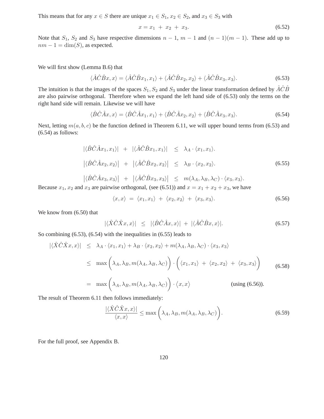This means that for any  $x \in S$  there are unique  $x_1 \in S_1$ ,  $x_2 \in S_2$ , and  $x_3 \in S_3$  with

$$
x = x_1 + x_2 + x_3. \tag{6.52}
$$

Note that  $S_1$ ,  $S_2$  and  $S_3$  have respective dimensions  $n - 1$ ,  $m - 1$  and  $(n - 1)(m - 1)$ . These add up to  $nm - 1 = \dim(S)$ , as expected.

We will first show (Lemma B.6) that

$$
\langle \hat{A}\hat{C}\hat{B}x, x \rangle = \langle \hat{A}\hat{C}\hat{B}x_1, x_1 \rangle + \langle \hat{A}\hat{C}\hat{B}x_2, x_2 \rangle + \langle \hat{A}\hat{C}\hat{B}x_3, x_3 \rangle.
$$
 (6.53)

The intuition is that the images of the spaces  $S_1, S_2$  and  $S_3$  under the linear transformation defined by  $\hat{ACB}$ are also pairwise orthogonal. Therefore when we expand the left hand side of (6.53) only the terms on the right hand side will remain. Likewise we will have

$$
\langle \hat{B}\hat{C}\hat{A}x, x \rangle = \langle \hat{B}\hat{C}\hat{A}x_1, x_1 \rangle + \langle \hat{B}\hat{C}\hat{A}x_2, x_2 \rangle + \langle \hat{B}\hat{C}\hat{A}x_3, x_3 \rangle.
$$
 (6.54)

Next, letting  $m(a, b, c)$  be the function defined in Theorem 6.11, we will upper bound terms from (6.53) and (6.54) as follows:

$$
|\langle \hat{B}\hat{C}\hat{A}x_1, x_1 \rangle| + |\langle \hat{A}\hat{C}\hat{B}x_1, x_1 \rangle| \le \lambda_A \cdot \langle x_1, x_1 \rangle.
$$
  

$$
|\langle \hat{B}\hat{C}\hat{A}x_2, x_2 \rangle| + |\langle \hat{A}\hat{C}\hat{B}x_2, x_2 \rangle| \le \lambda_B \cdot \langle x_2, x_2 \rangle.
$$
 (6.55)

$$
\left| \langle \hat{B}\hat{C}\hat{A}x_3, x_3 \rangle \right| + \left| \langle \hat{A}\hat{C}\hat{B}x_3, x_3 \rangle \right| \leq m(\lambda_A, \lambda_B, \lambda_C) \cdot \langle x_3, x_3 \rangle.
$$

Because  $x_1, x_2$  and  $x_3$  are pairwise orthogonal, (see (6.51)) and  $x = x_1 + x_2 + x_3$ , we have

$$
\langle x, x \rangle = \langle x_1, x_1 \rangle + \langle x_2, x_2 \rangle + \langle x_3, x_3 \rangle. \tag{6.56}
$$

We know from (6.50) that

$$
|\langle \hat{X}\hat{C}\hat{X}x, x\rangle| \leq |\langle \hat{B}\hat{C}\hat{A}x, x\rangle| + |\langle \hat{A}\hat{C}\hat{B}x, x\rangle|.
$$
 (6.57)

So combining (6.53), (6.54) with the inequalities in (6.55) leads to

$$
|\langle \hat{X}\hat{C}\hat{X}x, x \rangle| \leq \lambda_A \cdot \langle x_1, x_1 \rangle + \lambda_B \cdot \langle x_2, x_2 \rangle + m(\lambda_A, \lambda_B, \lambda_C) \cdot \langle x_3, x_3 \rangle
$$
  

$$
\leq \max \left( \lambda_A, \lambda_B, m(\lambda_A, \lambda_B, \lambda_C) \right) \cdot \left( \langle x_1, x_1 \rangle + \langle x_2, x_2 \rangle + \langle x_3, x_3 \rangle \right) \tag{6.58}
$$

$$
= \max \left( \lambda_A, \lambda_B, m(\lambda_A, \lambda_B, \lambda_C) \right) \cdot \langle x, x \rangle \qquad \text{(using (6.56))}.
$$

The result of Theorem 6.11 then follows immediately:

$$
\frac{|\langle \hat{X}\hat{C}\hat{X}x, x\rangle|}{\langle x, x\rangle} \le \max\left(\lambda_A, \lambda_B, m(\lambda_A, \lambda_B, \lambda_C)\right).
$$
\n(6.59)

For the full proof, see Appendix B.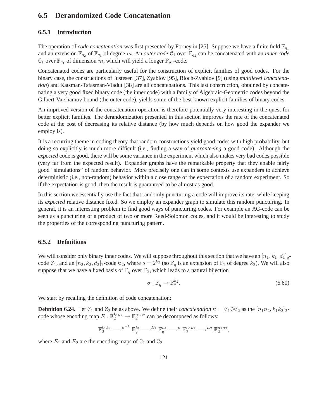## **6.5 Derandomized Code Concatenation**

## **6.5.1 Introduction**

The operation of *code concatenation* was first presented by Forney in [25]. Suppose we have a finite field  $\mathbb{F}_{q_1}$ and an extension  $\mathbb{F}_{q_2}$  of  $\mathbb{F}_{q_1}$  of degree m. An *outer code*  $\mathcal{C}_1$  over  $\mathbb{F}_{q_2}$  can be concatenated with an *inner code*  $\mathcal{C}_1$  over  $\mathbb{F}_{q_1}$  of dimension m, which will yield a longer  $\mathbb{F}_{q_1}$ -code.

Concatenated codes are particularly useful for the construction of explicit families of good codes. For the binary case, the constructions of Justesen [37], Zyablov [95], Bloch-Zyablov [9] (using *multilevel concatenation*) and Katsman-Tsfasman-Vladut [38] are all concatenations. This last construction, obtained by concatenating a very good fixed binary code (the inner code) with a family of Algebraic-Geometric codes beyond the Gilbert-Varshamov bound (the outer code), yields some of the best known explicit families of binary codes.

An improved version of the concatenation operation is therefore potentially very interesting in the quest for better explicit families. The derandomization presented in this section improves the rate of the concatenated code at the cost of decreasing its relative distance (by how much depends on how good the expander we employ is).

It is a recurring theme in coding theory that random constructions yield good codes with high probability, but doing so explicitly is much more difficult (i.e., finding a way of *guaranteeing* a good code). Although the *expected* code is good, there will be some variance in the experiment which also makes very bad codes possible (very far from the expected result). Expander graphs have the remarkable property that they enable fairly good "simulations" of random behavior. More precisely one can in some contexts use expanders to achieve deterministic (i.e., non-random) behavior within a close range of the expectation of a random experiment. So if the expectation is good, then the result is guaranteed to be almost as good.

In this section we essentially use the fact that randomly puncturing a code will improve its rate, while keeping its *expected* relative distance fixed. So we employ an expander graph to simulate this random puncturing. In general, it is an interesting problem to find good ways of puncturing codes. For example an AG-code can be seen as a puncturing of a product of two or more Reed-Solomon codes, and it would be interesting to study the properties of the corresponding puncturing pattern.

## **6.5.2 Definitions**

We will consider only binary inner codes. We will suppose throughout this section that we have an  $[n_1, k_1, d_1]_q$ code  $\mathcal{C}_1$ , and an  $[n_2, k_2, d_2]_2$ -code  $\mathcal{C}_2$ , where  $q = 2^{k_2}$  (so  $\mathbb{F}_q$  is an extension of  $\mathbb{F}_2$  of degree  $k_2$ ). We will also suppose that we have a fixed basis of  $\mathbb{F}_q$  over  $\mathbb{F}_2$ , which leads to a natural bijection

$$
\sigma: \mathbb{F}_q \to \mathbb{F}_2^{k_2}.\tag{6.60}
$$

We start by recalling the definition of code concatenation:

**Definition 6.24.** Let  $\mathcal{C}_1$  and  $\mathcal{C}_2$  be as above. We define their *concatenation*  $\mathcal{C} = \mathcal{C}_1 \Diamond \mathcal{C}_2$  as the  $[n_1n_2, k_1k_2]_2$ code whose encoding map  $E: \mathbb{F}_2^{k_1 k_2} \to \mathbb{F}_2^{n_1 n_2}$  can be decomposed as follows:

$$
\mathbb{F}_2^{k_1k_2}\longrightarrow^{\sigma^{-1}}\mathbb{F}_q^{k_1}\longrightarrow^{E_1}\mathbb{F}_q^{n_1}\longrightarrow^{\sigma}\mathbb{F}_2^{n_1k_2}\longrightarrow^{E_2}\mathbb{F}_2^{n_1n_2},
$$

where  $E_1$  and  $E_2$  are the encoding maps of  $\mathcal{C}_1$  and  $\mathcal{C}_2$ .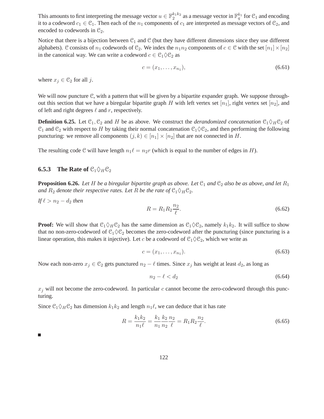This amounts to first interpreting the message vector  $u \in \mathbb{F}_2^{k_1 k_2}$  as a message vector in  $\mathbb{F}_q^{k_1}$  for  $\mathcal{C}_1$  and encoding it to a codeword  $c_1 \in \mathcal{C}_1$ . Then each of the  $n_1$  components of  $c_1$  are interpreted as message vectors of  $\mathcal{C}_2$ , and encoded to codewords in  $\mathcal{C}_2$ .

Notice that there is a bijection between  $C_1$  and  $C$  (but they have different dimensions since they use different alphabets). C consists of  $n_1$  codewords of C<sub>2</sub>. We index the  $n_1n_2$  components of  $c \in \mathcal{C}$  with the set  $[n_1] \times [n_2]$ in the canonical way. We can write a codeword  $c \in \mathcal{C}_1 \Diamond \mathcal{C}_2$  as

$$
c = (x_1, \dots, x_{n_1}), \tag{6.61}
$$

where  $x_j \in \mathcal{C}_2$  for all j.

We will now puncture C, with a pattern that will be given by a bipartite expander graph. We suppose throughout this section that we have a biregular bipartite graph H with left vertex set  $[n_1]$ , right vertex set  $[n_2]$ , and of left and right degrees  $\ell$  and  $r$ , respectively.

**Definition 6.25.** Let  $\mathcal{C}_1, \mathcal{C}_2$  and H be as above. We construct the *derandomized concatenation*  $\mathcal{C}_1 \Diamond_H \mathcal{C}_2$  of  $C_1$  and  $C_2$  with respect to H by taking their normal concatenation  $C_1 \Diamond C_2$ , and then performing the following puncturing: we remove all components  $(j, k) \in [n_1] \times [n_2]$  that are not connected in H.

The resulting code C will have length  $n_1\ell = n_2r$  (which is equal to the number of edges in H).

## **6.5.3** The Rate of  $\mathcal{C}_1 \Diamond_{H} \mathcal{C}_2$

**Proposition 6.26.** Let H be a biregular bipartite graph as above. Let  $\mathfrak{C}_1$  and  $\mathfrak{C}_2$  also be as above, and let  $R_1$ *and*  $R_2$  *denote their respective rates. Let* R *be the rate of*  $C_1 \Diamond_H C_2$ *.* 

If 
$$
\ell > n_2 - d_2
$$
 then  
\n
$$
R = R_1 R_2 \frac{n_2}{\ell}.
$$
\n(6.62)

**Proof:** We will show that  $C_1 \Diamond_H C_2$  has the same dimension as  $C_1 \Diamond C_2$ , namely  $k_1 k_2$ . It will suffice to show that no non-zero-codeword of  $C_1 \Diamond C_2$  becomes the zero-codeword after the puncturing (since puncturing is a linear operation, this makes it injective). Let c be a codeword of  $C_1 \Diamond C_2$ , which we write as

$$
c = (x_1, \dots, x_{n_1}).\tag{6.63}
$$

Now each non-zero  $x_j \in \mathcal{C}_2$  gets punctured  $n_2 - \ell$  times. Since  $x_j$  has weight at least  $d_2$ , as long as

$$
n_2 - \ell < d_2 \tag{6.64}
$$

 $x_j$  will not become the zero-codeword. In particular c cannot become the zero-codeword through this puncturing.

Since  $C_1 \Diamond_H C_2$  has dimension  $k_1 k_2$  and length  $n_1 \ell$ , we can deduce that it has rate

$$
R = \frac{k_1 k_2}{n_1 \ell} = \frac{k_1}{n_1} \frac{k_2}{n_2} \frac{n_2}{\ell} = R_1 R_2 \frac{n_2}{\ell}.
$$
\n(6.65)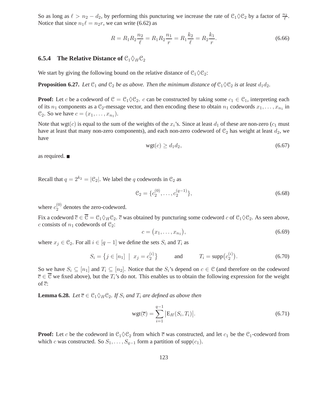So as long as  $\ell > n_2 - d_2$ , by performing this puncturing we increase the rate of  $\mathcal{C}_1 \Diamond \mathcal{C}_2$  by a factor of  $\frac{n_2}{\ell}$ . Notice that since  $n_1 \ell = n_2 r$ , we can write (6.62) as

$$
R = R_1 R_2 \frac{n_2}{\ell} = R_1 R_2 \frac{n_1}{r} = R_1 \frac{k_2}{\ell} = R_2 \frac{k_1}{r}.
$$
\n(6.66)

## **6.5.4 The Relative Distance of**  $\mathcal{C}_1 \Diamond_H \mathcal{C}_2$

We start by giving the following bound on the relative distance of  $\mathcal{C}_1 \Diamond \mathcal{C}_2$ :

**Proposition 6.27.** *Let*  $\mathcal{C}_1$  *and*  $\mathcal{C}_2$  *be as above. Then the minimum distance of*  $\mathcal{C}_1 \Diamond \mathcal{C}_2$  *is at least*  $d_1 d_2$ *.* 

**Proof:** Let c be a codeword of  $C = C_1 \Diamond C_2$ . c can be constructed by taking some  $c_1 \in C_1$ , interpreting each of its  $n_1$  components as a  $\mathcal{C}_2$ -message vector, and then encoding these to obtain  $n_1$  codewords  $x_1, \ldots, x_{n_1}$  in  $\mathcal{C}_2$ . So we have  $c = (x_1, \ldots, x_{n_1})$ .

Note that wgt(c) is equal to the sum of the weights of the  $x_i$ 's. Since at least  $d_1$  of these are non-zero ( $c_1$  must have at least that many non-zero components), and each non-zero codeword of  $\mathfrak{C}_2$  has weight at least  $d_2$ , we have

$$
wgt(c) \ge d_1d_2,\tag{6.67}
$$

as required.

Recall that  $q = 2^{k_2} = |\mathcal{C}_2|$ . We label the q codewords in  $\mathcal{C}_2$  as

$$
\mathcal{C}_2 = \{c_2^{(0)}, \dots, c_2^{(q-1)}\},\tag{6.68}
$$

where  $c_2^{(0)}$  $2^{(0)}$  denotes the zero-codeword.

Fix a codeword  $\overline{c} \in \overline{\mathcal{C}} = \mathcal{C}_1 \Diamond_H \mathcal{C}_2$ .  $\overline{c}$  was obtained by puncturing some codeword c of  $\mathcal{C}_1 \Diamond \mathcal{C}_2$ . As seen above, c consists of  $n_1$  codewords of  $\mathcal{C}_2$ :

$$
c = (x_1, \dots, x_{n_1}), \tag{6.69}
$$

where  $x_j \in \mathcal{C}_2$ . For all  $i \in [q-1]$  we define the sets  $S_i$  and  $T_i$  as

$$
S_i = \{ j \in [n_1] \mid x_j = c_2^{(i)} \} \quad \text{and} \quad T_i = \text{supp}(c_2^{(i)}). \tag{6.70}
$$

So we have  $S_i \subseteq [n_1]$  and  $T_i \subseteq [n_2]$ . Notice that the  $S_i$ 's depend on  $c \in \mathcal{C}$  (and therefore on the codeword  $\overline{c} \in \overline{\mathcal{C}}$  we fixed above), but the  $T_i$ 's do not. This enables us to obtain the following expression for the weight of  $\overline{c}$ :

**Lemma 6.28.** *Let*  $\overline{c} \in \mathcal{C}_1 \Diamond_H \mathcal{C}_2$ *. If*  $S_i$  *and*  $T_i$  *are defined as above then* 

$$
wgt(\overline{c}) = \sum_{i=1}^{q-1} |E_H(S_i, T_i)|.
$$
\n(6.71)

**Proof:** Let c be the codeword in  $C_1 \Diamond C_2$  from which  $\overline{c}$  was constructed, and let  $c_1$  be the  $C_1$ -codeword from which c was constructed. So  $S_1, \ldots, S_{q-1}$  form a partition of supp $(c_1)$ .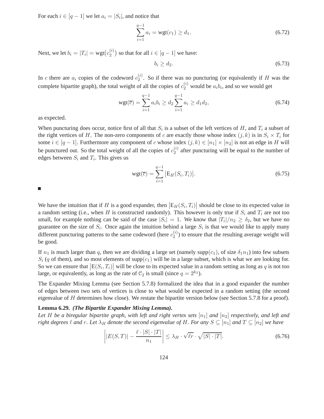For each  $i \in [q-1]$  we let  $a_i = |S_i|$ , and notice that

$$
\sum_{i=1}^{q-1} a_i = \text{wgt}(c_1) \ge d_1. \tag{6.72}
$$

Next, we let  $b_i = |T_i| = \text{wgt}(c_2^{(i)})$  $\binom{2}{2}$  so that for all  $i \in [q-1]$  we have:

$$
b_i \ge d_2. \tag{6.73}
$$

In c there are  $a_i$  copies of the codeword  $c_2^{(i)}$  $\binom{v}{2}$ . So if there was no puncturing (or equivalently if H was the complete bipartite graph), the total weight of all the copies of  $c_2^{(i)}$  would be  $a_i b_i$ , and so we would get

$$
wgt(\overline{c}) = \sum_{i=1}^{q-1} a_i b_i \ge d_2 \sum_{i=1}^{q-1} a_i \ge d_1 d_2,
$$
\n(6.74)

as expected.

When puncturing does occur, notice first of all that  $S_i$  is a subset of the left vertices of H, and  $T_i$  a subset of the right vertices of H. The non-zero components of c are exactly those whose index  $(j, k)$  is in  $S_i \times T_i$  for some  $i \in [q-1]$ . Furthermore any component of c whose index  $(j, k) \in [n_1] \times [n_2]$  is not an edge in H will be punctured out. So the total weight of all the copies of  $c_2^{(i)}$  $2^{(i)}$  after puncturing will be equal to the number of edges between  $S_i$  and  $T_i$ . This gives us

$$
wgt(\overline{c}) = \sum_{i=1}^{q-1} |E_H(S_i, T_i)|.
$$
\n(6.75)

We have the intuition that if H is a good expander, then  $|E_H(S_i, T_i)|$  should be close to its expected value in a random setting (i.e., when H is constructed randomly). This however is only true if  $S_i$  and  $T_i$  are not too small, for example nothing can be said of the case  $|S_i| = 1$ . We know that  $|T_i|/n_2 \ge \delta_2$ , but we have no guarantee on the size of  $S_i$ . Once again the intuition behind a large  $S_i$  is that we would like to apply many different puncturing patterns to the same codeword (here  $c_2^{(i)}$ )  $2^{(i)}$ ) to ensure that the resulting average weight will be good.

If  $n_1$  is much larger than q, then we are dividing a large set (namely supp(c<sub>1</sub>), of size  $\delta_1 n_1$ ) into few subsets  $S_i$  (q of them), and so most elements of supp(c<sub>1</sub>) will be in a large subset, which is what we are looking for. So we can ensure that  $|E(S_i, T_i)|$  will be close to its expected value in a random setting as long as q is not too large, or equivalently, as long as the rate of  $\mathcal{C}_2$  is small (since  $q = 2^{k_2}$ ).

The Expander Mixing Lemma (see Section 5.7.8) formalized the idea that in a good expander the number of edges between two sets of vertices is close to what would be expected in a random setting (the second eigenvalue of  $H$  determines how close). We restate the bipartite version below (see Section 5.7.8 for a proof).

#### **Lemma 6.29.** *(The Bipartite Expander Mixing Lemma).*

Let H be a biregular bipartite graph, with left and right vertex sets  $[n_1]$  and  $[n_2]$  respectively, and left and *right degrees*  $\ell$  *and*  $r$ *. Let*  $\lambda_H$  *denote the second eigenvalue of* H. For *any*  $S \subseteq [n_1]$  *and*  $T \subseteq [n_2]$  *we have* 

$$
\left| |E(S,T)| - \frac{\ell \cdot |S| \cdot |T|}{n_1} \right| \le \lambda_H \cdot \sqrt{\ell r} \cdot \sqrt{|S| \cdot |T|}. \tag{6.76}
$$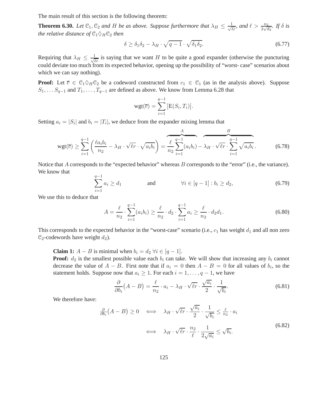The main result of this section is the following theorem:

**Theorem 6.30.** Let  $\mathbb{C}_1$ ,  $\mathbb{C}_2$  and H be as above. Suppose furthermore that  $\lambda_H \leq \frac{1}{\sqrt{\ell r}}$ , and  $\ell > \frac{n_2}{2\sqrt{d_2}}$ . If  $\delta$  is *the relative distance of*  $C_1 \Diamond_H C_2$  *then* 

$$
\delta \ge \delta_1 \delta_2 - \lambda_H \cdot \sqrt{q-1} \cdot \sqrt{\delta_1 \delta_2}.\tag{6.77}
$$

Requiring that  $\lambda_H \leq \frac{1}{\sqrt{\ell r}}$  is saying that we want H to be quite a good expander (otherwise the puncturing could deviate too much from its expected behavior, opening up the possibility of "worst- case" scenarios about which we can say nothing).

**Proof:** Let  $\overline{c} \in C_1 \Diamond_H C_2$  be a codeword constructed from  $c_1 \in C_1$  (as in the analysis above). Suppose  $S_1, \ldots S_{q-1}$  and  $T_1, \ldots, T_{q-1}$  are defined as above. We know from Lemma 6.28 that

$$
\text{wgt}(\overline{c}) = \sum_{i=1}^{q-1} |E(S_i, T_i)|.
$$

Setting  $a_i = |S_i|$  and  $b_i = |T_i|$ , we deduce from the expander mixing lemma that

$$
wgt(\overline{c}) \geq \sum_{i=1}^{q-1} \left( \frac{\ell a_i b_i}{n_2} - \lambda_H \cdot \sqrt{\ell r} \cdot \sqrt{a_i b_i} \right) = \frac{\ell}{n_2} \sum_{i=1}^{q-1} (a_i b_i) - \lambda_H \cdot \sqrt{\ell r} \cdot \sum_{i=1}^{q-1} \sqrt{a_i b_i}.
$$
 (6.78)

Notice that A corresponds to the "expected behavior" whereas B corresponds to the "error" (i.e., the variance). We know that

$$
\sum_{i=1}^{q-1} a_i \ge d_1 \quad \text{and} \quad \forall i \in [q-1] : b_i \ge d_2,\tag{6.79}
$$

We use this to deduce that

$$
A = \frac{\ell}{n_2} \cdot \sum_{i=1}^{q-1} (a_i b_i) \ge \frac{\ell}{n_2} \cdot d_2 \cdot \sum_{i=1}^{q-1} a_i \ge \frac{\ell}{n_2} \cdot d_2 d_1. \tag{6.80}
$$

This corresponds to the expected behavior in the "worst-case" scenario (i.e.,  $c_1$  has weight  $d_1$  and all non zero  $\mathcal{C}_2$ -codewords have weight  $d_2$ ).

**Claim 1:**  $A - B$  is minimal when  $b_i = d_2 \ \forall i \in [q - 1].$ 

**Proof:**  $d_2$  is the smallest possible value each  $b_i$  can take. We will show that increasing any  $b_i$  cannot decrease the value of  $A - B$ . First note that if  $a_i = 0$  then  $A - B = 0$  for all values of  $b_i$ , so the statement holds. Suppose now that  $a_i \geq 1$ . For each  $i = 1, \ldots, q - 1$ , we have

$$
\frac{\partial}{\partial b_i}(A - B) = \frac{\ell}{n_2} \cdot a_i - \lambda_H \cdot \sqrt{\ell r} \cdot \frac{\sqrt{a_i}}{2} \cdot \frac{1}{\sqrt{b_i}}.
$$
(6.81)

We therefore have:

$$
\frac{\partial}{\partial b_i}(A - B) \ge 0 \iff \lambda_H \cdot \sqrt{\ell r} \cdot \frac{\sqrt{a_i}}{2} \cdot \frac{1}{\sqrt{b_i}} \le \frac{\ell}{n_2} \cdot a_i
$$
\n
$$
\iff \lambda_H \cdot \sqrt{\ell r} \cdot \frac{n_2}{\ell} \cdot \frac{1}{2\sqrt{a_i}} \le \sqrt{b_i}.
$$
\n(6.82)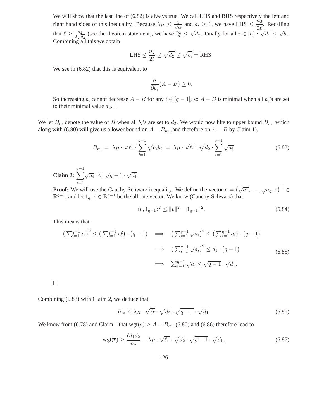We will show that the last line of (6.82) is always true. We call LHS and RHS respectively the left and right hand sides of this inequality. Because  $\lambda_H \leq \frac{1}{\sqrt{\ell_r}}$  and  $a_i \geq 1$ , we have LHS  $\leq \frac{n_2}{2\ell_r}$  $\frac{n_2}{2\ell}$ . Recalling that  $\ell \geq \frac{n_2}{2\sqrt{6}}$  $\frac{n_2}{2\sqrt{d_2}}$  (see the theorem statement), we have  $\frac{n_2}{2\ell} \leq$  $\sqrt{d_2}$ . Finally for all  $i \in [n]$   $\sqrt[2\ell]{d_2} \leq \sqrt{b_i}$ . Combining all this we obtain

LHS 
$$
\leq \frac{n_2}{2\ell} \leq \sqrt{d_2} \leq \sqrt{b_i} =
$$
RHS.

We see in  $(6.82)$  that this is equivalent to

$$
\frac{\partial}{\partial b_i}(A - B) \ge 0.
$$

So increasing  $b_i$  cannot decrease  $A - B$  for any  $i \in [q - 1]$ , so  $A - B$  is minimal when all  $b_i$ 's are set to their minimal value  $d_2$ .  $\Box$ 

We let  $B_m$  denote the value of B when all  $b_i$ 's are set to  $d_2$ . We would now like to upper bound  $B_m$ , which along with (6.80) will give us a lower bound on  $A - B_m$  (and therefore on  $A - B$  by Claim 1).

$$
B_m = \lambda_H \cdot \sqrt{\ell r} \cdot \sum_{i=1}^{q-1} \sqrt{a_i b_i} = \lambda_H \cdot \sqrt{\ell r} \cdot \sqrt{d_2} \cdot \sum_{i=1}^{q-1} \sqrt{a_i}.
$$
 (6.83)

Claim 2:  $\sum$  $\frac{q-1}{q-1}$  $i=1$  $\sqrt{a_i} \leq \sqrt{q-1} \cdot \sqrt{d_1}.$ 

**Proof:** We will use the Cauchy-Schwarz inequality. We define the vector  $v = (\sqrt{a_1}, \dots, \sqrt{a_{q-1}})^{\top} \in$  $\mathbb{R}^{q-1}$ , and let  $1_{q-1}$  ∈  $\mathbb{R}^{q-1}$  be the all one vector. We know (Cauchy-Schwarz) that

$$
\langle v, 1_{q-1} \rangle^2 \le ||v||^2 \cdot ||1_{q-1}||^2. \tag{6.84}
$$

This means that

$$
\left(\sum_{i=1}^{q-1} v_i\right)^2 \le \left(\sum_{i=1}^{q-1} v_i^2\right) \cdot (q-1) \implies \left(\sum_{i=1}^{q-1} \sqrt{a_i}\right)^2 \le \left(\sum_{i=1}^{q-1} a_i\right) \cdot (q-1)
$$
\n
$$
\implies \left(\sum_{i=1}^{q-1} \sqrt{a_i}\right)^2 \le d_1 \cdot (q-1)
$$
\n
$$
\implies \sum_{i=1}^{q-1} \sqrt{a_i} \le \sqrt{q-1} \cdot \sqrt{d_1}.
$$
\n(6.85)

 $\Box$ 

Combining (6.83) with Claim 2, we deduce that

$$
B_m \le \lambda_H \cdot \sqrt{\ell r} \cdot \sqrt{d_2} \cdot \sqrt{q-1} \cdot \sqrt{d_1}.\tag{6.86}
$$

We know from (6.78) and Claim 1 that  $wgt(\overline{c}) \geq A - B_m$ . (6.80) and (6.86) therefore lead to

$$
\text{wgt}(\overline{c}) \ge \frac{\ell d_1 d_2}{n_2} - \lambda_H \cdot \sqrt{\ell r} \cdot \sqrt{d_2} \cdot \sqrt{q-1} \cdot \sqrt{d_1},\tag{6.87}
$$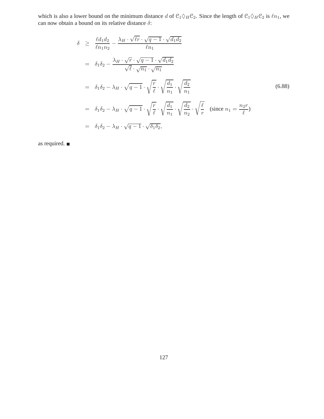which is also a lower bound on the minimum distance d of  $C_1 \Diamond_H C_2$ . Since the length of  $C_1 \Diamond_H C_2$  is  $\ell n_1$ , we can now obtain a bound on its relative distance  $\delta$ :

$$
\delta \geq \frac{\ell d_1 d_2}{\ell n_1 n_2} - \frac{\lambda_H \cdot \sqrt{\ell r} \cdot \sqrt{q-1} \cdot \sqrt{d_1 d_2}}{\ell n_1}
$$
\n
$$
= \delta_1 \delta_2 - \frac{\lambda_H \cdot \sqrt{r} \cdot \sqrt{q-1} \cdot \sqrt{d_1 d_2}}{\sqrt{\ell} \cdot \sqrt{n_1} \cdot \sqrt{n_1}}
$$
\n
$$
= \delta_1 \delta_2 - \lambda_H \cdot \sqrt{q-1} \cdot \sqrt{\frac{r}{\ell}} \cdot \sqrt{\frac{d_1}{n_1}} \cdot \sqrt{\frac{d_2}{n_1}}
$$
\n
$$
= \delta_1 \delta_2 - \lambda_H \cdot \sqrt{q-1} \cdot \sqrt{\frac{r}{\ell}} \cdot \sqrt{\frac{d_1}{n_1}} \cdot \sqrt{\frac{d_2}{n_2}} \cdot \sqrt{\frac{\ell}{r}} \quad \text{(since } n_1 = \frac{n_2 r}{\ell}\text{)}
$$
\n
$$
= \delta_1 \delta_2 - \lambda_H \cdot \sqrt{q-1} \cdot \sqrt{\delta_1 \delta_2}, \tag{6.88}
$$

as required.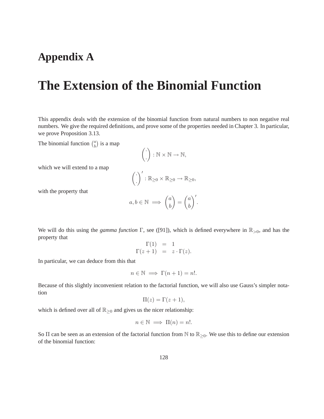## **Appendix A**

# **The Extension of the Binomial Function**

This appendix deals with the extension of the binomial function from natural numbers to non negative real numbers. We give the required definitions, and prove some of the properties needed in Chapter 3. In particular, we prove Proposition 3.13.

The binomial function  $\binom{a}{b}$  $\binom{a}{b}$  is a map

$$
\left(\begin{array}{c}\cdot\\\cdot\end{array}\right)\colon\mathbb{N}\times\mathbb{N}\to\mathbb{N},
$$

which we will extend to a map

$$
\left(\frac{\cdot}{\cdot}\right)':\mathbb{R}_{\geq 0}\times\mathbb{R}_{\geq 0}\to\mathbb{R}_{\geq 0},
$$

with the property that

$$
a, b \in \mathbb{N} \implies {a \choose b} = {a \choose b}^{\prime}.
$$

We will do this using the *gamma function*  $\Gamma$ , see ([91]), which is defined everywhere in  $\mathbb{R}_{>0}$ , and has the property that

$$
\Gamma(1) = 1 \n\Gamma(z+1) = z \cdot \Gamma(z).
$$

In particular, we can deduce from this that

$$
n \in \mathbb{N} \implies \Gamma(n+1) = n!.
$$

Because of this slightly inconvenient relation to the factorial function, we will also use Gauss's simpler notation

$$
\Pi(z) = \Gamma(z+1),
$$

which is defined over all of  $\mathbb{R}_{\geq 0}$  and gives us the nicer relationship:

$$
n \in \mathbb{N} \implies \Pi(n) = n!.
$$

So  $\Pi$  can be seen as an extension of the factorial function from  $\mathbb N$  to  $\mathbb R_{\geq 0}$ . We use this to define our extension of the binomial function: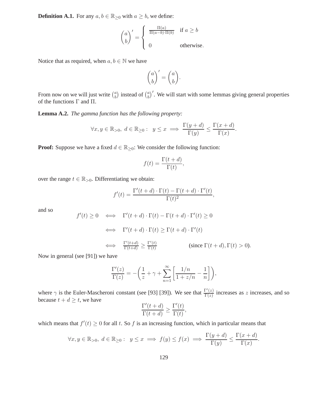**Definition A.1.** For any  $a, b \in \mathbb{R}_{\geq 0}$  with  $a \geq b$ , we define:

$$
\begin{pmatrix} a \\ b \end{pmatrix}' = \begin{cases} \frac{\Pi(a)}{\Pi(a-b)\cdot\Pi(b)} & \text{if } a \ge b \\ 0 & \text{otherwise.} \end{cases}
$$

Notice that as required, when  $a, b \in \mathbb{N}$  we have

$$
\binom{a}{b}^{\prime} = \binom{a}{b}.
$$

From now on we will just write  $\binom{a}{b}$  $\binom{a}{b}$  instead of  $\binom{a}{b}$  $\binom{a}{b}$ . We will start with some lemmas giving general properties of the functions Γ and Π.

**Lemma A.2.** *The gamma function has the following property:*

$$
\forall x, y \in \mathbb{R}_{>0}, \ d \in \mathbb{R}_{\geq 0}: \ y \leq x \implies \frac{\Gamma(y+d)}{\Gamma(y)} \leq \frac{\Gamma(x+d)}{\Gamma(x)}.
$$

**Proof:** Suppose we have a fixed  $d \in \mathbb{R}_{\geq 0}$ : We consider the following function:

$$
f(t) = \frac{\Gamma(t + d)}{\Gamma(t)},
$$

over the range  $t \in \mathbb{R}_{>0}$ . Differentiating we obtain:

$$
f'(t) = \frac{\Gamma'(t+d) \cdot \Gamma(t) - \Gamma(t+d) \cdot \Gamma'(t)}{\Gamma(t)^2},
$$

and so

$$
f'(t) \ge 0 \iff \Gamma'(t+d) \cdot \Gamma(t) - \Gamma(t+d) \cdot \Gamma'(t) \ge 0
$$
  

$$
\iff \Gamma'(t+d) \cdot \Gamma(t) \ge \Gamma(t+d) \cdot \Gamma'(t)
$$
  

$$
\iff \frac{\Gamma'(t+d)}{\Gamma(t+d)} \ge \frac{\Gamma'(t)}{\Gamma(t)} \qquad \text{(since } \Gamma(t+d), \Gamma(t) > 0).
$$

Now in general (see [91]) we have

$$
\frac{\Gamma'(z)}{\Gamma(z)} = -\left(\frac{1}{z} + \gamma + \sum_{n=1}^{\infty} \left[ \frac{1/n}{1 + z/n} - \frac{1}{n} \right] \right),\,
$$

where  $\gamma$  is the Euler-Mascheroni constant (see [93] [39]). We see that  $\frac{\Gamma'(z)}{\Gamma(z)}$  $\frac{\Gamma(z)}{\Gamma(z)}$  increases as z increases, and so because  $t + d \geq t$ , we have  $\mathbf{t}$ 

$$
\frac{\Gamma'(t+d)}{\Gamma(t+d)} \ge \frac{\Gamma'(t)}{\Gamma(t)},
$$

which means that  $f'(t) \geq 0$  for all t. So f is an increasing function, which in particular means that

$$
\forall x, y \in \mathbb{R}_{>0}, \ d \in \mathbb{R}_{\geq 0}: \ y \leq x \implies f(y) \leq f(x) \implies \frac{\Gamma(y + d)}{\Gamma(y)} \leq \frac{\Gamma(x + d)}{\Gamma(x)}.
$$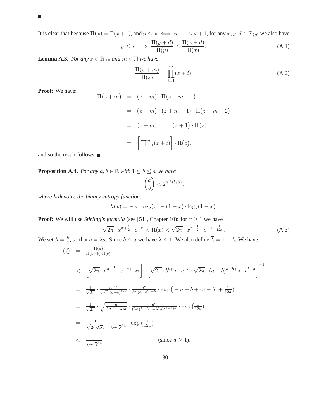### $\blacksquare$

It is clear that because  $\Pi(x) = \Gamma(x+1)$ , and  $y \leq x \iff y+1 \leq x+1$ , for any  $x, y, d \in \mathbb{R}_{\geq 0}$  we also have

$$
y \le x \implies \frac{\Pi(y+d)}{\Pi(y)} \le \frac{\Pi(x+d)}{\Pi(x)}.\tag{A.1}
$$

**Lemma A.3.** *For any*  $z \in \mathbb{R}_{\geq 0}$  *and*  $m \in \mathbb{N}$  *we have* 

$$
\frac{\Pi(z+m)}{\Pi(z)} = \prod_{i=1}^{m} (z+i).
$$
 (A.2)

**Proof:** We have:

$$
\Pi(z+m) = (z+m) \cdot \Pi(z+m-1)
$$
  
=  $(z+m) \cdot (z+m-1) \cdot \Pi(z+m-2)$   
=  $(z+m) \cdot \ldots \cdot (z+1) \cdot \Pi(z)$   
=  $\left[\prod_{i=1}^{m} (z+i)\right] \cdot \Pi(z),$ 

and so the result follows.

**Proposition A.4.** *For any*  $a, b \in \mathbb{R}$  *with*  $1 \leq b \leq a$  *we have* 

$$
\binom{a}{b} < 2^{a \cdot h(b/a)},
$$

*where* h *denotes the binary entropy function:*

$$
h(x) = -x \cdot \log_2(x) - (1 - x) \cdot \log_2(1 - x).
$$

**Proof:** We will use *Stirling's formula* (see [51], Chapter 10): for  $x \ge 1$  we have

$$
\sqrt{2\pi} \cdot x^{x + \frac{1}{2}} \cdot e^{-x} < \Pi(x) < \sqrt{2\pi} \cdot x^{x + \frac{1}{2}} \cdot e^{-x + \frac{1}{12x}}.\tag{A.3}
$$

We set  $\lambda = \frac{b}{a}$  $\frac{b}{a}$ , so that  $b = \lambda a$ . Since  $b \le a$  we have  $\lambda \le 1$ . We also define  $\lambda = 1 - \lambda$ . We have:  $\binom{a}{b}$  $\begin{array}{cc} a \ b \end{array}$  =  $\frac{\Pi(a)}{\Pi(a-b)\cdot 1}$  $\Pi(a-b) \cdot \Pi(b)$ 

$$
\langle \sqrt{2\pi} \cdot a^{a+\frac{1}{2}} \cdot e^{-a+\frac{1}{12a}} \right] \cdot \left[ \sqrt{2\pi} \cdot b^{b+\frac{1}{2}} \cdot e^{-b} \cdot \sqrt{2\pi} \cdot (a-b)^{a-b+\frac{1}{2}} \cdot e^{b-a} \right]^{-1}
$$
\n
$$
= \frac{1}{\sqrt{2\pi}} \cdot \frac{a^{1/2}}{b^{1/2} \cdot (a-b)^{1/2}} \cdot \frac{a^{a}}{b^{b} \cdot (a-b)^{a-b}} \cdot \exp\left(-a+b+(a-b)+\frac{1}{12a}\right)
$$
\n
$$
= \frac{1}{\sqrt{2\pi}} \cdot \sqrt{\frac{a}{\lambda a \cdot (1-\lambda)a}} \cdot \frac{a^{a}}{(\lambda a)^{\lambda a} \cdot ((1-\lambda)a)^{(1-\lambda)a}} \cdot \exp\left(\frac{1}{12a}\right)
$$
\n
$$
= \frac{1}{\sqrt{2\pi} \cdot \lambda \overline{\lambda} a} \cdot \frac{1}{\lambda^{\lambda a} \cdot \overline{\lambda}^{\overline{\lambda} a}} \cdot \exp\left(\frac{1}{12a}\right)
$$
\n
$$
\langle \text{since } a \ge 1 \rangle.
$$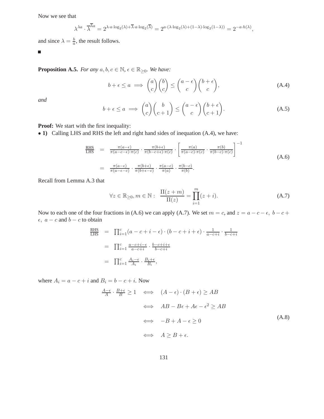Now we see that

$$
\lambda^{\lambda a} \cdot \overline{\lambda}^{\overline{\lambda}a} = 2^{\lambda \cdot a \cdot \log_2(\lambda) + \overline{\lambda} \cdot a \cdot \log_2(\overline{\lambda})} = 2^{a \cdot (\lambda \cdot \log_2(\lambda) + (1 - \lambda) \cdot \log_2(1 - \lambda))} = 2^{-a \cdot h(\lambda)},
$$

and since  $\lambda = \frac{b}{a}$ , the result follows.

г

**Proposition A.5.** *For any*  $a, b, c \in \mathbb{N}$ ,  $\epsilon \in \mathbb{R}_{\geq 0}$ *. We have:* 

$$
b + \epsilon \le a \implies {a \choose c} {b \choose c} \le {a - \epsilon \choose c} {b + \epsilon \choose c}, \tag{A.4}
$$

*and*

$$
b + \epsilon \le a \implies {a \choose c} {b \choose c+1} \le {a - \epsilon \choose c} {b + \epsilon \choose c+1}.
$$
 (A.5)

**Proof:** We start with the first inequality:

• 1) Calling LHS and RHS the left and right hand sides of inequation (A.4), we have:

$$
\frac{\text{RHS}}{\text{LHS}} = \frac{\pi(a-\epsilon)}{\pi(a-c-\epsilon)\cdot\pi(c)} \cdot \frac{\pi(b+\epsilon)}{\pi(b-c+\epsilon)\cdot\pi(c)} \cdot \left[ \frac{\pi(a)}{\pi(a-c)\cdot\pi(c)} \cdot \frac{\pi(b)}{\pi(b-c)\cdot\pi(c)} \right]^{-1}
$$
\n
$$
= \frac{\pi(a-\epsilon)}{\pi(a-\epsilon-c)} \cdot \frac{\pi(b+\epsilon)}{\pi(b+\epsilon-c)} \cdot \frac{\pi(a-c)}{\pi(a)} \cdot \frac{\pi(b-c)}{\pi(b)}.
$$
\n(A.6)

Recall from Lemma A.3 that

$$
\forall z \in \mathbb{R}_{\geq 0}, m \in \mathbb{N}: \quad \frac{\Pi(z+m)}{\Pi(z)} = \prod_{i=1}^{m} (z+i). \tag{A.7}
$$

Now to each one of the four fractions in (A.6) we can apply (A.7). We set  $m = c$ , and  $z = a - c - \epsilon$ ,  $b - c +$  $\epsilon$ ,  $a - c$  and  $b - c$  to obtain

$$
\frac{\text{RHS}}{\text{LHS}} = \prod_{i=1}^{c} (a - c + i - \epsilon) \cdot (b - c + i + \epsilon) \cdot \frac{1}{a - c + i} \cdot \frac{1}{b - c + i}
$$
\n
$$
= \prod_{i=1}^{c} \frac{a - c + i - \epsilon}{a - c + i} \cdot \frac{b - c + i + \epsilon}{b - c + i}
$$
\n
$$
= \prod_{i=1}^{c} \frac{A_i - \epsilon}{A_i} \cdot \frac{B_i + \epsilon}{B_i},
$$

where  $A_i = a - c + i$  and  $B_i = b - c + i$ . Now

$$
\frac{A-\epsilon}{A} \cdot \frac{B+\epsilon}{B} \ge 1 \iff (A-\epsilon) \cdot (B+\epsilon) \ge AB
$$
  

$$
\iff AB - B\epsilon + A\epsilon - \epsilon^2 \ge AB
$$
  

$$
\iff -B + A - \epsilon \ge 0
$$
  

$$
\iff A \ge B + \epsilon.
$$
 (A.8)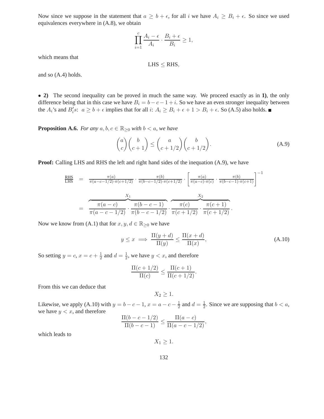Now since we suppose in the statement that  $a \geq b + \epsilon$ , for all i we have  $A_i \geq B_i + \epsilon$ . So since we used equivalences everywhere in (A.8), we obtain

$$
\prod_{i=1}^{c} \frac{A_i - \epsilon}{A_i} \cdot \frac{B_i + \epsilon}{B_i} \ge 1,
$$

which means that

 $LHS \le RHS$ ,

and so (A.4) holds.

• **2)** The second inequality can be proved in much the same way. We proceed exactly as in **1)**, the only difference being that in this case we have  $B_i = b - c - 1 + i$ . So we have an even stronger inequality between the  $A_i$ 's and  $B_i$ 's:  $a \ge b + \epsilon$  implies that for all  $i: A_i \ge B_i + \epsilon + 1 > B_i + \epsilon$ . So (A.5) also holds.

**Proposition A.6.** *For any*  $a, b, c \in \mathbb{R}_{\geq 0}$  *with*  $b < a$ *, we have* 

$$
\binom{a}{c}\binom{b}{c+1} \le \binom{a}{c+1/2}\binom{b}{c+1/2}.\tag{A.9}
$$

**Proof:** Calling LHS and RHS the left and right hand sides of the inequation (A.9), we have

$$
\frac{\text{RHS}}{\text{LHS}} = \frac{\pi(a)}{\pi(a-c-1/2)\cdot\pi(c+1/2)} \cdot \frac{\pi(b)}{\pi(b-c-1/2)\cdot\pi(c+1/2)} \cdot \left[\frac{\pi(a)}{\pi(a-c)\cdot\pi(c)} \cdot \frac{\pi(b)}{\pi(b-c-1)\cdot\pi(c+1)}\right]^{-1}
$$
\n
$$
= \frac{\frac{X_1}{\pi(a-c)} \cdot \frac{\pi(b-c-1)}{\pi(b-c-1/2)} \cdot \frac{X_2}{\pi(c+1/2)} \cdot \frac{X_2}{\pi(c+1/2)} \cdot \frac{X_2}{\pi(c+1/2)}.
$$

Now we know from (A.1) that for  $x, y, d \in \mathbb{R}_{\geq 0}$  we have

$$
y \le x \implies \frac{\Pi(y+d)}{\Pi(y)} \le \frac{\Pi(x+d)}{\Pi(x)},\tag{A.10}
$$

So setting  $y = c, x = c + \frac{1}{2}$  $\frac{1}{2}$  and  $d = \frac{1}{2}$  $\frac{1}{2}$ , we have  $y < x$ , and therefore

$$
\frac{\Pi(c+1/2)}{\Pi(c)} \le \frac{\Pi(c+1)}{\Pi(c+1/2)}.
$$

From this we can deduce that

 $X_2 \geq 1$ .

Likewise, we apply (A.10) with  $y = b - c - 1$ ,  $x = a - c - \frac{1}{2}$  $\frac{1}{2}$  and  $d = \frac{1}{2}$  $\frac{1}{2}$ . Since we are supposing that  $b < a$ , we have  $y < x$ , and therefore

$$
\frac{\Pi(b-c-1/2)}{\Pi(b-c-1)} \le \frac{\Pi(a-c)}{\Pi(a-c-1/2)},
$$

which leads to

 $X_1 \geq 1$ .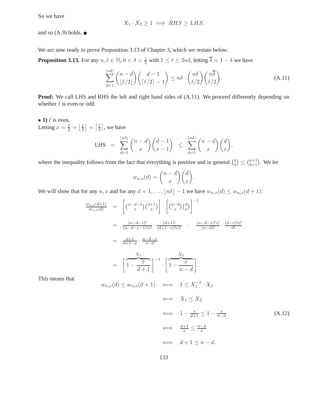So we have

$$
X_1 \cdot X_2 \ge 1 \implies RHS \ge LHS,
$$

and so  $(A.9)$  holds.  $\blacksquare$ 

We are now ready to prove Proposition 3.13 of Chapter 3, which we restate below:

**Proposition 3.13.** For any  $n, \ell \in \mathbb{N}$ ,  $0 < \delta < \frac{1}{2}$  with  $1 \leq \ell \leq 2n\delta$ , letting  $\overline{\delta} = 1 - \delta$  we have

$$
\sum_{d=1}^{\lfloor n\delta \rfloor} \binom{n-d}{\lfloor \ell/2 \rfloor} \binom{d-1}{\lceil \ell/2 \rceil-1} \le n\delta \cdot \binom{n\delta}{\ell/2} \binom{n\overline{\delta}}{\ell/2}.
$$
\n(A.11)

**Proof:** We call LHS and RHS the left and right hand sides of  $(A.11)$ . We proceed differently depending on whether  $\ell$  is even or odd.

• 1)  $\ell$  is even. Letting  $x = \frac{\ell}{2} = \left\lfloor \frac{\ell}{2} \right\rfloor$  $\frac{\ell}{2}$  =  $\left\lceil \frac{\ell}{2} \right\rceil$  $\frac{\ell}{2}$ , we have

LHS = 
$$
\sum_{d=1}^{\lfloor n\delta \rfloor} {n-d \choose x} {d-1 \choose x-1} \le \sum_{d=1}^{\lfloor n\delta \rfloor} {n-d \choose x} {d \choose x},
$$

where the inequality follows from the fact that everything is positive and in general  $\binom{a}{b}$  $\binom{a}{b} \leq \binom{a+1}{b+1}$ . We let

$$
w_{n,x}(d) = \binom{n-d}{x} \binom{d}{x}.
$$

We will show that for any n, x and for any  $d = 1, \ldots, \lfloor n\delta \rfloor - 1$  we have  $w_{n,x}(d) \leq w_{n,x}(d+1)$ :

$$
\frac{w_{n,x}(d+1)}{w_{n,x}(d)} = \left[ \binom{n-d-1}{x} \binom{d+1}{x} \right] \cdot \left[ \binom{n-d}{x} \binom{d}{x} \right]^{-1}
$$
\n
$$
= \frac{(n-d-1)!}{(n-d-x-1)!x!} \cdot \frac{(d+1)!}{(d+1-x)!x!} \cdot \frac{(n-d-x)!x!}{(n-d)!} \cdot \frac{(d-x)!x!}{d!}
$$
\n
$$
= \frac{d+1}{d+1-x} \cdot \frac{n-d-x}{n-d}
$$
\n
$$
= \left[ \frac{x_1}{1 - \frac{x}{d+1}} \right]^{-1} \cdot \left[ \frac{x_2}{1 - \frac{x}{n-d}} \right].
$$

This means that

$$
w_{n,x}(d) \le w_{n,x}(d+1) \iff 1 \le X_1^{-1} \cdot X_2
$$
  

$$
\iff X_1 \le X_2
$$
  

$$
\iff 1 - \frac{x}{d+1} \le 1 - \frac{x}{n-d}
$$
  

$$
\iff \frac{d+1}{x} \le \frac{n-d}{x}
$$
  

$$
\iff d+1 \le n-d.
$$
  
(A.12)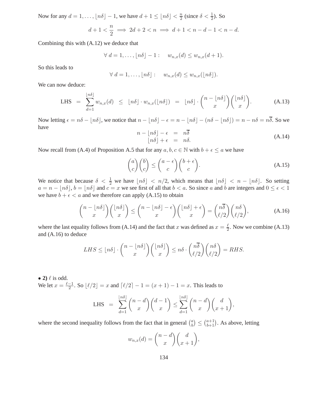Now for any  $d = 1, ..., \lfloor n\delta \rfloor - 1$ , we have  $d + 1 \leq \lfloor n\delta \rfloor < \frac{n}{2}$  $\frac{n}{2}$  (since  $\delta < \frac{1}{2}$ ). So

$$
d+1 < \frac{n}{2} \implies 2d+2 < n \implies d+1 < n-d-1 < n-d.
$$

Combining this with (A.12) we deduce that

$$
\forall d = 1, \dots, \lfloor n\delta \rfloor - 1: \quad w_{n,x}(d) \le w_{n,x}(d+1).
$$

So this leads to

$$
\forall d = 1, ..., \lfloor n\delta \rfloor: \quad w_{n,x}(d) \leq w_{n,x}(\lfloor n\delta \rfloor).
$$

We can now deduce:

$$
\text{LHS} = \sum_{d=1}^{\lfloor n\delta \rfloor} w_{n,x}(d) \leq \lfloor n\delta \rfloor \cdot w_{n,x}(\lfloor n\delta \rfloor) = \lfloor n\delta \rfloor \cdot {n - \lfloor n\delta \rfloor \choose x} {\lfloor n\delta \rfloor \choose x}. \tag{A.13}
$$

Now letting  $\epsilon = n\delta - \lfloor n\delta \rfloor$ , we notice that  $n - \lfloor n\delta \rfloor - \epsilon = n - \lfloor n\delta \rfloor - (n\delta - \lfloor n\delta \rfloor) = n - n\delta = n\overline{\delta}$ . So we have

$$
n - \lfloor n\delta \rfloor - \epsilon = n\overline{\delta} \lfloor n\delta \rfloor + \epsilon = n\delta.
$$
\n(A.14)

Now recall from (A.4) of Proposition A.5 that for any  $a, b, c \in \mathbb{N}$  with  $b + \epsilon \le a$  we have

$$
\binom{a}{c}\binom{b}{c} \le \binom{a-\epsilon}{c}\binom{b+\epsilon}{c}.\tag{A.15}
$$

We notice that because  $\delta < \frac{1}{2}$  we have  $\lfloor n\delta \rfloor < n/2$ , which means that  $\lfloor n\delta \rfloor < n - \lfloor n\delta \rfloor$ . So setting  $a = n - \lfloor n\delta \rfloor$ ,  $b = \lfloor n\delta \rfloor$  and  $c = x$  we see first of all that  $b < a$ . So since a and b are integers and  $0 \le \epsilon < 1$ we have  $b + \epsilon < a$  and we therefore can apply (A.15) to obtain

$$
\binom{n-\lfloor n\delta\rfloor}{x}\binom{\lfloor n\delta\rfloor}{x} \leq \binom{n-\lfloor n\delta\rfloor-\epsilon}{x}\binom{\lfloor n\delta\rfloor+\epsilon}{x} = \binom{n\overline{\delta}}{\ell/2}\binom{n\delta}{\ell/2},\tag{A.16}
$$

where the last equality follows from (A.14) and the fact that x was defined as  $x = \frac{\ell}{2}$  $\frac{\ell}{2}$ . Now we combine (A.13) and (A.16) to deduce

$$
LHS \leq \lfloor n\delta \rfloor \cdot \binom{n - \lfloor n\delta \rfloor}{x} \binom{\lfloor n\delta \rfloor}{x} \leq n\delta \cdot \binom{n\overline{\delta}}{\ell/2} \binom{n\delta}{\ell/2} = RHS.
$$

• 2)  $\ell$  is odd. We let  $x = \frac{\ell - 1}{2}$ . So  $\lfloor \ell/2 \rfloor = x$  and  $\lceil \ell/2 \rceil - 1 = (x + 1) - 1 = x$ . This leads to

LHS = 
$$
\sum_{d=1}^{\lfloor n\delta \rfloor} {n-d \choose x} {d-1 \choose x} \le \sum_{d=1}^{\lfloor n\delta \rfloor} {n-d \choose x} {d \choose x+1},
$$

where the second inequality follows from the fact that in general  $\binom{a}{b}$  $\binom{a}{b+1}$ . As above, letting

$$
w_{n,x}(d) = \binom{n-d}{x} \binom{d}{x+1},
$$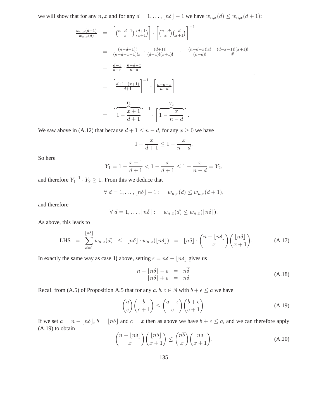we will show that for any  $n, x$  and for any  $d = 1, ..., \lfloor n\delta \rfloor - 1$  we have  $w_{n,x}(d) \leq w_{n,x}(d+1)$ :

$$
\frac{w_{n,x}(d+1)}{w_{n,x}(d)} = \left[ \binom{n-d-1}{x} \binom{d+1}{x+1} \right] \cdot \left[ \binom{n-d}{x} \binom{d}{x+1} \right]^{-1}
$$
\n
$$
= \frac{(n-d-1)!}{(n-d-x-1)!x!} \cdot \frac{(d+1)!}{(d-x)!(x+1)!} \cdot \frac{(n-d-x)!x!}{(n-d)!} \cdot \frac{(d-x-1)!(x+1)!}{d!} \cdot \frac{(d-x-1)!(x+1)!}{d!} \cdot \frac{(d-x-1)!(x+1)!}{(d+1)!} \cdot \left[ \frac{n-d-x}{n-d} \right]
$$
\n
$$
= \left[ \frac{d+1-(x+1)}{d+1} \right]^{-1} \cdot \left[ \frac{Y_2}{1-\frac{x}{n-d}} \right]
$$
\n
$$
= \left[ \frac{Y_1}{1-\frac{x+1}{d+1}} \right]^{-1} \cdot \left[ \frac{Y_2}{1-\frac{x}{n-d}} \right].
$$

We saw above in (A.12) that because  $d + 1 \leq n - d$ , for any  $x \geq 0$  we have

$$
1 - \frac{x}{d+1} \le 1 - \frac{x}{n-d}.
$$

So here

$$
Y_1 = 1 - \frac{x+1}{d+1} < 1 - \frac{x}{d+1} \le 1 - \frac{x}{n-d} = Y_2,
$$

and therefore  $Y_1^{-1} \cdot Y_2 \geq 1$ . From this we deduce that

$$
\forall d = 1, \ldots, \lfloor n\delta \rfloor - 1: \quad w_{n,x}(d) \le w_{n,x}(d+1),
$$

and therefore

$$
\forall d = 1, \ldots, \lfloor n\delta \rfloor : w_{n,x}(d) \leq w_{n,x}(\lfloor n\delta \rfloor).
$$

As above, this leads to

$$
\text{LHS} = \sum_{d=1}^{\lfloor n\delta \rfloor} w_{n,x}(d) \leq \lfloor n\delta \rfloor \cdot w_{n,x}(\lfloor n\delta \rfloor) = \lfloor n\delta \rfloor \cdot {n - \lfloor n\delta \rfloor \choose x} {\lfloor n\delta \rfloor \choose x+1}. \tag{A.17}
$$

In exactly the same way as case **1**) above, setting  $\epsilon = n\delta - \lfloor n\delta \rfloor$  gives us

$$
n - \lfloor n\delta \rfloor - \epsilon = n\overline{\delta} \lfloor n\delta \rfloor + \epsilon = n\delta.
$$
\n(A.18)

.

Recall from (A.5) of Proposition A.5 that for any  $a, b, c \in \mathbb{N}$  with  $b + \epsilon \le a$  we have

$$
\binom{a}{c}\binom{b}{c+1} \le \binom{a-\epsilon}{c}\binom{b+\epsilon}{c+1}.\tag{A.19}
$$

If we set  $a = n - \lfloor n\delta \rfloor$ ,  $b = \lfloor n\delta \rfloor$  and  $c = x$  then as above we have  $b + \epsilon \le a$ , and we can therefore apply (A.19) to obtain

$$
\binom{n-\lfloor n\delta\rfloor}{x}\binom{\lfloor n\delta\rfloor}{x+1} \leq \binom{n\overline{\delta}}{x}\binom{n\delta}{x+1}.
$$
\n(A.20)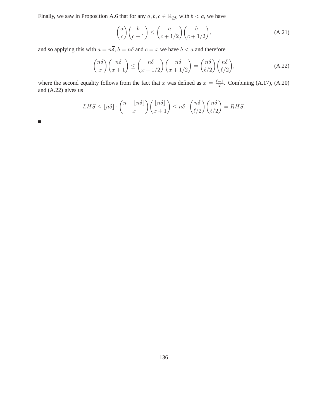Finally, we saw in Proposition A.6 that for any  $a, b, c \in \mathbb{R}_{\geq 0}$  with  $b < a$ , we have

$$
\binom{a}{c}\binom{b}{c+1} \le \binom{a}{c+1/2}\binom{b}{c+1/2},\tag{A.21}
$$

and so applying this with  $a = n\overline{\delta}$ ,  $b = n\delta$  and  $c = x$  we have  $b < a$  and therefore

$$
\binom{n\overline{\delta}}{x}\binom{n\delta}{x+1} \le \binom{n\overline{\delta}}{x+1/2}\binom{n\delta}{x+1/2} = \binom{n\overline{\delta}}{\ell/2}\binom{n\delta}{\ell/2},\tag{A.22}
$$

where the second equality follows from the fact that x was defined as  $x = \frac{\ell - 1}{2}$ . Combining (A.17), (A.20) and (A.22) gives us

$$
LHS \leq \lfloor n\delta \rfloor \cdot \binom{n - \lfloor n\delta \rfloor}{x} \binom{\lfloor n\delta \rfloor}{x+1} \leq n\delta \cdot \binom{n\overline{\delta}}{\ell/2} \binom{n\delta}{\ell/2} = RHS.
$$

 $\blacksquare$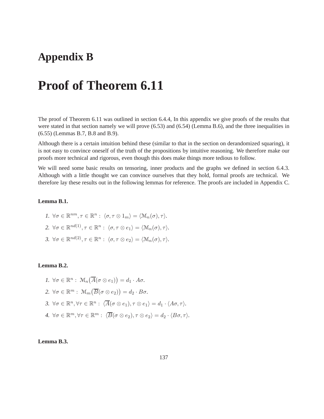## **Appendix B**

# **Proof of Theorem 6.11**

The proof of Theorem 6.11 was outlined in section 6.4.4, In this appendix we give proofs of the results that were stated in that section namely we will prove (6.53) and (6.54) (Lemma B.6), and the three inequalities in (6.55) (Lemmas B.7, B.8 and B.9).

Although there is a certain intuition behind these (similar to that in the section on derandomized squaring), it is not easy to convince oneself of the truth of the propositions by intuitive reasoning. We therefore make our proofs more technical and rigorous, even though this does make things more tedious to follow.

We will need some basic results on tensoring, inner products and the graphs we defined in section 6.4.3. Although with a little thought we can convince ourselves that they hold, formal proofs are technical. We therefore lay these results out in the following lemmas for reference. The proofs are included in Appendix C.

## **Lemma B.1.**

\n- 1. 
$$
\forall \sigma \in \mathbb{R}^{nm}, \tau \in \mathbb{R}^n : \langle \sigma, \tau \otimes 1_m \rangle = \langle \mathcal{M}_n(\sigma), \tau \rangle
$$
.
\n- 2.  $\forall \sigma \in \mathbb{R}^{nd(1)}, \tau \in \mathbb{R}^n : \langle \sigma, \tau \otimes e_1 \rangle = \langle \mathcal{M}_n(\sigma), \tau \rangle$ .
\n- 3.  $\forall \sigma \in \mathbb{R}^{nd(2)}, \tau \in \mathbb{R}^n : \langle \sigma, \tau \otimes e_2 \rangle = \langle \mathcal{M}_n(\sigma), \tau \rangle$ .
\n

#### **Lemma B.2.**

\n- 1. 
$$
\forall \sigma \in \mathbb{R}^n
$$
:  $\mathcal{M}_n(\overline{A}(\sigma \otimes e_1)) = d_1 \cdot A\sigma$ .
\n- 2.  $\forall \sigma \in \mathbb{R}^m$ :  $\mathcal{M}_m(\overline{B}(\sigma \otimes e_2)) = d_2 \cdot B\sigma$ .
\n- 3.  $\forall \sigma \in \mathbb{R}^n$ ,  $\forall \tau \in \mathbb{R}^n$ :  $\langle \overline{A}(\sigma \otimes e_1), \tau \otimes e_1 \rangle = d_1 \cdot \langle A\sigma, \tau \rangle$ .
\n- 4.  $\forall \sigma \in \mathbb{R}^m$ ,  $\forall \tau \in \mathbb{R}^m$ :  $\langle \overline{B}(\sigma \otimes e_2), \tau \otimes e_2 \rangle = d_2 \cdot \langle B\sigma, \tau \rangle$ .
\n

### **Lemma B.3.**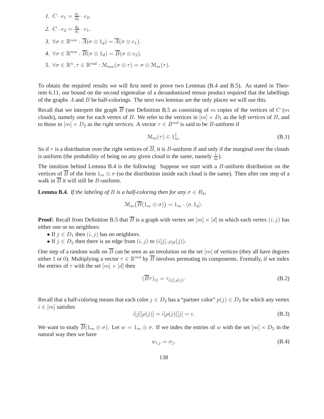1. 
$$
C \cdot e_1 = \frac{d_1}{d_2} \cdot e_2
$$
.  
\n2.  $C \cdot e_2 = \frac{d_2}{d_1} \cdot e_1$ .  
\n3.  $\forall \sigma \in \mathbb{R}^{nm} : \overline{A}(\sigma \otimes 1_d) = \overline{A}(\sigma \otimes e_1)$ .  
\n4.  $\forall \sigma \in \mathbb{R}^{nm} : \overline{B}(\sigma \otimes 1_d) = \overline{B}(\sigma \otimes e_2)$ .  
\n5.  $\forall \sigma \in \mathbb{R}^n, \tau \in \mathbb{R}^{md} : \mathcal{M}_{nm}(\sigma \otimes \tau) = \sigma \otimes \mathcal{M}_m(\tau)$ .

To obtain the required results we will first need to prove two Lemmas (B.4 and B.5). As stated in Theorem 6.11, our bound on the second eigenvalue of a derandomized tensor product required that the labellings of the graphs  $A$  and  $B$  be half-colorings. The next two lemmas are the only places we will use this.

Recall that we interpret the graph  $\overline{B}$  (see Definition B.5 as consisting of m copies of the vertices of C (m clouds), namely one for each vertex of B. We refer to the vertices in  $[m] \times D_1$  as the *left vertices* of B, and to those in  $[m] \times D_2$  as the *right vertices*. A vector  $\tau \in R^{md}$  is said to be B-uniform if

$$
\mathcal{M}_m(\tau) \in 1_m^{\parallel}.\tag{B.1}
$$

So if  $\tau$  is a distribution over the right vertices of  $\overline{B}$ , it is B-uniform if and only if the marginal over the clouds is uniform (the probability of being on any given cloud is the same, namely  $\frac{1}{m}$ ).

The intuition behind Lemma B.4 is the following: Suppose we start with a B-uniform distribution on the vertices of  $\overline{B}$  of the form  $1_m \otimes \sigma$  (so the distribution inside each cloud is the same). Then after one step of a walk in  $\overline{B}$  it will still be *B*-uniform.

**Lemma B.4.** *If the labeling of B is a half-coloring then for any*  $\sigma \in R_2$ *,* 

$$
\mathcal{M}_m(\overline{B}(1_m \otimes \sigma)) = 1_m \cdot \langle \sigma, 1_d \rangle.
$$

**Proof:** Recall from Definition B.5 that  $\overline{B}$  is a graph with vertex set  $[m] \times [d]$  in which each vertex  $(i, j)$  has either one or no neighbors:

- If  $j \in D_1$  then  $(i, j)$  has no neighbors.
- If  $j \in D_2$  then there is an edge from  $(i, j)$  to  $(i[j], \rho_B(j))$ .

One step of a random walk on  $\overline{B}$  can be seen as an involution on the set  $[m]$  of vertices (they all have degrees either 1 or 0). Multiplying a vector  $\tau \in \mathbb{R}^{md}$  by  $\overline{B}$  involves permuting its components. Formally, if we index the entries of  $\tau$  with the set  $[m] \times [d]$  then

$$
(\overline{B}\tau)_{ij} = \tau_{i[j],\rho(j)}.\tag{B.2}
$$

Recall that a half-coloring means that each color  $j \in D_2$  has a "partner color"  $p(j) \in D_2$  for which any vertex  $i \in [m]$  satisfies

$$
i[j][\rho(j)] = i[\rho(j)][j] = i.
$$
 (B.3)

We want to study  $\overline{B}(1_m \otimes \sigma)$ . Let  $w = 1_m \otimes \sigma$ . If we index the entries of w with the set  $[m] \times D_2$  in the natural way then we have

$$
w_{i,j} = \sigma_j. \tag{B.4}
$$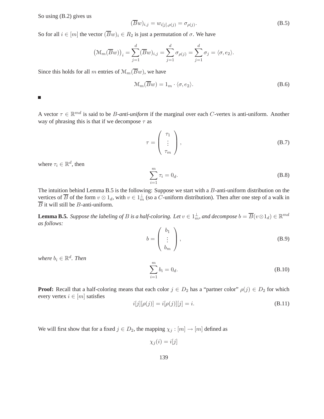So using (B.2) gives us

$$
(\overline{B}w)_{i,j} = w_{i[j],\rho(j)} = \sigma_{\rho(j)}.
$$
\n(B.5)

So for all  $i \in [m]$  the vector  $(\overline{B}w)_i \in R_2$  is just a permutation of  $\sigma$ . We have

$$
\big(\mathcal{M}_m(\overline{B}w)\big)_i = \sum_{j=1}^d (\overline{B}w)_{i,j} = \sum_{j=1}^d \sigma_{\rho(j)} = \sum_{j=1}^d \sigma_j = \langle \sigma, e_2 \rangle.
$$

Since this holds for all m entries of  $\mathcal{M}_m(\overline{B}w)$ , we have

$$
\mathcal{M}_m(\overline{B}w) = 1_m \cdot \langle \sigma, e_2 \rangle.
$$
 (B.6)

 $\Box$ 

A vector  $\tau \in \mathbb{R}^{md}$  is said to be *B-anti-uniform* if the marginal over each *C*-vertex is anti-uniform. Another way of phrasing this is that if we decompose  $\tau$  as

$$
\tau = \begin{pmatrix} \tau_1 \\ \vdots \\ \tau_m \end{pmatrix}, \tag{B.7}
$$

where  $\tau_i \in \mathbb{R}^d$ , then

$$
\sum_{i=1}^{m} \tau_i = 0_d. \tag{B.8}
$$

The intuition behind Lemma B.5 is the following: Suppose we start with a B-anti-uniform distribution on the vertices of B of the form  $v \otimes 1_d$ , with  $v \in 1^{\perp}_m$  (so a C-uniform distribution). Then after one step of a walk in  $\overline{B}$  it will still be *B*-anti-uniform.

**Lemma B.5.** *Suppose the labeling of B is a half-coloring. Let*  $v \in 1_m^{\perp}$ , and decompose  $b = \overline{B}(v \otimes 1_d) \in \mathbb{R}^{md}$ *as follows:*

$$
b = \begin{pmatrix} b_1 \\ \vdots \\ b_m \end{pmatrix}, \tag{B.9}
$$

*where*  $b_i \in \mathbb{R}^d$ . *Then* 

$$
\sum_{i=1}^{m} b_i = 0_d.
$$
 (B.10)

**Proof:** Recall that a half-coloring means that each color  $j \in D_2$  has a "partner color"  $\rho(j) \in D_2$  for which every vertex  $i \in [m]$  satisfies

$$
i[j][\rho(j)] = i[\rho(j)][j] = i.
$$
 (B.11)

We will first show that for a fixed  $j \in D_2$ , the mapping  $\chi_j : [m] \to [m]$  defined as

$$
\chi_j(i) = i[j]
$$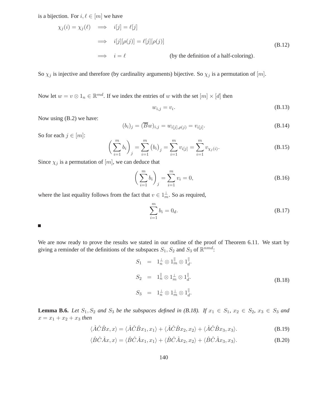is a bijection. For  $i, \ell \in [m]$  we have

$$
\chi_j(i) = \chi_j(\ell) \implies i[j] = \ell[j]
$$
\n
$$
\implies i[j][\rho(j)] = \ell[j][\rho(j)]
$$
\n
$$
\implies i = \ell \qquad \text{(by the definition of a half-coloring)}.
$$
\n(B.12)

So  $\chi_j$  is injective and therefore (by cardinality arguments) bijective. So  $\chi_j$  is a permutation of [m].

Now let  $w = v \otimes 1_n \in \mathbb{R}^{md}$ . If we index the entries of w with the set  $[m] \times [d]$  then

$$
w_{i,j} = v_i. \tag{B.13}
$$

Now using (B.2) we have:

$$
(b_i)_j = (\overline{B}w)_{i,j} = w_{i[j],\rho(j)} = v_{i[j]}.
$$
\n(B.14)

So for each  $j \in [m]$ :

$$
\left(\sum_{i=1}^{m} b_{i}\right)_{j} = \sum_{i=1}^{m} \left(b_{i}\right)_{j} = \sum_{i=1}^{m} v_{i[j]} = \sum_{i=1}^{m} v_{\chi_{j}(i)}.
$$
\n(B.15)

Since  $\chi_j$  is a permutation of  $[m]$ , we can deduce that

$$
\left(\sum_{i=1}^{m} b_i\right)_j = \sum_{i=1}^{m} v_i = 0,
$$
\n(B.16)

where the last equality follows from the fact that  $v \in 1^{\perp}_m$ . So as required,

$$
\sum_{i=1}^{m} b_i = 0_d.
$$
 (B.17)

 $\blacksquare$ 

We are now ready to prove the results we stated in our outline of the proof of Theorem 6.11. We start by giving a reminder of the definitions of the subspaces  $S_1, S_2$  and  $S_3$  of  $\mathbb{R}^{nmd}$ :

$$
S_1 = 1_n^{\perp} \otimes 1_m^{\parallel} \otimes 1_d^{\parallel}.
$$
  
\n
$$
S_2 = 1_n^{\parallel} \otimes 1_m^{\perp} \otimes 1_d^{\parallel}.
$$
  
\n
$$
S_3 = 1_n^{\perp} \otimes 1_m^{\perp} \otimes 1_d^{\parallel}.
$$
  
\n(B.18)

**Lemma B.6.** *Let*  $S_1, S_2$  *and*  $S_3$  *be the subspaces defined in* (B.18). If  $x_1 \in S_1$ ,  $x_2 \in S_2$ ,  $x_3 \in S_3$  *and*  $x = x_1 + x_2 + x_3$  *then* 

$$
\langle \hat{A}\hat{C}\hat{B}x, x \rangle = \langle \hat{A}\hat{C}\hat{B}x_1, x_1 \rangle + \langle \hat{A}\hat{C}\hat{B}x_2, x_2 \rangle + \langle \hat{A}\hat{C}\hat{B}x_3, x_3 \rangle.
$$
 (B.19)

$$
\langle \hat{B}\hat{C}\hat{A}x, x \rangle = \langle \hat{B}\hat{C}\hat{A}x_1, x_1 \rangle + \langle \hat{B}\hat{C}\hat{A}x_2, x_2 \rangle + \langle \hat{B}\hat{C}\hat{A}x_3, x_3 \rangle.
$$
 (B.20)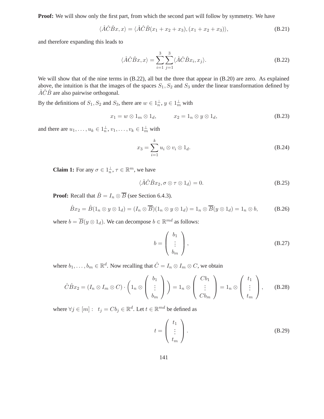**Proof:** We will show only the first part, from which the second part will follow by symmetry. We have

$$
\langle \hat{A}\hat{C}\hat{B}x, x \rangle = \langle \hat{A}\hat{C}\hat{B}(x_1 + x_2 + x_3), (x_1 + x_2 + x_3) \rangle,
$$
\n(B.21)

and therefore expanding this leads to

$$
\langle \hat{A}\hat{C}\hat{B}x, x \rangle = \sum_{i=1}^{3} \sum_{j=1}^{3} \langle \hat{A}\hat{C}\hat{B}x_i, x_j \rangle.
$$
 (B.22)

We will show that of the nine terms in  $(B.22)$ , all but the three that appear in  $(B.20)$  are zero. As explained above, the intuition is that the images of the spaces  $S_1, S_2$  and  $S_3$  under the linear transformation defined by  $\hat{A}\hat{C}\hat{B}$  are also pairwise orthogonal.

By the definitions of  $S_1, S_2$  and  $S_3$ , there are  $w \in 1^{\perp}_n$ ,  $y \in 1^{\perp}_m$  with

$$
x_1 = w \otimes 1_m \otimes 1_d, \qquad x_2 = 1_n \otimes y \otimes 1_d, \tag{B.23}
$$

and there are  $u_1, \ldots, u_k \in 1_n^{\perp}, v_1, \ldots, v_k \in 1_m^{\perp}$  with

$$
x_3 = \sum_{i=1}^k u_i \otimes v_i \otimes 1_d.
$$
 (B.24)

**Claim 1:** For any  $\sigma \in 1^{\perp}_n$ ,  $\tau \in \mathbb{R}^m$ , we have

$$
\langle \hat{A}\hat{C}\hat{B}x_2, \sigma \otimes \tau \otimes 1_d \rangle = 0. \tag{B.25}
$$

**Proof:** Recall that  $\hat{B} = I_n \otimes \overline{B}$  (see Section 6.4.3).

$$
\hat{B}x_2 = \hat{B}(1_n \otimes y \otimes 1_d) = (I_n \otimes \overline{B})(1_n \otimes y \otimes 1_d) = 1_n \otimes \overline{B}(y \otimes 1_d) = 1_n \otimes b,
$$
 (B.26)

where  $b = \overline{B}(y \otimes 1_d)$ . We can decompose  $b \in \mathbb{R}^{md}$  as follows:

$$
b = \begin{pmatrix} b_1 \\ \vdots \\ b_m \end{pmatrix}, \tag{B.27}
$$

where  $b_1, \ldots, b_m \in \mathbb{R}^d$ . Now recalling that  $\hat{C} = I_n \otimes I_m \otimes C$ , we obtain

$$
\hat{C}\hat{B}x_2 = (I_n \otimes I_m \otimes C) \cdot \left(1_n \otimes \left(\begin{array}{c}b_1\\ \vdots\\ b_m\end{array}\right)\right) = 1_n \otimes \left(\begin{array}{c}Cb_1\\ \vdots\\ Cb_m\end{array}\right) = 1_n \otimes \left(\begin{array}{c}t_1\\ \vdots\\ t_m\end{array}\right),\qquad \text{(B.28)}
$$

where  $\forall j \in [m] : t_j = C b_j \in \mathbb{R}^d$ . Let  $t \in \mathbb{R}^{md}$  be defined as

$$
t = \begin{pmatrix} t_1 \\ \vdots \\ t_m \end{pmatrix}.
$$
 (B.29)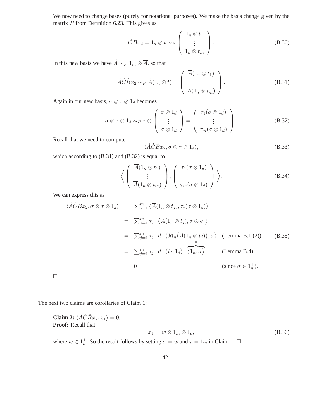We now need to change bases (purely for notational purposes). We make the basis change given by the matrix  $P$  from Definition 6.23. This gives us

$$
\hat{C}\hat{B}x_2 = 1_n \otimes t \sim_P \begin{pmatrix} 1_n \otimes t_1 \\ \vdots \\ 1_n \otimes t_m \end{pmatrix}.
$$
 (B.30)

In this new basis we have  $\hat{A} \sim_P 1_m \otimes \overline{A}$ , so that

$$
\hat{A}\hat{C}\hat{B}x_2 \sim_P \hat{A}(1_n \otimes t) = \begin{pmatrix} \overline{A}(1_n \otimes t_1) \\ \vdots \\ \overline{A}(1_n \otimes t_m) \end{pmatrix}.
$$
 (B.31)

Again in our new basis,  $\sigma \otimes \tau \otimes 1_d$  becomes

$$
\sigma \otimes \tau \otimes 1_d \sim_P \tau \otimes \begin{pmatrix} \sigma \otimes 1_d \\ \vdots \\ \sigma \otimes 1_d \end{pmatrix} = \begin{pmatrix} \tau_1(\sigma \otimes 1_d) \\ \vdots \\ \tau_m(\sigma \otimes 1_d) \end{pmatrix} .
$$
 (B.32)

Recall that we need to compute

$$
\langle \hat{A}\hat{C}\hat{B}x_2, \sigma \otimes \tau \otimes 1_d \rangle, \tag{B.33}
$$

which according to  $(B.31)$  and  $(B.32)$  is equal to

$$
\left\langle \left( \begin{array}{c} \overline{A}(1_n \otimes t_1) \\ \vdots \\ \overline{A}(1_n \otimes t_m) \end{array} \right), \left( \begin{array}{c} \tau_1(\sigma \otimes 1_d) \\ \vdots \\ \tau_m(\sigma \otimes 1_d) \end{array} \right) \right\rangle.
$$
 (B.34)

We can express this as

 $\Box$ 

$$
\langle \hat{A}\hat{C}\hat{B}x_2, \sigma \otimes \tau \otimes 1_d \rangle = \sum_{j=1}^m \langle \overline{A}(1_n \otimes t_j), \tau_j(\sigma \otimes 1_d) \rangle
$$
  
\n
$$
= \sum_{j=1}^m \tau_j \cdot \langle \overline{A}(1_n \otimes t_j), \sigma \otimes e_1 \rangle
$$
  
\n
$$
= \sum_{j=1}^m \tau_j \cdot d \cdot \langle \mathcal{M}_n(\overline{A}(1_n \otimes t_j)), \sigma \rangle \quad \text{(Lemma B.1 (2))}
$$
  
\n
$$
= \sum_{j=1}^m \tau_j \cdot d \cdot \langle t_j, 1_d \rangle \cdot \langle 1_n, \sigma \rangle \quad \text{(Lemma B.4)}
$$
  
\n
$$
= 0
$$
  
\n
$$
\text{(since } \sigma \in 1_n^{\perp} \text{).}
$$

The next two claims are corollaries of Claim 1:

**Claim 2:** 
$$
\langle \hat{A}\hat{C}\hat{B}x_2, x_1 \rangle = 0.
$$
  
\n**Proof:** Recall that  
\n $x_1 = w \otimes 1_m \otimes 1_d,$  (B.36)

where  $w \in 1^{\perp}_n$ . So the result follows by setting  $\sigma = w$  and  $\tau = 1_m$  in Claim 1.  $\Box$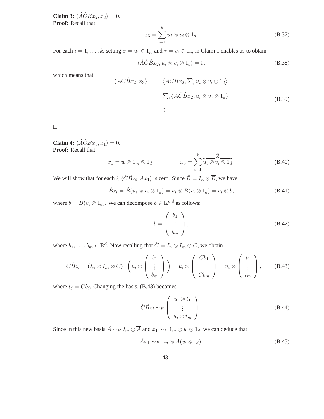**Claim 3:**  $\langle \hat{A}\hat{C}\hat{B}x_2, x_3 \rangle = 0.$ **Proof:** Recall that

$$
x_3 = \sum_{i=1}^k u_i \otimes v_i \otimes 1_d.
$$
 (B.37)

For each  $i = 1, ..., k$ , setting  $\sigma = u_i \in 1_n^{\perp}$  and  $\tau = v_i \in 1_m^{\perp}$  in Claim 1 enables us to obtain

$$
\langle \hat{A}\hat{C}\hat{B}x_2, u_i \otimes v_i \otimes 1_d \rangle = 0, \tag{B.38}
$$

which means that

$$
\langle \hat{A}\hat{C}\hat{B}x_2, x_3 \rangle = \langle \hat{A}\hat{C}\hat{B}x_2, \sum_i u_i \otimes v_i \otimes 1_d \rangle
$$
  
=  $\sum_i \langle \hat{A}\hat{C}\hat{B}x_2, u_i \otimes v_j \otimes 1_d \rangle$  (B.39)  
= 0.

 $\Box$ 

**Claim 4:**  $\langle \hat{A}\hat{C}\hat{B}x_3, x_1 \rangle = 0.$ **Proof:** Recall that

$$
x_1 = w \otimes 1_m \otimes 1_d, \qquad x_3 = \sum_{i=1}^k \widetilde{u_i \otimes v_i \otimes 1_d}.
$$
 (B.40)

We will show that for each i,  $\langle \hat{C}\hat{B}z_i, \hat{A}x_1 \rangle$  is zero. Since  $\hat{B} = I_n \otimes \overline{B}$ , we have

$$
\hat{B}z_i = \hat{B}(u_i \otimes v_i \otimes 1_d) = u_i \otimes \overline{B}(v_i \otimes 1_d) = u_i \otimes b,
$$
\n(B.41)

where  $b = \overline{B}(v_i \otimes 1_d)$ . We can decompose  $b \in \mathbb{R}^{md}$  as follows:

$$
b = \begin{pmatrix} b_1 \\ \vdots \\ b_m \end{pmatrix}, \tag{B.42}
$$

where  $b_1, \ldots, b_m \in \mathbb{R}^d$ . Now recalling that  $\hat{C} = I_n \otimes I_m \otimes C$ , we obtain

$$
\hat{C}\hat{B}z_i = (I_n \otimes I_m \otimes C) \cdot \left(u_i \otimes \left(\begin{array}{c}b_1\\ \vdots\\ b_m\end{array}\right)\right) = u_i \otimes \left(\begin{array}{c}Cb_1\\ \vdots\\ Cb_m\end{array}\right) = u_i \otimes \left(\begin{array}{c}t_1\\ \vdots\\ t_m\end{array}\right),\qquad \text{(B.43)}
$$

where  $t_j = Cb_j$ . Changing the basis, (B.43) becomes

$$
\hat{C}\hat{B}z_i \sim_P \left(\begin{array}{c} u_i \otimes t_1 \\ \vdots \\ u_i \otimes t_m \end{array}\right).
$$
 (B.44)

Since in this new basis  $\hat{A} \sim_P I_m \otimes \overline{A}$  and  $x_1 \sim_P 1_m \otimes w \otimes 1_d$ , we can deduce that

$$
\hat{A}x_1 \sim_P 1_m \otimes \overline{A}(w \otimes 1_d). \tag{B.45}
$$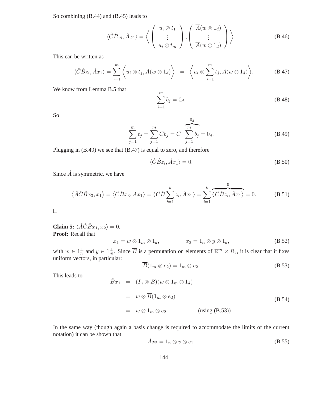So combining (B.44) and (B.45) leads to

$$
\langle \hat{C}\hat{B}z_i, \hat{A}x_1 \rangle = \left\langle \begin{pmatrix} u_i \otimes t_1 \\ \vdots \\ u_i \otimes t_m \end{pmatrix}, \begin{pmatrix} \overline{A}(w \otimes 1_d) \\ \vdots \\ \overline{A}(w \otimes 1_d) \end{pmatrix} \right\rangle.
$$
 (B.46)

This can be written as

$$
\langle \hat{C}\hat{B}z_i, \hat{A}x_1 \rangle = \sum_{j=1}^m \left\langle u_i \otimes t_j, \overline{A}(w \otimes 1_d) \right\rangle = \left\langle u_i \otimes \sum_{j=1}^m t_j, \overline{A}(w \otimes 1_d) \right\rangle.
$$
 (B.47)

We know from Lemma B.5 that

$$
\sum_{j=1}^{m} b_j = 0_d.
$$
 (B.48)

So

$$
\sum_{j=1}^{m} t_j = \sum_{j=1}^{m} C b_j = C \cdot \sum_{j=1}^{m} b_j = 0_d.
$$
 (B.49)

Plugging in (B.49) we see that (B.47) is equal to zero, and therefore

$$
\langle \hat{C}\hat{B}z_i, \hat{A}x_1 \rangle = 0. \tag{B.50}
$$

Since  $\hat{A}$  is symmetric, we have

$$
\langle \hat{A}\hat{C}\hat{B}x_3, x_1 \rangle = \langle \hat{C}\hat{B}x_3, \hat{A}x_1 \rangle = \langle \hat{C}\hat{B}\sum_{i=1}^k z_i, \hat{A}x_1 \rangle = \sum_{i=1}^k \overbrace{\langle \hat{C}\hat{B}z_i, \hat{A}x_1 \rangle}^{0} = 0.
$$
 (B.51)

 $\Box$ 

**Claim 5:**  $\langle \hat{A}\hat{C}\hat{B}x_1, x_2 \rangle = 0.$ **Proof:** Recall that

$$
x_1 = w \otimes 1_m \otimes 1_d, \qquad x_2 = 1_n \otimes y \otimes 1_d, \qquad (B.52)
$$

with  $w \in 1^{\perp}_n$  and  $y \in 1^{\perp}_m$ . Since  $\overline{B}$  is a permutation on elements of  $\mathbb{R}^m \times R_2$ , it is clear that it fixes uniform vectors, in particular:

$$
\overline{B}(1_m \otimes e_2) = 1_m \otimes e_2. \tag{B.53}
$$

This leads to

$$
\hat{B}x_1 = (I_n \otimes \overline{B})(w \otimes 1_m \otimes 1_d)
$$
  
=  $w \otimes \overline{B}(1_m \otimes e_2)$   
=  $w \otimes 1_m \otimes e_2$  (using (B.53)).  
(B.54)

In the same way (though again a basis change is required to accommodate the limits of the current notation) it can be shown that

$$
\hat{A}x_2 = 1_n \otimes v \otimes e_1. \tag{B.55}
$$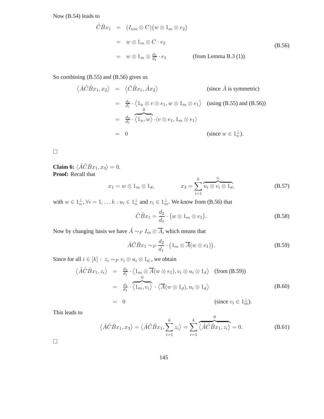Now (B.54) leads to

$$
\hat{C}\hat{B}x_1 = (I_{nm} \otimes C)(w \otimes 1_m \otimes e_2)
$$
  
=  $w \otimes 1_m \otimes C \cdot e_2$   
=  $w \otimes 1_m \otimes \frac{d_2}{d_1} \cdot e_1$  (from Lemma B.3 (1)).  
(B.56)

So combining (B.55) and (B.56) gives us

$$
\langle \hat{A}\hat{C}\hat{B}x_1, x_2 \rangle = \langle \hat{C}\hat{B}x_1, \hat{A}x_2 \rangle \qquad \text{(since } \hat{A} \text{ is symmetric)}
$$
  
\n
$$
= \frac{d_2}{d_1} \cdot \langle 1_n \otimes v \otimes e_1, w \otimes 1_m \otimes e_1 \rangle \qquad \text{(using (B.55) and (B.56))}
$$
  
\n
$$
= \frac{d_2}{d_1} \cdot \overbrace{\langle 1_n, w \rangle}^{0} \cdot \langle v \otimes e_1, 1_m \otimes e_1 \rangle
$$
  
\n
$$
= 0 \qquad \text{(since } w \in 1_n^{\perp} \text{).}
$$

 $\Box$ 

**Claim 6:**  $\langle \hat{A}\hat{C}\hat{B}x_1, x_3 \rangle = 0.$ **Proof:** Recall that

$$
x_1 = w \otimes 1_m \otimes 1_d, \qquad x_3 = \sum_{i=1}^k \widetilde{u_i \otimes v_i \otimes 1_d}, \qquad (B.57)
$$

with  $w \in 1_n^{\perp}, \forall i = 1, \ldots k : u_i \in 1_n^{\perp}$  and  $v_i \in 1_m^{\perp}$ . We know from (B.56) that

$$
\hat{C}\hat{B}x_1 = \frac{d_2}{d_1} \cdot \big( w \otimes 1_m \otimes e_1 \big). \tag{B.58}
$$

Now by changing basis we have  $\hat{A} \sim_P I_m \otimes \overline{A}$ , which means that

$$
\hat{A}\hat{C}\hat{B}x_1 \sim_P \frac{d_2}{d_1} \cdot (1_m \otimes \overline{A}(w \otimes e_1)).
$$
 (B.59)

Since for all  $i \in [k]$  :  $\ z_i \sim_P v_i \otimes u_i \otimes 1_d$  , we obtain

$$
\langle \hat{A}\hat{C}\hat{B}x_1, z_i \rangle = \frac{d_2}{d_1} \cdot \langle 1_m \otimes \overline{A}(w \otimes e_1), v_i \otimes u_i \otimes 1_d \rangle \quad \text{(from (B.59))}
$$
\n
$$
= \frac{d_2}{d_1} \cdot \langle 1_m, v_i \rangle \cdot \langle \overline{A}(w \otimes 1_d), u_i \otimes 1_d \rangle
$$
\n
$$
= 0 \quad \text{(since } v_i \in 1_m^{\perp} \text{).}
$$
\n(B.60)

This leads to

$$
\langle \hat{A}\hat{C}\hat{B}x_1, x_3 \rangle = \langle \hat{A}\hat{C}\hat{B}x_1, \sum_{i=1}^k z_i \rangle = \sum_{i=1}^k \overbrace{\langle \hat{A}\hat{C}\hat{B}x_1, z_i \rangle}^{0} = 0.
$$
 (B.61)

 $\Box$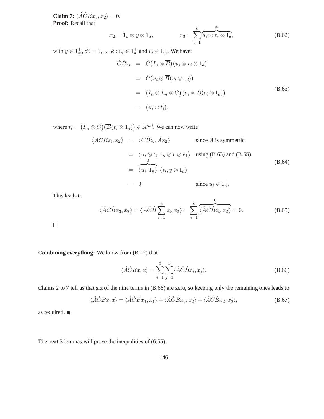**Claim 7:**  $\langle \hat{A}\hat{C}\hat{B}x_3, x_2 \rangle = 0.$ **Proof:** Recall that

$$
x_2 = 1_n \otimes y \otimes 1_d, \qquad x_3 = \sum_{i=1}^k \overbrace{u_i \otimes v_i \otimes 1_d}^{z_i}, \qquad (B.62)
$$

with  $y \in 1_m^{\perp}, \forall i = 1, \ldots k : u_i \in 1_n^{\perp}$  and  $v_i \in 1_m^{\perp}$ . We have:

$$
\hat{C}\hat{B}z_i = \hat{C}(I_n \otimes \overline{B})(u_i \otimes v_i \otimes 1_d)
$$
  
\n
$$
= \hat{C}(u_i \otimes \overline{B}(v_i \otimes 1_d))
$$
  
\n
$$
= (I_n \otimes I_m \otimes C)(u_i \otimes \overline{B}(v_i \otimes 1_d))
$$
  
\n
$$
= (u_i \otimes t_i),
$$
  
\n(B.63)

where  $t_i = (I_m \otimes C)(\overline{B}(v_i \otimes 1_d)) \in \mathbb{R}^{md}$ . We can now write

$$
\langle \hat{A}\hat{C}\hat{B}z_i, x_2 \rangle = \langle \hat{C}\hat{B}z_i, \hat{A}x_2 \rangle \qquad \text{since } \hat{A} \text{ is symmetric}
$$
  
\n
$$
= \langle u_i \otimes t_i, 1_n \otimes v \otimes e_1 \rangle \quad \text{using (B.63) and (B.55)}
$$
  
\n
$$
= \overbrace{\langle u_i, 1_n \rangle} \cdot \langle t_i, y \otimes 1_d \rangle
$$
  
\n
$$
= 0 \qquad \text{since } u_i \in 1_n^{\perp}.
$$
 (B.64)

This leads to

$$
\langle \hat{A}\hat{C}\hat{B}x_3, x_2 \rangle = \langle \hat{A}\hat{C}\hat{B}\sum_{i=1}^k z_i, x_2 \rangle = \sum_{i=1}^k \overbrace{\langle \hat{A}\hat{C}\hat{B}z_i, x_2 \rangle}^{0} = 0.
$$
 (B.65)

 $\Box$ 

### **Combining everything:** We know from (B.22) that

$$
\langle \hat{A}\hat{C}\hat{B}x, x \rangle = \sum_{i=1}^{3} \sum_{j=1}^{3} \langle \hat{A}\hat{C}\hat{B}x_i, x_j \rangle.
$$
 (B.66)

Claims 2 to 7 tell us that six of the nine terms in (B.66) are zero, so keeping only the remaining ones leads to

$$
\langle \hat{A}\hat{C}\hat{B}x, x \rangle = \langle \hat{A}\hat{C}\hat{B}x_1, x_1 \rangle + \langle \hat{A}\hat{C}\hat{B}x_2, x_2 \rangle + \langle \hat{A}\hat{C}\hat{B}x_2, x_2 \rangle, \tag{B.67}
$$

as required.

The next 3 lemmas will prove the inequalities of (6.55).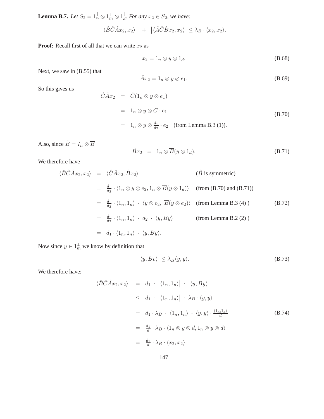**Lemma B.7.** *Let*  $S_2 = 1_n^{\parallel} \otimes 1_m^{\perp} \otimes 1_d^{\parallel}$ *. For any*  $x_2 \in S_2$ *, we have:* 

$$
\left| \langle \hat{B}\hat{C}\hat{A}x_2, x_2 \rangle \right| + \left| \langle \hat{A}\hat{C}\hat{B}x_2, x_2 \rangle \right| \leq \lambda_B \cdot \langle x_2, x_2 \rangle.
$$

**Proof:** Recall first of all that we can write  $x_2$  as

$$
x_2 = 1_n \otimes y \otimes 1_d. \tag{B.68}
$$

Next, we saw in (B.55) that

$$
\hat{A}x_2 = 1_n \otimes y \otimes e_1. \tag{B.69}
$$

So this gives us

$$
\hat{C}\hat{A}x_2 = \hat{C}(1_n \otimes y \otimes e_1)
$$
  
=  $1_n \otimes y \otimes C \cdot e_1$   
=  $1_n \otimes y \otimes \frac{d_1}{d_2} \cdot e_2$  (from Lemma B.3 (1)). (B.70)

Also, since  $\hat{B} = I_n \otimes \overline{B}$ 

$$
\hat{B}x_2 = 1_n \otimes \overline{B}(y \otimes 1_d). \tag{B.71}
$$

We therefore have

$$
\langle \hat{B}\hat{C}\hat{A}x_2, x_2 \rangle = \langle \hat{C}\hat{A}x_2, \hat{B}x_2 \rangle \qquad (\hat{B} \text{ is symmetric})
$$
  
\n
$$
= \frac{d_1}{d_2} \cdot \langle 1_n \otimes y \otimes e_2, 1_n \otimes \overline{B}(y \otimes 1_d) \rangle \qquad \text{(from (B.70) and (B.71))}
$$
  
\n
$$
= \frac{d_1}{d_2} \cdot \langle 1_n, 1_n \rangle \cdot \langle y \otimes e_2, \overline{B}(y \otimes e_2) \rangle \qquad \text{(from Lemma B.3 (4))}
$$
  
\n
$$
= \frac{d_1}{d_2} \cdot \langle 1_n, 1_n \rangle \cdot d_2 \cdot \langle y, By \rangle \qquad \text{(from Lemma B.2 (2))}
$$
  
\n
$$
= d_1 \cdot \langle 1_n, 1_n \rangle \cdot \langle y, By \rangle.
$$

Now since  $y \in 1^{\perp}_m$  we know by definition that

$$
|\langle y, Bv \rangle| \le \lambda_B \langle y, y \rangle. \tag{B.73}
$$

We therefore have:

$$
\begin{aligned}\n\left| \langle \hat{B}\hat{C}\hat{A}x_2, x_2 \rangle \right| &= d_1 \cdot \left| \langle 1_n, 1_n \rangle \right| \cdot \left| \langle y, By \rangle \right| \\
&\leq d_1 \cdot \left| \langle 1_n, 1_n \rangle \right| \cdot \lambda_B \cdot \langle y, y \rangle \\
&= d_1 \cdot \lambda_B \cdot \langle 1_n, 1_n \rangle \cdot \langle y, y \rangle \cdot \frac{\langle 1_d, 1_d \rangle}{d} \\
&= \frac{d_1}{d} \cdot \lambda_B \cdot \langle 1_n \otimes y \otimes d, 1_n \otimes y \otimes d \rangle \\
&= \frac{d_1}{d} \cdot \lambda_B \cdot \langle x_2, x_2 \rangle.\n\end{aligned}
$$
\n(B.74)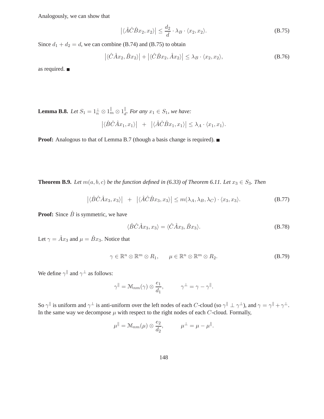Analogously, we can show that

$$
\left| \langle \hat{A}\hat{C}\hat{B}x_2, x_2 \rangle \right| \le \frac{d_2}{d} \cdot \lambda_B \cdot \langle x_2, x_2 \rangle. \tag{B.75}
$$

Since  $d_1 + d_2 = d$ , we can combine (B.74) and (B.75) to obtain

$$
\left| \langle \hat{C} \hat{A} x_2, \hat{B} x_2 \rangle \right| + \left| \langle \hat{C} \hat{B} x_2, \hat{A} x_2 \rangle \right| \le \lambda_B \cdot \langle x_2, x_2 \rangle, \tag{B.76}
$$

as required.

**Lemma B.8.** *Let*  $S_1 = 1 \frac{1}{n} \otimes 1 \frac{1}{m} \otimes 1 \frac{1}{d}$ *. For any*  $x_1 \in S_1$ *, we have:* 

$$
\left| \langle \hat{B}\hat{C}\hat{A}x_1, x_1 \rangle \right| + \left| \langle \hat{A}\hat{C}\hat{B}x_1, x_1 \rangle \right| \leq \lambda_A \cdot \langle x_1, x_1 \rangle.
$$

**Proof:** Analogous to that of Lemma B.7 (though a basis change is required). ■

**Theorem B.9.** *Let*  $m(a, b, c)$  *be the function defined in (6.33) of Theorem 6.11. Let*  $x_3 \in S_3$ *. Then* 

$$
\left| \langle \hat{B}\hat{C}\hat{A}x_3, x_3 \rangle \right| + \left| \langle \hat{A}\hat{C}\hat{B}x_3, x_3 \rangle \right| \leq m(\lambda_A, \lambda_B, \lambda_C) \cdot \langle x_3, x_3 \rangle. \tag{B.77}
$$

**Proof:** Since  $\hat{B}$  is symmetric, we have

$$
\langle \hat{B}\hat{C}\hat{A}x_3, x_3 \rangle = \langle \hat{C}\hat{A}x_3, \hat{B}x_3 \rangle. \tag{B.78}
$$

Let  $\gamma = \hat{A}x_3$  and  $\mu = \hat{B}x_3$ . Notice that

$$
\gamma \in \mathbb{R}^n \otimes \mathbb{R}^m \otimes R_1, \qquad \mu \in \mathbb{R}^n \otimes \mathbb{R}^m \otimes R_2. \tag{B.79}
$$

We define  $\gamma^{\parallel}$  and  $\gamma^{\perp}$  as follows:

$$
\gamma^{\parallel} = \mathcal{M}_{nm}(\gamma) \otimes \frac{e_1}{d_1}, \qquad \gamma^{\perp} = \gamma - \gamma^{\parallel}.
$$

So  $\gamma$ <sup>||</sup> is uniform and  $\gamma^{\perp}$  is anti-uniform over the left nodes of each C-cloud (so  $\gamma$ <sup>||</sup>  $\perp \gamma^{\perp}$ ), and  $\gamma = \gamma$ <sup>||</sup> +  $\gamma^{\perp}$ . In the same way we decompose  $\mu$  with respect to the right nodes of each  $C$ -cloud. Formally,

$$
\mu^{\parallel} = \mathcal{M}_{nm}(\mu) \otimes \frac{e_2}{d_2}, \qquad \mu^{\perp} = \mu - \mu^{\parallel}.
$$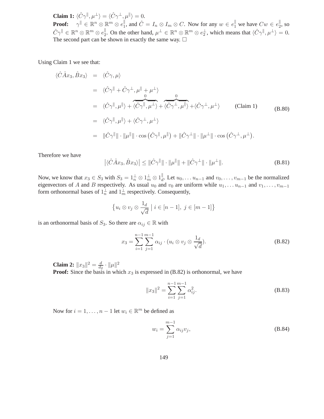**Claim 1:**  $\langle \hat{C} \gamma^{\parallel}, \mu^{\perp} \rangle = \langle \hat{C} \gamma^{\perp}, \mu^{\parallel} \rangle = 0.$ **Proof:**  $\gamma^{\parallel} \in \mathbb{R}^n \otimes \mathbb{R}^m \otimes e_1^{\parallel}$ , and  $\hat{C} = I_n \otimes I_m \otimes C$ . Now for any  $w \in e_1^{\parallel}$  we have  $Cw \in e_2^{\parallel}$ , so  $\hat{C}\gamma^{\parallel} \in \mathbb{R}^n \otimes \mathbb{R}^m \otimes e_2^{\parallel}$ . On the other hand,  $\mu^{\perp} \in \mathbb{R}^n \otimes \mathbb{R}^m \otimes e_2^{\perp}$ , which means that  $\langle \hat{C}\gamma^{\parallel}, \mu^{\perp} \rangle = 0$ . The second part can be shown in exactly the same way.  $\Box$ 

Using Claim 1 we see that:

$$
\langle \hat{C}\hat{A}x_3, \hat{B}x_3 \rangle = \langle \hat{C}\gamma, \mu \rangle
$$
  
\n
$$
= \langle \hat{C}\gamma^{\parallel} + \hat{C}\gamma^{\perp}, \mu^{\parallel} + \mu^{\perp} \rangle
$$
  
\n
$$
= \langle \hat{C}\gamma^{\parallel}, \mu^{\parallel} \rangle + \overbrace{\langle \hat{C}\gamma^{\parallel}, \mu^{\perp} \rangle}^{0} + \overbrace{\langle \hat{C}\gamma^{\perp}, \mu^{\parallel} \rangle}^{0} + \langle \hat{C}\gamma^{\perp}, \mu^{\perp} \rangle
$$
 (Claim 1)  
\n
$$
= \langle \hat{C}\gamma^{\parallel}, \mu^{\parallel} \rangle + \langle \hat{C}\gamma^{\perp}, \mu^{\perp} \rangle
$$
  
\n
$$
= \|\hat{C}\gamma^{\parallel}\| \cdot \|\mu^{\parallel}\| \cdot \cos(\hat{C}\gamma^{\parallel}, \mu^{\parallel}) + \|\hat{C}\gamma^{\perp}\| \cdot \|\mu^{\perp}\| \cdot \cos(\hat{C}\gamma^{\perp}, \mu^{\perp}).
$$

Therefore we have

$$
\left| \langle \hat{C} \hat{A} x_3, \hat{B} x_3 \rangle \right| \le \| \hat{C} \gamma^{\parallel} \| \cdot \| \mu^{\parallel} \| + \| \hat{C} \gamma^{\perp} \| \cdot \| \mu^{\perp} \|.
$$
 (B.81)

Now, we know that  $x_3 \in S_3$  with  $S_3 = 1_n^{\perp} \otimes 1_m^{\perp} \otimes 1_d^{\parallel}$ . Let  $u_0, \ldots, u_{n-1}$  and  $v_0, \ldots, v_{m-1}$  be the normalized eigenvectors of A and B respectively. As usual  $u_0$  and  $v_0$  are uniform while  $u_1, \ldots u_{n-1}$  and  $v_1, \ldots, v_{m-1}$ form orthonormal bases of  $1^{\perp}_n$  and  $1^{\perp}_m$  respectively. Consequently,

$$
\left\{u_i \otimes v_j \otimes \frac{1_d}{\sqrt{d}} \mid i \in [n-1], j \in [m-1]\right\}
$$

is an orthonormal basis of  $S_3$ . So there are  $\alpha_{ij} \in \mathbb{R}$  with

$$
x_3 = \sum_{i=1}^{n-1} \sum_{j=1}^{m-1} \alpha_{ij} \cdot (u_i \otimes v_j \otimes \frac{1_d}{\sqrt{d}}). \tag{B.82}
$$

**Claim 2:**  $||x_3||^2 = \frac{d}{dz}$  $\frac{d}{d_2} \cdot \|\mu\|^2$ **Proof:** Since the basis in which  $x_3$  is expressed in  $(B.82)$  is orthonormal, we have

$$
||x_3||^2 = \sum_{i=1}^{n-1} \sum_{j=1}^{m-1} \alpha_{ij}^2.
$$
 (B.83)

Now for  $i = 1, ..., n - 1$  let  $w_i \in \mathbb{R}^m$  be defined as

$$
w_i = \sum_{j=1}^{m-1} \alpha_{ij} v_j,
$$
 (B.84)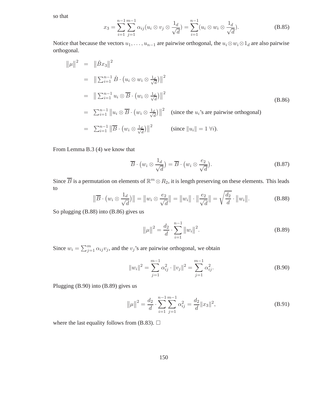so that

$$
x_3 = \sum_{i=1}^{n-1} \sum_{j=1}^{m-1} \alpha_{ij} (u_i \otimes v_j \otimes \frac{1_d}{\sqrt{d}}) = \sum_{i=1}^{n-1} (u_i \otimes w_i \otimes \frac{1_d}{\sqrt{d}}). \tag{B.85}
$$

Notice that because the vectors  $u_1, \ldots, u_{n-1}$  are pairwise orthogonal, the  $u_i \otimes w_i \otimes 1_d$  are also pairwise orthogonal.

$$
\|\mu\|^2 = \|\hat{B}x_3\|^2
$$
  
\n
$$
= \|\sum_{i=1}^{n-1} \hat{B} \cdot (u_i \otimes w_i \otimes \frac{1_d}{\sqrt{d}})\|^2
$$
  
\n
$$
= \|\sum_{i=1}^{n-1} u_i \otimes \overline{B} \cdot (w_i \otimes \frac{1_d}{\sqrt{d}})\|^2
$$
  
\n
$$
= \sum_{i=1}^{n-1} \|u_i \otimes \overline{B} \cdot (w_i \otimes \frac{1_d}{\sqrt{d}})\|^2 \quad \text{(since the } u_i\text{'s are pairwise orthogonal)}
$$
  
\n
$$
= \sum_{i=1}^{n-1} \|\overline{B} \cdot (w_i \otimes \frac{1_d}{\sqrt{d}})\|^2 \quad \text{(since } \|u_i\| = 1 \,\forall i).
$$

From Lemma B.3 (4) we know that

$$
\overline{B} \cdot \left( w_i \otimes \frac{1_d}{\sqrt{d}} \right) = \overline{B} \cdot \left( w_i \otimes \frac{e_2}{\sqrt{d}} \right). \tag{B.87}
$$

Since  $\overline{B}$  is a permutation on elements of  $\mathbb{R}^m \otimes R_2$ , it is length preserving on these elements. This leads to

$$
\|\overline{B}\cdot(w_i\otimes\frac{1_d}{\sqrt{d}})\|=\|w_i\otimes\frac{e_2}{\sqrt{d}}\|=\|w_i\|\cdot\|\frac{e_2}{\sqrt{d}}\|=\sqrt{\frac{d_2}{d}}\cdot\|w_i\|.
$$
 (B.88)

So plugging (B.88) into (B.86) gives us

$$
\|\mu\|^2 = \frac{d_2}{d} \cdot \sum_{i=1}^{n-1} \|w_i\|^2.
$$
 (B.89)

Since  $w_i = \sum_{j=1}^m \alpha_{ij} v_j$ , and the  $v_j$ 's are pairwise orthogonal, we obtain

$$
||w_i||^2 = \sum_{j=1}^{m-1} \alpha_{ij}^2 \cdot ||v_j||^2 = \sum_{j=1}^{m-1} \alpha_{ij}^2.
$$
 (B.90)

Plugging (B.90) into (B.89) gives us

$$
\|\mu\|^2 = \frac{d_2}{d} \cdot \sum_{i=1}^{n-1} \sum_{j=1}^{m-1} \alpha_{ij}^2 = \frac{d_2}{d} \|x_3\|^2,
$$
 (B.91)

where the last equality follows from (B.83).  $\Box$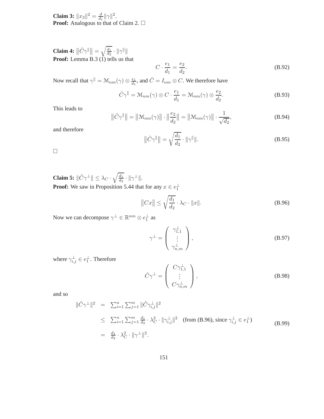**Claim 3:**  $||x_3||^2 = \frac{d}{d_1}$  $\frac{d}{d_1}$   $\|\gamma\|^2$ . **Proof:** Analogous to that of Claim 2. □

**Claim 4:**  $\left\|\hat{C}\gamma^{\parallel}\right\| = \sqrt{\frac{d_1}{d_2}}$  $\frac{a_1}{d_2} \cdot \|\gamma\|$ **Proof:** Lemma B.3 (1) tells us that

$$
C \cdot \frac{e_1}{d_1} = \frac{e_2}{d_2}.\tag{B.92}
$$

Now recall that  $\gamma^{||} = \mathcal{M}_{nm}(\gamma) \otimes \frac{e_1}{d_1}$  $\frac{e_1}{d_1}$ , and  $\hat{C} = I_{nm} \otimes C$ . We therefore have

$$
\hat{C}\gamma^{\parallel} = \mathcal{M}_{nm}(\gamma) \otimes C \cdot \frac{e_1}{d_1} = \mathcal{M}_{nm}(\gamma) \otimes \frac{e_2}{d_2}.
$$
 (B.93)

This leads to

$$
\|\hat{C}\gamma^{\parallel}\| = \|\mathcal{M}_{nm}(\gamma)\| \cdot \|\frac{e_2}{d_2}\| = \|\mathcal{M}_{nm}(\gamma)\| \cdot \frac{1}{\sqrt{d_2}},
$$
(B.94)

and therefore

$$
\|\hat{C}\gamma^{\parallel}\| = \sqrt{\frac{d_1}{d_2}} \cdot \|\gamma^{\parallel}\|.
$$
\n(B.95)

 $\Box$ 

**Claim 5:**  $\|\hat{C}\gamma^{\perp}\| \leq \lambda_C \cdot \sqrt{\frac{d_1}{d_2}}$  $\frac{d_1}{d_2} \cdot \|\gamma^{\perp}\|.$ **Proof:** We saw in Proposition 5.44 that for any  $x \in e_1^{\perp}$ 

$$
||Cx|| \le \sqrt{\frac{d_1}{d_2}} \cdot \lambda_C \cdot ||x||. \tag{B.96}
$$

Now we can decompose  $\gamma^{\perp} \in \mathbb{R}^{nm} \otimes e_1^{\perp}$  as

$$
\gamma^{\perp} = \left(\begin{array}{c} \gamma_{1,1}^{\perp} \\ \vdots \\ \gamma_{n,m}^{\perp} \end{array}\right), \tag{B.97}
$$

where  $\gamma_{i,j}^{\perp} \in e_1^{\perp}$ . Therefore

$$
\hat{C}\gamma^{\perp} = \begin{pmatrix} C\gamma_{1,1}^{\perp} \\ \vdots \\ C\gamma_{n,m}^{\perp} \end{pmatrix},
$$
\n(B.98)

and so

$$
\|\hat{C}\gamma^{\perp}\|^2 = \sum_{i=1}^n \sum_{j=1}^m \|\hat{C}\gamma^{\perp}_{i,j}\|^2
$$
  
\n
$$
\leq \sum_{i=1}^n \sum_{j=1}^m \frac{d_1}{d_2} \cdot \lambda_C^2 \cdot \|\gamma^{\perp}_{i,j}\|^2 \quad \text{(from (B.96), since } \gamma^{\perp}_{i,j} \in e_1^{\perp})
$$
  
\n
$$
= \frac{d_1}{d_2} \cdot \lambda_C^2 \cdot \|\gamma^{\perp}\|^2.
$$
 (B.99)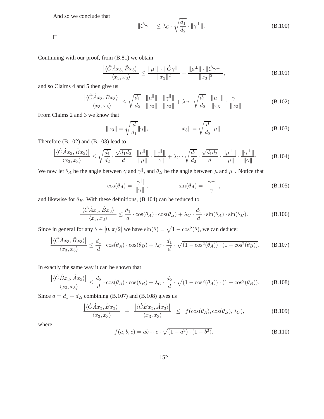And so we conclude that

$$
\|\hat{C}\gamma^{\perp}\| \le \lambda_C \cdot \sqrt{\frac{d_1}{d_2}} \cdot \|\gamma^{\perp}\|.
$$
\n(B.100)

 $\Box$ 

Continuing with our proof, from (B.81) we obtain

$$
\frac{|\langle \hat{C} \hat{A} x_3, \hat{B} x_3 \rangle|}{\langle x_3, x_3 \rangle} \le \frac{\|\mu^{\|\}}| \cdot \|\hat{C} \gamma^{\|\}}| \cdot \frac{\|\mu^{\perp}\| \cdot \|\hat{C} \gamma^{\perp}\|}{\|x_3\|^2},
$$
\n(B.101)

and so Claims 4 and 5 then give us

$$
\frac{|\langle \hat{C}\hat{A}x_3, \hat{B}x_3 \rangle|}{\langle x_3, x_3 \rangle} \le \sqrt{\frac{d_1}{d_2}} \cdot \frac{\|\mu^{\parallel}\|}{\|x_3\|} \cdot \frac{\|\gamma^{\parallel}\|}{\|x_3\|} + \lambda_C \cdot \sqrt{\frac{d_1}{d_2}} \cdot \frac{\|\mu^{\perp}\|}{\|x_3\|} \cdot \frac{\|\gamma^{\perp}\|}{\|x_3\|}. \tag{B.102}
$$

From Claims 2 and 3 we know that

$$
||x_3|| = \sqrt{\frac{d}{d_1}} ||\gamma||, \qquad ||x_3|| = \sqrt{\frac{d}{d_2}} ||\mu||. \qquad (B.103)
$$

Therefore (B.102) and (B.103) lead to

$$
\frac{\left| \langle \hat{C} \hat{A} x_3, \hat{B} x_3 \rangle \right|}{\langle x_3, x_3 \rangle} \le \sqrt{\frac{d_1}{d_2}} \cdot \frac{\sqrt{d_1 d_2}}{d} \cdot \frac{\|\mu^{\parallel}\|}{\|\mu\|} \cdot \frac{\|\gamma^{\parallel}\|}{\|\gamma\|} + \lambda_C \cdot \sqrt{\frac{d_1}{d_2}} \cdot \frac{\sqrt{d_1 d_2}}{d} \cdot \frac{\|\mu^{\perp}\|}{\|\mu\|} \cdot \frac{\|\gamma^{\perp}\|}{\|\gamma\|}. \tag{B.104}
$$

We now let  $\theta_A$  be the angle between  $\gamma$  and  $\gamma$ <sup>||</sup>, and  $\theta_B$  be the angle between  $\mu$  and  $\mu$ <sup>||</sup>. Notice that

$$
\cos(\theta_A) = \frac{\|\gamma\|}{\|\gamma\|}, \qquad \sin(\theta_A) = \frac{\|\gamma^{\perp}\|}{\|\gamma\|}, \tag{B.105}
$$

and likewise for  $\theta_B$ . With these definitions, (B.104) can be reduced to

$$
\frac{|\langle \hat{C}\hat{A}x_3, \hat{B}x_3 \rangle|}{\langle x_3, x_3 \rangle} \le \frac{d_1}{d} \cdot \cos(\theta_A) \cdot \cos(\theta_B) + \lambda_C \cdot \frac{d_1}{d} \cdot \sin(\theta_A) \cdot \sin(\theta_B). \tag{B.106}
$$

Since in general for any  $\theta \in [0, \pi/2]$  we have  $\sin(\theta) = \sqrt{1 - \cos^2(\theta)}$ , we can deduce:

$$
\frac{|\langle \hat{C} \hat{A}x_3, \hat{B}x_3 \rangle|}{\langle x_3, x_3 \rangle} \le \frac{d_1}{d} \cdot \cos(\theta_A) \cdot \cos(\theta_B) + \lambda_C \cdot \frac{d_1}{d} \cdot \sqrt{(1 - \cos^2(\theta_A)) \cdot (1 - \cos^2(\theta_B))}. \tag{B.107}
$$

In exactly the same way it can be shown that

$$
\frac{|\langle \hat{C}\hat{B}x_3, \hat{A}x_3\rangle|}{\langle x_3, x_3\rangle} \le \frac{d_2}{d} \cdot \cos(\theta_A) \cdot \cos(\theta_B) + \lambda_C \cdot \frac{d_2}{d} \cdot \sqrt{(1 - \cos^2(\theta_A)) \cdot (1 - \cos^2(\theta_B))}. \tag{B.108}
$$

Since  $d = d_1 + d_2$ , combining (B.107) and (B.108) gives us

$$
\frac{\left| \langle \hat{C} \hat{A} x_3, \hat{B} x_3 \rangle \right|}{\langle x_3, x_3 \rangle} + \frac{\left| \langle \hat{C} \hat{B} x_3, \hat{A} x_3 \rangle \right|}{\langle x_3, x_3 \rangle} \leq f(\cos(\theta_A), \cos(\theta_B), \lambda_C),
$$
\n(B.109)

where

$$
f(a, b, c) = ab + c \cdot \sqrt{(1 - a^2) \cdot (1 - b^2)}.
$$
 (B.110)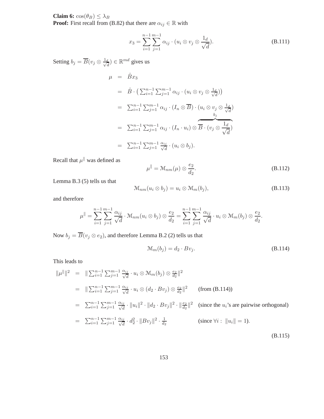**Claim 6:**  $cos(\theta_B) \leq \lambda_B$ 

**Proof:** First recall from (B.82) that there are  $\alpha_{ij} \in \mathbb{R}$  with

$$
x_3 = \sum_{i=1}^{n-1} \sum_{j=1}^{m-1} \alpha_{ij} \cdot (u_i \otimes v_j \otimes \frac{1_d}{\sqrt{d}}). \tag{B.111}
$$

Setting  $b_j = \overline{B}(v_j \otimes \frac{1_d}{\sqrt{d}})$  $\frac{d}{d}$ )  $\in \mathbb{R}^{md}$  gives us

$$
\mu = \hat{B}x_3
$$
  
\n
$$
= \hat{B} \cdot \left( \sum_{i=1}^{n-1} \sum_{j=1}^{m-1} \alpha_{ij} \cdot (u_i \otimes v_j \otimes \frac{1_d}{\sqrt{d}}) \right)
$$
  
\n
$$
= \sum_{i=1}^{n-1} \sum_{j=1}^{m-1} \alpha_{ij} \cdot (I_n \otimes \overline{B}) \cdot (u_i \otimes v_j \otimes \frac{1_d}{\sqrt{d}})
$$
  
\n
$$
= \sum_{i=1}^{n-1} \sum_{j=1}^{m-1} \alpha_{ij} \cdot (I_n \cdot u_i) \otimes \overline{B} \cdot (v_j \otimes \frac{1_d}{\sqrt{d}})
$$
  
\n
$$
= \sum_{i=1}^{n-1} \sum_{j=1}^{m-1} \frac{\alpha_{ij}}{\sqrt{d}} \cdot (u_i \otimes b_j).
$$

Recall that  $\mu^{\parallel}$  was defined as

$$
\mu^{\parallel} = \mathcal{M}_{nm}(\mu) \otimes \frac{e_2}{d_2}.
$$
\n(B.112)

Lemma B.3 (5) tells us that

$$
\mathcal{M}_{nm}(u_i \otimes b_j) = u_i \otimes \mathcal{M}_m(b_j), \tag{B.113}
$$

and therefore

$$
\mu^{\parallel} = \sum_{i=1}^{n-1} \sum_{j=1}^{m-1} \frac{\alpha_{ij}}{\sqrt{d}} \cdot \mathcal{M}_{nm}(u_i \otimes b_j) \otimes \frac{e_2}{d_2} = \sum_{i=1}^{n-1} \sum_{j=1}^{m-1} \frac{\alpha_{ij}}{\sqrt{d}} \cdot u_i \otimes \mathcal{M}_m(b_j) \otimes \frac{e_2}{d_2}.
$$

Now  $b_j = \overline{B}(v_j \otimes e_2)$ , and therefore Lemma B.2 (2) tells us that

$$
\mathcal{M}_m(b_j) = d_2 \cdot Bv_j. \tag{B.114}
$$

This leads to

$$
\|\mu^{\parallel}\|^2 = \|\sum_{i=1}^{n-1} \sum_{j=1}^{m-1} \frac{\alpha_{ij}}{\sqrt{d}} \cdot u_i \otimes M_m(b_j) \otimes \frac{e_2}{d_2}\|^2
$$
  
\n
$$
= \|\sum_{i=1}^{n-1} \sum_{j=1}^{m-1} \frac{\alpha_{ij}}{\sqrt{d}} \cdot u_i \otimes (d_2 \cdot Bv_j) \otimes \frac{e_2}{d_2}\|^2 \qquad \text{(from (B.114))}
$$
  
\n
$$
= \sum_{i=1}^{n-1} \sum_{j=1}^{m-1} \frac{\alpha_{ij}}{\sqrt{d}} \cdot \|u_i\|^2 \cdot \|d_2 \cdot Bv_j\|^2 \cdot \|\frac{e_2}{d_2}\|^2 \qquad \text{(since the } u_i\text{'s are pairwise orthogonal)}
$$
  
\n
$$
= \sum_{i=1}^{n-1} \sum_{j=1}^{m-1} \frac{\alpha_{ij}}{\sqrt{d}} \cdot d_2^2 \cdot \|Bv_j\|^2 \cdot \frac{1}{d_2} \qquad \text{(since } \forall i : \|u_i\| = 1).
$$
  
\n(B.115)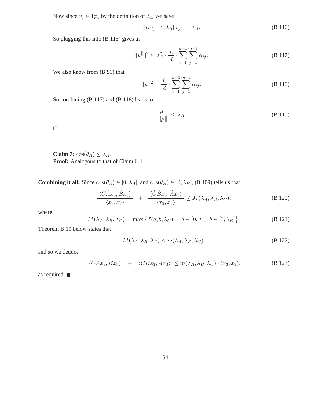Now since  $v_j \in 1_m^{\perp}$ , by the definition of  $\lambda_B$  we have

$$
||Bv_j|| \le \lambda_B ||v_j|| = \lambda_B. \tag{B.116}
$$

So plugging this into (B.115) gives us

$$
\|\mu^{\parallel}\|^2 \le \lambda_B^2 \cdot \frac{d_2}{d} \cdot \sum_{i=1}^{n-1} \sum_{j=1}^{m-1} \alpha_{ij}.
$$
 (B.117)

We also know from (B.91) that

$$
\|\mu\|^2 = \frac{d_2}{d} \cdot \sum_{i=1}^{n-1} \sum_{j=1}^{m-1} \alpha_{ij}.
$$
 (B.118)

So combining (B.117) and (B.118) leads to

$$
\frac{\|\mu^{\parallel}\|}{\|\mu\|} \le \lambda_B. \tag{B.119}
$$

 $\Box$ 

**Claim 7:**  $cos(\theta_A) \leq \lambda_A$ . **Proof:** Analogous to that of Claim 6. □

**Combining it all:** Since  $cos(\theta_A) \in [0, \lambda_A]$ , and  $cos(\theta_B) \in [0, \lambda_B]$ , (B.109) tells us that

$$
\frac{\left| \langle \hat{C} \hat{A} x_3, \hat{B} x_3 \rangle \right|}{\langle x_3, x_3 \rangle} + \frac{\left| \langle \hat{C} \hat{B} x_3, \hat{A} x_3 \rangle \right|}{\langle x_3, x_3 \rangle} \le M(\lambda_A, \lambda_B, \lambda_C),
$$
\n(B.120)

where

$$
M(\lambda_A, \lambda_B, \lambda_C) = \max \left\{ f(a, b, \lambda_C) \mid a \in [0, \lambda_A], b \in [0, \lambda_B] \right\}.
$$
 (B.121)

Theorem B.10 below states that

$$
M(\lambda_A, \lambda_B, \lambda_C) \le m(\lambda_A, \lambda_B, \lambda_C), \tag{B.122}
$$

and so we deduce

$$
\left| \langle \hat{C} \hat{A} x_3, \hat{B} x_3 \rangle \right| + \left| \langle \hat{C} \hat{B} x_3, \hat{A} x_3 \rangle \right| \le m(\lambda_A, \lambda_B, \lambda_C) \cdot \langle x_3, x_3 \rangle,
$$
 (B.123)

as required.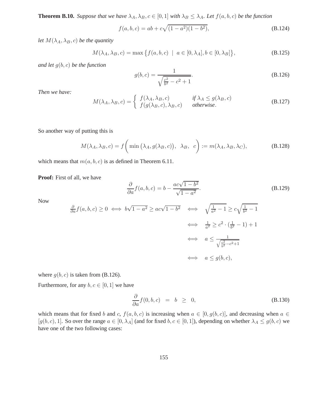**Theorem B.10.** *Suppose that we have*  $\lambda_A$ ,  $\lambda_B$ ,  $c \in [0,1]$  *with*  $\lambda_B \leq \lambda_A$ *. Let*  $f(a, b, c)$  *be the function* 

$$
f(a, b, c) = ab + c\sqrt{(1 - a^2)(1 - b^2)},
$$
\n(B.124)

*let*  $M(\lambda_A, \lambda_B, c)$  *be the quantity* 

$$
M(\lambda_A, \lambda_B, c) = \max\left\{f(a, b, c) \mid a \in [0, \lambda_A], b \in [0, \lambda_B]\right\},\tag{B.125}
$$

*and let* g(b, c) *be the function*

$$
g(b,c) = \frac{1}{\sqrt{\frac{c^2}{b^2} - c^2 + 1}}.
$$
\n(B.126)

*Then we have:*

$$
M(\lambda_A, \lambda_B, c) = \begin{cases} f(\lambda_A, \lambda_B, c) & \text{if } \lambda_A \le g(\lambda_B, c) \\ f(g(\lambda_B, c), \lambda_B, c) & \text{otherwise.} \end{cases}
$$
 (B.127)

So another way of putting this is

$$
M(\lambda_A, \lambda_B, c) = f\left(\min\left(\lambda_A, g(\lambda_B, c)\right), \ \lambda_B, \ c\right) := m(\lambda_A, \lambda_B, \lambda_C),\tag{B.128}
$$

which means that  $m(a, b, c)$  is as defined in Theorem 6.11.

**Proof:** First of all, we have

$$
\frac{\partial}{\partial a} f(a, b, c) = b - \frac{ac\sqrt{1 - b^2}}{\sqrt{1 - a^2}}.
$$
\n(B.129)

Now

$$
\frac{\partial}{\partial a} f(a, b, c) \ge 0 \iff b\sqrt{1 - a^2} \ge ac\sqrt{1 - b^2} \iff \sqrt{\frac{1}{a^2} - 1} \ge c\sqrt{\frac{1}{b^2} - 1}
$$

$$
\iff \frac{1}{a^2} \ge c^2 \cdot (\frac{1}{b^2} - 1) + 1
$$

$$
\iff a \le \frac{1}{\sqrt{\frac{c^2}{b^2} - c^2 + 1}}
$$

$$
\iff a \le g(b, c),
$$

where  $g(b, c)$  is taken from (B.126).

Furthermore, for any  $b, c \in [0, 1]$  we have

$$
\frac{\partial}{\partial a} f(0, b, c) = b \geq 0,
$$
\n(B.130)

which means that for fixed b and c,  $f(a, b, c)$  is increasing when  $a \in [0, g(b, c)]$ , and decreasing when  $a \in$  $[g(b, c), 1]$ . So over the range  $a \in [0, \lambda_A]$  (and for fixed  $b, c \in [0, 1]$ ), depending on whether  $\lambda_A \leq g(b, c)$  we have one of the two following cases: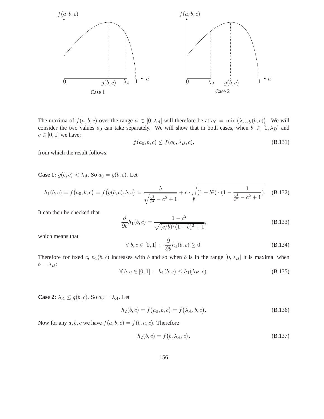

The maxima of  $f(a, b, c)$  over the range  $a \in [0, \lambda_A]$  will therefore be at  $a_0 = \min(\lambda_A, g(b, c))$ . We will consider the two values  $a_0$  can take separately. We will show that in both cases, when  $b \in [0, \lambda_B]$  and  $c \in [0, 1]$  we have:

$$
f(a_0, b, c) \le f(a_0, \lambda_B, c),
$$
\n(B.131)

from which the result follows.

**Case 1:**  $g(b, c) < \lambda_A$ . So  $a_0 = g(b, c)$ . Let

$$
h_1(b,c) = f(a_0,b,c) = f(g(b,c),b,c) = \frac{b}{\sqrt{\frac{c^2}{b^2} - c^2 + 1}} + c \cdot \sqrt{(1 - b^2) \cdot (1 - \frac{1}{\frac{c^2}{b^2} - c^2 + 1})}.
$$
 (B.132)

It can then be checked that

$$
\frac{\partial}{\partial b}h_1(b,c) = \frac{1 - c^2}{\sqrt{(c/b)^2 (1 - b)^2 + 1}},
$$
\n(B.133)

which means that

$$
\forall b, c \in [0, 1]: \frac{\partial}{\partial b} h_1(b, c) \ge 0. \tag{B.134}
$$

Therefore for fixed c,  $h_1(b, c)$  increases with b and so when b is in the range  $[0, \lambda_B]$  it is maximal when  $b = \lambda_B$ :

$$
\forall b, c \in [0, 1]: h_1(b, c) \le h_1(\lambda_B, c). \tag{B.135}
$$

**Case 2:**  $\lambda_A \leq g(b, c)$ . So  $a_0 = \lambda_A$ . Let

$$
h_2(b, c) = f(a_0, b, c) = f(\lambda_A, b, c).
$$
 (B.136)

Now for any  $a, b, c$  we have  $f(a, b, c) = f(b, a, c)$ . Therefore

$$
h_2(b, c) = f(b, \lambda_A, c).
$$
 (B.137)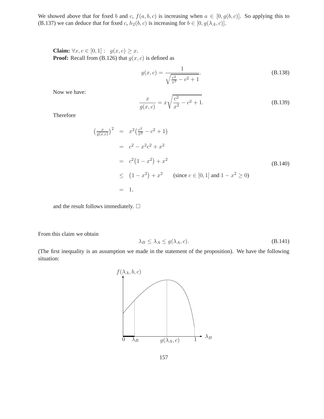We showed above that for fixed b and c,  $f(a, b, c)$  is increasing when  $a \in [0, g(b, c)]$ . So applying this to (B.137) we can deduce that for fixed c,  $h_2(b, c)$  is increasing for  $b \in [0, g(\lambda_A, c)]$ .

**Claim:**  $\forall x, c \in [0, 1] : g(x, c) \geq x.$ **Proof:** Recall from (B.126) that  $g(x, c)$  is defined as

$$
g(x,c) = \frac{1}{\sqrt{\frac{c^2}{x^2} - c^2 + 1}}.
$$
\n(B.138)

Now we have:

$$
\frac{x}{g(x,c)} = x\sqrt{\frac{c^2}{x^2} - c^2 + 1}.
$$
\n(B.139)

Therefore

$$
\left(\frac{x}{g(x,c)}\right)^2 = x^2\left(\frac{c^2}{x^2} - c^2 + 1\right)
$$
\n
$$
= c^2 - x^2c^2 + x^2
$$
\n
$$
= c^2\left(1 - x^2\right) + x^2
$$
\n
$$
\leq \left(1 - x^2\right) + x^2 \qquad \text{(since } c \in [0, 1] \text{ and } 1 - x^2 \geq 0\text{)}
$$
\n
$$
= 1,
$$
\n(B.140)

and the result follows immediately.  $\Box$ 

 $\overline{ }$ 

From this claim we obtain

$$
\lambda_B \le \lambda_A \le g(\lambda_A, c). \tag{B.141}
$$

(The first inequality is an assumption we made in the statement of the proposition). We have the following situation:

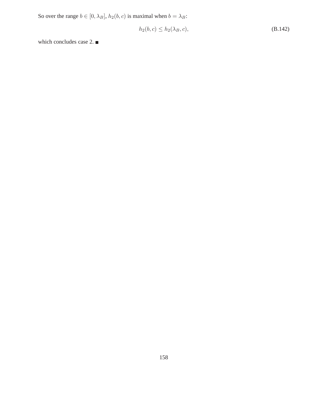So over the range  $b \in [0, \lambda_B]$ ,  $h_2(b, c)$  is maximal when  $b = \lambda_B$ :

$$
h_2(b,c) \le h_2(\lambda_B,c), \tag{B.142}
$$

which concludes case 2.  $\blacksquare$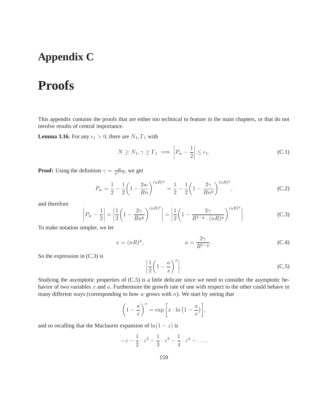## **Appendix C**

# **Proofs**

This appendix contains the proofs that are either too technical to feature in the main chapters, or that do not involve results of central importance.

**Lemma 3.16.** For any  $\epsilon_1 > 0$ , there are  $N_1, \Gamma_1$  with

$$
N \ge N_1, \gamma \ge \Gamma_1 \implies \left| P_w - \frac{1}{2} \right| \le \epsilon_1. \tag{C.1}
$$

**Proof:** Using the definition  $\gamma = \frac{w}{n^{1-y}}$ , we get

$$
P_w = \frac{1}{2} - \frac{1}{2} \left( 1 - \frac{2w}{Rn} \right)^{(nR)^y} = \frac{1}{2} - \frac{1}{2} \left( 1 - \frac{2\gamma}{Rn^y} \right)^{(nR)^y},
$$
(C.2)

and therefore

$$
\left| P_w - \frac{1}{2} \right| = \left| \frac{1}{2} \left( 1 - \frac{2\gamma}{Rn^y} \right)^{(nR)^y} \right| = \left| \frac{1}{2} \left( 1 - \frac{2\gamma}{R^{1-y} \cdot (nR)^y} \right)^{(nR)^y} \right|.
$$
 (C.3)

To make notation simpler, we let

$$
x = (nR)^y, \qquad \qquad a = \frac{2\gamma}{R^{1-y}}.
$$
 (C.4)

So the expression in (C.3) is

$$
\left|\frac{1}{2}\left(1-\frac{a}{x}\right)^x\right|.\tag{C.5}
$$

Studying the asymptotic properties of (C.5) is a little delicate since we need to consider the asymptotic behavior of two variables  $x$  and  $a$ . Furthermore the growth rate of one with respect to the other could behave in many different ways (corresponding to how  $w$  grows with  $n$ ). We start by seeing that

$$
\left(1 - \frac{a}{x}\right)^x = \exp\left[x \cdot \ln\left(1 - \frac{a}{x}\right)\right],
$$

and so recalling that the Maclaurin expansion of  $ln(1-z)$  is

$$
-z - \frac{1}{2} \cdot z^2 - \frac{1}{3} \cdot z^3 - \frac{1}{4} \cdot z^4 - \dots,
$$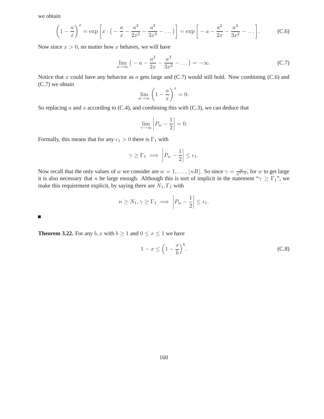we obtain

$$
\left(1 - \frac{a}{x}\right)^x = \exp\left[x \cdot \left(-\frac{a}{x} - \frac{a^2}{2x^2} - \frac{a^3}{3x^3} - \dots\right)\right] = \exp\left[-a - \frac{a^2}{2x} - \frac{a^3}{3x^2} - \dots\right].
$$
 (C.6)

Now since  $x > 0$ , no matter how x behaves, we will have

$$
\lim_{a \to \infty} \left( -a - \frac{a^2}{2x} - \frac{a^3}{3x^2} - \dots \right) = -\infty.
$$
 (C.7)

Notice that  $x$  could have any behavior as  $a$  gets large and (C.7) would still hold. Now combining (C.6) and (C.7) we obtain

$$
\lim_{a \to \infty} \left( 1 - \frac{a}{x} \right)^x = 0.
$$

So replacing a and x according to  $(C.4)$ , and combining this with  $(C.3)$ , we can deduce that

$$
\lim_{\gamma \to \infty} \left| P_w - \frac{1}{2} \right| = 0.
$$

Formally, this means that for any  $\epsilon_1 > 0$  there is  $\Gamma_1$  with

$$
\gamma \ge \Gamma_1 \implies \left| P_w - \frac{1}{2} \right| \le \epsilon_1.
$$

Now recall that the only values of w we consider are  $w = 1, \ldots, \lfloor nR \rfloor$ . So since  $\gamma = \frac{w}{n^{1-y}}$ , for w to get large it is also necessary that n be large enough. Although this is sort of implicit in the statement " $\gamma \geq \Gamma_1$ ", we make this requirement explicit, by saying there are  $N_1$ ,  $\Gamma_1$  with

$$
n \ge N_1, \gamma \ge \Gamma_1 \implies \left| P_w - \frac{1}{2} \right| \le \epsilon_1.
$$

 $\Box$ 

**Theorem 3.22.** For any  $b, x$  with  $b \ge 1$  and  $0 \le x \le 1$  we have

$$
1 - x \le \left(1 - \frac{x}{b}\right)^b. \tag{C.8}
$$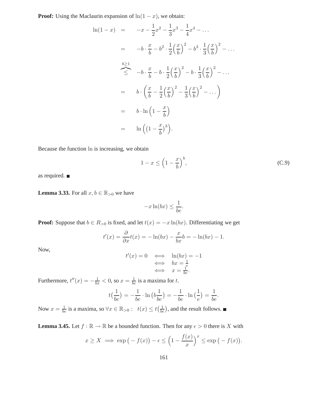**Proof:** Using the Maclaurin expansion of  $ln(1 - x)$ , we obtain:

$$
\ln(1-x) = -x - \frac{1}{2}x^2 - \frac{1}{3}x^3 - \frac{1}{4}x^4 - \dots
$$
  
\n
$$
= -b \cdot \frac{x}{b} - b^2 \cdot \frac{1}{2} \left(\frac{x}{b}\right)^2 - b^3 \cdot \frac{1}{3} \left(\frac{x}{b}\right)^2 - \dots
$$
  
\n
$$
\stackrel{b \ge 1}{\leq} -b \cdot \frac{x}{b} - b \cdot \frac{1}{2} \left(\frac{x}{b}\right)^2 - b \cdot \frac{1}{3} \left(\frac{x}{b}\right)^2 - \dots
$$
  
\n
$$
= b \cdot \left(\frac{x}{b} - \frac{1}{2} \left(\frac{x}{b}\right)^2 - \frac{1}{3} \left(\frac{x}{b}\right)^2 - \dots\right)
$$
  
\n
$$
= b \cdot \ln\left(1 - \frac{x}{b}\right)
$$
  
\n
$$
= \ln\left(\left(1 - \frac{x}{b}\right)^b\right).
$$

Because the function ln is increasing, we obtain

$$
1 - x \le \left(1 - \frac{x}{b}\right)^b,\tag{C.9}
$$

as required.

**Lemma 3.33.** For all  $x, b \in \mathbb{R}_{>0}$  we have

$$
-x\ln(bx) \le \frac{1}{be}.
$$

**Proof:** Suppose that  $b \in R_{>0}$  is fixed, and let  $t(x) = -x \ln(bx)$ . Differentiating we get

$$
t'(x) = \frac{\partial}{\partial x}t(x) = -\ln(bx) - \frac{x}{bx}b = -\ln(bx) - 1.
$$

Now,

$$
t'(x) = 0 \iff \ln(bx) = -1
$$
  

$$
\iff bx = \frac{1}{e}
$$
  

$$
\iff x = \frac{1}{be}.
$$

Furthermore,  $t''(x) = -\frac{1}{bx} < 0$ , so  $x = \frac{1}{be}$  is a maxima for t.

$$
t(\frac{1}{be}) = -\frac{1}{be} \cdot \ln (b\frac{1}{be}) = -\frac{1}{be} \cdot \ln (\frac{1}{e}) = \frac{1}{be}.
$$

Now  $x = \frac{1}{be}$  is a maxima, so  $\forall x \in \mathbb{R}_{>0} : t(x) \le t(\frac{1}{be})$ , and the result follows.

**Lemma 3.45.** Let  $f : \mathbb{R} \to \mathbb{R}$  be a bounded function. Then for any  $\epsilon > 0$  there is X with

$$
x \ge X \implies \exp(-f(x)) - \epsilon \le \left(1 - \frac{f(x)}{x}\right)^x \le \exp(-f(x)).
$$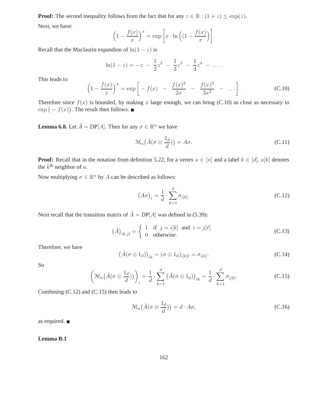**Proof:** The second inequality follows from the fact that for any  $z \in \mathbb{R} : (1+z) \leq \exp(z)$ . Next, we have:

$$
\left(1 - \frac{f(x)}{x}\right)^x = \exp\left[x \cdot \ln\left(\left(1 - \frac{f(x)}{x}\right)\right]\right).
$$

Recall that the Maclaurin expandion of  $ln(1-z)$  is

$$
\ln(1-z) = -z - \frac{1}{2}z^2 - \frac{1}{3}z^3 - \frac{1}{4}z^4 - \dots
$$

This leads to

$$
\left(1 - \frac{f(x)}{x}\right)^x = \exp\left[-f(x) - \frac{f(x)^2}{2x} - \frac{f(x)^3}{3x^2} - \dots\right].
$$
 (C.10)

Therefore since  $f(x)$  is bounded, by making x large enough, we can bring (C.10) as close as necessary to  $\exp(-f(x))$ . The result then follows.

**Lemma 6.8.** Let  $\hat{A} = DP[A]$ . Then for any  $\sigma \in \mathbb{R}^n$  we have

$$
\mathcal{M}_n(\hat{A}(\sigma \otimes \frac{1_d}{d})) = A\sigma.
$$
 (C.11)

**Proof:** Recall that in the notation from definition 5.22, for a vertex  $a \in [n]$  and a label  $k \in [d]$ ,  $a[k]$  denotes the  $k^{\text{th}}$  neighbor of a.

Now multiplying  $\sigma \in \mathbb{R}^n$  by A can be described as follows:

$$
\left(A\sigma\right)_i = \frac{1}{d} \cdot \sum_{k=1}^d \sigma_{i[k]}.\tag{C.12}
$$

Next recall that the transition matrix of  $\hat{A} = DP[A]$  was defined in (5.39):

$$
(\hat{A})_{ik,jl} = \begin{cases} 1 & \text{if } j = i[k] \text{ and } i = j[\ell] \\ 0 & \text{otherwise.} \end{cases}
$$
 (C.13)

Therefore, we have

$$
(\hat{A}(\sigma \otimes 1_d))_{ik} = (\sigma \otimes 1_d)_{i[k]\ell} = \sigma_{i[k]}.
$$
 (C.14)

So

$$
\left(\mathcal{M}_n(\hat{A}(\sigma\otimes\frac{1_d}{d}))\right)_i = \frac{1}{d}\cdot\sum_{k=1}^d\left(\hat{A}(\sigma\otimes 1_d)\right)_{ik} = \frac{1}{d}\cdot\sum_{k=1}^d\sigma_{i[k]}.
$$
\n(C.15)

Combining (C.12) and (C.15) then leads to

$$
\mathcal{M}_n(\hat{A}(\sigma \otimes \frac{1_d}{d})) = d \cdot A\sigma,\tag{C.16}
$$

as required.

**Lemma B.1**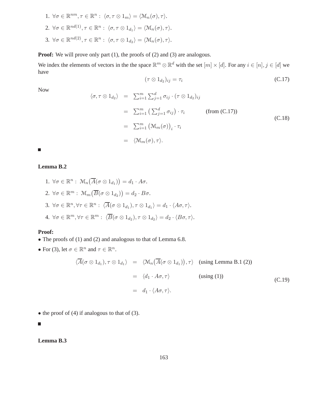1.  $\forall \sigma \in \mathbb{R}^{nm}, \tau \in \mathbb{R}^n: \langle \sigma, \tau \otimes 1_m \rangle = \langle \mathcal{M}_n(\sigma), \tau \rangle.$ 2.  $\forall \sigma \in \mathbb{R}^{nd(1)}, \tau \in \mathbb{R}^n: \langle \sigma, \tau \otimes 1_{d_1} \rangle = \langle \mathcal{M}_n(\sigma), \tau \rangle.$ 3.  $\forall \sigma \in \mathbb{R}^{nd(2)}, \tau \in \mathbb{R}^n: \langle \sigma, \tau \otimes 1_{d_2} \rangle = \langle \mathcal{M}_n(\sigma), \tau \rangle.$ 

**Proof:** We will prove only part (1), the proofs of (2) and (3) are analogous.

We index the elements of vectors in the the space  $\mathbb{R}^m \otimes \mathbb{R}^d$  with the set  $[m] \times [d]$ . For any  $i \in [n], j \in [d]$  we have

$$
(\tau \otimes 1_{d_2})_{ij} = \tau_i \tag{C.17}
$$

Now

$$
\langle \sigma, \tau \otimes 1_{d_2} \rangle = \sum_{i=1}^m \sum_{j=1}^d \sigma_{ij} \cdot (\tau \otimes 1_{d_2})_{ij}
$$
  
\n
$$
= \sum_{i=1}^m \left( \sum_{j=1}^d \sigma_{ij} \right) \cdot \tau_i \qquad \text{(from (C.17))}
$$
  
\n
$$
= \sum_{i=1}^m \left( \mathfrak{M}_m(\sigma) \right)_i \cdot \tau_i
$$
  
\n
$$
= \langle \mathfrak{M}_m(\sigma), \tau \rangle.
$$
 (C.18)

 $\overline{\phantom{a}}$ 

### **Lemma B.2**

- 1.  $\forall \sigma \in \mathbb{R}^n : \mathcal{M}_n(\overline{A}(\sigma \otimes 1_{d_1})) = d_1 \cdot A \sigma.$ 2.  $\forall \sigma \in \mathbb{R}^m : \mathcal{M}_m(\overline{B}(\sigma \otimes 1_{d_2})) = d_2 \cdot B \sigma.$ 3.  $\forall \sigma \in \mathbb{R}^n, \forall \tau \in \mathbb{R}^n: \ \langle \overline{A}(\sigma \otimes 1_{d_1}), \tau \otimes 1_{d_1} \rangle = d_1 \cdot \langle A\sigma, \tau \rangle.$
- 4.  $\forall \sigma \in \mathbb{R}^m, \forall \tau \in \mathbb{R}^m: \ \langle \overline{B}(\sigma \otimes 1_{d_2}), \tau \otimes 1_{d_2} \rangle = d_2 \cdot \langle B\sigma, \tau \rangle.$

#### **Proof:**

- The proofs of (1) and (2) and analogous to that of Lemma 6.8.
- For (3), let  $\sigma \in \mathbb{R}^n$  and  $\tau \in \mathbb{R}^n$ .

$$
\langle \overline{A}(\sigma \otimes 1_{d_1}), \tau \otimes 1_{d_1} \rangle = \langle \mathcal{M}_n(\overline{A}(\sigma \otimes 1_{d_1})), \tau \rangle \quad \text{(using Lemma B.1 (2))}
$$
  

$$
= \langle d_1 \cdot A\sigma, \tau \rangle \qquad \qquad \text{(using (1))}
$$
  

$$
= d_1 \cdot \langle A\sigma, \tau \rangle. \qquad \qquad \text{(C.19)}
$$

• the proof of  $(4)$  if analogous to that of  $(3)$ .

 $\overline{\phantom{a}}$ 

### **Lemma B.3**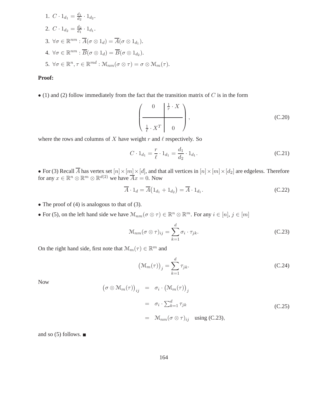1. 
$$
C \cdot 1_{d_1} = \frac{d_1}{d_2} \cdot 1_{d_2}.
$$
  
\n2.  $C \cdot 1_{d_2} = \frac{d_2}{d_1} \cdot 1_{d_1}.$   
\n3.  $\forall \sigma \in \mathbb{R}^{nm} : \overline{A}(\sigma \otimes 1_d) = \overline{A}(\sigma \otimes 1_{d_1}).$   
\n4.  $\forall \sigma \in \mathbb{R}^{nm} : \overline{B}(\sigma \otimes 1_d) = \overline{B}(\sigma \otimes 1_{d_2}).$   
\n5.  $\forall \sigma \in \mathbb{R}^n, \tau \in \mathbb{R}^{md} : \mathcal{M}_{nm}(\sigma \otimes \tau) = \sigma \otimes \mathcal{M}_m(\tau).$ 

### **Proof:**

 $\bullet$  (1) and (2) follow immediately from the fact that the transition matrix of C is in the form

$$
\left(\begin{array}{c|c} 0 & \frac{1}{r} \cdot X \\ \hline \\ \frac{1}{\ell} \cdot X^T & 0 \end{array}\right), \tag{C.20}
$$

where the rows and columns of  $X$  have weight  $r$  and  $\ell$  respectively. So

$$
C \cdot 1_{d_1} = \frac{r}{\ell} \cdot 1_{d_1} = \frac{d_1}{d_2} \cdot 1_{d_1}.
$$
 (C.21)

• For (3) Recall A has vertex set  $[n] \times [m] \times [d]$ , and that all vertices in  $[n] \times [m] \times [d_2]$  are edgeless. Therefore for any  $x \in \mathbb{R}^n \otimes \mathbb{R}^m \otimes \mathbb{R}^{d(2)}$  we have  $\overline{A}x = 0$ . Now

$$
\overline{A} \cdot 1_d = \overline{A} \left( 1_{d_1} + 1_{d_2} \right) = \overline{A} \cdot 1_{d_1}.
$$
\n(C.22)

- The proof of (4) is analogous to that of (3).
- For (5), on the left hand side we have  $\mathcal{M}_{nm}(\sigma \otimes \tau) \in \mathbb{R}^n \otimes \mathbb{R}^m$ . For any  $i \in [n], j \in [m]$

$$
\mathcal{M}_{nm}(\sigma \otimes \tau)_{ij} = \sum_{k=1}^{d} \sigma_i \cdot \tau_{jk}.
$$
\n(C.23)

On the right hand side, first note that  $\mathcal{M}_m(\tau) \in \mathbb{R}^m$  and

$$
\left(\mathcal{M}_m(\tau)\right)_j = \sum_{k=1}^d \tau_{jk}.\tag{C.24}
$$

Now

$$
(\sigma \otimes \mathcal{M}_m(\tau))_{ij} = \sigma_i \cdot (\mathcal{M}_m(\tau))_j
$$
  

$$
= \sigma_i \cdot \sum_{k=1}^d \tau_{jk}
$$
  

$$
= \mathcal{M}_{nm}(\sigma \otimes \tau)_{ij} \text{ using (C.23)},
$$
 (C.25)

and so  $(5)$  follows.  $\blacksquare$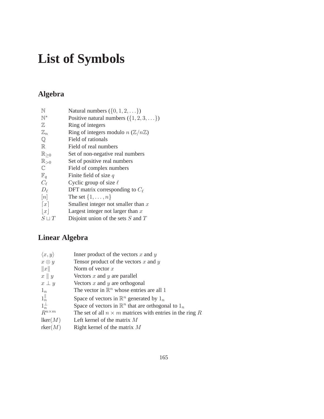# **List of Symbols**

## **Algebra**

| N                       | Natural numbers $(\{0, 1, 2, \ldots\})$             |
|-------------------------|-----------------------------------------------------|
| $\mathbb{N}^*$          | Positive natural numbers $({1, 2, 3, \ldots})$      |
| $\mathbb{Z}$            | Ring of integers                                    |
| $\mathbb{Z}_n$          | Ring of integers modulo $n(\mathbb{Z}/n\mathbb{Z})$ |
| $\overline{\mathbb{Q}}$ | Field of rationals                                  |
| $\mathbb R$             | Field of real numbers                               |
| $\mathbb{R}_{\geq 0}$   | Set of non-negative real numbers                    |
| $\mathbb{R}_{>0}$       | Set of positive real numbers                        |
| $\mathbb{C}$            | Field of complex numbers                            |
| $\mathbb{F}_q$          | Finite field of size $q$                            |
| $C_{\ell}$              | Cyclic group of size $\ell$                         |
| $D_{\ell}$              | DFT matrix corresponding to $C_{\ell}$              |
| [n]                     | The set $\{1,\ldots,n\}$                            |
| $\lceil x \rceil$       | Smallest integer not smaller than $x$               |
| x                       | Largest integer not larger than $x$                 |
| $S \sqcup T$            | Disjoint union of the sets $S$ and $T$              |
|                         |                                                     |

## **Linear Algebra**

| $\langle x,y\rangle$ | Inner product of the vectors $x$ and $y$                        |
|----------------------|-----------------------------------------------------------------|
| $x \otimes y$        | Tensor product of the vectors $x$ and $y$                       |
| x                    | Norm of vector $x$                                              |
| $x \parallel y$      | Vectors $x$ and $y$ are parallel                                |
| $x \perp y$          | Vectors $x$ and $y$ are orthogonal                              |
| $1_n$                | The vector in $\mathbb{R}^n$ whose entries are all 1            |
| $1_n^{\parallel}$    | Space of vectors in $\mathbb{R}^n$ generated by $1_n$           |
| $1_n^{\perp}$        | Space of vectors in $\mathbb{R}^n$ that are orthogonal to $1_n$ |
| $R^{n \times m}$     | The set of all $n \times m$ matrices with entries in the ring R |
| lker(M)              | Left kernel of the matrix $M$                                   |
| rker(M)              | Right kernel of the matrix $M$                                  |
|                      |                                                                 |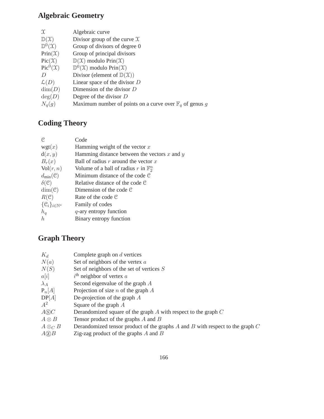## **Algebraic Geometry**

| $\mathfrak{X}$               | Algebraic curve                                                    |
|------------------------------|--------------------------------------------------------------------|
| $\mathbb{D}(\mathfrak{X})$   | Divisor group of the curve $\mathfrak X$                           |
| $\mathbb{D}^0(\mathfrak{X})$ | Group of divisors of degree 0                                      |
| $Prin(\mathcal{X})$          | Group of principal divisors                                        |
| $Pic(\mathfrak{X})$          | $\mathbb{D}(\mathfrak{X})$ modulo Prin $(\mathfrak{X})$            |
| $Pic^0(\mathfrak{X})$        | $\mathbb{D}^0(\mathfrak{X})$ modulo Prin $(\mathfrak{X})$          |
|                              | Divisor (element of $\mathbb{D}(\mathfrak{X})$ )                   |
| $\mathcal{L}(D)$             | Linear space of the divisor $D$                                    |
| $\dim(D)$                    | Dimension of the divisor $D$                                       |
| deg(D)                       | Degree of the divisor $D$                                          |
| $N_q(g)$                     | Maximum number of points on a curve over $\mathbb{F}_q$ of genus g |

## **Coding Theory**

| C.                                     | Code                                             |
|----------------------------------------|--------------------------------------------------|
| wgt(x)                                 | Hamming weight of the vector $x$                 |
| d(x, y)                                | Hamming distance between the vectors $x$ and $y$ |
| $B_r(x)$                               | Ball of radius r around the vector $x$           |
| Vol(r, n)                              | Volume of a ball of radius r in $\mathbb{F}_2^n$ |
| $d_{\min}(\mathcal{C})$                | Minimum distance of the code $\mathcal C$        |
| $\delta(\mathcal{C})$                  | Relative distance of the code $\mathcal C$       |
| $dim(\mathcal{C})$                     | Dimension of the code $\mathcal C$               |
| $R(\mathcal{C})$                       | Rate of the code $\mathcal C$                    |
| $\{\mathcal{C}_i\}_{i\in\mathbb{N}^*}$ | Family of codes                                  |
| $h_q$                                  | $q$ -ary entropy function                        |
| h.                                     | Binary entropy function                          |

## **Graph Theory**

| $K_d$              | Complete graph on $d$ vertices                                                      |
|--------------------|-------------------------------------------------------------------------------------|
| N(a)               | Set of neighbors of the vertex $a$                                                  |
| N(S)               | Set of neighbors of the set of vertices $S$                                         |
| a[i]               | $i^{\text{th}}$ neighbor of vertex a                                                |
| $\lambda_A$        | Second eigenvalue of the graph $A$                                                  |
| $P_n[A]$           | Projection of size $n$ of the graph $A$                                             |
| DP[A]              | De-projection of the graph $A$                                                      |
| $A^2$              | Square of the graph $A$                                                             |
| $A\circledS C$     | Derandomized square of the graph $A$ with respect to the graph $C$                  |
| $A \otimes B$      | Tensor product of the graphs $A$ and $B$                                            |
| $A \otimes_C B$    | Derandomized tensor product of the graphs $A$ and $B$ with respect to the graph $C$ |
| $A(\overline{z})B$ | Zig-zag product of the graphs $A$ and $B$                                           |
|                    |                                                                                     |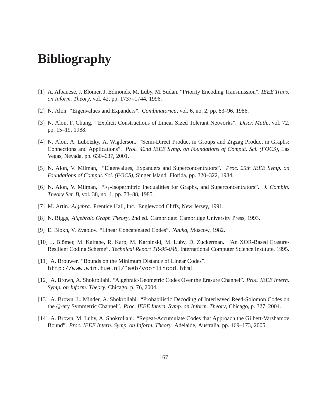# **Bibliography**

- [1] A. Albanese, J. Blömer, J. Edmonds, M. Luby, M. Sudan. "Priority Encoding Transmission". *IEEE Trans. on Inform. Theory*, vol. 42, pp. 1737–1744, 1996.
- [2] N. Alon. "Eigenvalues and Expanders". *Combinatorica*, vol. 6, no. 2, pp. 83–96, 1986.
- [3] N. Alon, F. Chung. "Explicit Constructions of Linear Sized Tolerant Networks". *Discr. Math.*, vol. 72, pp. 15–19, 1988.
- [4] N. Alon, A. Lubotzky, A. Wigderson. "Semi-Direct Product in Groups and Zigzag Product in Graphs: Connections and Applications". *Proc. 42nd IEEE Symp. on Foundations of Comput. Sci. (FOCS)*, Las Vegas, Nevada, pp. 630–637, 2001.
- [5] N. Alon, V. Milman, "Eigenvalues, Expanders and Superconcentrators". *Proc. 25th IEEE Symp. on Foundations of Comput. Sci. (FOCS)*, Singer Island, Florida, pp. 320–322, 1984.
- [6] N. Alon, V. Milman, "λ1-Isopermitric Inequalities for Graphs, and Superconcentrators". *J. Combin. Theory Ser. B*, vol. 38, no. 1, pp. 73–88, 1985.
- [7] M. Artin. *Algebra*. Prentice Hall, Inc., Englewood Cliffs, New Jersey, 1991.
- [8] N. Biggs, *Algebraic Graph Theory*, 2nd ed. Cambridge: Cambridge University Press, 1993.
- [9] E. Blokh, V. Zyablov. "Linear Concatenated Codes". *Nauka*, Moscow, 1982.
- [10] J. Blömer, M. Kalfane, R. Karp, M. Karpinski, M. Luby, D. Zuckerman. "An XOR-Based Erasure-Resilient Coding Scheme". *Technical Report TR-95-048*, International Computer Science Institute, 1995.
- [11] A. Brouwer. "Bounds on the Minimum Distance of Linear Codes". http://www.win.tue.nl/˜aeb/voorlincod.html.
- [12] A. Brown, A. Shokrollahi. "Algebraic-Geometric Codes Over the Erasure Channel". *Proc. IEEE Intern. Symp. on Inform. Theory*, Chicago, p. 76, 2004.
- [13] A. Brown, L. Minder, A. Shokrollahi. "Probabilistic Decoding of Interleaved Reed-Solomon Codes on the Q-ary Symmetric Channel". *Proc. IEEE Intern. Symp. on Inform. Theory*, Chicago, p. 327, 2004.
- [14] A. Brown, M. Luby, A. Shokrollahi. "Repeat-Accumulate Codes that Approach the Gilbert-Varshamov Bound". *Proc. IEEE Intern. Symp. on Inform. Theory*, Adelaide, Australia, pp. 169–173, 2005.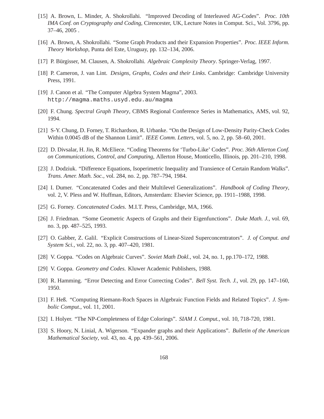- [15] A. Brown, L. Minder, A. Shokrollahi. "Improved Decoding of Interleaved AG-Codes". *Proc. 10th IMA Conf. on Cryptography and Coding*, Cirencester, UK, Lecture Notes in Comput. Sci., Vol. 3796, pp. 37–46, 2005 .
- [16] A. Brown, A. Shokrollahi. "Some Graph Products and their Expansion Properties". *Proc. IEEE Inform. Theory Workshop*, Punta del Este, Uruguay, pp. 132–134, 2006.
- [17] P. B¨urgisser, M. Clausen, A. Shokrollahi. *Algebraic Complexity Theory*. Springer-Verlag, 1997.
- [18] P. Cameron, J. van Lint. *Designs, Graphs, Codes and their Links*. Cambridge: Cambridge University Press, 1991.
- [19] J. Canon et al. "The Computer Algebra System Magma", 2003. http://magma.maths.usyd.edu.au/magma
- [20] F. Chung. *Spectral Graph Theory*, CBMS Regional Conference Series in Mathematics, AMS, vol. 92, 1994.
- [21] S-Y. Chung, D. Forney, T. Richardson, R. Urbanke. "On the Design of Low-Density Parity-Check Codes Within 0.0045 dB of the Shannon Limit". *IEEE Comm. Letters*, vol. 5, no. 2, pp. 58–60, 2001.
- [22] D. Divsalar, H. Jin, R. McEliece. "Coding Theorems for 'Turbo-Like' Codes". *Proc. 36th Allerton Conf. on Communications, Control, and Computing*, Allerton House, Monticello, Illinois, pp. 201–210, 1998.
- [23] J. Dodziuk. "Difference Equations, Isoperimetric Inequality and Transience of Certain Random Walks". *Trans. Amer. Math. Soc.*, vol. 284, no. 2, pp. 787–794, 1984.
- [24] I. Dumer. "Concatenated Codes and their Multilevel Generalizations". *Handbook of Coding Theory*, vol. 2, V. Pless and W. Huffman, Editors, Amsterdam: Elsevier Science, pp. 1911–1988, 1998.
- [25] G. Forney. *Concatenated Codes*. M.I.T. Press, Cambridge, MA, 1966.
- [26] J. Friedman. "Some Geometric Aspects of Graphs and their Eigenfunctions". *Duke Math. J.*, vol. 69, no. 3, pp. 487–525, 1993.
- [27] O. Gabber, Z. Galil. "Explicit Constructions of Linear-Sized Superconcentrators". *J. of Comput. and System Sci.*, vol. 22, no. 3, pp. 407–420, 1981.
- [28] V. Goppa. "Codes on Algebraic Curves". *Soviet Math Dokl.*, vol. 24, no. 1, pp.170–172, 1988.
- [29] V. Goppa. *Geometry and Codes*. Kluwer Academic Publishers, 1988.
- [30] R. Hamming. "Error Detecting and Error Correcting Codes". *Bell Syst. Tech. J.*, vol. 29, pp. 147–160, 1950.
- [31] F. Heß. "Computing Riemann-Roch Spaces in Algebraic Function Fields and Related Topics". *J. Symbolic Comput.*, vol. 11, 2001.
- [32] I. Holyer. "The NP-Completeness of Edge Colorings". *SIAM J. Comput.*, vol. 10, 718-720, 1981.
- [33] S. Hoory, N. Linial, A. Wigerson. "Expander graphs and their Applications". *Bulletin of the American Mathematical Society*, vol. 43, no. 4, pp. 439–561, 2006.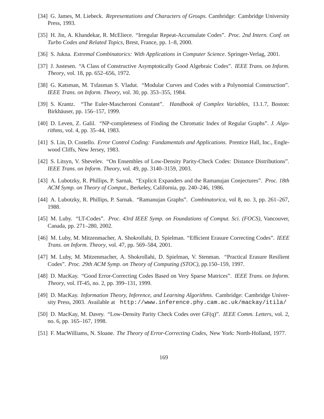- [34] G. James, M. Liebeck. *Representations and Characters of Groups*. Cambridge: Cambridge University Press, 1993.
- [35] H. Jin, A. Khandekar, R. McEliece. "Irregular Repeat-Accumulate Codes". *Proc. 2nd Intern. Conf. on Turbo Codes and Related Topics*, Brest, France, pp. 1–8, 2000.
- [36] S. Jukna. *Extremal Combinatorics: With Applications in Computer Science*. Springer-Verlag, 2001.
- [37] J. Justesen. "A Class of Constructive Asymptotically Good Algebraic Codes". *IEEE Trans. on Inform. Theory*, vol. 18, pp. 652–656, 1972.
- [38] G. Katsman, M. Tsfasman S. Vladut. "Modular Curves and Codes with a Polynomial Construction". *IEEE Trans. on Inform. Theory*, vol. 30, pp. 353–355, 1984.
- [39] S. Krantz. "The Euler-Mascheroni Constant". *Handbook of Complex Variables*, 13.1.7, Boston: Birkhäuser, pp. 156–157, 1999.
- [40] D. Leven, Z. Galil. "NP-completeness of Finding the Chromatic Index of Regular Graphs". *J. Algorithms*, vol. 4, pp. 35–44, 1983.
- [41] S. Lin, D. Costello. *Error Control Coding: Fundamentals and Applications*. Prentice Hall, Inc., Englewood Cliffs, New Jersey, 1983.
- [42] S. Litsyn, V. Shevelev. "On Ensembles of Low-Density Parity-Check Codes: Distance Distributions". *IEEE Trans. on Inform. Theory*, vol. 49, pp. 3140–3159, 2003.
- [43] A. Lubotzky, R. Phillips, P. Sarnak. "Explicit Expanders and the Ramanujan Conjectures". *Proc. 18th ACM Symp. on Theory of Comput.*, Berkeley, California, pp. 240–246, 1986.
- [44] A. Lubotzky, R. Phillips, P. Sarnak. "Ramanujan Graphs". *Combinatorica*, vol 8, no. 3, pp. 261–267, 1988.
- [45] M. Luby. "LT-Codes". *Proc. 43rd IEEE Symp. on Foundations of Comput. Sci. (FOCS)*, Vancouver, Canada, pp. 271–280, 2002.
- [46] M. Luby, M. Mitzenmacher, A. Shokrollahi, D. Spielman. "Efficient Erasure Correcting Codes". *IEEE Trans. on Inform. Theory*, vol. 47, pp. 569–584, 2001.
- [47] M. Luby, M. Mitzenmacher, A. Shokrollahi, D. Spielman, V. Stenman. "Practical Erasure Resilient Codes". *Proc. 29th ACM Symp. on Theory of Computing (STOC)*, pp.150–159, 1997.
- [48] D. MacKay. "Good Error-Correcting Codes Based on Very Sparse Matrices". *IEEE Trans. on Inform. Theory*, vol. IT-45, no. 2, pp. 399–131, 1999.
- [49] D. MacKay. *Information Theory, Inference, and Learning Algorithms*. Cambridge: Cambridge University Press, 2003. Available at http://www.inference.phy.cam.ac.uk/mackay/itila/
- [50] D. MacKay, M. Davey. "Low-Density Parity Check Codes over GF(q)". *IEEE Comm. Letters*, vol. 2, no. 6, pp. 165–167, 1998.
- [51] F. MacWilliams, N. Sloane. *The Theory of Error-Correcting Codes*, New York: North-Holland, 1977.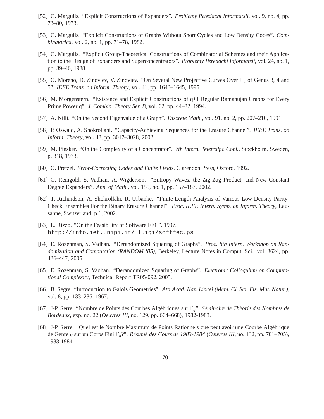- [52] G. Margulis. "Explicit Constructions of Expanders". *Problemy Peredachi Informatsii*, vol. 9, no. 4, pp. 73–80, 1973.
- [53] G. Margulis. "Explicit Constructions of Graphs Without Short Cycles and Low Density Codes". *Combinatorica*, vol. 2, no. 1, pp. 71–78, 1982.
- [54] G. Margulis. "Explicit Group-Theoretical Constructions of Combinatorial Schemes and their Application to the Design of Expanders and Superconcentrators". *Problemy Peredachi Informatsii*, vol. 24, no. 1, pp. 39–46, 1988.
- [55] O. Moreno, D. Zinoviev, V. Zinoviev. "On Several New Projective Curves Over  $\mathbb{F}_2$  of Genus 3, 4 and 5". *IEEE Trans. on Inform. Theory*, vol. 41, pp. 1643–1645, 1995.
- [56] M. Morgenstern. "Existence and Explicit Constructions of q+1 Regular Ramanujan Graphs for Every Prime Power q". *J. Combin. Theory Ser. B*, vol. 62, pp. 44–32, 1994.
- [57] A. Nilli. "On the Second Eigenvalue of a Graph". *Discrete Math.*, vol. 91, no. 2, pp. 207–210, 1991.
- [58] P. Oswald, A. Shokrollahi. "Capacity-Achieving Sequences for the Erasure Channel". *IEEE Trans. on Inform. Theory*, vol. 48, pp. 3017–3028, 2002.
- [59] M. Pinsker. "On the Complexity of a Concentrator". *7th Intern. Teletraffic Conf.*, Stockholm, Sweden, p. 318, 1973.
- [60] O. Pretzel. *Error-Correcting Codes and Finite Fields*. Clarendon Press, Oxford, 1992.
- [61] O. Reingold, S. Vadhan, A. Wigderson. "Entropy Waves, the Zig-Zag Product, and New Constant Degree Expanders". *Ann. of Math.*, vol. 155, no. 1, pp. 157–187, 2002.
- [62] T. Richardson, A. Shokrollahi, R. Urbanke. "Finite-Length Analysis of Various Low-Density Parity-Check Ensembles For the Binary Erasure Channel". *Proc. IEEE Intern. Symp. on Inform. Theory*, Lausanne, Switzerland, p.1, 2002.
- [63] L. Rizzo. "On the Feasibility of Software FEC". 1997. http://info.iet.unipi.it/ luigi/softfec.ps
- [64] E. Rozenman, S. Vadhan. "Derandomized Squaring of Graphs". *Proc. 8th Intern. Workshop on Randomization and Computation (RANDOM '05)*, Berkeley, Lecture Notes in Comput. Sci., vol. 3624, pp. 436–447, 2005.
- [65] E. Rozenman, S. Vadhan. "Derandomized Squaring of Graphs". *Electronic Colloquium on Computational Complexity*, Technical Report TR05-092, 2005.
- [66] B. Segre. "Introduction to Galois Geometries". *Atti Acad. Naz. Lincei (Mem. Cl. Sci. Fis. Mat. Natur.)*, vol. 8, pp. 133–236, 1967.
- [67] J-P. Serre. "Nombre de Points des Courbes Algébriques sur  $\mathbb{F}_q$ ". *Séminaire de Théorie des Nombres de Bordeaux*, exp. no. 22 (*Oeuvres III*, no. 129, pp. 664–668), 1982-1983.
- [68] J-P. Serre. "Quel est le Nombre Maximum de Points Rationnels que peut avoir une Courbe Alg´ebrique de Genre g sur un Corps Fini  $\mathbb{F}_q$ ?". *Résumé des Cours de 1983-1984 (Oeuvres III*, no. 132, pp. 701–705), 1983-1984.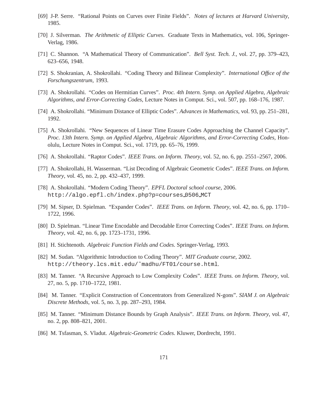- [69] J-P. Serre. "Rational Points on Curves over Finite Fields". *Notes of lectures at Harvard University*, 1985.
- [70] J. Silverman. *The Arithmetic of Elliptic Curves*. Graduate Texts in Mathematics, vol. 106, Springer-Verlag, 1986.
- [71] C. Shannon. "A Mathematical Theory of Communication". *Bell Syst. Tech. J.*, vol. 27, pp. 379–423, 623–656, 1948.
- [72] S. Shokranian, A. Shokrollahi. "Coding Theory and Bilinear Complexity". *International Office of the Forschungszentrum*, 1993.
- [73] A. Shokrollahi. "Codes on Hermitian Curves". *Proc. 4th Intern. Symp. on Applied Algebra, Algebraic Algorithms, and Error-Correcting Codes*, Lecture Notes in Comput. Sci., vol. 507, pp. 168–176, 1987.
- [74] A. Shokrollahi. "Minimum Distance of Elliptic Codes". *Advances in Mathematics*, vol. 93, pp. 251–281, 1992.
- [75] A. Shokrollahi. "New Sequences of Linear Time Erasure Codes Approaching the Channel Capacity". *Proc. 13th Intern. Symp. on Applied Algebra, Algebraic Algorithms, and Error-Correcting Codes*, Honolulu, Lecture Notes in Comput. Sci., vol. 1719, pp. 65–76, 1999.
- [76] A. Shokrollahi. "Raptor Codes". *IEEE Trans. on Inform. Theory*, vol. 52, no. 6, pp. 2551–2567, 2006.
- [77] A. Shokrollahi, H. Wasserman. "List Decoding of Algebraic Geometric Codes". *IEEE Trans. on Inform. Theory*, vol. 45, no. 2, pp. 432–437, 1999.
- [78] A. Shokrollahi. "Modern Coding Theory". *EPFL Doctoral school course*, 2006. http://algo.epfl.ch/index.php?p=courses 0506 MCT
- [79] M. Sipser, D. Spielman. "Expander Codes". *IEEE Trans. on Inform. Theory*, vol. 42, no. 6, pp. 1710– 1722, 1996.
- [80] D. Spielman. "Linear Time Encodable and Decodable Error Correcting Codes". *IEEE Trans. on Inform. Theory*, vol. 42, no. 6, pp. 1723–1731, 1996.
- [81] H. Stichtenoth. *Algebraic Function Fields and Codes*. Springer-Verlag, 1993.
- [82] M. Sudan. "Algorithmic Introduction to Coding Theory". *MIT Graduate course*, 2002. http://theory.lcs.mit.edu/˜madhu/FT01/course.html.
- [83] M. Tanner. "A Recursive Approach to Low Complexity Codes". *IEEE Trans. on Inform. Theory*, vol. 27, no. 5, pp. 1710–1722, 1981.
- [84] M. Tanner. "Explicit Construction of Concentrators from Generalized N-gons". *SIAM J. on Algebraic Discrete Methods*, vol. 5, no. 3, pp. 287–293, 1984.
- [85] M. Tanner. "Minimum Distance Bounds by Graph Analysis". *IEEE Trans. on Inform. Theory*, vol. 47, no. 2, pp. 808–821, 2001.
- [86] M. Tsfasman, S. Vladut. *Algebraic-Geometric Codes*. Kluwer, Dordrecht, 1991.